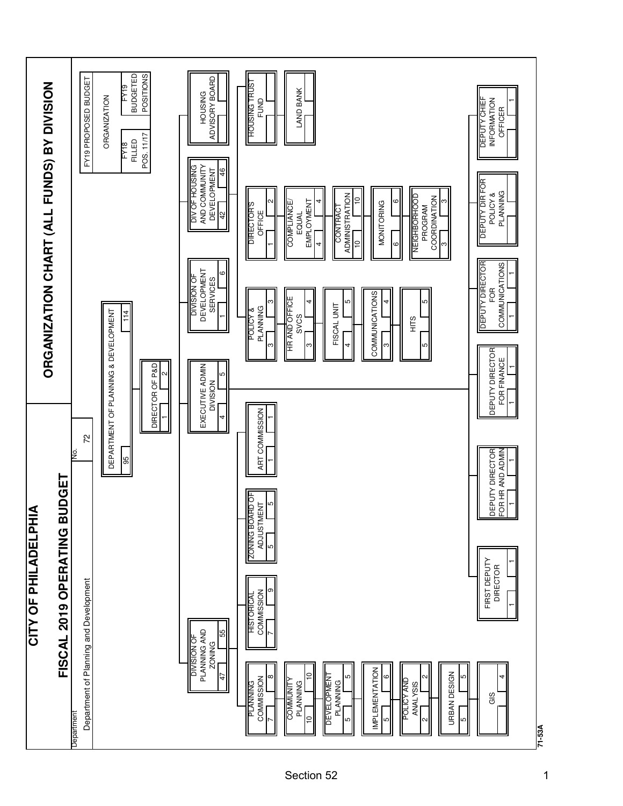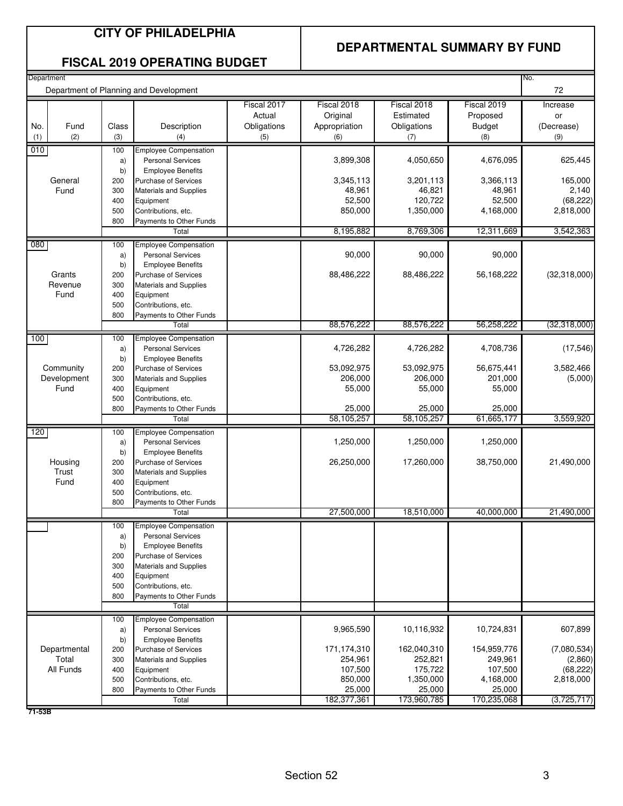## **CITY OF PHILADELPHIA**

#### **DEPARTMENTAL SUMMARY BY FUND**

#### **FISCAL 2019 OPERATING BUDGET**

| 72<br>Department of Planning and Development<br>Fiscal 2018<br>Fiscal 2017<br>Fiscal 2018<br>Fiscal 2019<br>Increase<br>Actual<br>Original<br>Estimated<br>Proposed<br>or<br>Fund<br>Class<br>Description<br>Obligations<br>Appropriation<br><b>Budget</b><br>No.<br>Obligations<br>(Decrease)<br>(1)<br>(2)<br>(3)<br>(4)<br>(5)<br>(6)<br>(8)<br>(9)<br>(7)<br>010<br>100<br><b>Employee Compensation</b><br>625,445<br>3,899,308<br>4,050,650<br>4,676,095<br><b>Personal Services</b><br>a)<br>b)<br><b>Employee Benefits</b><br>3,345,113<br>3,201,113<br>3,366,113<br>165,000<br>General<br>Purchase of Services<br>200<br>Fund<br>48,961<br>46,821<br>48,961<br>2,140<br>300<br><b>Materials and Supplies</b><br>52,500<br>120,722<br>52,500<br>(68, 222)<br>400<br>Equipment<br>1,350,000<br>4,168,000<br>2,818,000<br>Contributions, etc.<br>850,000<br>500<br>800<br>Payments to Other Funds<br>8,195,882<br>8,769,306<br>12,311,669<br>3,542,363<br>Total<br>080<br><b>Employee Compensation</b><br>100<br>90,000<br>90,000<br>90,000<br><b>Personal Services</b><br>a)<br>b)<br><b>Employee Benefits</b><br>88,486,222<br>88,486,222<br>Grants<br>56,168,222<br>200<br>Purchase of Services<br>Revenue<br>300<br><b>Materials and Supplies</b><br>Fund<br>400<br>Equipment<br>500<br>Contributions, etc.<br>800<br>Payments to Other Funds<br>88,576,222<br>88,576,222<br>56,258,222<br>(32,318,000)<br>Total<br>100<br><b>Employee Compensation</b><br>100<br>4,708,736<br>4,726,282<br>4,726,282<br>a)<br><b>Personal Services</b><br>b)<br><b>Employee Benefits</b><br>53,092,975<br>56,675,441<br>3,582,466<br>Community<br>53,092,975<br>200<br><b>Purchase of Services</b><br>Development<br>206,000<br>206,000<br>201,000<br>300<br>Materials and Supplies<br>Fund<br>55,000<br>55,000<br>55,000<br>400<br>Equipment<br>500<br>Contributions, etc.<br>25,000<br>25,000<br>25,000<br>800<br>Payments to Other Funds<br>58,105,257<br>58,105,257<br>61,665,177<br>3,559,920<br>Total<br>120<br><b>Employee Compensation</b><br>100<br>1,250,000<br><b>Personal Services</b><br>1,250,000<br>1,250,000<br>a)<br>b)<br><b>Employee Benefits</b><br>26,250,000<br>17,260,000<br>38,750,000<br>21,490,000<br>Housing<br>200<br><b>Purchase of Services</b><br>Trust<br>300<br><b>Materials and Supplies</b><br>Fund<br>400<br>Equipment<br>Contributions, etc.<br>500<br>800<br>Payments to Other Funds<br>27,500,000<br>18,510,000<br>40,000,000<br>21,490,000<br>Total<br><b>Employee Compensation</b><br>100<br><b>Personal Services</b><br>a)<br><b>Employee Benefits</b><br>b)<br><b>Purchase of Services</b><br>200<br>300<br>Materials and Supplies<br>400<br>Equipment<br>500<br>Contributions, etc.<br>800<br>Payments to Other Funds<br>Total<br>100<br><b>Employee Compensation</b><br>607,899<br>9,965,590<br>10,116,932<br>10,724,831<br><b>Personal Services</b><br>a)<br>b)<br><b>Employee Benefits</b><br>Departmental<br>171,174,310<br>162,040,310<br>154,959,776<br>(7,080,534)<br>Purchase of Services<br>200<br>Total<br>254,961<br>252,821<br>249,961<br>300<br><b>Materials and Supplies</b><br>All Funds<br>107,500<br>175,722<br>107,500<br>400<br>Equipment<br>850,000<br>1,350,000<br>4,168,000<br>2,818,000<br>Contributions, etc.<br>500<br>25,000<br>25,000<br>25,000<br>800<br>Payments to Other Funds<br>182,377,361<br>173,960,785<br>170,235,068<br>(3,725,717)<br>Total | Department |  |  |  | No.                  |
|-------------------------------------------------------------------------------------------------------------------------------------------------------------------------------------------------------------------------------------------------------------------------------------------------------------------------------------------------------------------------------------------------------------------------------------------------------------------------------------------------------------------------------------------------------------------------------------------------------------------------------------------------------------------------------------------------------------------------------------------------------------------------------------------------------------------------------------------------------------------------------------------------------------------------------------------------------------------------------------------------------------------------------------------------------------------------------------------------------------------------------------------------------------------------------------------------------------------------------------------------------------------------------------------------------------------------------------------------------------------------------------------------------------------------------------------------------------------------------------------------------------------------------------------------------------------------------------------------------------------------------------------------------------------------------------------------------------------------------------------------------------------------------------------------------------------------------------------------------------------------------------------------------------------------------------------------------------------------------------------------------------------------------------------------------------------------------------------------------------------------------------------------------------------------------------------------------------------------------------------------------------------------------------------------------------------------------------------------------------------------------------------------------------------------------------------------------------------------------------------------------------------------------------------------------------------------------------------------------------------------------------------------------------------------------------------------------------------------------------------------------------------------------------------------------------------------------------------------------------------------------------------------------------------------------------------------------------------------------------------------------------------------------------------------------------------------------------------------------------------------------------------------------------------------------------------------------------------------------------------------------------------------------------------------------------------------------------------------------------------------------------------------------------------------|------------|--|--|--|----------------------|
|                                                                                                                                                                                                                                                                                                                                                                                                                                                                                                                                                                                                                                                                                                                                                                                                                                                                                                                                                                                                                                                                                                                                                                                                                                                                                                                                                                                                                                                                                                                                                                                                                                                                                                                                                                                                                                                                                                                                                                                                                                                                                                                                                                                                                                                                                                                                                                                                                                                                                                                                                                                                                                                                                                                                                                                                                                                                                                                                                                                                                                                                                                                                                                                                                                                                                                                                                                                                                         |            |  |  |  |                      |
|                                                                                                                                                                                                                                                                                                                                                                                                                                                                                                                                                                                                                                                                                                                                                                                                                                                                                                                                                                                                                                                                                                                                                                                                                                                                                                                                                                                                                                                                                                                                                                                                                                                                                                                                                                                                                                                                                                                                                                                                                                                                                                                                                                                                                                                                                                                                                                                                                                                                                                                                                                                                                                                                                                                                                                                                                                                                                                                                                                                                                                                                                                                                                                                                                                                                                                                                                                                                                         |            |  |  |  |                      |
|                                                                                                                                                                                                                                                                                                                                                                                                                                                                                                                                                                                                                                                                                                                                                                                                                                                                                                                                                                                                                                                                                                                                                                                                                                                                                                                                                                                                                                                                                                                                                                                                                                                                                                                                                                                                                                                                                                                                                                                                                                                                                                                                                                                                                                                                                                                                                                                                                                                                                                                                                                                                                                                                                                                                                                                                                                                                                                                                                                                                                                                                                                                                                                                                                                                                                                                                                                                                                         |            |  |  |  |                      |
|                                                                                                                                                                                                                                                                                                                                                                                                                                                                                                                                                                                                                                                                                                                                                                                                                                                                                                                                                                                                                                                                                                                                                                                                                                                                                                                                                                                                                                                                                                                                                                                                                                                                                                                                                                                                                                                                                                                                                                                                                                                                                                                                                                                                                                                                                                                                                                                                                                                                                                                                                                                                                                                                                                                                                                                                                                                                                                                                                                                                                                                                                                                                                                                                                                                                                                                                                                                                                         |            |  |  |  |                      |
|                                                                                                                                                                                                                                                                                                                                                                                                                                                                                                                                                                                                                                                                                                                                                                                                                                                                                                                                                                                                                                                                                                                                                                                                                                                                                                                                                                                                                                                                                                                                                                                                                                                                                                                                                                                                                                                                                                                                                                                                                                                                                                                                                                                                                                                                                                                                                                                                                                                                                                                                                                                                                                                                                                                                                                                                                                                                                                                                                                                                                                                                                                                                                                                                                                                                                                                                                                                                                         |            |  |  |  |                      |
|                                                                                                                                                                                                                                                                                                                                                                                                                                                                                                                                                                                                                                                                                                                                                                                                                                                                                                                                                                                                                                                                                                                                                                                                                                                                                                                                                                                                                                                                                                                                                                                                                                                                                                                                                                                                                                                                                                                                                                                                                                                                                                                                                                                                                                                                                                                                                                                                                                                                                                                                                                                                                                                                                                                                                                                                                                                                                                                                                                                                                                                                                                                                                                                                                                                                                                                                                                                                                         |            |  |  |  |                      |
|                                                                                                                                                                                                                                                                                                                                                                                                                                                                                                                                                                                                                                                                                                                                                                                                                                                                                                                                                                                                                                                                                                                                                                                                                                                                                                                                                                                                                                                                                                                                                                                                                                                                                                                                                                                                                                                                                                                                                                                                                                                                                                                                                                                                                                                                                                                                                                                                                                                                                                                                                                                                                                                                                                                                                                                                                                                                                                                                                                                                                                                                                                                                                                                                                                                                                                                                                                                                                         |            |  |  |  |                      |
|                                                                                                                                                                                                                                                                                                                                                                                                                                                                                                                                                                                                                                                                                                                                                                                                                                                                                                                                                                                                                                                                                                                                                                                                                                                                                                                                                                                                                                                                                                                                                                                                                                                                                                                                                                                                                                                                                                                                                                                                                                                                                                                                                                                                                                                                                                                                                                                                                                                                                                                                                                                                                                                                                                                                                                                                                                                                                                                                                                                                                                                                                                                                                                                                                                                                                                                                                                                                                         |            |  |  |  |                      |
|                                                                                                                                                                                                                                                                                                                                                                                                                                                                                                                                                                                                                                                                                                                                                                                                                                                                                                                                                                                                                                                                                                                                                                                                                                                                                                                                                                                                                                                                                                                                                                                                                                                                                                                                                                                                                                                                                                                                                                                                                                                                                                                                                                                                                                                                                                                                                                                                                                                                                                                                                                                                                                                                                                                                                                                                                                                                                                                                                                                                                                                                                                                                                                                                                                                                                                                                                                                                                         |            |  |  |  | (32,318,000)         |
|                                                                                                                                                                                                                                                                                                                                                                                                                                                                                                                                                                                                                                                                                                                                                                                                                                                                                                                                                                                                                                                                                                                                                                                                                                                                                                                                                                                                                                                                                                                                                                                                                                                                                                                                                                                                                                                                                                                                                                                                                                                                                                                                                                                                                                                                                                                                                                                                                                                                                                                                                                                                                                                                                                                                                                                                                                                                                                                                                                                                                                                                                                                                                                                                                                                                                                                                                                                                                         |            |  |  |  |                      |
|                                                                                                                                                                                                                                                                                                                                                                                                                                                                                                                                                                                                                                                                                                                                                                                                                                                                                                                                                                                                                                                                                                                                                                                                                                                                                                                                                                                                                                                                                                                                                                                                                                                                                                                                                                                                                                                                                                                                                                                                                                                                                                                                                                                                                                                                                                                                                                                                                                                                                                                                                                                                                                                                                                                                                                                                                                                                                                                                                                                                                                                                                                                                                                                                                                                                                                                                                                                                                         |            |  |  |  |                      |
|                                                                                                                                                                                                                                                                                                                                                                                                                                                                                                                                                                                                                                                                                                                                                                                                                                                                                                                                                                                                                                                                                                                                                                                                                                                                                                                                                                                                                                                                                                                                                                                                                                                                                                                                                                                                                                                                                                                                                                                                                                                                                                                                                                                                                                                                                                                                                                                                                                                                                                                                                                                                                                                                                                                                                                                                                                                                                                                                                                                                                                                                                                                                                                                                                                                                                                                                                                                                                         |            |  |  |  | (17, 546)            |
|                                                                                                                                                                                                                                                                                                                                                                                                                                                                                                                                                                                                                                                                                                                                                                                                                                                                                                                                                                                                                                                                                                                                                                                                                                                                                                                                                                                                                                                                                                                                                                                                                                                                                                                                                                                                                                                                                                                                                                                                                                                                                                                                                                                                                                                                                                                                                                                                                                                                                                                                                                                                                                                                                                                                                                                                                                                                                                                                                                                                                                                                                                                                                                                                                                                                                                                                                                                                                         |            |  |  |  | (5,000)              |
|                                                                                                                                                                                                                                                                                                                                                                                                                                                                                                                                                                                                                                                                                                                                                                                                                                                                                                                                                                                                                                                                                                                                                                                                                                                                                                                                                                                                                                                                                                                                                                                                                                                                                                                                                                                                                                                                                                                                                                                                                                                                                                                                                                                                                                                                                                                                                                                                                                                                                                                                                                                                                                                                                                                                                                                                                                                                                                                                                                                                                                                                                                                                                                                                                                                                                                                                                                                                                         |            |  |  |  |                      |
|                                                                                                                                                                                                                                                                                                                                                                                                                                                                                                                                                                                                                                                                                                                                                                                                                                                                                                                                                                                                                                                                                                                                                                                                                                                                                                                                                                                                                                                                                                                                                                                                                                                                                                                                                                                                                                                                                                                                                                                                                                                                                                                                                                                                                                                                                                                                                                                                                                                                                                                                                                                                                                                                                                                                                                                                                                                                                                                                                                                                                                                                                                                                                                                                                                                                                                                                                                                                                         |            |  |  |  |                      |
|                                                                                                                                                                                                                                                                                                                                                                                                                                                                                                                                                                                                                                                                                                                                                                                                                                                                                                                                                                                                                                                                                                                                                                                                                                                                                                                                                                                                                                                                                                                                                                                                                                                                                                                                                                                                                                                                                                                                                                                                                                                                                                                                                                                                                                                                                                                                                                                                                                                                                                                                                                                                                                                                                                                                                                                                                                                                                                                                                                                                                                                                                                                                                                                                                                                                                                                                                                                                                         |            |  |  |  |                      |
|                                                                                                                                                                                                                                                                                                                                                                                                                                                                                                                                                                                                                                                                                                                                                                                                                                                                                                                                                                                                                                                                                                                                                                                                                                                                                                                                                                                                                                                                                                                                                                                                                                                                                                                                                                                                                                                                                                                                                                                                                                                                                                                                                                                                                                                                                                                                                                                                                                                                                                                                                                                                                                                                                                                                                                                                                                                                                                                                                                                                                                                                                                                                                                                                                                                                                                                                                                                                                         |            |  |  |  |                      |
|                                                                                                                                                                                                                                                                                                                                                                                                                                                                                                                                                                                                                                                                                                                                                                                                                                                                                                                                                                                                                                                                                                                                                                                                                                                                                                                                                                                                                                                                                                                                                                                                                                                                                                                                                                                                                                                                                                                                                                                                                                                                                                                                                                                                                                                                                                                                                                                                                                                                                                                                                                                                                                                                                                                                                                                                                                                                                                                                                                                                                                                                                                                                                                                                                                                                                                                                                                                                                         |            |  |  |  |                      |
|                                                                                                                                                                                                                                                                                                                                                                                                                                                                                                                                                                                                                                                                                                                                                                                                                                                                                                                                                                                                                                                                                                                                                                                                                                                                                                                                                                                                                                                                                                                                                                                                                                                                                                                                                                                                                                                                                                                                                                                                                                                                                                                                                                                                                                                                                                                                                                                                                                                                                                                                                                                                                                                                                                                                                                                                                                                                                                                                                                                                                                                                                                                                                                                                                                                                                                                                                                                                                         |            |  |  |  |                      |
|                                                                                                                                                                                                                                                                                                                                                                                                                                                                                                                                                                                                                                                                                                                                                                                                                                                                                                                                                                                                                                                                                                                                                                                                                                                                                                                                                                                                                                                                                                                                                                                                                                                                                                                                                                                                                                                                                                                                                                                                                                                                                                                                                                                                                                                                                                                                                                                                                                                                                                                                                                                                                                                                                                                                                                                                                                                                                                                                                                                                                                                                                                                                                                                                                                                                                                                                                                                                                         |            |  |  |  |                      |
|                                                                                                                                                                                                                                                                                                                                                                                                                                                                                                                                                                                                                                                                                                                                                                                                                                                                                                                                                                                                                                                                                                                                                                                                                                                                                                                                                                                                                                                                                                                                                                                                                                                                                                                                                                                                                                                                                                                                                                                                                                                                                                                                                                                                                                                                                                                                                                                                                                                                                                                                                                                                                                                                                                                                                                                                                                                                                                                                                                                                                                                                                                                                                                                                                                                                                                                                                                                                                         |            |  |  |  |                      |
|                                                                                                                                                                                                                                                                                                                                                                                                                                                                                                                                                                                                                                                                                                                                                                                                                                                                                                                                                                                                                                                                                                                                                                                                                                                                                                                                                                                                                                                                                                                                                                                                                                                                                                                                                                                                                                                                                                                                                                                                                                                                                                                                                                                                                                                                                                                                                                                                                                                                                                                                                                                                                                                                                                                                                                                                                                                                                                                                                                                                                                                                                                                                                                                                                                                                                                                                                                                                                         |            |  |  |  |                      |
|                                                                                                                                                                                                                                                                                                                                                                                                                                                                                                                                                                                                                                                                                                                                                                                                                                                                                                                                                                                                                                                                                                                                                                                                                                                                                                                                                                                                                                                                                                                                                                                                                                                                                                                                                                                                                                                                                                                                                                                                                                                                                                                                                                                                                                                                                                                                                                                                                                                                                                                                                                                                                                                                                                                                                                                                                                                                                                                                                                                                                                                                                                                                                                                                                                                                                                                                                                                                                         |            |  |  |  |                      |
|                                                                                                                                                                                                                                                                                                                                                                                                                                                                                                                                                                                                                                                                                                                                                                                                                                                                                                                                                                                                                                                                                                                                                                                                                                                                                                                                                                                                                                                                                                                                                                                                                                                                                                                                                                                                                                                                                                                                                                                                                                                                                                                                                                                                                                                                                                                                                                                                                                                                                                                                                                                                                                                                                                                                                                                                                                                                                                                                                                                                                                                                                                                                                                                                                                                                                                                                                                                                                         |            |  |  |  | (2,860)<br>(68, 222) |
|                                                                                                                                                                                                                                                                                                                                                                                                                                                                                                                                                                                                                                                                                                                                                                                                                                                                                                                                                                                                                                                                                                                                                                                                                                                                                                                                                                                                                                                                                                                                                                                                                                                                                                                                                                                                                                                                                                                                                                                                                                                                                                                                                                                                                                                                                                                                                                                                                                                                                                                                                                                                                                                                                                                                                                                                                                                                                                                                                                                                                                                                                                                                                                                                                                                                                                                                                                                                                         |            |  |  |  |                      |

**71-53B**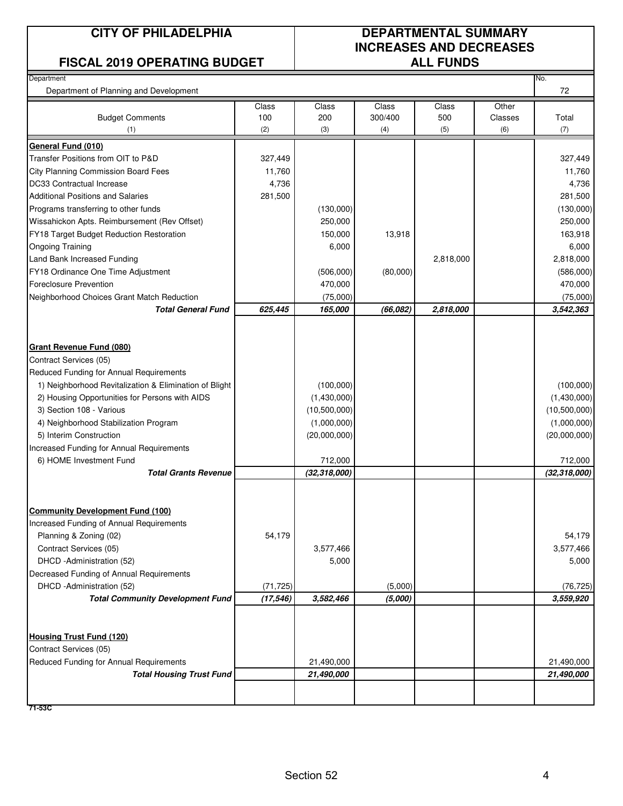#### **FISCAL 2019 OPERATING BUDGET ALL FUNDS**

# **CITY OF PHILADELPHIA DEPARTMENTAL SUMMARY INCREASES AND DECREASES**

| Department                                             |           |                |          |           |         | No.            |
|--------------------------------------------------------|-----------|----------------|----------|-----------|---------|----------------|
| Department of Planning and Development                 |           |                |          |           |         | 72             |
|                                                        | Class     | Class          | Class    | Class     | Other   |                |
| <b>Budget Comments</b>                                 | 100       | 200            | 300/400  | 500       | Classes | Total          |
| (1)                                                    | (2)       | (3)            | (4)      | (5)       | (6)     | (7)            |
| General Fund (010)                                     |           |                |          |           |         |                |
| Transfer Positions from OIT to P&D                     | 327,449   |                |          |           |         | 327,449        |
| <b>City Planning Commission Board Fees</b>             | 11,760    |                |          |           |         | 11,760         |
| DC33 Contractual Increase                              | 4,736     |                |          |           |         | 4,736          |
| <b>Additional Positions and Salaries</b>               | 281,500   |                |          |           |         | 281,500        |
| Programs transferring to other funds                   |           | (130,000)      |          |           |         | (130,000)      |
| Wissahickon Apts. Reimbursement (Rev Offset)           |           | 250,000        |          |           |         | 250,000        |
| FY18 Target Budget Reduction Restoration               |           | 150,000        | 13,918   |           |         | 163,918        |
| <b>Ongoing Training</b>                                |           | 6,000          |          |           |         | 6,000          |
| Land Bank Increased Funding                            |           |                |          | 2,818,000 |         | 2,818,000      |
| FY18 Ordinance One Time Adjustment                     |           | (506,000)      | (80,000) |           |         | (586,000)      |
| <b>Foreclosure Prevention</b>                          |           | 470,000        |          |           |         | 470,000        |
| Neighborhood Choices Grant Match Reduction             |           | (75,000)       |          |           |         | (75,000)       |
| <b>Total General Fund</b>                              | 625,445   | 165,000        | (66,082) | 2,818,000 |         | 3,542,363      |
|                                                        |           |                |          |           |         |                |
| <b>Grant Revenue Fund (080)</b>                        |           |                |          |           |         |                |
| Contract Services (05)                                 |           |                |          |           |         |                |
| Reduced Funding for Annual Requirements                |           |                |          |           |         |                |
| 1) Neighborhood Revitalization & Elimination of Blight |           | (100,000)      |          |           |         | (100,000)      |
| 2) Housing Opportunities for Persons with AIDS         |           | (1,430,000)    |          |           |         | (1,430,000)    |
| 3) Section 108 - Various                               |           | (10,500,000)   |          |           |         | (10,500,000)   |
| 4) Neighborhood Stabilization Program                  |           | (1,000,000)    |          |           |         | (1,000,000)    |
| 5) Interim Construction                                |           | (20,000,000)   |          |           |         | (20,000,000)   |
| Increased Funding for Annual Requirements              |           |                |          |           |         |                |
| 6) HOME Investment Fund                                |           | 712,000        |          |           |         | 712,000        |
| <b>Total Grants Revenue</b>                            |           | (32, 318, 000) |          |           |         | (32, 318, 000) |
|                                                        |           |                |          |           |         |                |
|                                                        |           |                |          |           |         |                |
| <b>Community Development Fund (100)</b>                |           |                |          |           |         |                |
| Increased Funding of Annual Requirements               |           |                |          |           |         |                |
| Planning & Zoning (02)                                 | 54,179    |                |          |           |         | 54,179         |
| Contract Services (05)                                 |           | 3,577,466      |          |           |         | 3,577,466      |
| DHCD -Administration (52)                              |           | 5,000          |          |           |         | 5,000          |
| Decreased Funding of Annual Requirements               |           |                |          |           |         |                |
| DHCD -Administration (52)                              | (71, 725) |                | (5,000)  |           |         | (76, 725)      |
| <b>Total Community Development Fund</b>                | (17, 546) | 3,582,466      | (5,000)  |           |         | 3,559,920      |
|                                                        |           |                |          |           |         |                |
| <b>Housing Trust Fund (120)</b>                        |           |                |          |           |         |                |
| Contract Services (05)                                 |           |                |          |           |         |                |
| Reduced Funding for Annual Requirements                |           | 21,490,000     |          |           |         | 21,490,000     |
| <b>Total Housing Trust Fund</b>                        |           | 21,490,000     |          |           |         | 21,490,000     |
|                                                        |           |                |          |           |         |                |

**71-53C**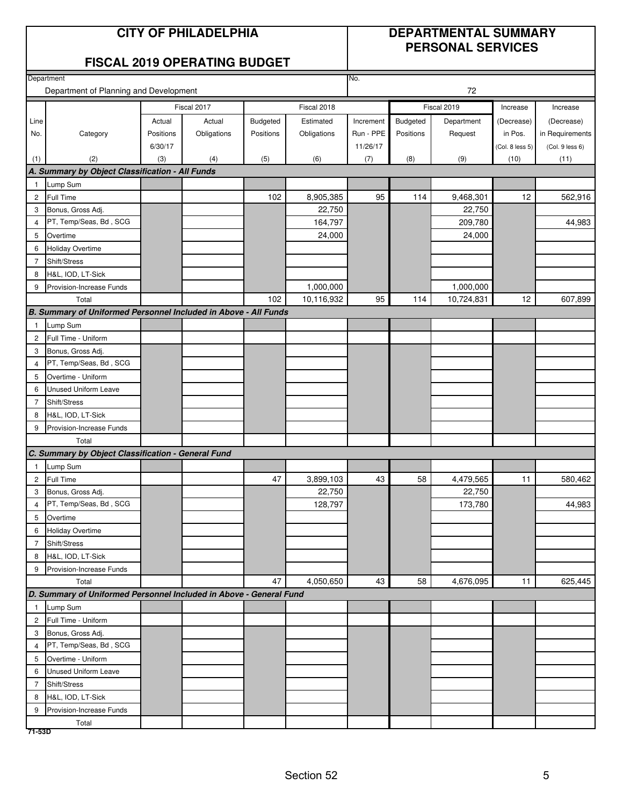#### **CITY OF PHILADELPHIA DEPARTMENTAL SUMMARY PERSONAL SERVICES**

#### **FISCAL 2019 OPERATING BUDGET**

|                | Department                                                         |           |             |           |             | No.       |           |             |                 |                 |
|----------------|--------------------------------------------------------------------|-----------|-------------|-----------|-------------|-----------|-----------|-------------|-----------------|-----------------|
|                | Department of Planning and Development                             |           |             | 72        |             |           |           |             |                 |                 |
|                |                                                                    |           | Fiscal 2017 |           | Fiscal 2018 |           |           | Fiscal 2019 | Increase        | Increase        |
| Line           |                                                                    | Actual    | Actual      | Budgeted  | Estimated   | Increment | Budgeted  | Department  | (Decrease)      | (Decrease)      |
| No.            | Category                                                           | Positions | Obligations | Positions | Obligations | Run - PPE | Positions | Request     | in Pos.         | in Requirements |
|                |                                                                    | 6/30/17   |             |           |             | 11/26/17  |           |             | (Col. 8 less 5) | (Col. 9 less 6) |
| (1)            | (2)                                                                | (3)       | (4)         | (5)       | (6)         | (7)       | (8)       | (9)         | (10)            | (11)            |
|                | A. Summary by Object Classification - All Funds                    |           |             |           |             |           |           |             |                 |                 |
| $\overline{1}$ | Lump Sum                                                           |           |             |           |             |           |           |             |                 |                 |
| $\overline{2}$ | Full Time                                                          |           |             | 102       | 8,905,385   | 95        | 114       | 9,468,301   | 12              | 562,916         |
| 3              | Bonus, Gross Adj.                                                  |           |             |           | 22,750      |           |           | 22,750      |                 |                 |
| $\overline{4}$ | PT, Temp/Seas, Bd, SCG                                             |           |             |           | 164,797     |           |           | 209,780     |                 | 44,983          |
| 5              | Overtime                                                           |           |             |           | 24,000      |           |           | 24,000      |                 |                 |
| 6              | <b>Holiday Overtime</b>                                            |           |             |           |             |           |           |             |                 |                 |
| $\overline{7}$ | Shift/Stress                                                       |           |             |           |             |           |           |             |                 |                 |
| 8              | H&L, IOD, LT-Sick                                                  |           |             |           |             |           |           |             |                 |                 |
| 9              | Provision-Increase Funds                                           |           |             |           | 1,000,000   |           |           | 1,000,000   |                 |                 |
|                | Total                                                              |           |             | 102       | 10,116,932  | 95        | 114       | 10,724,831  | 12              | 607,899         |
|                | B. Summary of Uniformed Personnel Included in Above - All Funds    |           |             |           |             |           |           |             |                 |                 |
| $\overline{1}$ | Lump Sum                                                           |           |             |           |             |           |           |             |                 |                 |
| $\overline{c}$ | Full Time - Uniform                                                |           |             |           |             |           |           |             |                 |                 |
| 3              | Bonus, Gross Adj.                                                  |           |             |           |             |           |           |             |                 |                 |
| $\overline{4}$ | PT, Temp/Seas, Bd, SCG                                             |           |             |           |             |           |           |             |                 |                 |
| 5              | Overtime - Uniform                                                 |           |             |           |             |           |           |             |                 |                 |
| 6              | Unused Uniform Leave                                               |           |             |           |             |           |           |             |                 |                 |
| $\overline{7}$ | Shift/Stress                                                       |           |             |           |             |           |           |             |                 |                 |
| 8              | H&L, IOD, LT-Sick                                                  |           |             |           |             |           |           |             |                 |                 |
| 9              | Provision-Increase Funds                                           |           |             |           |             |           |           |             |                 |                 |
|                | Total                                                              |           |             |           |             |           |           |             |                 |                 |
|                | C. Summary by Object Classification - General Fund                 |           |             |           |             |           |           |             |                 |                 |
| $\overline{1}$ | Lump Sum                                                           |           |             | 47        |             |           | 58        |             | 11              |                 |
| $\overline{c}$ | Full Time                                                          |           |             |           | 3,899,103   | 43        |           | 4,479,565   |                 | 580,462         |
| 3              | Bonus, Gross Adj.<br>PT, Temp/Seas, Bd, SCG                        |           |             |           | 22,750      |           |           | 22,750      |                 |                 |
| $\overline{4}$ |                                                                    |           |             |           | 128,797     |           |           | 173,780     |                 | 44,983          |
| 5<br>6         | Overtime<br><b>Holiday Overtime</b>                                |           |             |           |             |           |           |             |                 |                 |
| $\overline{7}$ | Shift/Stress                                                       |           |             |           |             |           |           |             |                 |                 |
| 8              | H&L, IOD, LT-Sick                                                  |           |             |           |             |           |           |             |                 |                 |
| 9              | Provision-Increase Funds                                           |           |             |           |             |           |           |             |                 |                 |
|                | Total                                                              |           |             | 47        | 4,050,650   | 43        | 58        | 4,676,095   | 11              | 625,445         |
|                | D. Summary of Uniformed Personnel Included in Above - General Fund |           |             |           |             |           |           |             |                 |                 |
| $\mathbf{1}$   | Lump Sum                                                           |           |             |           |             |           |           |             |                 |                 |
| $\overline{c}$ | Full Time - Uniform                                                |           |             |           |             |           |           |             |                 |                 |
| 3              | Bonus, Gross Adj.                                                  |           |             |           |             |           |           |             |                 |                 |
| 4              | PT, Temp/Seas, Bd, SCG                                             |           |             |           |             |           |           |             |                 |                 |
| 5              | Overtime - Uniform                                                 |           |             |           |             |           |           |             |                 |                 |
| 6              | Unused Uniform Leave                                               |           |             |           |             |           |           |             |                 |                 |
| $\overline{7}$ | Shift/Stress                                                       |           |             |           |             |           |           |             |                 |                 |
| 8              | H&L, IOD, LT-Sick                                                  |           |             |           |             |           |           |             |                 |                 |
| 9              | Provision-Increase Funds                                           |           |             |           |             |           |           |             |                 |                 |
|                | Total                                                              |           |             |           |             |           |           |             |                 |                 |
| 71-53D         |                                                                    |           |             |           |             |           |           |             |                 |                 |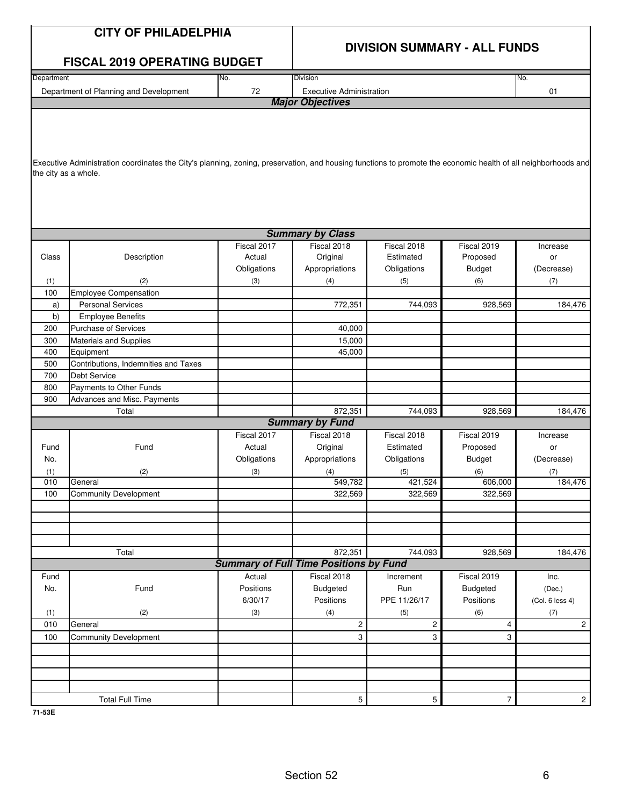|                      | <b>CITY OF PHILADELPHIA</b>                                                                                                                                   |             |                                                          |                       | <b>DIVISION SUMMARY - ALL FUNDS</b> |                           |
|----------------------|---------------------------------------------------------------------------------------------------------------------------------------------------------------|-------------|----------------------------------------------------------|-----------------------|-------------------------------------|---------------------------|
|                      | <b>FISCAL 2019 OPERATING BUDGET</b>                                                                                                                           |             |                                                          |                       |                                     |                           |
| Department           |                                                                                                                                                               | No.         | Division                                                 |                       |                                     | No.                       |
|                      | Department of Planning and Development                                                                                                                        | 72          | <b>Executive Administration</b>                          |                       |                                     | 01                        |
|                      |                                                                                                                                                               |             | <b>Major Objectives</b>                                  |                       |                                     |                           |
| the city as a whole. | Executive Administration coordinates the City's planning, zoning, preservation, and housing functions to promote the economic health of all neighborhoods and |             |                                                          |                       |                                     |                           |
|                      |                                                                                                                                                               |             | <b>Summary by Class</b>                                  |                       |                                     |                           |
|                      |                                                                                                                                                               | Fiscal 2017 | Fiscal 2018                                              | Fiscal 2018           | Fiscal 2019                         | Increase                  |
| Class                | Description                                                                                                                                                   | Actual      | Original                                                 | Estimated             | Proposed                            | or                        |
|                      |                                                                                                                                                               | Obligations | Appropriations                                           | Obligations           | <b>Budget</b>                       | (Decrease)                |
| (1)                  | (2)                                                                                                                                                           | (3)         | (4)                                                      | (5)                   | (6)                                 | (7)                       |
| 100                  | <b>Employee Compensation</b>                                                                                                                                  |             |                                                          |                       |                                     |                           |
| a)                   | <b>Personal Services</b>                                                                                                                                      |             | 772,351                                                  | 744,093               | 928,569                             | 184,476                   |
| b)                   | <b>Employee Benefits</b>                                                                                                                                      |             |                                                          |                       |                                     |                           |
| 200                  | Purchase of Services                                                                                                                                          |             | 40,000                                                   |                       |                                     |                           |
| 300                  | Materials and Supplies                                                                                                                                        |             | 15,000                                                   |                       |                                     |                           |
| 400                  | Equipment                                                                                                                                                     |             | 45,000                                                   |                       |                                     |                           |
| 500                  | Contributions, Indemnities and Taxes                                                                                                                          |             |                                                          |                       |                                     |                           |
| 700                  | Debt Service                                                                                                                                                  |             |                                                          |                       |                                     |                           |
| 800                  | Payments to Other Funds                                                                                                                                       |             |                                                          |                       |                                     |                           |
| 900                  | Advances and Misc. Payments                                                                                                                                   |             |                                                          |                       |                                     |                           |
|                      | Total                                                                                                                                                         |             | 872,351                                                  | 744,093               | 928,569                             | 184,476                   |
|                      |                                                                                                                                                               |             | <b>Summary by Fund</b>                                   |                       |                                     |                           |
|                      |                                                                                                                                                               | Fiscal 2017 | Fiscal 2018                                              | Fiscal 2018           | Fiscal 2019                         | Increase                  |
| Fund                 | Fund                                                                                                                                                          | Actual      | Original                                                 | Estimated             | Proposed                            | or                        |
| No.                  |                                                                                                                                                               | Obligations | Appropriations                                           | Obligations           | <b>Budget</b>                       | (Decrease)                |
| (1)                  | (2)                                                                                                                                                           | (3)         | (4)                                                      | (5)                   | (6)                                 | (7)                       |
| 010                  | General                                                                                                                                                       |             | 549,782                                                  | 421,524               | 606,000                             | 184,476                   |
| 100                  | <b>Community Development</b>                                                                                                                                  |             | 322,569                                                  | 322,569               | 322,569                             |                           |
|                      |                                                                                                                                                               |             |                                                          |                       |                                     |                           |
|                      |                                                                                                                                                               |             |                                                          |                       |                                     |                           |
|                      |                                                                                                                                                               |             |                                                          |                       |                                     |                           |
|                      |                                                                                                                                                               |             |                                                          |                       |                                     |                           |
|                      | Total                                                                                                                                                         |             | 872,351<br><b>Summary of Full Time Positions by Fund</b> | 744,093               | 928,569                             | 184,476                   |
| Fund                 |                                                                                                                                                               | Actual      | Fiscal 2018                                              | Increment             | Fiscal 2019                         | Inc.                      |
| No.                  | Fund                                                                                                                                                          | Positions   | <b>Budgeted</b>                                          | Run                   |                                     |                           |
|                      |                                                                                                                                                               | 6/30/17     | Positions                                                | PPE 11/26/17          | <b>Budgeted</b><br>Positions        | (Dec.)<br>(Col. 6 less 4) |
| (1)                  | (2)                                                                                                                                                           | (3)         |                                                          |                       | (6)                                 |                           |
| 010                  | General                                                                                                                                                       |             | (4)<br>2                                                 | (5)<br>$\overline{c}$ | 4                                   | (7)<br>$\overline{2}$     |
| 100                  | <b>Community Development</b>                                                                                                                                  |             | 3                                                        | 3                     | 3                                   |                           |
|                      |                                                                                                                                                               |             |                                                          |                       |                                     |                           |
|                      |                                                                                                                                                               |             |                                                          |                       |                                     |                           |
|                      |                                                                                                                                                               |             |                                                          |                       |                                     |                           |
|                      |                                                                                                                                                               |             |                                                          |                       |                                     |                           |
|                      |                                                                                                                                                               |             |                                                          |                       |                                     |                           |
|                      | <b>Total Full Time</b>                                                                                                                                        |             | 5                                                        | 5                     | 7                                   | $2 \mid$                  |

**71-53E**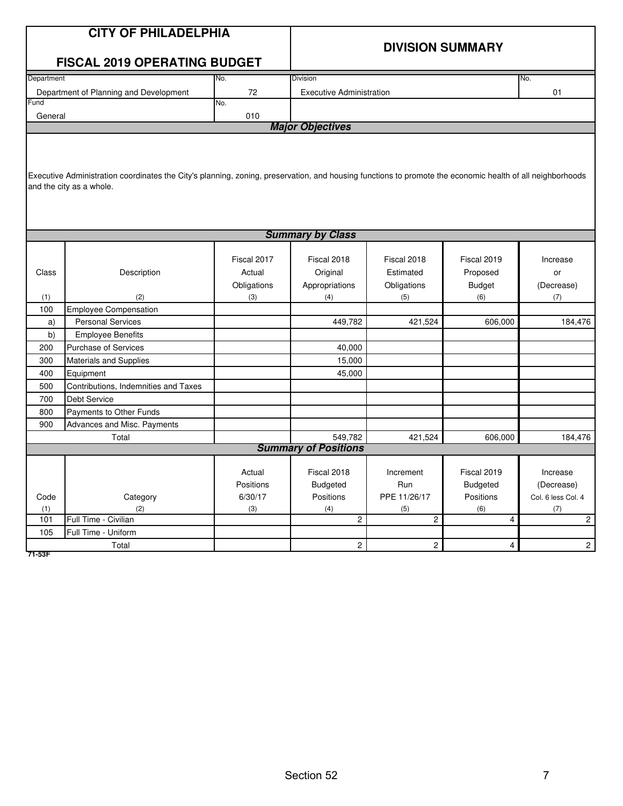|            | <b>CITY OF PHILADELPHIA</b>                                                                                                                               |                     |                                 |                  |                              |                                  |
|------------|-----------------------------------------------------------------------------------------------------------------------------------------------------------|---------------------|---------------------------------|------------------|------------------------------|----------------------------------|
|            |                                                                                                                                                           |                     |                                 |                  | <b>DIVISION SUMMARY</b>      |                                  |
|            | <b>FISCAL 2019 OPERATING BUDGET</b>                                                                                                                       |                     |                                 |                  |                              |                                  |
| Department |                                                                                                                                                           | No.                 | <b>Division</b>                 |                  |                              | No.                              |
|            | Department of Planning and Development                                                                                                                    | 72                  | <b>Executive Administration</b> |                  |                              | 01                               |
| Fund       |                                                                                                                                                           | No.                 |                                 |                  |                              |                                  |
| General    |                                                                                                                                                           | 010                 |                                 |                  |                              |                                  |
|            |                                                                                                                                                           |                     | <b>Major Objectives</b>         |                  |                              |                                  |
|            |                                                                                                                                                           |                     |                                 |                  |                              |                                  |
|            |                                                                                                                                                           |                     |                                 |                  |                              |                                  |
|            | Executive Administration coordinates the City's planning, zoning, preservation, and housing functions to promote the economic health of all neighborhoods |                     |                                 |                  |                              |                                  |
|            | and the city as a whole.                                                                                                                                  |                     |                                 |                  |                              |                                  |
|            |                                                                                                                                                           |                     |                                 |                  |                              |                                  |
|            |                                                                                                                                                           |                     |                                 |                  |                              |                                  |
|            |                                                                                                                                                           |                     |                                 |                  |                              |                                  |
|            |                                                                                                                                                           |                     | <b>Summary by Class</b>         |                  |                              |                                  |
|            |                                                                                                                                                           | Fiscal 2017         | Fiscal 2018                     | Fiscal 2018      | Fiscal 2019                  | Increase                         |
| Class      | Description                                                                                                                                               | Actual              | Original                        | Estimated        | Proposed                     | or                               |
|            |                                                                                                                                                           | Obligations         | Appropriations                  | Obligations      | <b>Budget</b>                | (Decrease)                       |
| (1)        | (2)                                                                                                                                                       | (3)                 | (4)                             | (5)              | (6)                          | (7)                              |
| 100        | Employee Compensation                                                                                                                                     |                     |                                 |                  |                              |                                  |
| a)         | <b>Personal Services</b>                                                                                                                                  |                     | 449,782                         | 421,524          | 606,000                      | 184,476                          |
| b)         | <b>Employee Benefits</b>                                                                                                                                  |                     |                                 |                  |                              |                                  |
| 200        | <b>Purchase of Services</b>                                                                                                                               |                     | 40,000                          |                  |                              |                                  |
| 300        | <b>Materials and Supplies</b>                                                                                                                             |                     | 15,000                          |                  |                              |                                  |
| 400        | Equipment                                                                                                                                                 |                     | 45,000                          |                  |                              |                                  |
| 500        | Contributions, Indemnities and Taxes                                                                                                                      |                     |                                 |                  |                              |                                  |
| 700        | <b>Debt Service</b>                                                                                                                                       |                     |                                 |                  |                              |                                  |
| 800        | Payments to Other Funds                                                                                                                                   |                     |                                 |                  |                              |                                  |
| 900        | Advances and Misc. Payments                                                                                                                               |                     |                                 |                  |                              |                                  |
|            | Total                                                                                                                                                     |                     | 549,782                         | 421,524          | 606,000                      | 184,476                          |
|            |                                                                                                                                                           |                     | <b>Summary of Positions</b>     |                  |                              |                                  |
|            |                                                                                                                                                           |                     |                                 |                  |                              |                                  |
|            |                                                                                                                                                           | Actual<br>Positions | Fiscal 2018                     | Increment<br>Run | Fiscal 2019                  | Increase                         |
| Code       | Category                                                                                                                                                  | 6/30/17             | <b>Budgeted</b><br>Positions    | PPE 11/26/17     | <b>Budgeted</b><br>Positions | (Decrease)<br>Col. 6 less Col. 4 |
| (1)        | (2)                                                                                                                                                       | (3)                 | (4)                             | (5)              | (6)                          | (7)                              |
| 101        | Full Time - Civilian                                                                                                                                      |                     | $\overline{2}$                  | $\overline{2}$   | $\overline{\mathbf{4}}$      | $\overline{2}$                   |
| 105        | Full Time - Uniform                                                                                                                                       |                     |                                 |                  |                              |                                  |
|            | Total                                                                                                                                                     |                     | $\overline{c}$                  | $\overline{c}$   | $\overline{4}$               | $\overline{c}$                   |

**71-53F**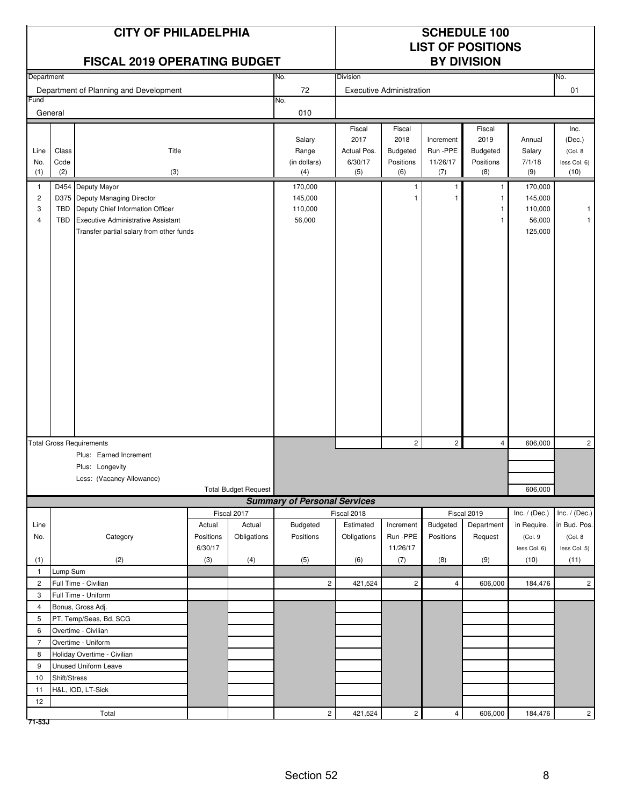| Department<br>No.<br>No.<br><b>Division</b><br>72<br>01<br>Department of Planning and Development<br><b>Executive Administration</b><br>Fund<br>No.<br>General<br>010<br>Fiscal<br>Fiscal<br>Fiscal<br>Inc.<br>2017<br>2018<br>2019<br>Salary<br>Increment<br>Annual<br>(Dec.)<br>Run -PPE<br>Class<br>Title<br>Range<br>Actual Pos.<br>Budgeted<br>Budgeted<br>Line<br>Salary<br>(Col. 8)<br>6/30/17<br>11/26/17<br>7/1/18<br>Code<br>(in dollars)<br>Positions<br>Positions<br>No.<br>less Col. 6)<br>(2)<br>(3)<br>(5)<br>(6)<br>(8)<br>(9)<br>(10)<br>(1)<br>(4)<br>(7)<br>D454 Deputy Mayor<br>170,000<br>170,000<br>$\overline{1}$<br>1<br>$\mathbf{1}$<br>145,000<br>$\overline{\mathbf{c}}$<br>D375 Deputy Managing Director<br>145,000<br>1<br>Deputy Chief Information Officer<br>110,000<br>3<br>TBD<br>110,000<br>1<br>-1<br><b>Executive Administrative Assistant</b><br>56,000<br>56,000<br>4<br><b>TBD</b><br>$\mathbf{1}$<br>Transfer partial salary from other funds<br>125,000<br>$\overline{c}$<br>$\overline{c}$<br>$\overline{c}$<br><b>Total Gross Requirements</b><br>$\overline{4}$<br>606,000<br>Plus: Earned Increment<br>Plus: Longevity<br>Less: (Vacancy Allowance)<br><b>Total Budget Request</b><br>606,000<br><b>Summary of Personal Services</b><br>Fiscal 2019<br>Fiscal 2017<br>Fiscal 2018<br>Inc. / (Dec.)<br>Inc. $/$ (Dec.)<br>Budgeted<br>Estimated<br>Increment<br>Budgeted<br>Department<br>Line<br>Actual<br>Actual<br>in Require.<br>in Bud. Pos.<br>Obligations<br>Run -PPE<br>Category<br>Positions<br>Positions<br>Obligations<br>Positions<br>Request<br>(Col.9<br>(Col. 8<br>No.<br>6/30/17<br>11/26/17<br>less Col. 5)<br>less Col. 6)<br>(2)<br>(3)<br>(4)<br>(5)<br>(7)<br>(8)<br>(9)<br>(10)<br>(11)<br>(1)<br>(6)<br>Lump Sum<br>$\mathbf{1}$<br>$\mathbf{2}$<br>$\overline{c}$<br>Full Time - Civilian<br>$\overline{2}$<br>$\sqrt{4}$<br>$\overline{c}$<br>421,524<br>606,000<br>184,476<br>3<br>Full Time - Uniform<br>$\overline{4}$<br>Bonus, Gross Adj.<br>5<br>PT, Temp/Seas, Bd, SCG<br>Overtime - Civilian<br>6<br>$\overline{7}$<br>Overtime - Uniform<br>8<br>Holiday Overtime - Civilian<br>9<br>Unused Uniform Leave<br>10<br>Shift/Stress<br>H&L, IOD, LT-Sick<br>11<br>12<br>$\overline{c}$<br>421,524<br>$2 \overline{ }$<br>$\overline{4}$<br>184,476<br>2 <sup>1</sup><br>Total<br>606,000 |  | <b>CITY OF PHILADELPHIA</b><br><b>FISCAL 2019 OPERATING BUDGET</b> |  | <b>SCHEDULE 100</b><br><b>LIST OF POSITIONS</b><br><b>BY DIVISION</b> |  |  |  |  |  |  |
|--------------------------------------------------------------------------------------------------------------------------------------------------------------------------------------------------------------------------------------------------------------------------------------------------------------------------------------------------------------------------------------------------------------------------------------------------------------------------------------------------------------------------------------------------------------------------------------------------------------------------------------------------------------------------------------------------------------------------------------------------------------------------------------------------------------------------------------------------------------------------------------------------------------------------------------------------------------------------------------------------------------------------------------------------------------------------------------------------------------------------------------------------------------------------------------------------------------------------------------------------------------------------------------------------------------------------------------------------------------------------------------------------------------------------------------------------------------------------------------------------------------------------------------------------------------------------------------------------------------------------------------------------------------------------------------------------------------------------------------------------------------------------------------------------------------------------------------------------------------------------------------------------------------------------------------------------------------------------------------------------------------------------------------------------------------------------------------------------------------------------------------------------------------------------------------------------------------------------------------------------------------------------------------------------------------------------------------------------------------------|--|--------------------------------------------------------------------|--|-----------------------------------------------------------------------|--|--|--|--|--|--|
|                                                                                                                                                                                                                                                                                                                                                                                                                                                                                                                                                                                                                                                                                                                                                                                                                                                                                                                                                                                                                                                                                                                                                                                                                                                                                                                                                                                                                                                                                                                                                                                                                                                                                                                                                                                                                                                                                                                                                                                                                                                                                                                                                                                                                                                                                                                                                                    |  |                                                                    |  |                                                                       |  |  |  |  |  |  |
|                                                                                                                                                                                                                                                                                                                                                                                                                                                                                                                                                                                                                                                                                                                                                                                                                                                                                                                                                                                                                                                                                                                                                                                                                                                                                                                                                                                                                                                                                                                                                                                                                                                                                                                                                                                                                                                                                                                                                                                                                                                                                                                                                                                                                                                                                                                                                                    |  |                                                                    |  |                                                                       |  |  |  |  |  |  |
|                                                                                                                                                                                                                                                                                                                                                                                                                                                                                                                                                                                                                                                                                                                                                                                                                                                                                                                                                                                                                                                                                                                                                                                                                                                                                                                                                                                                                                                                                                                                                                                                                                                                                                                                                                                                                                                                                                                                                                                                                                                                                                                                                                                                                                                                                                                                                                    |  |                                                                    |  |                                                                       |  |  |  |  |  |  |
|                                                                                                                                                                                                                                                                                                                                                                                                                                                                                                                                                                                                                                                                                                                                                                                                                                                                                                                                                                                                                                                                                                                                                                                                                                                                                                                                                                                                                                                                                                                                                                                                                                                                                                                                                                                                                                                                                                                                                                                                                                                                                                                                                                                                                                                                                                                                                                    |  |                                                                    |  |                                                                       |  |  |  |  |  |  |
|                                                                                                                                                                                                                                                                                                                                                                                                                                                                                                                                                                                                                                                                                                                                                                                                                                                                                                                                                                                                                                                                                                                                                                                                                                                                                                                                                                                                                                                                                                                                                                                                                                                                                                                                                                                                                                                                                                                                                                                                                                                                                                                                                                                                                                                                                                                                                                    |  |                                                                    |  |                                                                       |  |  |  |  |  |  |
|                                                                                                                                                                                                                                                                                                                                                                                                                                                                                                                                                                                                                                                                                                                                                                                                                                                                                                                                                                                                                                                                                                                                                                                                                                                                                                                                                                                                                                                                                                                                                                                                                                                                                                                                                                                                                                                                                                                                                                                                                                                                                                                                                                                                                                                                                                                                                                    |  |                                                                    |  |                                                                       |  |  |  |  |  |  |
|                                                                                                                                                                                                                                                                                                                                                                                                                                                                                                                                                                                                                                                                                                                                                                                                                                                                                                                                                                                                                                                                                                                                                                                                                                                                                                                                                                                                                                                                                                                                                                                                                                                                                                                                                                                                                                                                                                                                                                                                                                                                                                                                                                                                                                                                                                                                                                    |  |                                                                    |  |                                                                       |  |  |  |  |  |  |
|                                                                                                                                                                                                                                                                                                                                                                                                                                                                                                                                                                                                                                                                                                                                                                                                                                                                                                                                                                                                                                                                                                                                                                                                                                                                                                                                                                                                                                                                                                                                                                                                                                                                                                                                                                                                                                                                                                                                                                                                                                                                                                                                                                                                                                                                                                                                                                    |  |                                                                    |  |                                                                       |  |  |  |  |  |  |
|                                                                                                                                                                                                                                                                                                                                                                                                                                                                                                                                                                                                                                                                                                                                                                                                                                                                                                                                                                                                                                                                                                                                                                                                                                                                                                                                                                                                                                                                                                                                                                                                                                                                                                                                                                                                                                                                                                                                                                                                                                                                                                                                                                                                                                                                                                                                                                    |  |                                                                    |  |                                                                       |  |  |  |  |  |  |
|                                                                                                                                                                                                                                                                                                                                                                                                                                                                                                                                                                                                                                                                                                                                                                                                                                                                                                                                                                                                                                                                                                                                                                                                                                                                                                                                                                                                                                                                                                                                                                                                                                                                                                                                                                                                                                                                                                                                                                                                                                                                                                                                                                                                                                                                                                                                                                    |  |                                                                    |  |                                                                       |  |  |  |  |  |  |
|                                                                                                                                                                                                                                                                                                                                                                                                                                                                                                                                                                                                                                                                                                                                                                                                                                                                                                                                                                                                                                                                                                                                                                                                                                                                                                                                                                                                                                                                                                                                                                                                                                                                                                                                                                                                                                                                                                                                                                                                                                                                                                                                                                                                                                                                                                                                                                    |  |                                                                    |  |                                                                       |  |  |  |  |  |  |
|                                                                                                                                                                                                                                                                                                                                                                                                                                                                                                                                                                                                                                                                                                                                                                                                                                                                                                                                                                                                                                                                                                                                                                                                                                                                                                                                                                                                                                                                                                                                                                                                                                                                                                                                                                                                                                                                                                                                                                                                                                                                                                                                                                                                                                                                                                                                                                    |  |                                                                    |  |                                                                       |  |  |  |  |  |  |
|                                                                                                                                                                                                                                                                                                                                                                                                                                                                                                                                                                                                                                                                                                                                                                                                                                                                                                                                                                                                                                                                                                                                                                                                                                                                                                                                                                                                                                                                                                                                                                                                                                                                                                                                                                                                                                                                                                                                                                                                                                                                                                                                                                                                                                                                                                                                                                    |  |                                                                    |  |                                                                       |  |  |  |  |  |  |
|                                                                                                                                                                                                                                                                                                                                                                                                                                                                                                                                                                                                                                                                                                                                                                                                                                                                                                                                                                                                                                                                                                                                                                                                                                                                                                                                                                                                                                                                                                                                                                                                                                                                                                                                                                                                                                                                                                                                                                                                                                                                                                                                                                                                                                                                                                                                                                    |  |                                                                    |  |                                                                       |  |  |  |  |  |  |
|                                                                                                                                                                                                                                                                                                                                                                                                                                                                                                                                                                                                                                                                                                                                                                                                                                                                                                                                                                                                                                                                                                                                                                                                                                                                                                                                                                                                                                                                                                                                                                                                                                                                                                                                                                                                                                                                                                                                                                                                                                                                                                                                                                                                                                                                                                                                                                    |  |                                                                    |  |                                                                       |  |  |  |  |  |  |
|                                                                                                                                                                                                                                                                                                                                                                                                                                                                                                                                                                                                                                                                                                                                                                                                                                                                                                                                                                                                                                                                                                                                                                                                                                                                                                                                                                                                                                                                                                                                                                                                                                                                                                                                                                                                                                                                                                                                                                                                                                                                                                                                                                                                                                                                                                                                                                    |  |                                                                    |  |                                                                       |  |  |  |  |  |  |
|                                                                                                                                                                                                                                                                                                                                                                                                                                                                                                                                                                                                                                                                                                                                                                                                                                                                                                                                                                                                                                                                                                                                                                                                                                                                                                                                                                                                                                                                                                                                                                                                                                                                                                                                                                                                                                                                                                                                                                                                                                                                                                                                                                                                                                                                                                                                                                    |  |                                                                    |  |                                                                       |  |  |  |  |  |  |
|                                                                                                                                                                                                                                                                                                                                                                                                                                                                                                                                                                                                                                                                                                                                                                                                                                                                                                                                                                                                                                                                                                                                                                                                                                                                                                                                                                                                                                                                                                                                                                                                                                                                                                                                                                                                                                                                                                                                                                                                                                                                                                                                                                                                                                                                                                                                                                    |  |                                                                    |  |                                                                       |  |  |  |  |  |  |
|                                                                                                                                                                                                                                                                                                                                                                                                                                                                                                                                                                                                                                                                                                                                                                                                                                                                                                                                                                                                                                                                                                                                                                                                                                                                                                                                                                                                                                                                                                                                                                                                                                                                                                                                                                                                                                                                                                                                                                                                                                                                                                                                                                                                                                                                                                                                                                    |  |                                                                    |  |                                                                       |  |  |  |  |  |  |
|                                                                                                                                                                                                                                                                                                                                                                                                                                                                                                                                                                                                                                                                                                                                                                                                                                                                                                                                                                                                                                                                                                                                                                                                                                                                                                                                                                                                                                                                                                                                                                                                                                                                                                                                                                                                                                                                                                                                                                                                                                                                                                                                                                                                                                                                                                                                                                    |  |                                                                    |  |                                                                       |  |  |  |  |  |  |
|                                                                                                                                                                                                                                                                                                                                                                                                                                                                                                                                                                                                                                                                                                                                                                                                                                                                                                                                                                                                                                                                                                                                                                                                                                                                                                                                                                                                                                                                                                                                                                                                                                                                                                                                                                                                                                                                                                                                                                                                                                                                                                                                                                                                                                                                                                                                                                    |  |                                                                    |  |                                                                       |  |  |  |  |  |  |
|                                                                                                                                                                                                                                                                                                                                                                                                                                                                                                                                                                                                                                                                                                                                                                                                                                                                                                                                                                                                                                                                                                                                                                                                                                                                                                                                                                                                                                                                                                                                                                                                                                                                                                                                                                                                                                                                                                                                                                                                                                                                                                                                                                                                                                                                                                                                                                    |  |                                                                    |  |                                                                       |  |  |  |  |  |  |
|                                                                                                                                                                                                                                                                                                                                                                                                                                                                                                                                                                                                                                                                                                                                                                                                                                                                                                                                                                                                                                                                                                                                                                                                                                                                                                                                                                                                                                                                                                                                                                                                                                                                                                                                                                                                                                                                                                                                                                                                                                                                                                                                                                                                                                                                                                                                                                    |  |                                                                    |  |                                                                       |  |  |  |  |  |  |
|                                                                                                                                                                                                                                                                                                                                                                                                                                                                                                                                                                                                                                                                                                                                                                                                                                                                                                                                                                                                                                                                                                                                                                                                                                                                                                                                                                                                                                                                                                                                                                                                                                                                                                                                                                                                                                                                                                                                                                                                                                                                                                                                                                                                                                                                                                                                                                    |  |                                                                    |  |                                                                       |  |  |  |  |  |  |
|                                                                                                                                                                                                                                                                                                                                                                                                                                                                                                                                                                                                                                                                                                                                                                                                                                                                                                                                                                                                                                                                                                                                                                                                                                                                                                                                                                                                                                                                                                                                                                                                                                                                                                                                                                                                                                                                                                                                                                                                                                                                                                                                                                                                                                                                                                                                                                    |  |                                                                    |  |                                                                       |  |  |  |  |  |  |
|                                                                                                                                                                                                                                                                                                                                                                                                                                                                                                                                                                                                                                                                                                                                                                                                                                                                                                                                                                                                                                                                                                                                                                                                                                                                                                                                                                                                                                                                                                                                                                                                                                                                                                                                                                                                                                                                                                                                                                                                                                                                                                                                                                                                                                                                                                                                                                    |  |                                                                    |  |                                                                       |  |  |  |  |  |  |
|                                                                                                                                                                                                                                                                                                                                                                                                                                                                                                                                                                                                                                                                                                                                                                                                                                                                                                                                                                                                                                                                                                                                                                                                                                                                                                                                                                                                                                                                                                                                                                                                                                                                                                                                                                                                                                                                                                                                                                                                                                                                                                                                                                                                                                                                                                                                                                    |  |                                                                    |  |                                                                       |  |  |  |  |  |  |
|                                                                                                                                                                                                                                                                                                                                                                                                                                                                                                                                                                                                                                                                                                                                                                                                                                                                                                                                                                                                                                                                                                                                                                                                                                                                                                                                                                                                                                                                                                                                                                                                                                                                                                                                                                                                                                                                                                                                                                                                                                                                                                                                                                                                                                                                                                                                                                    |  |                                                                    |  |                                                                       |  |  |  |  |  |  |
|                                                                                                                                                                                                                                                                                                                                                                                                                                                                                                                                                                                                                                                                                                                                                                                                                                                                                                                                                                                                                                                                                                                                                                                                                                                                                                                                                                                                                                                                                                                                                                                                                                                                                                                                                                                                                                                                                                                                                                                                                                                                                                                                                                                                                                                                                                                                                                    |  |                                                                    |  |                                                                       |  |  |  |  |  |  |
|                                                                                                                                                                                                                                                                                                                                                                                                                                                                                                                                                                                                                                                                                                                                                                                                                                                                                                                                                                                                                                                                                                                                                                                                                                                                                                                                                                                                                                                                                                                                                                                                                                                                                                                                                                                                                                                                                                                                                                                                                                                                                                                                                                                                                                                                                                                                                                    |  |                                                                    |  |                                                                       |  |  |  |  |  |  |
|                                                                                                                                                                                                                                                                                                                                                                                                                                                                                                                                                                                                                                                                                                                                                                                                                                                                                                                                                                                                                                                                                                                                                                                                                                                                                                                                                                                                                                                                                                                                                                                                                                                                                                                                                                                                                                                                                                                                                                                                                                                                                                                                                                                                                                                                                                                                                                    |  |                                                                    |  |                                                                       |  |  |  |  |  |  |
|                                                                                                                                                                                                                                                                                                                                                                                                                                                                                                                                                                                                                                                                                                                                                                                                                                                                                                                                                                                                                                                                                                                                                                                                                                                                                                                                                                                                                                                                                                                                                                                                                                                                                                                                                                                                                                                                                                                                                                                                                                                                                                                                                                                                                                                                                                                                                                    |  |                                                                    |  |                                                                       |  |  |  |  |  |  |
|                                                                                                                                                                                                                                                                                                                                                                                                                                                                                                                                                                                                                                                                                                                                                                                                                                                                                                                                                                                                                                                                                                                                                                                                                                                                                                                                                                                                                                                                                                                                                                                                                                                                                                                                                                                                                                                                                                                                                                                                                                                                                                                                                                                                                                                                                                                                                                    |  |                                                                    |  |                                                                       |  |  |  |  |  |  |
|                                                                                                                                                                                                                                                                                                                                                                                                                                                                                                                                                                                                                                                                                                                                                                                                                                                                                                                                                                                                                                                                                                                                                                                                                                                                                                                                                                                                                                                                                                                                                                                                                                                                                                                                                                                                                                                                                                                                                                                                                                                                                                                                                                                                                                                                                                                                                                    |  |                                                                    |  |                                                                       |  |  |  |  |  |  |
|                                                                                                                                                                                                                                                                                                                                                                                                                                                                                                                                                                                                                                                                                                                                                                                                                                                                                                                                                                                                                                                                                                                                                                                                                                                                                                                                                                                                                                                                                                                                                                                                                                                                                                                                                                                                                                                                                                                                                                                                                                                                                                                                                                                                                                                                                                                                                                    |  |                                                                    |  |                                                                       |  |  |  |  |  |  |
|                                                                                                                                                                                                                                                                                                                                                                                                                                                                                                                                                                                                                                                                                                                                                                                                                                                                                                                                                                                                                                                                                                                                                                                                                                                                                                                                                                                                                                                                                                                                                                                                                                                                                                                                                                                                                                                                                                                                                                                                                                                                                                                                                                                                                                                                                                                                                                    |  |                                                                    |  |                                                                       |  |  |  |  |  |  |
|                                                                                                                                                                                                                                                                                                                                                                                                                                                                                                                                                                                                                                                                                                                                                                                                                                                                                                                                                                                                                                                                                                                                                                                                                                                                                                                                                                                                                                                                                                                                                                                                                                                                                                                                                                                                                                                                                                                                                                                                                                                                                                                                                                                                                                                                                                                                                                    |  |                                                                    |  |                                                                       |  |  |  |  |  |  |
|                                                                                                                                                                                                                                                                                                                                                                                                                                                                                                                                                                                                                                                                                                                                                                                                                                                                                                                                                                                                                                                                                                                                                                                                                                                                                                                                                                                                                                                                                                                                                                                                                                                                                                                                                                                                                                                                                                                                                                                                                                                                                                                                                                                                                                                                                                                                                                    |  |                                                                    |  |                                                                       |  |  |  |  |  |  |
|                                                                                                                                                                                                                                                                                                                                                                                                                                                                                                                                                                                                                                                                                                                                                                                                                                                                                                                                                                                                                                                                                                                                                                                                                                                                                                                                                                                                                                                                                                                                                                                                                                                                                                                                                                                                                                                                                                                                                                                                                                                                                                                                                                                                                                                                                                                                                                    |  |                                                                    |  |                                                                       |  |  |  |  |  |  |
|                                                                                                                                                                                                                                                                                                                                                                                                                                                                                                                                                                                                                                                                                                                                                                                                                                                                                                                                                                                                                                                                                                                                                                                                                                                                                                                                                                                                                                                                                                                                                                                                                                                                                                                                                                                                                                                                                                                                                                                                                                                                                                                                                                                                                                                                                                                                                                    |  |                                                                    |  |                                                                       |  |  |  |  |  |  |
|                                                                                                                                                                                                                                                                                                                                                                                                                                                                                                                                                                                                                                                                                                                                                                                                                                                                                                                                                                                                                                                                                                                                                                                                                                                                                                                                                                                                                                                                                                                                                                                                                                                                                                                                                                                                                                                                                                                                                                                                                                                                                                                                                                                                                                                                                                                                                                    |  |                                                                    |  |                                                                       |  |  |  |  |  |  |
|                                                                                                                                                                                                                                                                                                                                                                                                                                                                                                                                                                                                                                                                                                                                                                                                                                                                                                                                                                                                                                                                                                                                                                                                                                                                                                                                                                                                                                                                                                                                                                                                                                                                                                                                                                                                                                                                                                                                                                                                                                                                                                                                                                                                                                                                                                                                                                    |  |                                                                    |  |                                                                       |  |  |  |  |  |  |
|                                                                                                                                                                                                                                                                                                                                                                                                                                                                                                                                                                                                                                                                                                                                                                                                                                                                                                                                                                                                                                                                                                                                                                                                                                                                                                                                                                                                                                                                                                                                                                                                                                                                                                                                                                                                                                                                                                                                                                                                                                                                                                                                                                                                                                                                                                                                                                    |  |                                                                    |  |                                                                       |  |  |  |  |  |  |
|                                                                                                                                                                                                                                                                                                                                                                                                                                                                                                                                                                                                                                                                                                                                                                                                                                                                                                                                                                                                                                                                                                                                                                                                                                                                                                                                                                                                                                                                                                                                                                                                                                                                                                                                                                                                                                                                                                                                                                                                                                                                                                                                                                                                                                                                                                                                                                    |  |                                                                    |  |                                                                       |  |  |  |  |  |  |
|                                                                                                                                                                                                                                                                                                                                                                                                                                                                                                                                                                                                                                                                                                                                                                                                                                                                                                                                                                                                                                                                                                                                                                                                                                                                                                                                                                                                                                                                                                                                                                                                                                                                                                                                                                                                                                                                                                                                                                                                                                                                                                                                                                                                                                                                                                                                                                    |  |                                                                    |  |                                                                       |  |  |  |  |  |  |
|                                                                                                                                                                                                                                                                                                                                                                                                                                                                                                                                                                                                                                                                                                                                                                                                                                                                                                                                                                                                                                                                                                                                                                                                                                                                                                                                                                                                                                                                                                                                                                                                                                                                                                                                                                                                                                                                                                                                                                                                                                                                                                                                                                                                                                                                                                                                                                    |  |                                                                    |  |                                                                       |  |  |  |  |  |  |
|                                                                                                                                                                                                                                                                                                                                                                                                                                                                                                                                                                                                                                                                                                                                                                                                                                                                                                                                                                                                                                                                                                                                                                                                                                                                                                                                                                                                                                                                                                                                                                                                                                                                                                                                                                                                                                                                                                                                                                                                                                                                                                                                                                                                                                                                                                                                                                    |  |                                                                    |  |                                                                       |  |  |  |  |  |  |
|                                                                                                                                                                                                                                                                                                                                                                                                                                                                                                                                                                                                                                                                                                                                                                                                                                                                                                                                                                                                                                                                                                                                                                                                                                                                                                                                                                                                                                                                                                                                                                                                                                                                                                                                                                                                                                                                                                                                                                                                                                                                                                                                                                                                                                                                                                                                                                    |  |                                                                    |  |                                                                       |  |  |  |  |  |  |
|                                                                                                                                                                                                                                                                                                                                                                                                                                                                                                                                                                                                                                                                                                                                                                                                                                                                                                                                                                                                                                                                                                                                                                                                                                                                                                                                                                                                                                                                                                                                                                                                                                                                                                                                                                                                                                                                                                                                                                                                                                                                                                                                                                                                                                                                                                                                                                    |  |                                                                    |  |                                                                       |  |  |  |  |  |  |
|                                                                                                                                                                                                                                                                                                                                                                                                                                                                                                                                                                                                                                                                                                                                                                                                                                                                                                                                                                                                                                                                                                                                                                                                                                                                                                                                                                                                                                                                                                                                                                                                                                                                                                                                                                                                                                                                                                                                                                                                                                                                                                                                                                                                                                                                                                                                                                    |  |                                                                    |  |                                                                       |  |  |  |  |  |  |

**71-53J**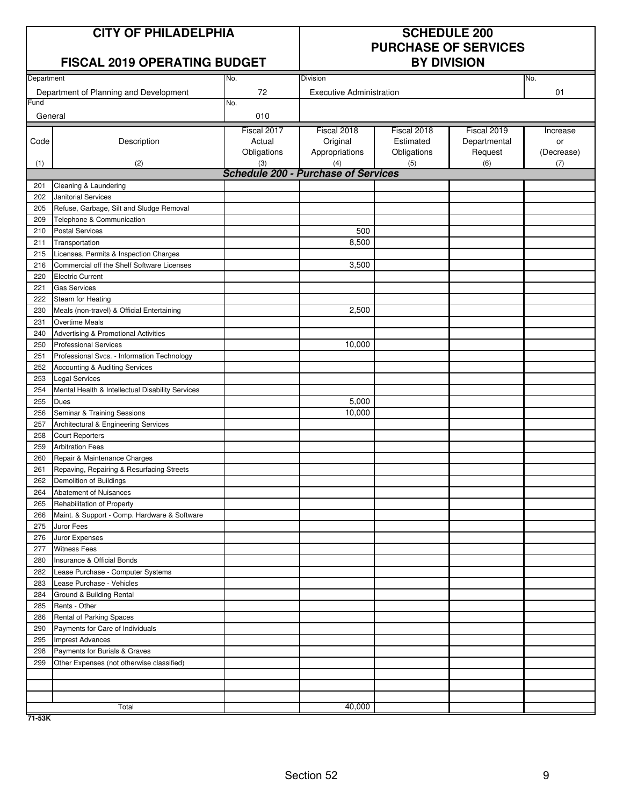# **CITY OF PHILADELPHIA SCHEDULE 200**

## **FISCAL 2019 OPERATING BUDGET**

# **PURCHASE OF SERVICES**

| Department |                                                  | No.         | <b>Division</b>                            |             |              | No.        |
|------------|--------------------------------------------------|-------------|--------------------------------------------|-------------|--------------|------------|
|            | Department of Planning and Development           | 72          | <b>Executive Administration</b>            |             |              | 01         |
| Fund       |                                                  | No.         |                                            |             |              |            |
| General    |                                                  | 010         |                                            |             |              |            |
|            |                                                  | Fiscal 2017 | Fiscal 2018                                | Fiscal 2018 | Fiscal 2019  | Increase   |
| Code       | Description                                      | Actual      | Original                                   | Estimated   | Departmental | or         |
|            |                                                  | Obligations | Appropriations                             | Obligations | Request      | (Decrease) |
| (1)        | (2)                                              | (3)         | (4)                                        | (5)         | (6)          | (7)        |
|            |                                                  |             | <b>Schedule 200 - Purchase of Services</b> |             |              |            |
| 201        | Cleaning & Laundering                            |             |                                            |             |              |            |
| 202        | <b>Janitorial Services</b>                       |             |                                            |             |              |            |
| 205        | Refuse, Garbage, Silt and Sludge Removal         |             |                                            |             |              |            |
| 209        | Telephone & Communication                        |             |                                            |             |              |            |
| 210        | <b>Postal Services</b>                           |             | 500                                        |             |              |            |
| 211        | Transportation                                   |             | 8,500                                      |             |              |            |
| 215        | Licenses, Permits & Inspection Charges           |             |                                            |             |              |            |
| 216        | Commercial off the Shelf Software Licenses       |             | 3,500                                      |             |              |            |
| 220        | <b>Electric Current</b>                          |             |                                            |             |              |            |
| 221        | <b>Gas Services</b>                              |             |                                            |             |              |            |
| 222        | Steam for Heating                                |             |                                            |             |              |            |
| 230        | Meals (non-travel) & Official Entertaining       |             | 2,500                                      |             |              |            |
| 231        | <b>Overtime Meals</b>                            |             |                                            |             |              |            |
| 240        | Advertising & Promotional Activities             |             |                                            |             |              |            |
| 250        | <b>Professional Services</b>                     |             | 10,000                                     |             |              |            |
| 251        | Professional Svcs. - Information Technology      |             |                                            |             |              |            |
| 252        | Accounting & Auditing Services                   |             |                                            |             |              |            |
| 253        | <b>Legal Services</b>                            |             |                                            |             |              |            |
| 254        | Mental Health & Intellectual Disability Services |             |                                            |             |              |            |
| 255        | Dues                                             |             | 5,000                                      |             |              |            |
| 256        | Seminar & Training Sessions                      |             | 10,000                                     |             |              |            |
| 257        | Architectural & Engineering Services             |             |                                            |             |              |            |
| 258        | <b>Court Reporters</b>                           |             |                                            |             |              |            |
| 259        | <b>Arbitration Fees</b>                          |             |                                            |             |              |            |
| 260        | Repair & Maintenance Charges                     |             |                                            |             |              |            |
| 261        | Repaving, Repairing & Resurfacing Streets        |             |                                            |             |              |            |
| 262        | Demolition of Buildings                          |             |                                            |             |              |            |
| 264        | Abatement of Nuisances                           |             |                                            |             |              |            |
| 265        | Rehabilitation of Property                       |             |                                            |             |              |            |
| 266        | Maint. & Support - Comp. Hardware & Software     |             |                                            |             |              |            |
| 275        | Juror Fees                                       |             |                                            |             |              |            |
| 276        | Juror Expenses                                   |             |                                            |             |              |            |
| 277        | <b>Witness Fees</b>                              |             |                                            |             |              |            |
| 280        | Insurance & Official Bonds                       |             |                                            |             |              |            |
| 282        | Lease Purchase - Computer Systems                |             |                                            |             |              |            |
| 283        | Lease Purchase - Vehicles                        |             |                                            |             |              |            |
| 284        | Ground & Building Rental                         |             |                                            |             |              |            |
| 285        | Rents - Other                                    |             |                                            |             |              |            |
| 286        | Rental of Parking Spaces                         |             |                                            |             |              |            |
| 290        | Payments for Care of Individuals                 |             |                                            |             |              |            |
| 295        | <b>Imprest Advances</b>                          |             |                                            |             |              |            |
| 298        | Payments for Burials & Graves                    |             |                                            |             |              |            |
| 299        | Other Expenses (not otherwise classified)        |             |                                            |             |              |            |
|            |                                                  |             |                                            |             |              |            |
|            |                                                  |             |                                            |             |              |            |
|            |                                                  |             |                                            |             |              |            |
|            | Total                                            |             | 40,000                                     |             |              |            |

**71-53K**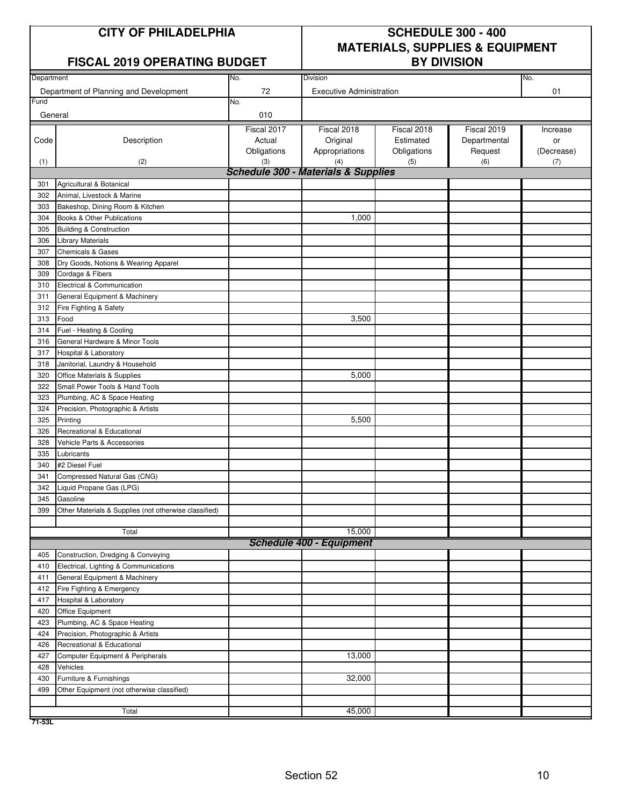| <b>CITY OF PHILADELPHIA</b> |  |
|-----------------------------|--|
|-----------------------------|--|

#### **FISCAL 2019 OPERATING BUDGET**

# **SCHEDULE 300 - 400 MATERIALS, SUPPLIES & EQUIPMENT**

| Department |                                                                   | No.         | Division                                       |             |              | No.        |
|------------|-------------------------------------------------------------------|-------------|------------------------------------------------|-------------|--------------|------------|
|            | Department of Planning and Development                            | 72          | <b>Executive Administration</b>                |             |              | 01         |
| Fund       |                                                                   | No.         |                                                |             |              |            |
| General    |                                                                   | 010         |                                                |             |              |            |
|            |                                                                   | Fiscal 2017 | Fiscal 2018                                    | Fiscal 2018 | Fiscal 2019  | Increase   |
| Code       | Description                                                       | Actual      | Original                                       | Estimated   | Departmental | or         |
|            |                                                                   | Obligations | Appropriations                                 | Obligations | Request      | (Decrease) |
| (1)        | (2)                                                               | (3)         | (4)                                            | (5)         | (6)          | (7)        |
|            |                                                                   |             | <b>Schedule 300 - Materials &amp; Supplies</b> |             |              |            |
| 301        | Agricultural & Botanical                                          |             |                                                |             |              |            |
| 302        | Animal, Livestock & Marine                                        |             |                                                |             |              |            |
| 303        | Bakeshop, Dining Room & Kitchen                                   |             |                                                |             |              |            |
| 304        | Books & Other Publications                                        |             | 1,000                                          |             |              |            |
| 305        | <b>Building &amp; Construction</b>                                |             |                                                |             |              |            |
| 306        | <b>Library Materials</b>                                          |             |                                                |             |              |            |
| 307        | <b>Chemicals &amp; Gases</b>                                      |             |                                                |             |              |            |
| 308        | Dry Goods, Notions & Wearing Apparel                              |             |                                                |             |              |            |
| 309        | Cordage & Fibers                                                  |             |                                                |             |              |            |
| 310        | Electrical & Communication                                        |             |                                                |             |              |            |
| 311        | General Equipment & Machinery                                     |             |                                                |             |              |            |
| 312        | Fire Fighting & Safety                                            |             |                                                |             |              |            |
| 313        | Food                                                              |             | 3,500                                          |             |              |            |
| 314        | Fuel - Heating & Cooling                                          |             |                                                |             |              |            |
| 316        | General Hardware & Minor Tools                                    |             |                                                |             |              |            |
| 317        | Hospital & Laboratory                                             |             |                                                |             |              |            |
| 318        | Janitorial, Laundry & Household                                   |             |                                                |             |              |            |
| 320        | Office Materials & Supplies                                       |             | 5,000                                          |             |              |            |
| 322        | Small Power Tools & Hand Tools                                    |             |                                                |             |              |            |
| 323        | Plumbing, AC & Space Heating                                      |             |                                                |             |              |            |
| 324        | Precision, Photographic & Artists                                 |             |                                                |             |              |            |
| 325        | Printing                                                          |             | 5,500                                          |             |              |            |
| 326        | Recreational & Educational                                        |             |                                                |             |              |            |
| 328        | Vehicle Parts & Accessories                                       |             |                                                |             |              |            |
| 335        | Lubricants                                                        |             |                                                |             |              |            |
| 340        | #2 Diesel Fuel                                                    |             |                                                |             |              |            |
| 341        | Compressed Natural Gas (CNG)                                      |             |                                                |             |              |            |
| 342        | Liquid Propane Gas (LPG)                                          |             |                                                |             |              |            |
| 345<br>399 | Gasoline<br>Other Materials & Supplies (not otherwise classified) |             |                                                |             |              |            |
|            |                                                                   |             |                                                |             |              |            |
|            | Total                                                             |             | 15,000                                         |             |              |            |
|            |                                                                   |             | <b>Schedule 400 - Equipment</b>                |             |              |            |
| 405        | Construction, Dredging & Conveying                                |             |                                                |             |              |            |
| 410        | Electrical, Lighting & Communications                             |             |                                                |             |              |            |
| 411        | General Equipment & Machinery                                     |             |                                                |             |              |            |
| 412        | Fire Fighting & Emergency                                         |             |                                                |             |              |            |
| 417        | Hospital & Laboratory                                             |             |                                                |             |              |            |
| 420        | Office Equipment                                                  |             |                                                |             |              |            |
| 423        | Plumbing, AC & Space Heating                                      |             |                                                |             |              |            |
| 424        | Precision, Photographic & Artists                                 |             |                                                |             |              |            |
| 426        | Recreational & Educational                                        |             |                                                |             |              |            |
| 427        | Computer Equipment & Peripherals                                  |             | 13,000                                         |             |              |            |
| 428        | Vehicles                                                          |             |                                                |             |              |            |
| 430        | Furniture & Furnishings                                           |             | 32,000                                         |             |              |            |
| 499        | Other Equipment (not otherwise classified)                        |             |                                                |             |              |            |
|            |                                                                   |             |                                                |             |              |            |
|            | Total                                                             |             | 45,000                                         |             |              |            |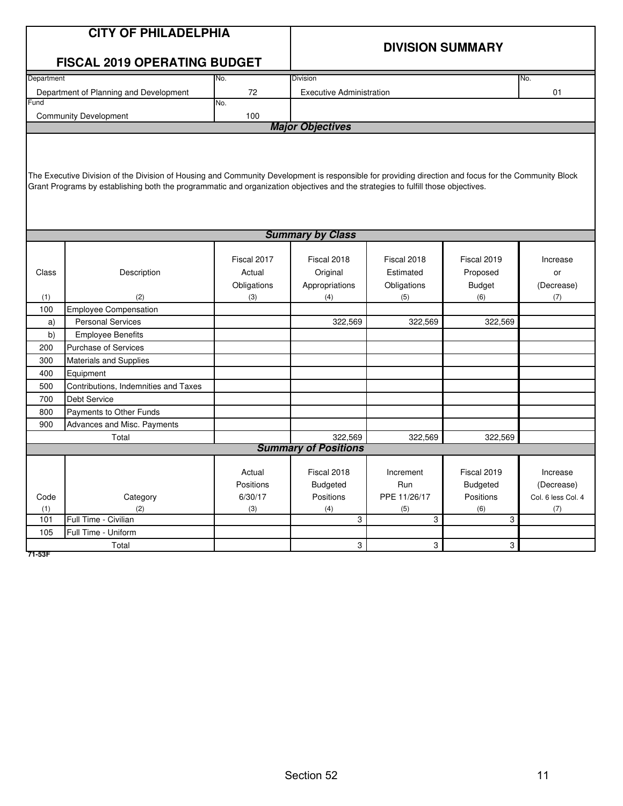|            | <b>CITY OF PHILADELPHIA</b>                                                                                                                          |             |                                 |                         |                 |                        |
|------------|------------------------------------------------------------------------------------------------------------------------------------------------------|-------------|---------------------------------|-------------------------|-----------------|------------------------|
|            |                                                                                                                                                      |             |                                 |                         |                 |                        |
|            |                                                                                                                                                      |             |                                 | <b>DIVISION SUMMARY</b> |                 |                        |
|            | <b>FISCAL 2019 OPERATING BUDGET</b>                                                                                                                  |             |                                 |                         |                 |                        |
| Department |                                                                                                                                                      | No.         | Division                        |                         |                 | No.                    |
|            | Department of Planning and Development                                                                                                               | 72          | <b>Executive Administration</b> |                         |                 | 01                     |
| Fund       |                                                                                                                                                      | No.         |                                 |                         |                 |                        |
|            | <b>Community Development</b>                                                                                                                         | 100         | <b>Major Objectives</b>         |                         |                 |                        |
|            |                                                                                                                                                      |             |                                 |                         |                 |                        |
|            |                                                                                                                                                      |             |                                 |                         |                 |                        |
|            |                                                                                                                                                      |             |                                 |                         |                 |                        |
|            | The Executive Division of the Division of Housing and Community Development is responsible for providing direction and focus for the Community Block |             |                                 |                         |                 |                        |
|            | Grant Programs by establishing both the programmatic and organization objectives and the strategies to fulfill those objectives.                     |             |                                 |                         |                 |                        |
|            |                                                                                                                                                      |             |                                 |                         |                 |                        |
|            |                                                                                                                                                      |             |                                 |                         |                 |                        |
|            |                                                                                                                                                      |             |                                 |                         |                 |                        |
|            |                                                                                                                                                      |             | <b>Summary by Class</b>         |                         |                 |                        |
|            |                                                                                                                                                      | Fiscal 2017 | Fiscal 2018                     | Fiscal 2018             | Fiscal 2019     | Increase               |
| Class      | Description                                                                                                                                          | Actual      | Original                        | Estimated               | Proposed        | or                     |
|            |                                                                                                                                                      | Obligations | Appropriations                  | Obligations             | <b>Budget</b>   | (Decrease)             |
| (1)        | (2)                                                                                                                                                  | (3)         | (4)                             | (5)                     | (6)             | (7)                    |
| 100        | <b>Employee Compensation</b>                                                                                                                         |             |                                 |                         |                 |                        |
| a)         | <b>Personal Services</b>                                                                                                                             |             | 322,569                         | 322,569                 | 322,569         |                        |
| b)         | <b>Employee Benefits</b>                                                                                                                             |             |                                 |                         |                 |                        |
| 200        | <b>Purchase of Services</b>                                                                                                                          |             |                                 |                         |                 |                        |
| 300        | <b>Materials and Supplies</b>                                                                                                                        |             |                                 |                         |                 |                        |
| 400        | Equipment                                                                                                                                            |             |                                 |                         |                 |                        |
| 500        | Contributions, Indemnities and Taxes                                                                                                                 |             |                                 |                         |                 |                        |
| 700        | Debt Service                                                                                                                                         |             |                                 |                         |                 |                        |
| 800        | Payments to Other Funds                                                                                                                              |             |                                 |                         |                 |                        |
| 900        | Advances and Misc. Payments                                                                                                                          |             |                                 |                         |                 |                        |
|            | Total                                                                                                                                                |             | 322,569                         | 322,569                 | 322,569         |                        |
|            |                                                                                                                                                      |             | <b>Summary of Positions</b>     |                         |                 |                        |
|            |                                                                                                                                                      | Actual      | Fiscal 2018                     | Increment               | Fiscal 2019     |                        |
|            |                                                                                                                                                      | Positions   | <b>Budgeted</b>                 | Run                     | <b>Budgeted</b> | Increase<br>(Decrease) |
| Code       | Category                                                                                                                                             | 6/30/17     | Positions                       | PPE 11/26/17            | Positions       | Col. 6 less Col. 4     |
| (1)        | (2)                                                                                                                                                  | (3)         | (4)                             | (5)                     | (6)             | (7)                    |
| 101        | Full Time - Civilian                                                                                                                                 |             | 3                               | 3                       | 3               |                        |
| 105        | Full Time - Uniform                                                                                                                                  |             |                                 |                         |                 |                        |
|            | Total                                                                                                                                                |             | 3                               | 3                       | 3               |                        |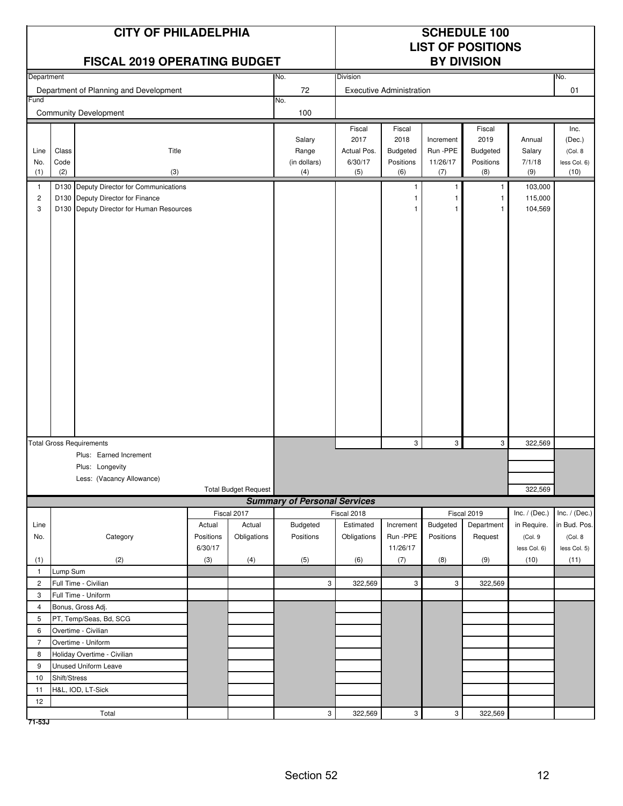|                |              | <b>CITY OF PHILADELPHIA</b><br><b>FISCAL 2019 OPERATING BUDGET</b> |           |                             |                                     | <b>SCHEDULE 100</b><br><b>LIST OF POSITIONS</b><br><b>BY DIVISION</b> |                                 |                           |              |               |                 |
|----------------|--------------|--------------------------------------------------------------------|-----------|-----------------------------|-------------------------------------|-----------------------------------------------------------------------|---------------------------------|---------------------------|--------------|---------------|-----------------|
| Department     |              |                                                                    |           |                             | No.                                 | <b>Division</b>                                                       |                                 |                           |              |               | No.             |
|                |              | Department of Planning and Development                             |           |                             | 72                                  |                                                                       | <b>Executive Administration</b> |                           |              |               | 01              |
| Fund           |              |                                                                    |           |                             | No.                                 |                                                                       |                                 |                           |              |               |                 |
|                |              | <b>Community Development</b>                                       |           |                             | 100                                 |                                                                       |                                 |                           |              |               |                 |
|                |              |                                                                    |           |                             |                                     | Fiscal                                                                | Fiscal                          |                           | Fiscal       |               | Inc.            |
|                |              |                                                                    |           |                             | Salary                              | 2017                                                                  | 2018                            | Increment                 | 2019         | Annual        | (Dec.)          |
| Line           | Class        | Title                                                              |           |                             | Range                               | Actual Pos.                                                           | <b>Budgeted</b>                 | Run -PPE                  | Budgeted     | Salary        | (Col. 8         |
| No.            | Code         |                                                                    |           |                             | (in dollars)                        | 6/30/17                                                               | Positions                       | 11/26/17                  | Positions    | 7/1/18        | less Col. 6)    |
| (1)            | (2)          | (3)                                                                |           |                             | (4)                                 | (5)                                                                   | (6)                             | (7)                       | (8)          | (9)           | (10)            |
| $\overline{1}$ |              | D130 Deputy Director for Communications                            |           |                             |                                     |                                                                       |                                 | 1                         | 1            | 103,000       |                 |
| $\overline{c}$ |              | D130 Deputy Director for Finance                                   |           |                             |                                     |                                                                       |                                 | 1                         | 1            | 115,000       |                 |
| 3              |              | D130 Deputy Director for Human Resources                           |           |                             |                                     |                                                                       |                                 | $\mathbf{1}$              | $\mathbf{1}$ | 104,569       |                 |
|                |              |                                                                    |           |                             |                                     |                                                                       |                                 |                           |              |               |                 |
|                |              |                                                                    |           |                             |                                     |                                                                       |                                 |                           |              |               |                 |
|                |              |                                                                    |           |                             |                                     |                                                                       |                                 |                           |              |               |                 |
|                |              |                                                                    |           |                             |                                     |                                                                       |                                 |                           |              |               |                 |
|                |              |                                                                    |           |                             |                                     |                                                                       |                                 |                           |              |               |                 |
|                |              |                                                                    |           |                             |                                     |                                                                       |                                 |                           |              |               |                 |
|                |              |                                                                    |           |                             |                                     |                                                                       |                                 |                           |              |               |                 |
|                |              |                                                                    |           |                             |                                     |                                                                       |                                 |                           |              |               |                 |
|                |              |                                                                    |           |                             |                                     |                                                                       |                                 |                           |              |               |                 |
|                |              |                                                                    |           |                             |                                     |                                                                       |                                 |                           |              |               |                 |
|                |              |                                                                    |           |                             |                                     |                                                                       |                                 |                           |              |               |                 |
|                |              |                                                                    |           |                             |                                     |                                                                       |                                 |                           |              |               |                 |
|                |              |                                                                    |           |                             |                                     |                                                                       |                                 |                           |              |               |                 |
|                |              |                                                                    |           |                             |                                     |                                                                       |                                 |                           |              |               |                 |
|                |              |                                                                    |           |                             |                                     |                                                                       |                                 |                           |              |               |                 |
|                |              |                                                                    |           |                             |                                     |                                                                       |                                 |                           |              |               |                 |
|                |              |                                                                    |           |                             |                                     |                                                                       |                                 |                           |              |               |                 |
|                |              |                                                                    |           |                             |                                     |                                                                       |                                 |                           |              |               |                 |
|                |              | <b>Total Gross Requirements</b>                                    |           |                             |                                     |                                                                       | 3                               | 3                         | 3            | 322,569       |                 |
|                |              | Plus: Earned Increment                                             |           |                             |                                     |                                                                       |                                 |                           |              |               |                 |
|                |              | Plus: Longevity                                                    |           |                             |                                     |                                                                       |                                 |                           |              |               |                 |
|                |              | Less: (Vacancy Allowance)                                          |           |                             |                                     |                                                                       |                                 |                           |              |               |                 |
|                |              |                                                                    |           | <b>Total Budget Request</b> |                                     |                                                                       |                                 |                           |              | 322,569       |                 |
|                |              |                                                                    |           |                             | <b>Summary of Personal Services</b> |                                                                       |                                 |                           |              |               |                 |
|                |              |                                                                    |           | Fiscal 2017                 |                                     | Fiscal 2018                                                           |                                 |                           | Fiscal 2019  | Inc. / (Dec.) | Inc. $/$ (Dec.) |
| Line           |              |                                                                    | Actual    | Actual                      | Budgeted                            | Estimated                                                             | Increment                       | Budgeted                  | Department   | in Require.   | in Bud. Pos.    |
| No.            |              | Category                                                           | Positions | Obligations                 | Positions                           | Obligations                                                           | Run -PPE                        | Positions                 | Request      | (Col.9        | (Col. 8         |
|                |              |                                                                    | 6/30/17   |                             |                                     |                                                                       | 11/26/17                        |                           |              | less Col. 6)  | less Col. 5)    |
| (1)            |              | (2)                                                                | (3)       | (4)                         | (5)                                 | (6)                                                                   | (7)                             | (8)                       | (9)          | (10)          | (11)            |
| $\mathbf{1}$   | Lump Sum     |                                                                    |           |                             |                                     |                                                                       |                                 |                           |              |               |                 |
| $\overline{c}$ |              | Full Time - Civilian                                               |           |                             | 3                                   | 322,569                                                               | $\mathbf{3}$                    | 3                         | 322,569      |               |                 |
| 3              |              | Full Time - Uniform                                                |           |                             |                                     |                                                                       |                                 |                           |              |               |                 |
| $\overline{4}$ |              | Bonus, Gross Adj.                                                  |           |                             |                                     |                                                                       |                                 |                           |              |               |                 |
| 5              |              | PT, Temp/Seas, Bd, SCG                                             |           |                             |                                     |                                                                       |                                 |                           |              |               |                 |
| 6              |              | Overtime - Civilian                                                |           |                             |                                     |                                                                       |                                 |                           |              |               |                 |
| $\overline{7}$ |              | Overtime - Uniform                                                 |           |                             |                                     |                                                                       |                                 |                           |              |               |                 |
| 8              |              | Holiday Overtime - Civilian                                        |           |                             |                                     |                                                                       |                                 |                           |              |               |                 |
| 9              |              | Unused Uniform Leave                                               |           |                             |                                     |                                                                       |                                 |                           |              |               |                 |
| 10             | Shift/Stress |                                                                    |           |                             |                                     |                                                                       |                                 |                           |              |               |                 |
| 11             |              | H&L, IOD, LT-Sick                                                  |           |                             |                                     |                                                                       |                                 |                           |              |               |                 |
| 12             |              |                                                                    |           |                             |                                     |                                                                       |                                 |                           |              |               |                 |
|                |              | Total                                                              |           |                             | $\mathsf 3$                         | 322,569                                                               | $\mathbf{3}$                    | $\ensuremath{\mathsf{3}}$ | 322,569      |               |                 |

**71-53J**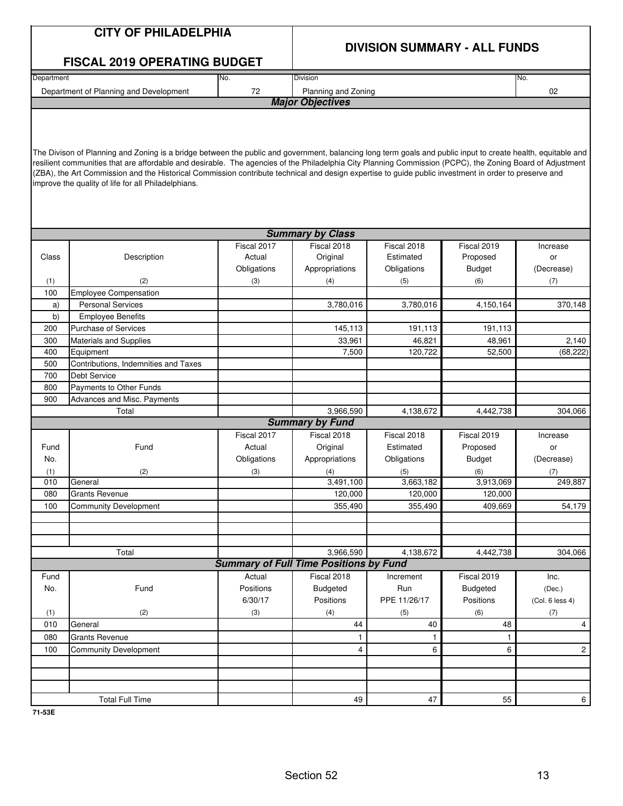|            | <b>CITY OF PHILADELPHIA</b>                                                                                                                                                                                                                                                                                                                                                                                                                                                                                                                                          |                                               | <b>DIVISION SUMMARY - ALL FUNDS</b> |              |                 |                 |  |  |  |  |
|------------|----------------------------------------------------------------------------------------------------------------------------------------------------------------------------------------------------------------------------------------------------------------------------------------------------------------------------------------------------------------------------------------------------------------------------------------------------------------------------------------------------------------------------------------------------------------------|-----------------------------------------------|-------------------------------------|--------------|-----------------|-----------------|--|--|--|--|
|            | <b>FISCAL 2019 OPERATING BUDGET</b>                                                                                                                                                                                                                                                                                                                                                                                                                                                                                                                                  |                                               |                                     |              |                 |                 |  |  |  |  |
| Department |                                                                                                                                                                                                                                                                                                                                                                                                                                                                                                                                                                      | No.                                           | Division                            |              |                 | No.             |  |  |  |  |
|            | Department of Planning and Development                                                                                                                                                                                                                                                                                                                                                                                                                                                                                                                               | 72                                            | Planning and Zoning                 |              |                 | 02              |  |  |  |  |
|            |                                                                                                                                                                                                                                                                                                                                                                                                                                                                                                                                                                      |                                               | <b>Major Objectives</b>             |              |                 |                 |  |  |  |  |
|            | The Divison of Planning and Zoning is a bridge between the public and government, balancing long term goals and public input to create health, equitable and<br>resilient communities that are affordable and desirable. The agencies of the Philadelphia City Planning Commission (PCPC), the Zoning Board of Adjustment<br>(ZBA), the Art Commission and the Historical Commission contribute technical and design expertise to guide public investment in order to preserve and<br>improve the quality of life for all Philadelphians.<br><b>Summary by Class</b> |                                               |                                     |              |                 |                 |  |  |  |  |
|            |                                                                                                                                                                                                                                                                                                                                                                                                                                                                                                                                                                      |                                               |                                     |              |                 |                 |  |  |  |  |
|            |                                                                                                                                                                                                                                                                                                                                                                                                                                                                                                                                                                      | Fiscal 2017                                   | Fiscal 2018                         | Fiscal 2018  | Fiscal 2019     | Increase        |  |  |  |  |
| Class      | Description                                                                                                                                                                                                                                                                                                                                                                                                                                                                                                                                                          | Actual                                        | Original                            | Estimated    | Proposed        | or              |  |  |  |  |
|            |                                                                                                                                                                                                                                                                                                                                                                                                                                                                                                                                                                      | Obligations                                   | Appropriations                      | Obligations  | <b>Budget</b>   | (Decrease)      |  |  |  |  |
| (1)        | (2)                                                                                                                                                                                                                                                                                                                                                                                                                                                                                                                                                                  | (3)                                           | (4)                                 | (5)          | (6)             | (7)             |  |  |  |  |
| 100        | Employee Compensation                                                                                                                                                                                                                                                                                                                                                                                                                                                                                                                                                |                                               |                                     |              |                 |                 |  |  |  |  |
| a)         | <b>Personal Services</b>                                                                                                                                                                                                                                                                                                                                                                                                                                                                                                                                             |                                               | 3,780,016                           | 3,780,016    | 4,150,164       | 370,148         |  |  |  |  |
| b)         | <b>Employee Benefits</b>                                                                                                                                                                                                                                                                                                                                                                                                                                                                                                                                             |                                               |                                     |              |                 |                 |  |  |  |  |
| 200        | <b>Purchase of Services</b>                                                                                                                                                                                                                                                                                                                                                                                                                                                                                                                                          |                                               | 145,113                             | 191,113      | 191,113         |                 |  |  |  |  |
| 300        | Materials and Supplies                                                                                                                                                                                                                                                                                                                                                                                                                                                                                                                                               |                                               | 33,961                              | 46,821       | 48,961          | 2,140           |  |  |  |  |
| 400        | Equipment                                                                                                                                                                                                                                                                                                                                                                                                                                                                                                                                                            |                                               | 7,500                               | 120,722      | 52,500          | (68, 222)       |  |  |  |  |
| 500        | Contributions, Indemnities and Taxes                                                                                                                                                                                                                                                                                                                                                                                                                                                                                                                                 |                                               |                                     |              |                 |                 |  |  |  |  |
| 700        | <b>Debt Service</b>                                                                                                                                                                                                                                                                                                                                                                                                                                                                                                                                                  |                                               |                                     |              |                 |                 |  |  |  |  |
| 800        | Payments to Other Funds                                                                                                                                                                                                                                                                                                                                                                                                                                                                                                                                              |                                               |                                     |              |                 |                 |  |  |  |  |
| 900        | Advances and Misc. Payments                                                                                                                                                                                                                                                                                                                                                                                                                                                                                                                                          |                                               |                                     |              |                 |                 |  |  |  |  |
|            | Total                                                                                                                                                                                                                                                                                                                                                                                                                                                                                                                                                                |                                               | 3,966,590                           | 4,138,672    | 4,442,738       | 304,066         |  |  |  |  |
|            |                                                                                                                                                                                                                                                                                                                                                                                                                                                                                                                                                                      |                                               | <b>Summary by Fund</b>              |              |                 |                 |  |  |  |  |
|            |                                                                                                                                                                                                                                                                                                                                                                                                                                                                                                                                                                      | Fiscal 2017                                   | Fiscal 2018                         | Fiscal 2018  | Fiscal 2019     | Increase        |  |  |  |  |
| Fund       | Fund                                                                                                                                                                                                                                                                                                                                                                                                                                                                                                                                                                 | Actual                                        | Original                            | Estimated    | Proposed        | or              |  |  |  |  |
| No.        |                                                                                                                                                                                                                                                                                                                                                                                                                                                                                                                                                                      | Obligations                                   | Appropriations                      | Obligations  | <b>Budget</b>   | (Decrease)      |  |  |  |  |
| (1)        | (2)                                                                                                                                                                                                                                                                                                                                                                                                                                                                                                                                                                  | (3)                                           | (4)                                 | (5)          | (6)             | (7)             |  |  |  |  |
| 010        | General                                                                                                                                                                                                                                                                                                                                                                                                                                                                                                                                                              |                                               | 3,491,100                           | 3,663,182    | 3,913,069       | 249,887         |  |  |  |  |
| 080        | <b>Grants Revenue</b>                                                                                                                                                                                                                                                                                                                                                                                                                                                                                                                                                |                                               | 120,000                             | 120,000      | 120,000         |                 |  |  |  |  |
| 100        | <b>Community Development</b>                                                                                                                                                                                                                                                                                                                                                                                                                                                                                                                                         |                                               | 355,490                             | 355,490      | 409,669         | 54,179          |  |  |  |  |
|            |                                                                                                                                                                                                                                                                                                                                                                                                                                                                                                                                                                      |                                               |                                     |              |                 |                 |  |  |  |  |
|            |                                                                                                                                                                                                                                                                                                                                                                                                                                                                                                                                                                      |                                               |                                     |              |                 |                 |  |  |  |  |
|            | Total                                                                                                                                                                                                                                                                                                                                                                                                                                                                                                                                                                |                                               | 3,966,590                           | 4,138,672    | 4,442,738       | 304,066         |  |  |  |  |
|            |                                                                                                                                                                                                                                                                                                                                                                                                                                                                                                                                                                      | <b>Summary of Full Time Positions by Fund</b> |                                     |              |                 |                 |  |  |  |  |
| Fund       |                                                                                                                                                                                                                                                                                                                                                                                                                                                                                                                                                                      | Actual                                        | Fiscal 2018                         | Increment    | Fiscal 2019     | Inc.            |  |  |  |  |
| No.        | Fund                                                                                                                                                                                                                                                                                                                                                                                                                                                                                                                                                                 | Positions                                     | <b>Budgeted</b>                     | Run          | <b>Budgeted</b> | (Dec.)          |  |  |  |  |
|            |                                                                                                                                                                                                                                                                                                                                                                                                                                                                                                                                                                      | 6/30/17                                       | Positions                           | PPE 11/26/17 | Positions       | (Col. 6 less 4) |  |  |  |  |
| (1)        | (2)                                                                                                                                                                                                                                                                                                                                                                                                                                                                                                                                                                  | (3)                                           | (4)                                 | (5)          | (6)             | (7)             |  |  |  |  |
| 010        | General                                                                                                                                                                                                                                                                                                                                                                                                                                                                                                                                                              |                                               | 44                                  | 40           | 48              | 4               |  |  |  |  |
| 080        | <b>Grants Revenue</b>                                                                                                                                                                                                                                                                                                                                                                                                                                                                                                                                                |                                               | 1                                   | 1            |                 |                 |  |  |  |  |
| 100        | <b>Community Development</b>                                                                                                                                                                                                                                                                                                                                                                                                                                                                                                                                         |                                               | $\overline{4}$                      | 6            | 6               | $\mathbf{2}$    |  |  |  |  |
|            |                                                                                                                                                                                                                                                                                                                                                                                                                                                                                                                                                                      |                                               |                                     |              |                 |                 |  |  |  |  |
|            |                                                                                                                                                                                                                                                                                                                                                                                                                                                                                                                                                                      |                                               |                                     |              |                 |                 |  |  |  |  |
|            |                                                                                                                                                                                                                                                                                                                                                                                                                                                                                                                                                                      |                                               |                                     |              |                 |                 |  |  |  |  |
|            |                                                                                                                                                                                                                                                                                                                                                                                                                                                                                                                                                                      |                                               |                                     |              |                 |                 |  |  |  |  |
|            | <b>Total Full Time</b>                                                                                                                                                                                                                                                                                                                                                                                                                                                                                                                                               |                                               | 49                                  | 47           | 55              | 6               |  |  |  |  |

**71-53E**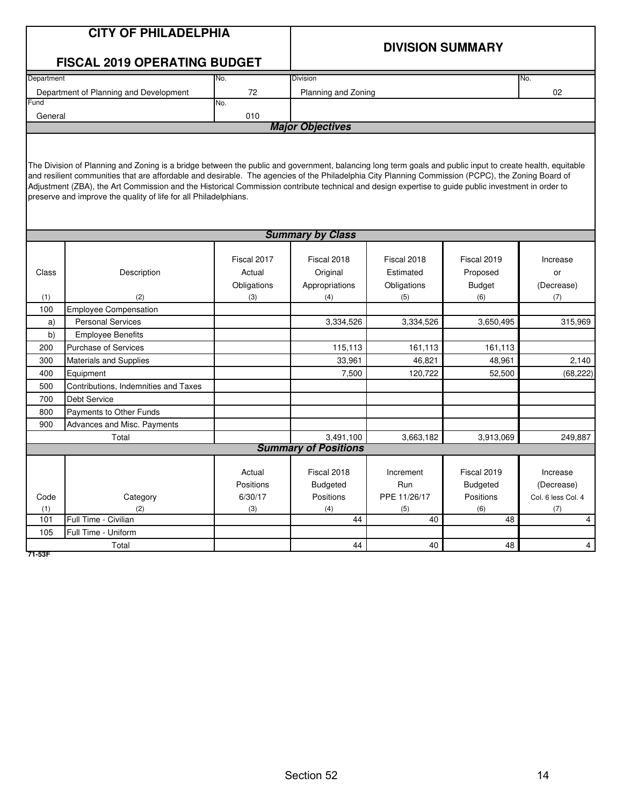| <b>CITY OF PHILADELPHIA</b><br><b>DIVISION SUMMARY</b><br><b>FISCAL 2019 OPERATING BUDGET</b><br>Department<br>Division<br>No.<br>No.<br>Department of Planning and Development<br>72<br>Planning and Zoning<br>02<br>Fund<br>No.<br>010<br>General<br><b>Major Objectives</b><br>The Division of Planning and Zoning is a bridge between the public and government, balancing long term goals and public input to create health, equitable<br>and resilient communities that are affordable and desirable. The agencies of the Philadelphia City Planning Commission (PCPC), the Zoning Board of<br>Adjustment (ZBA), the Art Commission and the Historical Commission contribute technical and design expertise to guide public investment in order to<br>preserve and improve the quality of life for all Philadelphians.<br><b>Summary by Class</b><br>Fiscal 2017<br>Fiscal 2018<br>Fiscal 2018<br>Fiscal 2019<br>Increase<br>Original<br>Proposed<br>Class<br>Description<br>Actual<br>Estimated<br>or<br>Obligations<br>Appropriations<br>Obligations<br><b>Budget</b><br>(Decrease)<br>(2)<br>(4)<br>(5)<br>(6)<br>(7)<br>(1)<br>(3)<br><b>Employee Compensation</b><br>100<br><b>Personal Services</b><br>3,334,526<br>3,334,526<br>3,650,495<br>315,969<br>a)<br>b)<br><b>Employee Benefits</b><br>115,113<br><b>Purchase of Services</b><br>161,113<br>161,113<br>200<br>33,961<br>46,821<br>48,961<br>2,140<br>300<br><b>Materials and Supplies</b><br>400<br>Equipment<br>7,500<br>120,722<br>52,500<br>Contributions, Indemnities and Taxes<br>500<br><b>Debt Service</b><br>700<br>800<br>Payments to Other Funds<br>900<br>Advances and Misc. Payments<br>3,491,100<br>3,663,182<br>3,913,069<br>249,887<br>Total<br><b>Summary of Positions</b><br>Fiscal 2018<br>Fiscal 2019<br>Increment<br>Actual<br>Increase<br>Positions<br><b>Budgeted</b><br>Run<br><b>Budgeted</b><br>(Decrease)<br>6/30/17<br>Positions<br>PPE 11/26/17<br>Code<br>Category<br>Positions<br>Col. 6 less Col. 4<br>(1)<br>(3)<br>(4)<br>(5)<br>(6)<br>(2)<br>(7)<br>101<br>Full Time - Civilian<br>44<br>40<br>48<br>4<br>Full Time - Uniform<br>105<br>44<br>40<br>48<br>Total |  |  |  |  |
|--------------------------------------------------------------------------------------------------------------------------------------------------------------------------------------------------------------------------------------------------------------------------------------------------------------------------------------------------------------------------------------------------------------------------------------------------------------------------------------------------------------------------------------------------------------------------------------------------------------------------------------------------------------------------------------------------------------------------------------------------------------------------------------------------------------------------------------------------------------------------------------------------------------------------------------------------------------------------------------------------------------------------------------------------------------------------------------------------------------------------------------------------------------------------------------------------------------------------------------------------------------------------------------------------------------------------------------------------------------------------------------------------------------------------------------------------------------------------------------------------------------------------------------------------------------------------------------------------------------------------------------------------------------------------------------------------------------------------------------------------------------------------------------------------------------------------------------------------------------------------------------------------------------------------------------------------------------------------------------------------------------------------------------------------------------------------------------------------------------------------------------------------------------------------|--|--|--|--|
|                                                                                                                                                                                                                                                                                                                                                                                                                                                                                                                                                                                                                                                                                                                                                                                                                                                                                                                                                                                                                                                                                                                                                                                                                                                                                                                                                                                                                                                                                                                                                                                                                                                                                                                                                                                                                                                                                                                                                                                                                                                                                                                                                                          |  |  |  |  |
|                                                                                                                                                                                                                                                                                                                                                                                                                                                                                                                                                                                                                                                                                                                                                                                                                                                                                                                                                                                                                                                                                                                                                                                                                                                                                                                                                                                                                                                                                                                                                                                                                                                                                                                                                                                                                                                                                                                                                                                                                                                                                                                                                                          |  |  |  |  |
|                                                                                                                                                                                                                                                                                                                                                                                                                                                                                                                                                                                                                                                                                                                                                                                                                                                                                                                                                                                                                                                                                                                                                                                                                                                                                                                                                                                                                                                                                                                                                                                                                                                                                                                                                                                                                                                                                                                                                                                                                                                                                                                                                                          |  |  |  |  |
|                                                                                                                                                                                                                                                                                                                                                                                                                                                                                                                                                                                                                                                                                                                                                                                                                                                                                                                                                                                                                                                                                                                                                                                                                                                                                                                                                                                                                                                                                                                                                                                                                                                                                                                                                                                                                                                                                                                                                                                                                                                                                                                                                                          |  |  |  |  |
|                                                                                                                                                                                                                                                                                                                                                                                                                                                                                                                                                                                                                                                                                                                                                                                                                                                                                                                                                                                                                                                                                                                                                                                                                                                                                                                                                                                                                                                                                                                                                                                                                                                                                                                                                                                                                                                                                                                                                                                                                                                                                                                                                                          |  |  |  |  |
|                                                                                                                                                                                                                                                                                                                                                                                                                                                                                                                                                                                                                                                                                                                                                                                                                                                                                                                                                                                                                                                                                                                                                                                                                                                                                                                                                                                                                                                                                                                                                                                                                                                                                                                                                                                                                                                                                                                                                                                                                                                                                                                                                                          |  |  |  |  |
|                                                                                                                                                                                                                                                                                                                                                                                                                                                                                                                                                                                                                                                                                                                                                                                                                                                                                                                                                                                                                                                                                                                                                                                                                                                                                                                                                                                                                                                                                                                                                                                                                                                                                                                                                                                                                                                                                                                                                                                                                                                                                                                                                                          |  |  |  |  |
|                                                                                                                                                                                                                                                                                                                                                                                                                                                                                                                                                                                                                                                                                                                                                                                                                                                                                                                                                                                                                                                                                                                                                                                                                                                                                                                                                                                                                                                                                                                                                                                                                                                                                                                                                                                                                                                                                                                                                                                                                                                                                                                                                                          |  |  |  |  |
| (68, 222)<br>$\overline{4}$                                                                                                                                                                                                                                                                                                                                                                                                                                                                                                                                                                                                                                                                                                                                                                                                                                                                                                                                                                                                                                                                                                                                                                                                                                                                                                                                                                                                                                                                                                                                                                                                                                                                                                                                                                                                                                                                                                                                                                                                                                                                                                                                              |  |  |  |  |
|                                                                                                                                                                                                                                                                                                                                                                                                                                                                                                                                                                                                                                                                                                                                                                                                                                                                                                                                                                                                                                                                                                                                                                                                                                                                                                                                                                                                                                                                                                                                                                                                                                                                                                                                                                                                                                                                                                                                                                                                                                                                                                                                                                          |  |  |  |  |
|                                                                                                                                                                                                                                                                                                                                                                                                                                                                                                                                                                                                                                                                                                                                                                                                                                                                                                                                                                                                                                                                                                                                                                                                                                                                                                                                                                                                                                                                                                                                                                                                                                                                                                                                                                                                                                                                                                                                                                                                                                                                                                                                                                          |  |  |  |  |
|                                                                                                                                                                                                                                                                                                                                                                                                                                                                                                                                                                                                                                                                                                                                                                                                                                                                                                                                                                                                                                                                                                                                                                                                                                                                                                                                                                                                                                                                                                                                                                                                                                                                                                                                                                                                                                                                                                                                                                                                                                                                                                                                                                          |  |  |  |  |
|                                                                                                                                                                                                                                                                                                                                                                                                                                                                                                                                                                                                                                                                                                                                                                                                                                                                                                                                                                                                                                                                                                                                                                                                                                                                                                                                                                                                                                                                                                                                                                                                                                                                                                                                                                                                                                                                                                                                                                                                                                                                                                                                                                          |  |  |  |  |
|                                                                                                                                                                                                                                                                                                                                                                                                                                                                                                                                                                                                                                                                                                                                                                                                                                                                                                                                                                                                                                                                                                                                                                                                                                                                                                                                                                                                                                                                                                                                                                                                                                                                                                                                                                                                                                                                                                                                                                                                                                                                                                                                                                          |  |  |  |  |
|                                                                                                                                                                                                                                                                                                                                                                                                                                                                                                                                                                                                                                                                                                                                                                                                                                                                                                                                                                                                                                                                                                                                                                                                                                                                                                                                                                                                                                                                                                                                                                                                                                                                                                                                                                                                                                                                                                                                                                                                                                                                                                                                                                          |  |  |  |  |
|                                                                                                                                                                                                                                                                                                                                                                                                                                                                                                                                                                                                                                                                                                                                                                                                                                                                                                                                                                                                                                                                                                                                                                                                                                                                                                                                                                                                                                                                                                                                                                                                                                                                                                                                                                                                                                                                                                                                                                                                                                                                                                                                                                          |  |  |  |  |
|                                                                                                                                                                                                                                                                                                                                                                                                                                                                                                                                                                                                                                                                                                                                                                                                                                                                                                                                                                                                                                                                                                                                                                                                                                                                                                                                                                                                                                                                                                                                                                                                                                                                                                                                                                                                                                                                                                                                                                                                                                                                                                                                                                          |  |  |  |  |
|                                                                                                                                                                                                                                                                                                                                                                                                                                                                                                                                                                                                                                                                                                                                                                                                                                                                                                                                                                                                                                                                                                                                                                                                                                                                                                                                                                                                                                                                                                                                                                                                                                                                                                                                                                                                                                                                                                                                                                                                                                                                                                                                                                          |  |  |  |  |
|                                                                                                                                                                                                                                                                                                                                                                                                                                                                                                                                                                                                                                                                                                                                                                                                                                                                                                                                                                                                                                                                                                                                                                                                                                                                                                                                                                                                                                                                                                                                                                                                                                                                                                                                                                                                                                                                                                                                                                                                                                                                                                                                                                          |  |  |  |  |
|                                                                                                                                                                                                                                                                                                                                                                                                                                                                                                                                                                                                                                                                                                                                                                                                                                                                                                                                                                                                                                                                                                                                                                                                                                                                                                                                                                                                                                                                                                                                                                                                                                                                                                                                                                                                                                                                                                                                                                                                                                                                                                                                                                          |  |  |  |  |
|                                                                                                                                                                                                                                                                                                                                                                                                                                                                                                                                                                                                                                                                                                                                                                                                                                                                                                                                                                                                                                                                                                                                                                                                                                                                                                                                                                                                                                                                                                                                                                                                                                                                                                                                                                                                                                                                                                                                                                                                                                                                                                                                                                          |  |  |  |  |
|                                                                                                                                                                                                                                                                                                                                                                                                                                                                                                                                                                                                                                                                                                                                                                                                                                                                                                                                                                                                                                                                                                                                                                                                                                                                                                                                                                                                                                                                                                                                                                                                                                                                                                                                                                                                                                                                                                                                                                                                                                                                                                                                                                          |  |  |  |  |
|                                                                                                                                                                                                                                                                                                                                                                                                                                                                                                                                                                                                                                                                                                                                                                                                                                                                                                                                                                                                                                                                                                                                                                                                                                                                                                                                                                                                                                                                                                                                                                                                                                                                                                                                                                                                                                                                                                                                                                                                                                                                                                                                                                          |  |  |  |  |
|                                                                                                                                                                                                                                                                                                                                                                                                                                                                                                                                                                                                                                                                                                                                                                                                                                                                                                                                                                                                                                                                                                                                                                                                                                                                                                                                                                                                                                                                                                                                                                                                                                                                                                                                                                                                                                                                                                                                                                                                                                                                                                                                                                          |  |  |  |  |
|                                                                                                                                                                                                                                                                                                                                                                                                                                                                                                                                                                                                                                                                                                                                                                                                                                                                                                                                                                                                                                                                                                                                                                                                                                                                                                                                                                                                                                                                                                                                                                                                                                                                                                                                                                                                                                                                                                                                                                                                                                                                                                                                                                          |  |  |  |  |
|                                                                                                                                                                                                                                                                                                                                                                                                                                                                                                                                                                                                                                                                                                                                                                                                                                                                                                                                                                                                                                                                                                                                                                                                                                                                                                                                                                                                                                                                                                                                                                                                                                                                                                                                                                                                                                                                                                                                                                                                                                                                                                                                                                          |  |  |  |  |
|                                                                                                                                                                                                                                                                                                                                                                                                                                                                                                                                                                                                                                                                                                                                                                                                                                                                                                                                                                                                                                                                                                                                                                                                                                                                                                                                                                                                                                                                                                                                                                                                                                                                                                                                                                                                                                                                                                                                                                                                                                                                                                                                                                          |  |  |  |  |
|                                                                                                                                                                                                                                                                                                                                                                                                                                                                                                                                                                                                                                                                                                                                                                                                                                                                                                                                                                                                                                                                                                                                                                                                                                                                                                                                                                                                                                                                                                                                                                                                                                                                                                                                                                                                                                                                                                                                                                                                                                                                                                                                                                          |  |  |  |  |
|                                                                                                                                                                                                                                                                                                                                                                                                                                                                                                                                                                                                                                                                                                                                                                                                                                                                                                                                                                                                                                                                                                                                                                                                                                                                                                                                                                                                                                                                                                                                                                                                                                                                                                                                                                                                                                                                                                                                                                                                                                                                                                                                                                          |  |  |  |  |
|                                                                                                                                                                                                                                                                                                                                                                                                                                                                                                                                                                                                                                                                                                                                                                                                                                                                                                                                                                                                                                                                                                                                                                                                                                                                                                                                                                                                                                                                                                                                                                                                                                                                                                                                                                                                                                                                                                                                                                                                                                                                                                                                                                          |  |  |  |  |
|                                                                                                                                                                                                                                                                                                                                                                                                                                                                                                                                                                                                                                                                                                                                                                                                                                                                                                                                                                                                                                                                                                                                                                                                                                                                                                                                                                                                                                                                                                                                                                                                                                                                                                                                                                                                                                                                                                                                                                                                                                                                                                                                                                          |  |  |  |  |
|                                                                                                                                                                                                                                                                                                                                                                                                                                                                                                                                                                                                                                                                                                                                                                                                                                                                                                                                                                                                                                                                                                                                                                                                                                                                                                                                                                                                                                                                                                                                                                                                                                                                                                                                                                                                                                                                                                                                                                                                                                                                                                                                                                          |  |  |  |  |
|                                                                                                                                                                                                                                                                                                                                                                                                                                                                                                                                                                                                                                                                                                                                                                                                                                                                                                                                                                                                                                                                                                                                                                                                                                                                                                                                                                                                                                                                                                                                                                                                                                                                                                                                                                                                                                                                                                                                                                                                                                                                                                                                                                          |  |  |  |  |
|                                                                                                                                                                                                                                                                                                                                                                                                                                                                                                                                                                                                                                                                                                                                                                                                                                                                                                                                                                                                                                                                                                                                                                                                                                                                                                                                                                                                                                                                                                                                                                                                                                                                                                                                                                                                                                                                                                                                                                                                                                                                                                                                                                          |  |  |  |  |
|                                                                                                                                                                                                                                                                                                                                                                                                                                                                                                                                                                                                                                                                                                                                                                                                                                                                                                                                                                                                                                                                                                                                                                                                                                                                                                                                                                                                                                                                                                                                                                                                                                                                                                                                                                                                                                                                                                                                                                                                                                                                                                                                                                          |  |  |  |  |
|                                                                                                                                                                                                                                                                                                                                                                                                                                                                                                                                                                                                                                                                                                                                                                                                                                                                                                                                                                                                                                                                                                                                                                                                                                                                                                                                                                                                                                                                                                                                                                                                                                                                                                                                                                                                                                                                                                                                                                                                                                                                                                                                                                          |  |  |  |  |
|                                                                                                                                                                                                                                                                                                                                                                                                                                                                                                                                                                                                                                                                                                                                                                                                                                                                                                                                                                                                                                                                                                                                                                                                                                                                                                                                                                                                                                                                                                                                                                                                                                                                                                                                                                                                                                                                                                                                                                                                                                                                                                                                                                          |  |  |  |  |
|                                                                                                                                                                                                                                                                                                                                                                                                                                                                                                                                                                                                                                                                                                                                                                                                                                                                                                                                                                                                                                                                                                                                                                                                                                                                                                                                                                                                                                                                                                                                                                                                                                                                                                                                                                                                                                                                                                                                                                                                                                                                                                                                                                          |  |  |  |  |
|                                                                                                                                                                                                                                                                                                                                                                                                                                                                                                                                                                                                                                                                                                                                                                                                                                                                                                                                                                                                                                                                                                                                                                                                                                                                                                                                                                                                                                                                                                                                                                                                                                                                                                                                                                                                                                                                                                                                                                                                                                                                                                                                                                          |  |  |  |  |
|                                                                                                                                                                                                                                                                                                                                                                                                                                                                                                                                                                                                                                                                                                                                                                                                                                                                                                                                                                                                                                                                                                                                                                                                                                                                                                                                                                                                                                                                                                                                                                                                                                                                                                                                                                                                                                                                                                                                                                                                                                                                                                                                                                          |  |  |  |  |

**71-53F**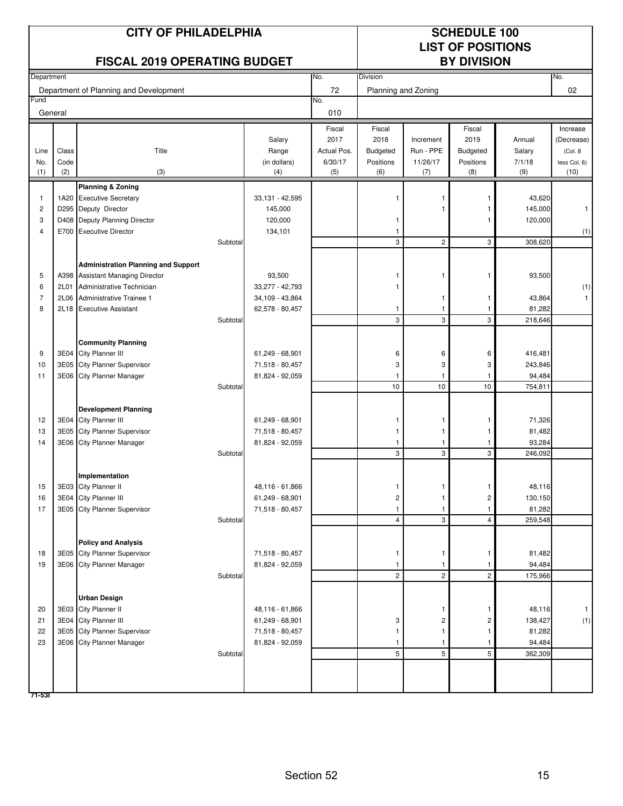|            |             | <b>CITY OF PHILADELPHIA</b><br><b>FISCAL 2019 OPERATING BUDGET</b> |          |                                    |                |                     |                 | <b>SCHEDULE 100</b><br><b>LIST OF POSITIONS</b><br><b>BY DIVISION</b> |                   |                      |
|------------|-------------|--------------------------------------------------------------------|----------|------------------------------------|----------------|---------------------|-----------------|-----------------------------------------------------------------------|-------------------|----------------------|
| Department |             |                                                                    |          |                                    | No.            | Division            |                 |                                                                       |                   | No.                  |
|            |             | Department of Planning and Development                             |          |                                    | 72             | Planning and Zoning |                 |                                                                       |                   | 02                   |
| Fund       |             |                                                                    |          |                                    | No.            |                     |                 |                                                                       |                   |                      |
| General    |             |                                                                    |          |                                    | 010            |                     |                 |                                                                       |                   |                      |
|            |             |                                                                    |          |                                    | Fiscal         | Fiscal              |                 | Fiscal                                                                |                   | Increase             |
|            |             |                                                                    |          | Salary                             | 2017           | 2018                | Increment       | 2019                                                                  | Annual            | (Decrease)           |
| Line       | Class       | Title                                                              |          | Range                              | Actual Pos.    | Budgeted            | Run - PPE       | <b>Budgeted</b>                                                       | Salary            | (Col. 8              |
| No.<br>(1) | Code<br>(2) | (3)                                                                |          | (in dollars)<br>(4)                | 6/30/17<br>(5) | Positions<br>(6)    | 11/26/17<br>(7) | Positions<br>(8)                                                      | 7/1/18<br>(9)     | less Col. 6)<br>(10) |
|            |             |                                                                    |          |                                    |                |                     |                 |                                                                       |                   |                      |
| 1          |             | <b>Planning &amp; Zoning</b><br>1A20 Executive Secretary           |          | 33,131 - 42,595                    |                |                     |                 |                                                                       | 43,620            |                      |
| 2          |             | D295 Deputy Director                                               |          | 145,000                            |                |                     | 1               | 1                                                                     | 145,000           | $\mathbf{1}$         |
| 3          | D408        | Deputy Planning Director                                           |          | 120,000                            |                |                     |                 |                                                                       | 120,000           |                      |
| 4          |             | E700 Executive Director                                            |          | 134,101                            |                | 1                   |                 |                                                                       |                   | (1)                  |
|            |             |                                                                    | Subtotal |                                    |                | 3                   | $\overline{2}$  | 3                                                                     | 308,620           |                      |
|            |             |                                                                    |          |                                    |                |                     |                 |                                                                       |                   |                      |
|            |             | <b>Administration Planning and Support</b>                         |          |                                    |                |                     |                 |                                                                       |                   |                      |
| 5          |             | A398 Assistant Managing Director                                   |          | 93,500                             |                |                     |                 | 1                                                                     | 93,500            |                      |
| 6          | 2L01        | Administrative Technician                                          |          | 33,277 - 42,793                    |                |                     |                 |                                                                       |                   | (1)                  |
| 7<br>8     | 2L06        | Administrative Trainee 1                                           |          | 34,109 - 43,864                    |                |                     | 1               | -1                                                                    | 43,864<br>81,282  | $\mathbf{1}$         |
|            | 2L18        | <b>Executive Assistant</b>                                         | Subtotal | 62,578 - 80,457                    |                | 1<br>3              | 3               | 3                                                                     | 218,646           |                      |
|            |             |                                                                    |          |                                    |                |                     |                 |                                                                       |                   |                      |
|            |             | <b>Community Planning</b>                                          |          |                                    |                |                     |                 |                                                                       |                   |                      |
| 9          |             | 3E04 City Planner III                                              |          | 61,249 - 68,901                    |                | 6                   | 6               | 6                                                                     | 416,481           |                      |
| 10         | 3E05        | <b>City Planner Supervisor</b>                                     |          | 71,518 - 80,457                    |                | 3                   | 3               | 3                                                                     | 243,846           |                      |
| 11         | 3E06        | <b>City Planner Manager</b>                                        |          | 81,824 - 92,059                    |                | 1                   |                 |                                                                       | 94,484            |                      |
|            |             |                                                                    | Subtotal |                                    |                | 10                  | 10              | 10                                                                    | 754,811           |                      |
|            |             |                                                                    |          |                                    |                |                     |                 |                                                                       |                   |                      |
| 12         |             | <b>Development Planning</b><br>3E04 City Planner III               |          | 61,249 - 68,901                    |                | 1                   | 1               | -1                                                                    | 71,326            |                      |
| 13         | 3E05        | City Planner Supervisor                                            |          | 71,518 - 80,457                    |                | 1                   |                 | 1                                                                     | 81,482            |                      |
| 14         |             | 3E06 City Planner Manager                                          |          | 81,824 - 92,059                    |                | 1                   | 1               | 1                                                                     | 93,284            |                      |
|            |             |                                                                    | Subtotal |                                    |                | 3                   | 3               | 3                                                                     | 246,092           |                      |
|            |             |                                                                    |          |                                    |                |                     |                 |                                                                       |                   |                      |
|            |             | Implementation                                                     |          |                                    |                |                     |                 |                                                                       |                   |                      |
| 15         |             | 3E03 City Planner II                                               |          | 48,116 - 61,866                    |                | 1                   |                 | 1                                                                     | 48,116            |                      |
| 16         |             | 3E04 City Planner III                                              |          | 61,249 - 68,901                    |                | 2                   |                 | 2                                                                     | 130,150           |                      |
| 17         |             | 3E05 City Planner Supervisor                                       |          | 71,518 - 80,457                    |                | 1                   |                 |                                                                       | 81,282            |                      |
|            |             |                                                                    | Subtotal |                                    |                | 4                   | 3               | $\overline{4}$                                                        | 259,548           |                      |
|            |             | <b>Policy and Analysis</b>                                         |          |                                    |                |                     |                 |                                                                       |                   |                      |
| 18         |             | 3E05 City Planner Supervisor                                       |          | 71,518 - 80,457                    |                | 1                   | 1               | 1                                                                     | 81,482            |                      |
| 19         |             | 3E06 City Planner Manager                                          |          | 81,824 - 92,059                    |                | 1                   |                 |                                                                       | 94,484            |                      |
|            |             |                                                                    | Subtotal |                                    |                | $\overline{c}$      | $\overline{c}$  | $\overline{c}$                                                        | 175,966           |                      |
|            |             |                                                                    |          |                                    |                |                     |                 |                                                                       |                   |                      |
|            |             | <b>Urban Design</b>                                                |          |                                    |                |                     |                 |                                                                       |                   |                      |
| 20         |             | 3E03 City Planner II                                               |          | 48,116 - 61,866                    |                |                     | 1               | 1                                                                     | 48,116            | $\mathbf{1}$         |
| 21<br>22   |             | 3E04 City Planner III<br>3E05 City Planner Supervisor              |          | 61,249 - 68,901<br>71,518 - 80,457 |                | 3                   | 2               | 2<br>1                                                                | 138,427<br>81,282 | (1)                  |
| 23         |             | 3E06 City Planner Manager                                          |          | 81,824 - 92,059                    |                | 1<br>1              |                 |                                                                       | 94,484            |                      |
|            |             |                                                                    | Subtotal |                                    |                | 5                   | 5               | 5                                                                     | 362,309           |                      |
|            |             |                                                                    |          |                                    |                |                     |                 |                                                                       |                   |                      |
|            |             |                                                                    |          |                                    |                |                     |                 |                                                                       |                   |                      |
| 71-531     |             |                                                                    |          |                                    |                |                     |                 |                                                                       |                   |                      |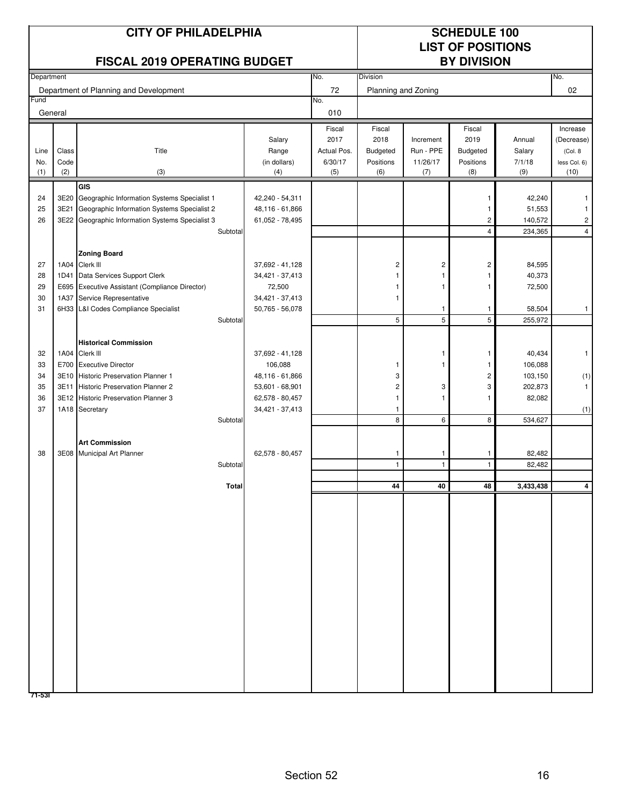|            |              | <b>CITY OF PHILADELPHIA</b><br><b>FISCAL 2019 OPERATING BUDGET</b>                              |                                    |                     |                     |                        | <b>SCHEDULE 100</b><br><b>LIST OF POSITIONS</b><br><b>BY DIVISION</b> |                   |                       |
|------------|--------------|-------------------------------------------------------------------------------------------------|------------------------------------|---------------------|---------------------|------------------------|-----------------------------------------------------------------------|-------------------|-----------------------|
| Department |              |                                                                                                 |                                    | No.                 | Division            |                        |                                                                       |                   | No.                   |
|            |              | Department of Planning and Development                                                          |                                    | 72                  | Planning and Zoning |                        |                                                                       |                   | 02                    |
| Fund       |              |                                                                                                 |                                    | No.                 |                     |                        |                                                                       |                   |                       |
| General    |              |                                                                                                 |                                    | 010                 |                     |                        |                                                                       |                   |                       |
|            |              |                                                                                                 |                                    | Fiscal              | Fiscal              |                        | Fiscal                                                                |                   | Increase              |
| Line       | Class        | Title                                                                                           | Salary<br>Range                    | 2017<br>Actual Pos. | 2018<br>Budgeted    | Increment<br>Run - PPE | 2019<br>Budgeted                                                      | Annual<br>Salary  | (Decrease)<br>(Col. 8 |
| No.        | Code         |                                                                                                 | (in dollars)                       | 6/30/17             | Positions           | 11/26/17               | Positions                                                             | 7/1/18            | less Col. 6)          |
| (1)        | (2)          | (3)                                                                                             | (4)                                | (5)                 | (6)                 | (7)                    | (8)                                                                   | (9)               | (10)                  |
|            |              | GIS                                                                                             |                                    |                     |                     |                        |                                                                       |                   |                       |
| 24         | 3E20<br>3E21 | Geographic Information Systems Specialist 1                                                     | 42,240 - 54,311                    |                     |                     |                        |                                                                       | 42,240            |                       |
| 25<br>26   |              | Geographic Information Systems Specialist 2<br>3E22 Geographic Information Systems Specialist 3 | 48,116 - 61,866<br>61,052 - 78,495 |                     |                     |                        | 1<br>2                                                                | 51,553<br>140,572 | 1<br>2                |
|            |              | Subtotal                                                                                        |                                    |                     |                     |                        | 4                                                                     | 234,365           | $\overline{4}$        |
|            |              |                                                                                                 |                                    |                     |                     |                        |                                                                       |                   |                       |
|            |              | <b>Zoning Board</b>                                                                             |                                    |                     |                     |                        |                                                                       |                   |                       |
| 27<br>28   | 1A04<br>1D41 | Clerk III<br>Data Services Support Clerk                                                        | 37,692 - 41,128<br>34,421 - 37,413 |                     | 2<br>1              | 2<br>1                 | 2                                                                     | 84,595<br>40,373  |                       |
| 29         |              | E695 Executive Assistant (Compliance Director)                                                  | 72,500                             |                     | 1                   | 1                      |                                                                       | 72,500            |                       |
| 30         |              | 1A37 Service Representative                                                                     | 34,421 - 37,413                    |                     | -1                  |                        |                                                                       |                   |                       |
| 31         |              | 6H33 L&I Codes Compliance Specialist                                                            | $50,765 - 56,078$                  |                     |                     | -1                     | 1                                                                     | 58,504            | $\mathbf{1}$          |
|            |              | Subtotal                                                                                        |                                    |                     | 5                   | 5                      | 5                                                                     | 255,972           |                       |
|            |              | <b>Historical Commission</b>                                                                    |                                    |                     |                     |                        |                                                                       |                   |                       |
| 32         |              | 1A04 Clerk III                                                                                  | 37,692 - 41,128                    |                     |                     | 1                      | 1                                                                     | 40,434            | $\mathbf{1}$          |
| 33         | E700         | <b>Executive Director</b>                                                                       | 106,088                            |                     | -1                  |                        |                                                                       | 106,088           |                       |
| 34         | 3E10         | <b>Historic Preservation Planner 1</b>                                                          | 48,116 - 61,866                    |                     | 3                   |                        | 2                                                                     | 103,150           | (1)                   |
| 35<br>36   | 3E11         | Historic Preservation Planner 2<br>3E12 Historic Preservation Planner 3                         | 53,601 - 68,901<br>62,578 - 80,457 |                     | 2<br>1              | 3<br>1                 | 3<br>1                                                                | 202,873<br>82,082 | 1                     |
| 37         |              | 1A18 Secretary                                                                                  | 34,421 - 37,413                    |                     | 1                   |                        |                                                                       |                   | (1)                   |
|            |              | Subtotal                                                                                        |                                    |                     | 8                   | 6                      | 8                                                                     | 534,627           |                       |
|            |              |                                                                                                 |                                    |                     |                     |                        |                                                                       |                   |                       |
| 38         |              | <b>Art Commission</b><br>3E08 Municipal Art Planner                                             | 62,578 - 80,457                    |                     | -1                  | 1                      | 1                                                                     | 82,482            |                       |
|            |              | Subtotal                                                                                        |                                    |                     | $\overline{1}$      | $\overline{1}$         |                                                                       | 82,482            |                       |
|            |              |                                                                                                 |                                    |                     |                     |                        |                                                                       |                   |                       |
|            |              | <b>Total</b>                                                                                    |                                    |                     | 44                  | 40                     | 48                                                                    | 3,433,438         | 4                     |
|            |              |                                                                                                 |                                    |                     |                     |                        |                                                                       |                   |                       |
|            |              |                                                                                                 |                                    |                     |                     |                        |                                                                       |                   |                       |
|            |              |                                                                                                 |                                    |                     |                     |                        |                                                                       |                   |                       |
|            |              |                                                                                                 |                                    |                     |                     |                        |                                                                       |                   |                       |
|            |              |                                                                                                 |                                    |                     |                     |                        |                                                                       |                   |                       |
|            |              |                                                                                                 |                                    |                     |                     |                        |                                                                       |                   |                       |
|            |              |                                                                                                 |                                    |                     |                     |                        |                                                                       |                   |                       |
|            |              |                                                                                                 |                                    |                     |                     |                        |                                                                       |                   |                       |
|            |              |                                                                                                 |                                    |                     |                     |                        |                                                                       |                   |                       |
|            |              |                                                                                                 |                                    |                     |                     |                        |                                                                       |                   |                       |
|            |              |                                                                                                 |                                    |                     |                     |                        |                                                                       |                   |                       |
|            |              |                                                                                                 |                                    |                     |                     |                        |                                                                       |                   |                       |
|            |              |                                                                                                 |                                    |                     |                     |                        |                                                                       |                   |                       |
|            |              |                                                                                                 |                                    |                     |                     |                        |                                                                       |                   |                       |
| 71-531     |              |                                                                                                 |                                    |                     |                     |                        |                                                                       |                   |                       |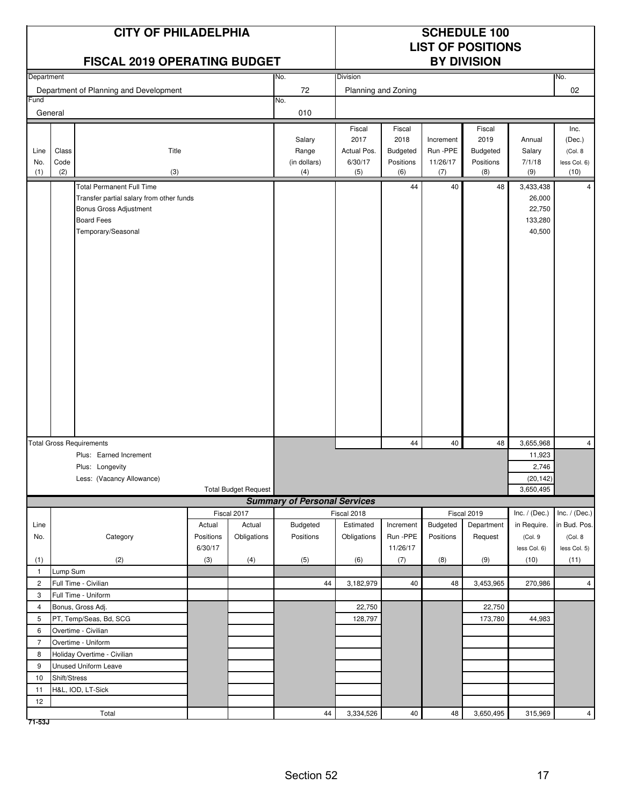| <b>CITY OF PHILADELPHIA</b><br><b>FISCAL 2019 OPERATING BUDGET</b><br>Department<br>No. |                                                                                                                                                   |                |                             |                                     |                     |                 |           | <b>SCHEDULE 100</b><br><b>LIST OF POSITIONS</b><br><b>BY DIVISION</b> |                      |                      |
|-----------------------------------------------------------------------------------------|---------------------------------------------------------------------------------------------------------------------------------------------------|----------------|-----------------------------|-------------------------------------|---------------------|-----------------|-----------|-----------------------------------------------------------------------|----------------------|----------------------|
|                                                                                         |                                                                                                                                                   |                |                             |                                     | Division            |                 |           |                                                                       |                      | No.                  |
|                                                                                         | Department of Planning and Development                                                                                                            |                |                             | 72                                  | Planning and Zoning |                 |           |                                                                       |                      | 02                   |
| Fund<br>General                                                                         |                                                                                                                                                   |                |                             | No.<br>010                          |                     |                 |           |                                                                       |                      |                      |
|                                                                                         |                                                                                                                                                   |                |                             |                                     | Fiscal              | Fiscal          |           | Fiscal                                                                |                      | Inc.                 |
|                                                                                         |                                                                                                                                                   |                |                             | Salary                              | 2017                | 2018            | Increment | 2019                                                                  | Annual               | (Dec.)               |
| Line                                                                                    | Class<br>Title                                                                                                                                    |                |                             | Range                               | Actual Pos.         | <b>Budgeted</b> | Run -PPE  | Budgeted                                                              | Salary               | (Col. 8              |
| No.                                                                                     | Code                                                                                                                                              |                |                             | (in dollars)                        | 6/30/17             | Positions       | 11/26/17  | Positions                                                             | 7/1/18               | less Col. 6)         |
| (1)                                                                                     | (2)<br>(3)                                                                                                                                        |                |                             | (4)                                 | (5)                 | (6)             | (7)       | (8)                                                                   | (9)                  | (10)                 |
|                                                                                         | <b>Total Permanent Full Time</b><br>Transfer partial salary from other funds<br>Bonus Gross Adjustment<br><b>Board Fees</b><br>Temporary/Seasonal |                |                             |                                     | 44                  | 40              | 48        | 3,433,438<br>26,000<br>22,750<br>133,280<br>40,500                    |                      |                      |
|                                                                                         |                                                                                                                                                   |                |                             |                                     |                     |                 |           |                                                                       |                      |                      |
|                                                                                         | <b>Total Gross Requirements</b>                                                                                                                   |                |                             |                                     |                     | 44              | 40        | 48                                                                    | 3,655,968            | $\overline{4}$       |
|                                                                                         | Plus: Earned Increment                                                                                                                            |                |                             |                                     |                     |                 |           |                                                                       | 11,923               |                      |
|                                                                                         | Plus: Longevity                                                                                                                                   |                |                             |                                     |                     |                 |           |                                                                       | 2,746                |                      |
|                                                                                         | Less: (Vacancy Allowance)                                                                                                                         |                |                             |                                     |                     |                 |           |                                                                       | (20, 142)            |                      |
|                                                                                         |                                                                                                                                                   |                | <b>Total Budget Request</b> |                                     |                     |                 |           |                                                                       | 3,650,495            |                      |
|                                                                                         |                                                                                                                                                   |                |                             | <b>Summary of Personal Services</b> |                     |                 |           |                                                                       |                      |                      |
|                                                                                         |                                                                                                                                                   |                | Fiscal 2017                 |                                     | Fiscal 2018         |                 |           | Fiscal 2019                                                           | Inc. / (Dec.)        | Inc. $/$ (Dec.)      |
| Line                                                                                    |                                                                                                                                                   | Actual         | Actual                      | Budgeted                            | Estimated           | Increment       | Budgeted  | Department                                                            | in Require.          | in Bud. Pos.         |
| No.                                                                                     | Category                                                                                                                                          | Positions      | Obligations                 | Positions                           | Obligations         | Run -PPE        | Positions | Request                                                               | (Col.9               | (Col. 8              |
|                                                                                         | (2)                                                                                                                                               | 6/30/17<br>(3) | (4)                         | (5)                                 |                     | 11/26/17<br>(7) | (8)       |                                                                       | less Col. 6)<br>(10) | less Col. 5)<br>(11) |
| (1)<br>$\mathbf{1}$                                                                     | Lump Sum                                                                                                                                          |                |                             |                                     | (6)                 |                 |           | (9)                                                                   |                      |                      |
| $\overline{2}$                                                                          | Full Time - Civilian                                                                                                                              |                |                             | 44                                  | 3,182,979           | 40              | 48        | 3,453,965                                                             | 270,986              | $\overline{4}$       |
| 3                                                                                       | Full Time - Uniform                                                                                                                               |                |                             |                                     |                     |                 |           |                                                                       |                      |                      |
| $\overline{4}$                                                                          | Bonus, Gross Adj.                                                                                                                                 |                |                             |                                     | 22,750              |                 |           | 22,750                                                                |                      |                      |
| 5                                                                                       | PT, Temp/Seas, Bd, SCG                                                                                                                            |                |                             |                                     | 128,797             |                 |           | 173,780                                                               | 44,983               |                      |
| 6                                                                                       | Overtime - Civilian                                                                                                                               |                |                             |                                     |                     |                 |           |                                                                       |                      |                      |
| $\overline{7}$                                                                          | Overtime - Uniform                                                                                                                                |                |                             |                                     |                     |                 |           |                                                                       |                      |                      |
| 8                                                                                       | Holiday Overtime - Civilian                                                                                                                       |                |                             |                                     |                     |                 |           |                                                                       |                      |                      |
| 9                                                                                       | <b>Unused Uniform Leave</b>                                                                                                                       |                |                             |                                     |                     |                 |           |                                                                       |                      |                      |
| $10$                                                                                    | Shift/Stress                                                                                                                                      |                |                             |                                     |                     |                 |           |                                                                       |                      |                      |
| 11                                                                                      | H&L, IOD, LT-Sick                                                                                                                                 |                |                             |                                     |                     |                 |           |                                                                       |                      |                      |
| 12                                                                                      |                                                                                                                                                   |                |                             |                                     |                     |                 |           |                                                                       |                      |                      |
|                                                                                         | Total                                                                                                                                             |                |                             | 44                                  | 3,334,526           | 40              | 48        | 3,650,495                                                             | 315,969              | $\overline{4}$       |

Section 52 17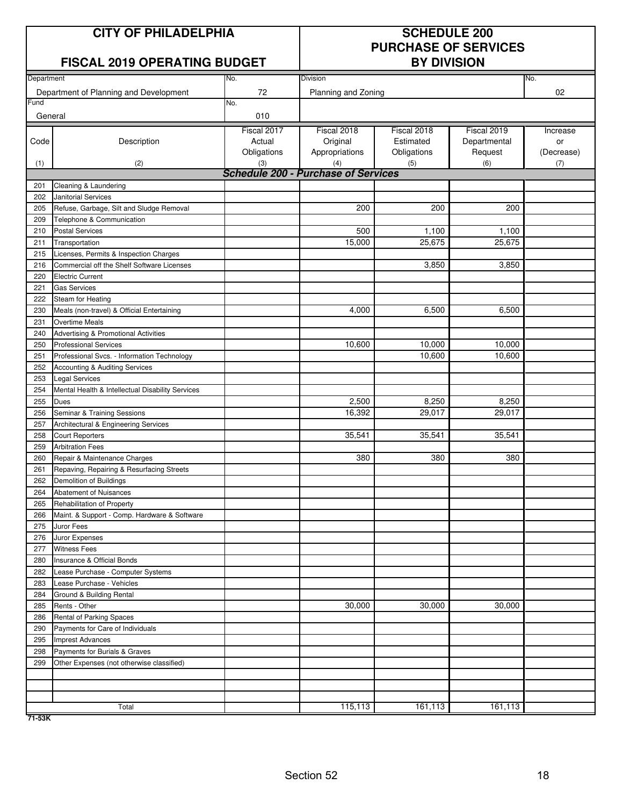# **CITY OF PHILADELPHIA SCHEDULE 200**

### **FISCAL 2019 OPERATING BUDGET**

# **PURCHASE OF SERVICES**

| Department |                                                  | No.         | <b>Division</b>                            |             |              | No.        |
|------------|--------------------------------------------------|-------------|--------------------------------------------|-------------|--------------|------------|
|            | Department of Planning and Development           | 72          | Planning and Zoning                        |             |              | 02         |
| Fund       |                                                  | No.         |                                            |             |              |            |
| General    |                                                  | 010         |                                            |             |              |            |
|            |                                                  | Fiscal 2017 | Fiscal 2018                                | Fiscal 2018 | Fiscal 2019  | Increase   |
| Code       | Description                                      | Actual      | Original                                   | Estimated   | Departmental | or         |
|            |                                                  | Obligations | Appropriations                             | Obligations | Request      | (Decrease) |
| (1)        | (2)                                              | (3)         | (4)                                        | (5)         | (6)          | (7)        |
|            |                                                  |             | <b>Schedule 200 - Purchase of Services</b> |             |              |            |
| 201        | Cleaning & Laundering                            |             |                                            |             |              |            |
| 202        | Janitorial Services                              |             |                                            |             |              |            |
| 205        | Refuse, Garbage, Silt and Sludge Removal         |             | 200                                        | 200         | 200          |            |
| 209        | Telephone & Communication                        |             |                                            |             |              |            |
| 210        | <b>Postal Services</b>                           |             | 500                                        | 1,100       | 1,100        |            |
| 211        | Transportation                                   |             | 15,000                                     | 25,675      | 25,675       |            |
| 215        | Licenses, Permits & Inspection Charges           |             |                                            |             |              |            |
| 216        | Commercial off the Shelf Software Licenses       |             |                                            | 3,850       | 3,850        |            |
| 220        | <b>Electric Current</b>                          |             |                                            |             |              |            |
| 221        | <b>Gas Services</b>                              |             |                                            |             |              |            |
| 222        | Steam for Heating                                |             |                                            |             |              |            |
| 230        | Meals (non-travel) & Official Entertaining       |             | 4,000                                      | 6,500       | 6,500        |            |
| 231        | <b>Overtime Meals</b>                            |             |                                            |             |              |            |
| 240        | Advertising & Promotional Activities             |             |                                            |             |              |            |
| 250        | <b>Professional Services</b>                     |             | 10,600                                     | 10,000      | 10,000       |            |
| 251        | Professional Svcs. - Information Technology      |             |                                            | 10,600      | 10,600       |            |
| 252        | Accounting & Auditing Services                   |             |                                            |             |              |            |
| 253        | <b>Legal Services</b>                            |             |                                            |             |              |            |
| 254        | Mental Health & Intellectual Disability Services |             |                                            |             |              |            |
| 255        | Dues                                             |             | 2,500                                      | 8,250       | 8,250        |            |
| 256        | Seminar & Training Sessions                      |             | 16,392                                     | 29,017      | 29,017       |            |
| 257        | Architectural & Engineering Services             |             |                                            |             |              |            |
| 258        | <b>Court Reporters</b>                           |             | 35,541                                     | 35,541      | 35,541       |            |
| 259        | <b>Arbitration Fees</b>                          |             |                                            |             |              |            |
| 260        | Repair & Maintenance Charges                     |             | 380                                        | 380         | 380          |            |
| 261        | Repaving, Repairing & Resurfacing Streets        |             |                                            |             |              |            |
| 262        | Demolition of Buildings                          |             |                                            |             |              |            |
| 264        | Abatement of Nuisances                           |             |                                            |             |              |            |
| 265        | Rehabilitation of Property                       |             |                                            |             |              |            |
| 266        | Maint. & Support - Comp. Hardware & Software     |             |                                            |             |              |            |
| 275        | Juror Fees                                       |             |                                            |             |              |            |
| 276        | Juror Expenses                                   |             |                                            |             |              |            |
| 277        | <b>Witness Fees</b>                              |             |                                            |             |              |            |
| 280        | Insurance & Official Bonds                       |             |                                            |             |              |            |
| 282        | Lease Purchase - Computer Systems                |             |                                            |             |              |            |
| 283        | Lease Purchase - Vehicles                        |             |                                            |             |              |            |
| 284        | Ground & Building Rental                         |             |                                            |             |              |            |
| 285        | Rents - Other                                    |             | 30,000                                     | 30,000      | 30,000       |            |
| 286        | Rental of Parking Spaces                         |             |                                            |             |              |            |
| 290        | Payments for Care of Individuals                 |             |                                            |             |              |            |
| 295        | <b>Imprest Advances</b>                          |             |                                            |             |              |            |
| 298        | Payments for Burials & Graves                    |             |                                            |             |              |            |
| 299        | Other Expenses (not otherwise classified)        |             |                                            |             |              |            |
|            |                                                  |             |                                            |             |              |            |
|            |                                                  |             |                                            |             |              |            |
|            |                                                  |             |                                            |             |              |            |
|            | Total                                            |             | 115,113                                    | 161,113     | 161,113      |            |

**71-53K**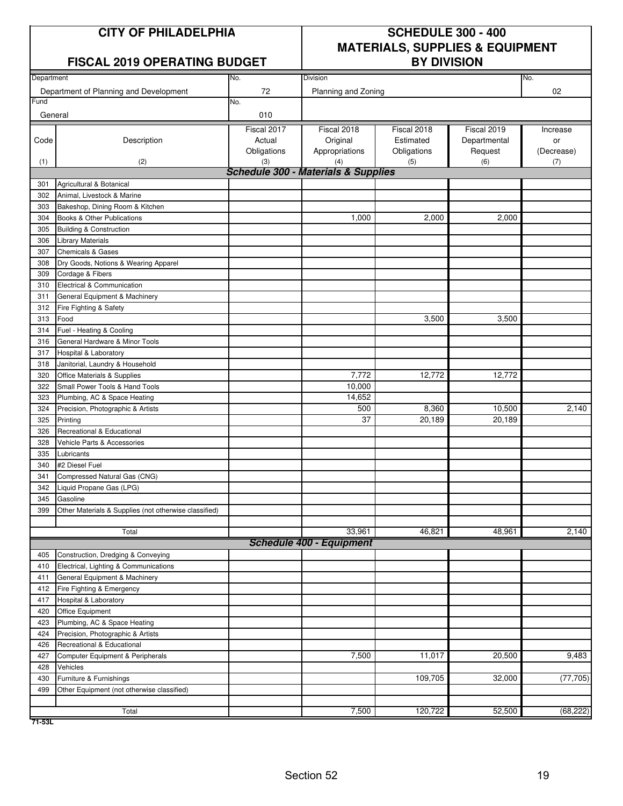#### **FISCAL 2019 OPERATING BUDGET**

# **CITY OF PHILADELPHIA SCHEDULE 300 - 400 MATERIALS, SUPPLIES & EQUIPMENT**

| Department |                                                       | No.         | Division                                       |             |              | No.        |
|------------|-------------------------------------------------------|-------------|------------------------------------------------|-------------|--------------|------------|
|            | Department of Planning and Development                | 72          | Planning and Zoning                            |             |              | 02         |
| Fund       |                                                       | No.         |                                                |             |              |            |
| General    |                                                       | 010         |                                                |             |              |            |
|            |                                                       | Fiscal 2017 | Fiscal 2018                                    | Fiscal 2018 | Fiscal 2019  | Increase   |
| Code       | Description                                           | Actual      | Original                                       | Estimated   | Departmental | or         |
|            |                                                       | Obligations | Appropriations                                 | Obligations | Request      | (Decrease) |
| (1)        | (2)                                                   | (3)         | (4)                                            | (5)         | (6)          | (7)        |
|            |                                                       |             | <b>Schedule 300 - Materials &amp; Supplies</b> |             |              |            |
| 301        | Agricultural & Botanical                              |             |                                                |             |              |            |
| 302        | Animal, Livestock & Marine                            |             |                                                |             |              |            |
| 303        | Bakeshop, Dining Room & Kitchen                       |             |                                                |             |              |            |
| 304        | Books & Other Publications                            |             | 1,000                                          | 2,000       | 2,000        |            |
| 305        | <b>Building &amp; Construction</b>                    |             |                                                |             |              |            |
| 306        | <b>Library Materials</b>                              |             |                                                |             |              |            |
| 307        | <b>Chemicals &amp; Gases</b>                          |             |                                                |             |              |            |
| 308        | Dry Goods, Notions & Wearing Apparel                  |             |                                                |             |              |            |
| 309        | Cordage & Fibers                                      |             |                                                |             |              |            |
| 310        | Electrical & Communication                            |             |                                                |             |              |            |
| 311        | General Equipment & Machinery                         |             |                                                |             |              |            |
| 312        | Fire Fighting & Safety                                |             |                                                |             |              |            |
| 313        | Food                                                  |             |                                                | 3,500       | 3,500        |            |
| 314        | Fuel - Heating & Cooling                              |             |                                                |             |              |            |
| 316        | General Hardware & Minor Tools                        |             |                                                |             |              |            |
| 317        | Hospital & Laboratory                                 |             |                                                |             |              |            |
| 318        | Janitorial, Laundry & Household                       |             |                                                |             |              |            |
| 320        | Office Materials & Supplies                           |             | 7,772                                          | 12,772      | 12,772       |            |
| 322        | Small Power Tools & Hand Tools                        |             | 10,000                                         |             |              |            |
| 323        | Plumbing, AC & Space Heating                          |             | 14,652                                         |             |              |            |
| 324        | Precision, Photographic & Artists                     |             | 500                                            | 8,360       | 10,500       | 2,140      |
| 325        | Printing                                              |             | 37                                             | 20,189      | 20,189       |            |
| 326        | Recreational & Educational                            |             |                                                |             |              |            |
| 328        | Vehicle Parts & Accessories                           |             |                                                |             |              |            |
| 335        | Lubricants                                            |             |                                                |             |              |            |
| 340        | #2 Diesel Fuel                                        |             |                                                |             |              |            |
| 341        | Compressed Natural Gas (CNG)                          |             |                                                |             |              |            |
| 342        | Liquid Propane Gas (LPG)                              |             |                                                |             |              |            |
| 345        | Gasoline                                              |             |                                                |             |              |            |
| 399        | Other Materials & Supplies (not otherwise classified) |             |                                                |             |              |            |
|            | Total                                                 |             | 33,961                                         | 46,821      | 48,961       | 2,140      |
|            |                                                       |             | <b>Schedule 400 - Equipment</b>                |             |              |            |
| 405        | Construction, Dredging & Conveying                    |             |                                                |             |              |            |
| 410        | Electrical, Lighting & Communications                 |             |                                                |             |              |            |
| 411        | General Equipment & Machinery                         |             |                                                |             |              |            |
| 412        | Fire Fighting & Emergency                             |             |                                                |             |              |            |
| 417        | Hospital & Laboratory                                 |             |                                                |             |              |            |
| 420        | Office Equipment                                      |             |                                                |             |              |            |
| 423        | Plumbing, AC & Space Heating                          |             |                                                |             |              |            |
| 424        | Precision, Photographic & Artists                     |             |                                                |             |              |            |
| 426        | Recreational & Educational                            |             |                                                |             |              |            |
| 427        | Computer Equipment & Peripherals                      |             | 7,500                                          | 11,017      | 20,500       | 9,483      |
| 428        | Vehicles                                              |             |                                                |             |              |            |
| 430        | Furniture & Furnishings                               |             |                                                | 109,705     | 32,000       | (77, 705)  |
| 499        | Other Equipment (not otherwise classified)            |             |                                                |             |              |            |
|            |                                                       |             |                                                |             |              |            |
|            | Total                                                 |             | 7,500                                          | 120,722     | 52,500       | (68, 222)  |

**71-53L**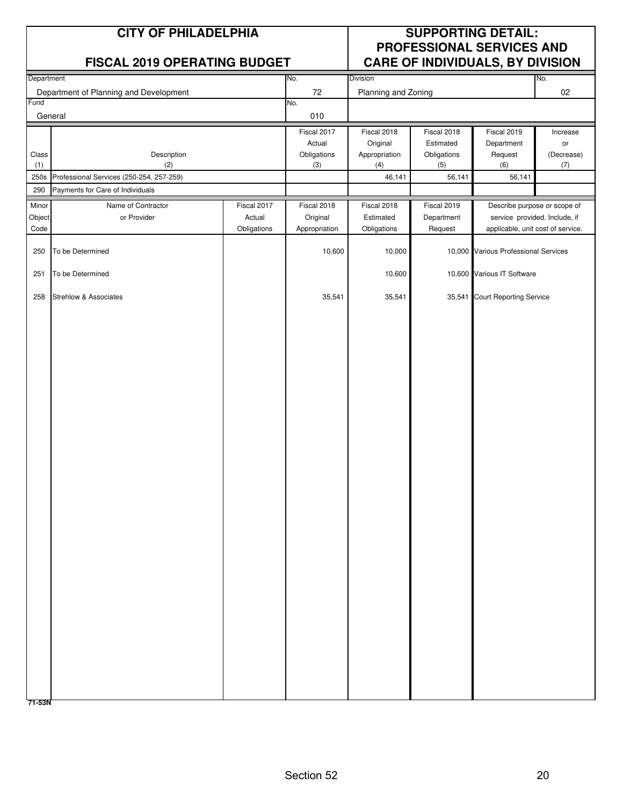|                         | <b>CITY OF PHILADELPHIA</b><br><b>FISCAL 2019 OPERATING BUDGET</b> |                                      |                                          |                                         | <b>SUPPORTING DETAIL:</b><br>PROFESSIONAL SERVICES AND<br><b>CARE OF INDIVIDUALS, BY DIVISION</b> |                                                                                                    |                   |
|-------------------------|--------------------------------------------------------------------|--------------------------------------|------------------------------------------|-----------------------------------------|---------------------------------------------------------------------------------------------------|----------------------------------------------------------------------------------------------------|-------------------|
| Department              |                                                                    |                                      | No.                                      | Division                                |                                                                                                   |                                                                                                    | No.               |
|                         | Department of Planning and Development                             |                                      | 72                                       | Planning and Zoning                     |                                                                                                   |                                                                                                    | 02                |
| Fund                    | General                                                            |                                      | No.<br>010                               |                                         |                                                                                                   |                                                                                                    |                   |
|                         |                                                                    |                                      | Fiscal 2017<br>Actual                    | Fiscal 2018<br>Original                 | Fiscal 2018<br>Estimated                                                                          | Fiscal 2019<br>Department                                                                          | Increase<br>or    |
| Class<br>(1)            | Description<br>(2)                                                 |                                      | Obligations<br>(3)                       | Appropriation<br>(4)                    | Obligations<br>(5)                                                                                | Request<br>(6)                                                                                     | (Decrease)<br>(7) |
| 250s                    | Professional Services (250-254, 257-259)                           |                                      |                                          | 46,141                                  | 56,141                                                                                            | 56,141                                                                                             |                   |
| 290                     | Payments for Care of Individuals                                   |                                      |                                          |                                         |                                                                                                   |                                                                                                    |                   |
| Minor<br>Object<br>Code | Name of Contractor<br>or Provider                                  | Fiscal 2017<br>Actual<br>Obligations | Fiscal 2018<br>Original<br>Appropriation | Fiscal 2018<br>Estimated<br>Obligations | Fiscal 2019<br>Department<br>Request                                                              | Describe purpose or scope of<br>service provided. Include, if<br>applicable, unit cost of service. |                   |
| 250                     | To be Determined                                                   |                                      | 10,600                                   | 10,000                                  |                                                                                                   | 10,000 Various Professional Services                                                               |                   |
| 251                     | To be Determined                                                   |                                      |                                          | 10,600                                  |                                                                                                   | 10,600 Various IT Software                                                                         |                   |
| 258                     | <b>Strehlow &amp; Associates</b>                                   |                                      | 35,541                                   | 35,541                                  |                                                                                                   | 35,541 Court Reporting Service                                                                     |                   |
|                         |                                                                    |                                      |                                          |                                         |                                                                                                   |                                                                                                    |                   |
|                         |                                                                    |                                      |                                          |                                         |                                                                                                   |                                                                                                    |                   |
|                         |                                                                    |                                      |                                          |                                         |                                                                                                   |                                                                                                    |                   |
|                         |                                                                    |                                      |                                          |                                         |                                                                                                   |                                                                                                    |                   |
|                         |                                                                    |                                      |                                          |                                         |                                                                                                   |                                                                                                    |                   |
|                         |                                                                    |                                      |                                          |                                         |                                                                                                   |                                                                                                    |                   |
|                         |                                                                    |                                      |                                          |                                         |                                                                                                   |                                                                                                    |                   |
|                         |                                                                    |                                      |                                          |                                         |                                                                                                   |                                                                                                    |                   |
|                         |                                                                    |                                      |                                          |                                         |                                                                                                   |                                                                                                    |                   |
|                         |                                                                    |                                      |                                          |                                         |                                                                                                   |                                                                                                    |                   |
|                         |                                                                    |                                      |                                          |                                         |                                                                                                   |                                                                                                    |                   |
|                         |                                                                    |                                      |                                          |                                         |                                                                                                   |                                                                                                    |                   |
|                         |                                                                    |                                      |                                          |                                         |                                                                                                   |                                                                                                    |                   |
|                         |                                                                    |                                      |                                          |                                         |                                                                                                   |                                                                                                    |                   |
|                         |                                                                    |                                      |                                          |                                         |                                                                                                   |                                                                                                    |                   |
| 71-53N                  |                                                                    |                                      |                                          |                                         |                                                                                                   |                                                                                                    |                   |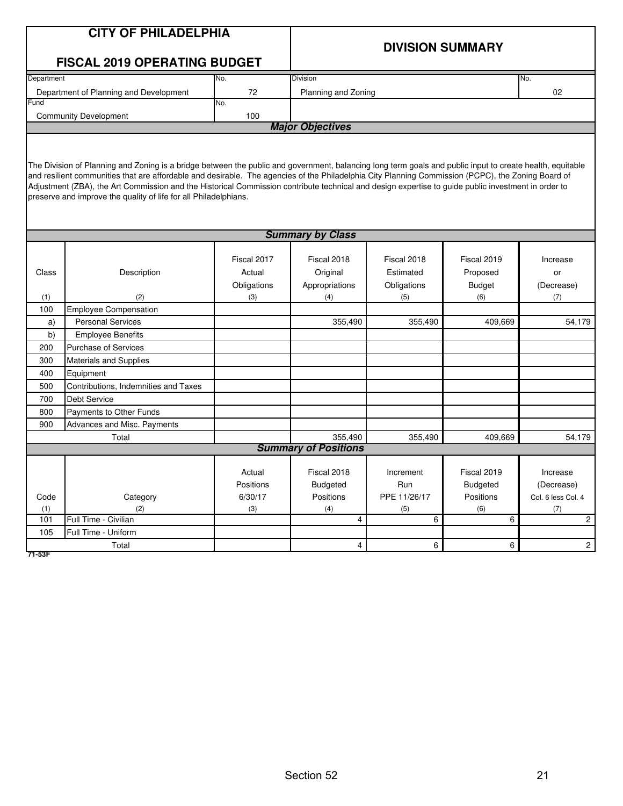|            | <b>CITY OF PHILADELPHIA</b>                                                                                                                                                                                                                                                                                     |             |                                        |             | <b>DIVISION SUMMARY</b> |                |  |  |  |
|------------|-----------------------------------------------------------------------------------------------------------------------------------------------------------------------------------------------------------------------------------------------------------------------------------------------------------------|-------------|----------------------------------------|-------------|-------------------------|----------------|--|--|--|
|            | <b>FISCAL 2019 OPERATING BUDGET</b>                                                                                                                                                                                                                                                                             |             |                                        |             |                         |                |  |  |  |
| Department |                                                                                                                                                                                                                                                                                                                 | No.         | <b>Division</b>                        |             |                         | No.            |  |  |  |
|            | Department of Planning and Development                                                                                                                                                                                                                                                                          | 72          | Planning and Zoning                    |             |                         | 02             |  |  |  |
| Fund       |                                                                                                                                                                                                                                                                                                                 | No.         |                                        |             |                         |                |  |  |  |
|            | <b>Community Development</b>                                                                                                                                                                                                                                                                                    | 100         |                                        |             |                         |                |  |  |  |
|            |                                                                                                                                                                                                                                                                                                                 |             | <b>Major Objectives</b>                |             |                         |                |  |  |  |
|            |                                                                                                                                                                                                                                                                                                                 |             |                                        |             |                         |                |  |  |  |
|            |                                                                                                                                                                                                                                                                                                                 |             |                                        |             |                         |                |  |  |  |
|            | The Division of Planning and Zoning is a bridge between the public and government, balancing long term goals and public input to create health, equitable<br>and resilient communities that are affordable and desirable. The agencies of the Philadelphia City Planning Commission (PCPC), the Zoning Board of |             |                                        |             |                         |                |  |  |  |
|            | Adjustment (ZBA), the Art Commission and the Historical Commission contribute technical and design expertise to guide public investment in order to                                                                                                                                                             |             |                                        |             |                         |                |  |  |  |
|            | preserve and improve the quality of life for all Philadelphians.                                                                                                                                                                                                                                                |             |                                        |             |                         |                |  |  |  |
|            |                                                                                                                                                                                                                                                                                                                 |             |                                        |             |                         |                |  |  |  |
|            |                                                                                                                                                                                                                                                                                                                 |             |                                        |             |                         |                |  |  |  |
|            |                                                                                                                                                                                                                                                                                                                 |             | <b>Summary by Class</b>                |             |                         |                |  |  |  |
|            |                                                                                                                                                                                                                                                                                                                 |             |                                        |             |                         |                |  |  |  |
|            |                                                                                                                                                                                                                                                                                                                 | Fiscal 2017 | Fiscal 2018                            | Fiscal 2018 | Fiscal 2019             | Increase       |  |  |  |
| Class      | Description                                                                                                                                                                                                                                                                                                     | Actual      | Original                               | Estimated   | Proposed                | or             |  |  |  |
|            |                                                                                                                                                                                                                                                                                                                 | Obligations | Appropriations                         | Obligations | <b>Budget</b>           | (Decrease)     |  |  |  |
| (1)        | (2)                                                                                                                                                                                                                                                                                                             | (3)         | (4)                                    | (5)         | (6)                     | (7)            |  |  |  |
| 100        | <b>Employee Compensation</b>                                                                                                                                                                                                                                                                                    |             |                                        |             |                         |                |  |  |  |
| a)         | <b>Personal Services</b>                                                                                                                                                                                                                                                                                        |             | 355,490                                | 355,490     | 409,669                 | 54,179         |  |  |  |
| b)         | <b>Employee Benefits</b>                                                                                                                                                                                                                                                                                        |             |                                        |             |                         |                |  |  |  |
| 200        | <b>Purchase of Services</b>                                                                                                                                                                                                                                                                                     |             |                                        |             |                         |                |  |  |  |
| 300        | <b>Materials and Supplies</b>                                                                                                                                                                                                                                                                                   |             |                                        |             |                         |                |  |  |  |
| 400        | Equipment                                                                                                                                                                                                                                                                                                       |             |                                        |             |                         |                |  |  |  |
| 500        | Contributions, Indemnities and Taxes                                                                                                                                                                                                                                                                            |             |                                        |             |                         |                |  |  |  |
| 700        | <b>Debt Service</b>                                                                                                                                                                                                                                                                                             |             |                                        |             |                         |                |  |  |  |
| 800        | Payments to Other Funds                                                                                                                                                                                                                                                                                         |             |                                        |             |                         |                |  |  |  |
| 900        | Advances and Misc. Payments                                                                                                                                                                                                                                                                                     |             |                                        |             |                         |                |  |  |  |
|            | Total                                                                                                                                                                                                                                                                                                           |             | 355,490<br><b>Summary of Positions</b> | 355,490     | 409.669                 | 54,179         |  |  |  |
|            |                                                                                                                                                                                                                                                                                                                 |             |                                        |             |                         |                |  |  |  |
|            |                                                                                                                                                                                                                                                                                                                 | Actual      | Fiscal 2018                            | Increment   | Fiscal 2019             | Increase       |  |  |  |
|            | Positions                                                                                                                                                                                                                                                                                                       |             | <b>Budgeted</b>                        | Run         | <b>Budgeted</b>         | (Decrease)     |  |  |  |
| Code       | Category                                                                                                                                                                                                                                                                                                        | Positions   | PPE 11/26/17                           | Positions   | Col. 6 less Col. 4      |                |  |  |  |
| (1)        | 6/30/17<br>(2)<br>(3)                                                                                                                                                                                                                                                                                           |             | (4)                                    | (5)         | (6)                     | (7)            |  |  |  |
| 101        | Full Time - Civilian                                                                                                                                                                                                                                                                                            |             | 4                                      | 6           | 6                       | $\overline{2}$ |  |  |  |
| 105        | Full Time - Uniform                                                                                                                                                                                                                                                                                             |             |                                        |             |                         |                |  |  |  |
|            | 6<br>6<br>$\overline{4}$<br>$\overline{a}$<br>Total                                                                                                                                                                                                                                                             |             |                                        |             |                         |                |  |  |  |

**71-53F**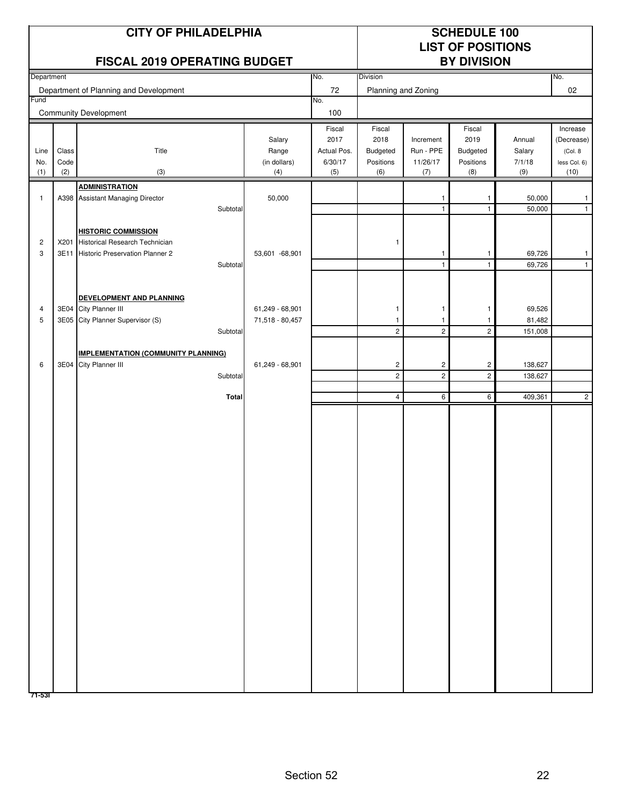|                     |               | <b>CITY OF PHILADELPHIA</b><br>FISCAL 2019 OPERATING BUDGET                                                 |                                    |                                          |                                         |                                    | <b>SCHEDULE 100</b><br><b>LIST OF POSITIONS</b><br><b>BY DIVISION</b> |                             |                                                    |
|---------------------|---------------|-------------------------------------------------------------------------------------------------------------|------------------------------------|------------------------------------------|-----------------------------------------|------------------------------------|-----------------------------------------------------------------------|-----------------------------|----------------------------------------------------|
| Department          |               |                                                                                                             |                                    | No.                                      | Division                                |                                    |                                                                       |                             | No.                                                |
| Fund                |               | Department of Planning and Development                                                                      |                                    | 72<br>No.                                | Planning and Zoning                     |                                    |                                                                       |                             | 02                                                 |
|                     |               | <b>Community Development</b>                                                                                |                                    | 100                                      |                                         |                                    |                                                                       |                             |                                                    |
| Line<br>No.         | Class<br>Code | Title                                                                                                       | Salary<br>Range<br>(in dollars)    | Fiscal<br>2017<br>Actual Pos.<br>6/30/17 | Fiscal<br>2018<br>Budgeted<br>Positions | Increment<br>Run - PPE<br>11/26/17 | Fiscal<br>2019<br><b>Budgeted</b><br>Positions                        | Annual<br>Salary<br>7/1/18  | Increase<br>(Decrease)<br>(Col. 8)<br>less Col. 6) |
| (1)                 | (2)           | (3)                                                                                                         | (4)                                | (5)                                      | (6)                                     | (7)                                | (8)                                                                   | (9)                         | (10)                                               |
| $\mathbf{1}$        | A398          | <b>ADMINISTRATION</b><br><b>Assistant Managing Director</b><br>Subtotal                                     | 50,000                             |                                          |                                         | -1<br>$\overline{1}$               | 1<br>$\mathbf{1}$                                                     | 50,000<br>50,000            | $\mathbf{1}$<br>$\mathbf{1}$                       |
| $\overline{c}$<br>3 | X201<br>3E11  | <b>HISTORIC COMMISSION</b><br>Historical Research Technician<br>Historic Preservation Planner 2<br>Subtotal | 53,601 -68,901                     |                                          | 1                                       | -1<br>$\mathbf{1}$                 | -1<br>$\mathbf{1}$                                                    | 69,726<br>69,726            | $\mathbf{1}$<br>$\mathbf{1}$                       |
| 4<br>5              | 3E05          | DEVELOPMENT AND PLANNING<br>3E04 City Planner III<br>City Planner Supervisor (S)<br>Subtotal                | 61,249 - 68,901<br>71,518 - 80,457 |                                          | 1<br>1<br>$\overline{c}$                | -1<br>-1<br>$\overline{2}$         | 1<br>1<br>$\mathbf{2}$                                                | 69,526<br>81,482<br>151,008 |                                                    |
| 6                   |               | <b>IMPLEMENTATION (COMMUNITY PLANNING)</b><br>3E04 City Planner III<br>Subtotal                             | 61,249 - 68,901                    |                                          | $\overline{\mathbf{c}}$<br>$\mathbf{2}$ | $\overline{c}$<br>$\overline{2}$   | $\overline{\mathbf{c}}$<br>$\overline{2}$                             | 138,627<br>138,627          |                                                    |
|                     |               | Total                                                                                                       |                                    |                                          | $\overline{4}$                          | 6                                  | 6                                                                     | 409,361                     | $\overline{c}$                                     |
| 71-531              |               |                                                                                                             |                                    |                                          |                                         |                                    |                                                                       |                             |                                                    |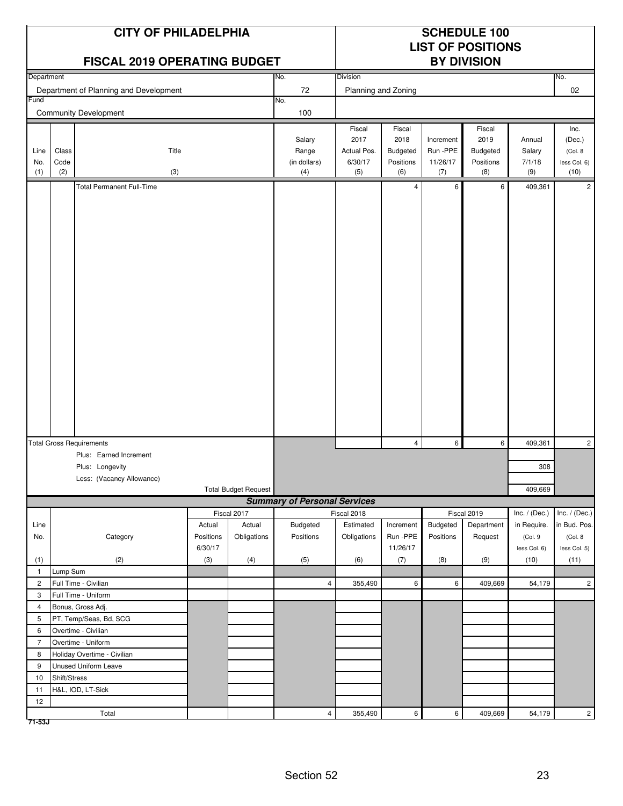|                    |                      | <b>CITY OF PHILADELPHIA</b><br><b>FISCAL 2019 OPERATING BUDGET</b> |                     |                             |                                        |                                                 |                                                |                                          | <b>SCHEDULE 100</b><br><b>LIST OF POSITIONS</b><br><b>BY DIVISION</b> |                                   |                                                   |
|--------------------|----------------------|--------------------------------------------------------------------|---------------------|-----------------------------|----------------------------------------|-------------------------------------------------|------------------------------------------------|------------------------------------------|-----------------------------------------------------------------------|-----------------------------------|---------------------------------------------------|
| Department         |                      |                                                                    |                     |                             | No.                                    | Division                                        |                                                |                                          |                                                                       |                                   | No.                                               |
|                    |                      | Department of Planning and Development                             |                     |                             | 72                                     | Planning and Zoning                             |                                                |                                          |                                                                       |                                   | 02                                                |
| Fund               |                      |                                                                    |                     |                             | No.                                    |                                                 |                                                |                                          |                                                                       |                                   |                                                   |
|                    |                      | <b>Community Development</b>                                       |                     |                             | 100                                    |                                                 |                                                |                                          |                                                                       |                                   |                                                   |
| Line<br>No.<br>(1) | Class<br>Code<br>(2) | Title<br>(3)                                                       |                     |                             | Salary<br>Range<br>(in dollars)<br>(4) | Fiscal<br>2017<br>Actual Pos.<br>6/30/17<br>(5) | Fiscal<br>2018<br>Budgeted<br>Positions<br>(6) | Increment<br>Run -PPE<br>11/26/17<br>(7) | Fiscal<br>2019<br><b>Budgeted</b><br>Positions<br>(8)                 | Annual<br>Salary<br>7/1/18<br>(9) | Inc.<br>(Dec.)<br>(Col. 8<br>less Col. 6)<br>(10) |
|                    |                      | <b>Total Permanent Full-Time</b>                                   |                     |                             |                                        |                                                 | $\overline{4}$                                 | 6                                        | 6                                                                     | 409,361                           | $\overline{2}$                                    |
|                    |                      |                                                                    |                     |                             |                                        |                                                 |                                                |                                          |                                                                       |                                   |                                                   |
|                    |                      | <b>Total Gross Requirements</b>                                    |                     |                             |                                        |                                                 | $\overline{4}$                                 | 6                                        | 6                                                                     | 409,361                           | $\overline{c}$                                    |
|                    |                      | Plus: Earned Increment                                             |                     |                             |                                        |                                                 |                                                |                                          |                                                                       |                                   |                                                   |
|                    |                      | Plus: Longevity                                                    |                     |                             |                                        |                                                 |                                                |                                          |                                                                       | 308                               |                                                   |
|                    |                      | Less: (Vacancy Allowance)                                          |                     |                             |                                        |                                                 |                                                |                                          |                                                                       |                                   |                                                   |
|                    |                      |                                                                    |                     | <b>Total Budget Request</b> |                                        |                                                 |                                                |                                          |                                                                       | 409,669                           |                                                   |
|                    |                      |                                                                    |                     |                             | <b>Summary of Personal Services</b>    |                                                 |                                                |                                          |                                                                       |                                   |                                                   |
|                    |                      |                                                                    |                     | Fiscal 2017                 |                                        | Fiscal 2018                                     |                                                |                                          | Fiscal 2019                                                           | Inc. $/$ (Dec.)                   | Inc. $/$ (Dec.)                                   |
| Line<br>No.        |                      | Category                                                           | Actual<br>Positions | Actual<br>Obligations       | Budgeted<br>Positions                  | Estimated<br>Obligations                        | Increment<br>Run -PPE                          | Budgeted<br>Positions                    | Department<br>Request                                                 | in Require.<br>(Col.9             | in Bud. Pos.<br>(Col. 8                           |
|                    |                      |                                                                    | 6/30/17             |                             |                                        |                                                 | 11/26/17                                       |                                          |                                                                       | less Col. 6)                      | less Col. 5)                                      |
| (1)                |                      | (2)                                                                | (3)                 | (4)                         | (5)                                    | (6)                                             | (7)                                            | (8)                                      | (9)                                                                   | (10)                              | (11)                                              |
| $\mathbf{1}$       | Lump Sum             |                                                                    |                     |                             |                                        |                                                 |                                                |                                          |                                                                       |                                   |                                                   |
| $\overline{2}$     |                      | Full Time - Civilian                                               |                     |                             | $\overline{4}$                         | 355,490                                         | $6\overline{6}$                                | 6                                        | 409,669                                                               | 54,179                            | $\overline{c}$                                    |
| 3                  |                      | Full Time - Uniform                                                |                     |                             |                                        |                                                 |                                                |                                          |                                                                       |                                   |                                                   |
| $\overline{4}$     |                      | Bonus, Gross Adj.                                                  |                     |                             |                                        |                                                 |                                                |                                          |                                                                       |                                   |                                                   |
| 5                  |                      | PT, Temp/Seas, Bd, SCG                                             |                     |                             |                                        |                                                 |                                                |                                          |                                                                       |                                   |                                                   |
| 6                  | Overtime - Civilian  |                                                                    |                     |                             |                                        |                                                 |                                                |                                          |                                                                       |                                   |                                                   |
| $\overline{7}$     | Overtime - Uniform   |                                                                    |                     |                             |                                        |                                                 |                                                |                                          |                                                                       |                                   |                                                   |
| 8                  |                      | Holiday Overtime - Civilian                                        |                     |                             |                                        |                                                 |                                                |                                          |                                                                       |                                   |                                                   |
| 9                  | Unused Uniform Leave |                                                                    |                     |                             |                                        |                                                 |                                                |                                          |                                                                       |                                   |                                                   |
| 10                 | Shift/Stress         |                                                                    |                     |                             |                                        |                                                 |                                                |                                          |                                                                       |                                   |                                                   |
| 11                 |                      | H&L, IOD, LT-Sick                                                  |                     |                             |                                        |                                                 |                                                |                                          |                                                                       |                                   |                                                   |
| 12                 |                      |                                                                    |                     |                             |                                        |                                                 |                                                |                                          |                                                                       |                                   |                                                   |
|                    |                      | Total                                                              |                     |                             | $\overline{4}$                         | 355,490                                         | $\mathbf 6$                                    | 6                                        | 409,669                                                               | 54,179                            | $\overline{2}$                                    |

**71-53J**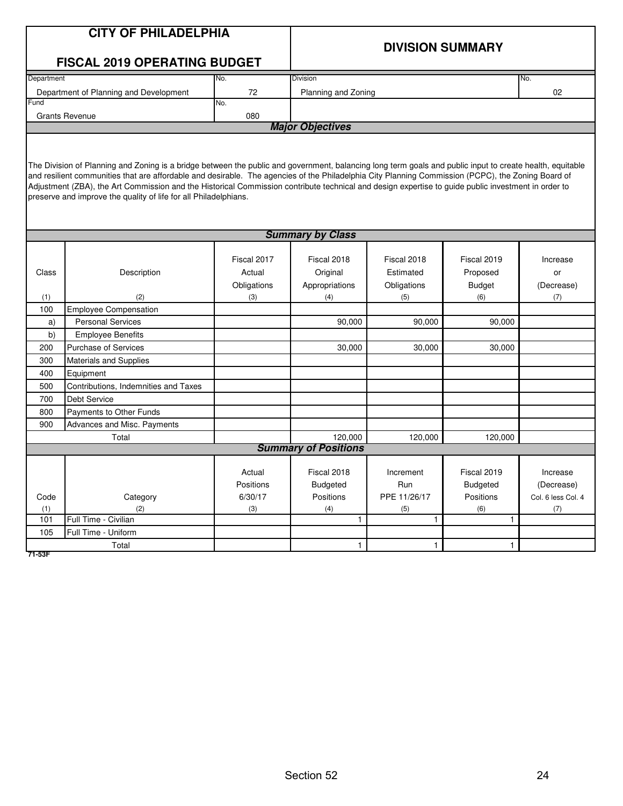|            | <b>CITY OF PHILADELPHIA</b>                                                                                                                                                                                                                                                                                                                                                                                                                                                                                                                                           |                       |                                |                          | <b>DIVISION SUMMARY</b>        |                        |  |  |  |  |
|------------|-----------------------------------------------------------------------------------------------------------------------------------------------------------------------------------------------------------------------------------------------------------------------------------------------------------------------------------------------------------------------------------------------------------------------------------------------------------------------------------------------------------------------------------------------------------------------|-----------------------|--------------------------------|--------------------------|--------------------------------|------------------------|--|--|--|--|
|            | <b>FISCAL 2019 OPERATING BUDGET</b>                                                                                                                                                                                                                                                                                                                                                                                                                                                                                                                                   |                       |                                |                          |                                |                        |  |  |  |  |
| Department |                                                                                                                                                                                                                                                                                                                                                                                                                                                                                                                                                                       | No.                   | Division                       |                          |                                | No.                    |  |  |  |  |
|            | Department of Planning and Development                                                                                                                                                                                                                                                                                                                                                                                                                                                                                                                                | 72                    | Planning and Zoning            |                          |                                | 02                     |  |  |  |  |
| Fund       |                                                                                                                                                                                                                                                                                                                                                                                                                                                                                                                                                                       | No.                   |                                |                          |                                |                        |  |  |  |  |
|            | <b>Grants Revenue</b>                                                                                                                                                                                                                                                                                                                                                                                                                                                                                                                                                 | 080                   | <b>Major Objectives</b>        |                          |                                |                        |  |  |  |  |
|            |                                                                                                                                                                                                                                                                                                                                                                                                                                                                                                                                                                       |                       |                                |                          |                                |                        |  |  |  |  |
|            | The Division of Planning and Zoning is a bridge between the public and government, balancing long term goals and public input to create health, equitable<br>and resilient communities that are affordable and desirable. The agencies of the Philadelphia City Planning Commission (PCPC), the Zoning Board of<br>Adjustment (ZBA), the Art Commission and the Historical Commission contribute technical and design expertise to guide public investment in order to<br>preserve and improve the quality of life for all Philadelphians.<br><b>Summary by Class</b> |                       |                                |                          |                                |                        |  |  |  |  |
|            |                                                                                                                                                                                                                                                                                                                                                                                                                                                                                                                                                                       |                       |                                |                          |                                |                        |  |  |  |  |
| Class      | Description                                                                                                                                                                                                                                                                                                                                                                                                                                                                                                                                                           | Fiscal 2017<br>Actual | Fiscal 2018<br>Original        | Fiscal 2018<br>Estimated | Fiscal 2019<br>Proposed        | Increase<br>or         |  |  |  |  |
| (1)        | (2)                                                                                                                                                                                                                                                                                                                                                                                                                                                                                                                                                                   | Obligations<br>(3)    | Appropriations<br>(4)          | Obligations<br>(5)       | <b>Budget</b><br>(6)           | (Decrease)<br>(7)      |  |  |  |  |
| 100        | <b>Employee Compensation</b>                                                                                                                                                                                                                                                                                                                                                                                                                                                                                                                                          |                       |                                |                          |                                |                        |  |  |  |  |
| a)         | <b>Personal Services</b>                                                                                                                                                                                                                                                                                                                                                                                                                                                                                                                                              |                       | 90,000                         | 90,000                   | 90,000                         |                        |  |  |  |  |
| b)         | <b>Employee Benefits</b>                                                                                                                                                                                                                                                                                                                                                                                                                                                                                                                                              |                       |                                |                          |                                |                        |  |  |  |  |
| 200        | <b>Purchase of Services</b>                                                                                                                                                                                                                                                                                                                                                                                                                                                                                                                                           |                       | 30,000                         | 30,000                   | 30,000                         |                        |  |  |  |  |
| 300        | <b>Materials and Supplies</b>                                                                                                                                                                                                                                                                                                                                                                                                                                                                                                                                         |                       |                                |                          |                                |                        |  |  |  |  |
| 400        | Equipment                                                                                                                                                                                                                                                                                                                                                                                                                                                                                                                                                             |                       |                                |                          |                                |                        |  |  |  |  |
| 500        | Contributions, Indemnities and Taxes                                                                                                                                                                                                                                                                                                                                                                                                                                                                                                                                  |                       |                                |                          |                                |                        |  |  |  |  |
| 700        | Debt Service                                                                                                                                                                                                                                                                                                                                                                                                                                                                                                                                                          |                       |                                |                          |                                |                        |  |  |  |  |
| 800        | Payments to Other Funds                                                                                                                                                                                                                                                                                                                                                                                                                                                                                                                                               |                       |                                |                          |                                |                        |  |  |  |  |
| 900        | Advances and Misc. Payments                                                                                                                                                                                                                                                                                                                                                                                                                                                                                                                                           |                       |                                |                          |                                |                        |  |  |  |  |
|            | Total                                                                                                                                                                                                                                                                                                                                                                                                                                                                                                                                                                 |                       | 120,000                        | 120,000                  | 120,000                        |                        |  |  |  |  |
|            |                                                                                                                                                                                                                                                                                                                                                                                                                                                                                                                                                                       |                       | <b>Summary of Positions</b>    |                          |                                |                        |  |  |  |  |
|            | Actual<br>Positions                                                                                                                                                                                                                                                                                                                                                                                                                                                                                                                                                   |                       | Fiscal 2018<br><b>Budgeted</b> | Increment<br>Run         | Fiscal 2019<br><b>Budgeted</b> | Increase<br>(Decrease) |  |  |  |  |
| Code       | 6/30/17<br>Category                                                                                                                                                                                                                                                                                                                                                                                                                                                                                                                                                   |                       | Positions                      | PPE 11/26/17             | Positions                      | Col. 6 less Col. 4     |  |  |  |  |
| (1)        | (2)                                                                                                                                                                                                                                                                                                                                                                                                                                                                                                                                                                   | (3)                   | (4)                            | (5)                      | (6)                            | (7)                    |  |  |  |  |
| 101        | Full Time - Civilian                                                                                                                                                                                                                                                                                                                                                                                                                                                                                                                                                  |                       | $\mathbf{1}$                   | 1                        | 1                              |                        |  |  |  |  |
| 105        | Full Time - Uniform                                                                                                                                                                                                                                                                                                                                                                                                                                                                                                                                                   |                       |                                |                          |                                |                        |  |  |  |  |
|            | Total<br>1<br>$\mathbf{1}$<br>1                                                                                                                                                                                                                                                                                                                                                                                                                                                                                                                                       |                       |                                |                          |                                |                        |  |  |  |  |

**71-53F**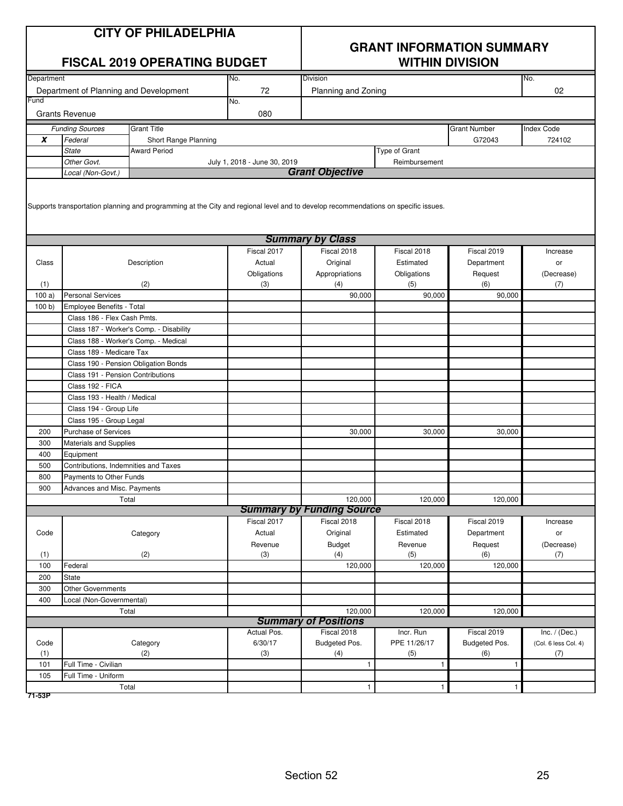|                  | <b>CITY OF PHILADELPHIA</b><br><b>FISCAL 2019 OPERATING BUDGET</b><br>No.                                                                                     |                                         |                              |                                  | <b>GRANT INFORMATION SUMMARY</b><br><b>WITHIN DIVISION</b> |                     |                      |  |  |
|------------------|---------------------------------------------------------------------------------------------------------------------------------------------------------------|-----------------------------------------|------------------------------|----------------------------------|------------------------------------------------------------|---------------------|----------------------|--|--|
| Department       |                                                                                                                                                               |                                         |                              | <b>Division</b>                  |                                                            |                     | No.                  |  |  |
|                  |                                                                                                                                                               |                                         | 72                           |                                  |                                                            |                     | 02                   |  |  |
| Fund             | Department of Planning and Development                                                                                                                        |                                         | No.                          | Planning and Zoning              |                                                            |                     |                      |  |  |
|                  | <b>Grants Revenue</b>                                                                                                                                         |                                         | 080                          |                                  |                                                            |                     |                      |  |  |
|                  | <b>Funding Sources</b>                                                                                                                                        | <b>Grant Title</b>                      |                              |                                  |                                                            | <b>Grant Number</b> | <b>Index Code</b>    |  |  |
| $\boldsymbol{x}$ | Federal                                                                                                                                                       | Short Range Planning                    |                              |                                  |                                                            | G72043              | 724102               |  |  |
|                  | <b>State</b>                                                                                                                                                  | <b>Award Period</b>                     |                              |                                  | <b>Type of Grant</b>                                       |                     |                      |  |  |
|                  | Other Govt.                                                                                                                                                   |                                         | July 1, 2018 - June 30, 2019 |                                  | Reimbursement                                              |                     |                      |  |  |
|                  | Local (Non-Govt.)                                                                                                                                             |                                         |                              | <b>Grant Objective</b>           |                                                            |                     |                      |  |  |
|                  | Supports transportation planning and programming at the City and regional level and to develop recommendations on specific issues.<br><b>Summary by Class</b> |                                         |                              |                                  |                                                            |                     |                      |  |  |
|                  |                                                                                                                                                               |                                         |                              |                                  |                                                            |                     |                      |  |  |
|                  |                                                                                                                                                               |                                         | Fiscal 2017                  | Fiscal 2018                      | Fiscal 2018                                                | Fiscal 2019         | Increase             |  |  |
| Class            |                                                                                                                                                               | Description                             | Actual                       | Original                         | Estimated                                                  | Department          | or                   |  |  |
|                  |                                                                                                                                                               |                                         | Obligations                  | Appropriations                   | Obligations                                                | Request             | (Decrease)           |  |  |
| (1)              |                                                                                                                                                               | (2)                                     | (3)                          | (4)                              | (5)                                                        | (6)                 | (7)                  |  |  |
| 100a)            | <b>Personal Services</b>                                                                                                                                      |                                         |                              | 90,000                           | 90,000                                                     | 90.000              |                      |  |  |
| 100 b)           | Employee Benefits - Total                                                                                                                                     |                                         |                              |                                  |                                                            |                     |                      |  |  |
|                  | Class 186 - Flex Cash Pmts.                                                                                                                                   |                                         |                              |                                  |                                                            |                     |                      |  |  |
|                  |                                                                                                                                                               | Class 187 - Worker's Comp. - Disability |                              |                                  |                                                            |                     |                      |  |  |
|                  | Class 188 - Worker's Comp. - Medical                                                                                                                          |                                         |                              |                                  |                                                            |                     |                      |  |  |
|                  | Class 189 - Medicare Tax                                                                                                                                      |                                         |                              |                                  |                                                            |                     |                      |  |  |
|                  | Class 190 - Pension Obligation Bonds                                                                                                                          |                                         |                              |                                  |                                                            |                     |                      |  |  |
|                  | Class 191 - Pension Contributions                                                                                                                             |                                         |                              |                                  |                                                            |                     |                      |  |  |
|                  | Class 192 - FICA                                                                                                                                              |                                         |                              |                                  |                                                            |                     |                      |  |  |
|                  | Class 193 - Health / Medical                                                                                                                                  |                                         |                              |                                  |                                                            |                     |                      |  |  |
|                  | Class 194 - Group Life                                                                                                                                        |                                         |                              |                                  |                                                            |                     |                      |  |  |
|                  | Class 195 - Group Legal                                                                                                                                       |                                         |                              |                                  |                                                            |                     |                      |  |  |
| 200              | <b>Purchase of Services</b>                                                                                                                                   |                                         |                              | 30,000                           | 30,000                                                     | 30,000              |                      |  |  |
| 300              | Materials and Supplies                                                                                                                                        |                                         |                              |                                  |                                                            |                     |                      |  |  |
| 400              | Equipment                                                                                                                                                     |                                         |                              |                                  |                                                            |                     |                      |  |  |
| 500              | Contributions, Indemnities and Taxes                                                                                                                          |                                         |                              |                                  |                                                            |                     |                      |  |  |
| 800              | Payments to Other Funds                                                                                                                                       |                                         |                              |                                  |                                                            |                     |                      |  |  |
| 900              | Advances and Misc. Payments                                                                                                                                   |                                         |                              |                                  |                                                            |                     |                      |  |  |
|                  | Total                                                                                                                                                         |                                         |                              | 120,000                          | 120,000                                                    | 120,000             |                      |  |  |
|                  |                                                                                                                                                               |                                         |                              | <b>Summary by Funding Source</b> |                                                            |                     |                      |  |  |
|                  |                                                                                                                                                               |                                         | Fiscal 2017                  | Fiscal 2018                      | Fiscal 2018                                                | Fiscal 2019         | Increase             |  |  |
| Code             |                                                                                                                                                               | Category                                | Actual                       | Original                         | Estimated                                                  | Department          | or                   |  |  |
|                  |                                                                                                                                                               |                                         | Revenue                      | <b>Budget</b>                    | Revenue                                                    | Request             | (Decrease)           |  |  |
| (1)              |                                                                                                                                                               | (2)                                     | (3)                          | (4)                              | (5)                                                        | (6)                 | (7)                  |  |  |
| 100              | Federal                                                                                                                                                       |                                         |                              | 120,000                          | 120,000                                                    | 120,000             |                      |  |  |
| 200              | State                                                                                                                                                         |                                         |                              |                                  |                                                            |                     |                      |  |  |
| 300              | <b>Other Governments</b>                                                                                                                                      |                                         |                              |                                  |                                                            |                     |                      |  |  |
| 400              | Local (Non-Governmental)                                                                                                                                      |                                         |                              |                                  |                                                            |                     |                      |  |  |
|                  | Total                                                                                                                                                         |                                         |                              | 120,000                          | 120,000                                                    | 120,000             |                      |  |  |
|                  |                                                                                                                                                               |                                         |                              | <b>Summary of Positions</b>      |                                                            |                     |                      |  |  |
|                  |                                                                                                                                                               |                                         | Actual Pos.                  | Fiscal 2018                      | Incr. Run                                                  | Fiscal 2019         | Inc. $/$ (Dec.)      |  |  |
| Code             |                                                                                                                                                               | Category                                | 6/30/17                      | Budgeted Pos.                    | PPE 11/26/17                                               | Budgeted Pos.       | (Col. 6 less Col. 4) |  |  |
| (1)              |                                                                                                                                                               | (2)                                     | (3)                          | (4)                              | (5)                                                        | (6)                 | (7)                  |  |  |
| 101              | Full Time - Civilian                                                                                                                                          |                                         |                              | 1                                | $\mathbf{1}$                                               | $\mathbf{1}$        |                      |  |  |
| 105              | Full Time - Uniform                                                                                                                                           |                                         |                              |                                  |                                                            |                     |                      |  |  |
|                  | Total<br>$\mathbf{1}$<br>$\mathbf{1}$<br>$\mathbf{1}$                                                                                                         |                                         |                              |                                  |                                                            |                     |                      |  |  |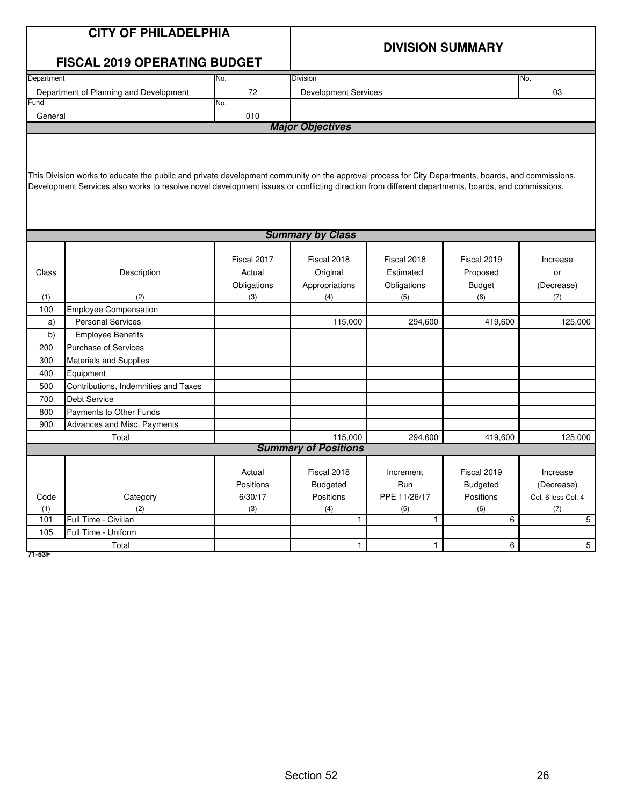|            | <b>CITY OF PHILADELPHIA</b>                                                                                                                        |             |                                        |              |                         |                    |  |  |  |  |  |
|------------|----------------------------------------------------------------------------------------------------------------------------------------------------|-------------|----------------------------------------|--------------|-------------------------|--------------------|--|--|--|--|--|
|            |                                                                                                                                                    |             |                                        |              |                         |                    |  |  |  |  |  |
|            |                                                                                                                                                    |             |                                        |              | <b>DIVISION SUMMARY</b> |                    |  |  |  |  |  |
|            | <b>FISCAL 2019 OPERATING BUDGET</b>                                                                                                                |             |                                        |              |                         |                    |  |  |  |  |  |
| Department |                                                                                                                                                    | No.         | Division                               |              |                         | No.                |  |  |  |  |  |
|            | Department of Planning and Development                                                                                                             | 72          | <b>Development Services</b>            |              |                         | 03                 |  |  |  |  |  |
| Fund       |                                                                                                                                                    | No.         |                                        |              |                         |                    |  |  |  |  |  |
| General    |                                                                                                                                                    | 010         | <b>Major Objectives</b>                |              |                         |                    |  |  |  |  |  |
|            |                                                                                                                                                    |             |                                        |              |                         |                    |  |  |  |  |  |
|            |                                                                                                                                                    |             |                                        |              |                         |                    |  |  |  |  |  |
|            |                                                                                                                                                    |             |                                        |              |                         |                    |  |  |  |  |  |
|            | This Division works to educate the public and private development community on the approval process for City Departments, boards, and commissions. |             |                                        |              |                         |                    |  |  |  |  |  |
|            | Development Services also works to resolve novel development issues or conflicting direction from different departments, boards, and commissions.  |             |                                        |              |                         |                    |  |  |  |  |  |
|            |                                                                                                                                                    |             |                                        |              |                         |                    |  |  |  |  |  |
|            |                                                                                                                                                    |             |                                        |              |                         |                    |  |  |  |  |  |
|            |                                                                                                                                                    |             |                                        |              |                         |                    |  |  |  |  |  |
|            | <b>Summary by Class</b>                                                                                                                            |             |                                        |              |                         |                    |  |  |  |  |  |
|            |                                                                                                                                                    |             |                                        |              |                         |                    |  |  |  |  |  |
|            |                                                                                                                                                    | Fiscal 2017 | Fiscal 2018                            | Fiscal 2018  | Fiscal 2019             | Increase           |  |  |  |  |  |
| Class      | Description                                                                                                                                        | Actual      | Original                               | Estimated    | Proposed                | or                 |  |  |  |  |  |
|            |                                                                                                                                                    | Obligations | Appropriations                         | Obligations  | <b>Budget</b>           | (Decrease)         |  |  |  |  |  |
| (1)        | (2)                                                                                                                                                | (3)         | (4)                                    | (5)          | (6)                     | (7)                |  |  |  |  |  |
| 100        | <b>Employee Compensation</b>                                                                                                                       |             |                                        |              |                         |                    |  |  |  |  |  |
| a)         | <b>Personal Services</b>                                                                                                                           |             | 115,000                                | 294,600      | 419,600                 | 125,000            |  |  |  |  |  |
| b)         | <b>Employee Benefits</b>                                                                                                                           |             |                                        |              |                         |                    |  |  |  |  |  |
| 200        | <b>Purchase of Services</b>                                                                                                                        |             |                                        |              |                         |                    |  |  |  |  |  |
| 300        | Materials and Supplies                                                                                                                             |             |                                        |              |                         |                    |  |  |  |  |  |
| 400        | Equipment                                                                                                                                          |             |                                        |              |                         |                    |  |  |  |  |  |
| 500        | Contributions, Indemnities and Taxes                                                                                                               |             |                                        |              |                         |                    |  |  |  |  |  |
| 700        | <b>Debt Service</b>                                                                                                                                |             |                                        |              |                         |                    |  |  |  |  |  |
| 800        | Payments to Other Funds                                                                                                                            |             |                                        |              |                         |                    |  |  |  |  |  |
| 900        | Advances and Misc. Payments                                                                                                                        |             |                                        |              |                         |                    |  |  |  |  |  |
|            | Total                                                                                                                                              |             | 115,000<br><b>Summary of Positions</b> | 294,600      | 419,600                 | 125,000            |  |  |  |  |  |
|            |                                                                                                                                                    |             |                                        |              |                         |                    |  |  |  |  |  |
|            |                                                                                                                                                    | Actual      | Fiscal 2018                            | Increment    | Fiscal 2019             | Increase           |  |  |  |  |  |
|            |                                                                                                                                                    | Positions   | <b>Budgeted</b>                        | Run          | <b>Budgeted</b>         | (Decrease)         |  |  |  |  |  |
| Code       | Category                                                                                                                                           | 6/30/17     | Positions                              | PPE 11/26/17 | Positions               | Col. 6 less Col. 4 |  |  |  |  |  |
| (1)        | (2)                                                                                                                                                | (3)         | (4)                                    | (5)          | (6)                     | (7)                |  |  |  |  |  |
| 101        | Full Time - Civilian                                                                                                                               |             | $\mathbf{1}$                           | $\mathbf{1}$ | 6                       | 5                  |  |  |  |  |  |
| 105        | Full Time - Uniform                                                                                                                                |             |                                        |              |                         |                    |  |  |  |  |  |
|            | Total<br>$\mathbf{1}$<br>6<br>5<br>$\mathbf{1}$                                                                                                    |             |                                        |              |                         |                    |  |  |  |  |  |

**71-53F**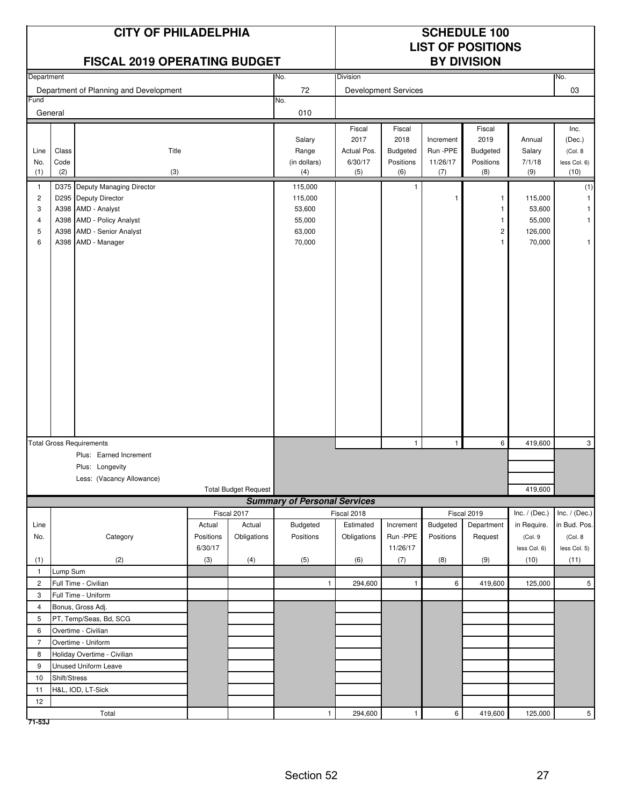|                         |              | <b>CITY OF PHILADELPHIA</b><br><b>FISCAL 2019 OPERATING BUDGET</b><br>Department |           |                             |                                     | <b>SCHEDULE 100</b><br><b>LIST OF POSITIONS</b><br><b>BY DIVISION</b> |                             |                 |                         |                 |                      |
|-------------------------|--------------|----------------------------------------------------------------------------------|-----------|-----------------------------|-------------------------------------|-----------------------------------------------------------------------|-----------------------------|-----------------|-------------------------|-----------------|----------------------|
|                         |              |                                                                                  |           |                             | No.                                 | Division                                                              |                             |                 |                         |                 | No.                  |
|                         |              | Department of Planning and Development                                           |           |                             | 72                                  |                                                                       | <b>Development Services</b> |                 |                         |                 | 03                   |
| Fund                    |              |                                                                                  |           |                             | No.                                 |                                                                       |                             |                 |                         |                 |                      |
|                         | General      |                                                                                  |           |                             | 010                                 |                                                                       |                             |                 |                         |                 |                      |
|                         |              |                                                                                  |           |                             |                                     | Fiscal                                                                | Fiscal                      |                 | Fiscal                  |                 | Inc.                 |
|                         |              |                                                                                  |           |                             | Salary                              | 2017                                                                  | 2018                        | Increment       | 2019                    | Annual          | (Dec.)               |
| Line                    | Class        | Title                                                                            |           |                             | Range                               | Actual Pos.                                                           | Budgeted                    | Run -PPE        | <b>Budgeted</b>         | Salary          | (Col. 8              |
| No.<br>(1)              | Code<br>(2)  | (3)                                                                              |           |                             | (in dollars)<br>(4)                 | 6/30/17<br>(5)                                                        | Positions<br>(6)            | 11/26/17<br>(7) | Positions<br>(8)        | 7/1/18<br>(9)   | less Col. 6)<br>(10) |
| $\mathbf{1}$            |              | D375 Deputy Managing Director                                                    |           |                             | 115,000                             |                                                                       | $\mathbf{1}$                |                 |                         |                 |                      |
| $\overline{\mathbf{c}}$ |              | D295 Deputy Director                                                             |           |                             | 115,000                             |                                                                       |                             | 1               | 1                       | 115,000         | (1)                  |
| 3                       |              | A398 AMD - Analyst                                                               |           |                             | 53,600                              |                                                                       |                             |                 | 1                       | 53,600          |                      |
| 4                       |              | A398 AMD - Policy Analyst                                                        |           |                             | 55,000                              |                                                                       |                             |                 | 1                       | 55,000          | 1                    |
| 5                       |              | A398 AMD - Senior Analyst                                                        |           |                             | 63,000                              |                                                                       |                             |                 | $\overline{\mathbf{c}}$ | 126,000         |                      |
| 6                       |              | A398 AMD - Manager                                                               |           |                             | 70,000                              |                                                                       |                             |                 | 1                       | 70,000          | $\mathbf{1}$         |
|                         |              |                                                                                  |           |                             |                                     |                                                                       |                             |                 |                         |                 |                      |
|                         |              |                                                                                  |           |                             |                                     |                                                                       |                             |                 |                         |                 |                      |
|                         |              |                                                                                  |           |                             |                                     |                                                                       |                             |                 |                         |                 |                      |
|                         |              |                                                                                  |           |                             |                                     |                                                                       |                             |                 |                         |                 |                      |
|                         |              |                                                                                  |           |                             |                                     |                                                                       |                             |                 |                         |                 |                      |
|                         |              |                                                                                  |           |                             |                                     |                                                                       |                             |                 |                         |                 |                      |
|                         |              |                                                                                  |           |                             |                                     |                                                                       |                             |                 |                         |                 |                      |
|                         |              |                                                                                  |           |                             |                                     |                                                                       |                             |                 |                         |                 |                      |
|                         |              |                                                                                  |           |                             |                                     |                                                                       |                             |                 |                         |                 |                      |
|                         |              |                                                                                  |           |                             |                                     |                                                                       |                             |                 |                         |                 |                      |
|                         |              |                                                                                  |           |                             |                                     |                                                                       |                             |                 |                         |                 |                      |
|                         |              |                                                                                  |           |                             |                                     |                                                                       |                             |                 |                         |                 |                      |
|                         |              |                                                                                  |           |                             |                                     |                                                                       |                             |                 |                         |                 |                      |
|                         |              |                                                                                  |           |                             |                                     |                                                                       |                             |                 |                         |                 |                      |
|                         |              |                                                                                  |           |                             |                                     |                                                                       |                             |                 |                         |                 |                      |
|                         |              |                                                                                  |           |                             |                                     |                                                                       |                             |                 |                         |                 |                      |
|                         |              |                                                                                  |           |                             |                                     |                                                                       |                             |                 |                         |                 |                      |
|                         |              | <b>Total Gross Requirements</b>                                                  |           |                             |                                     |                                                                       | $\mathbf{1}$                | $\mathbf{1}$    | 6                       | 419,600         | 3                    |
|                         |              | Plus: Earned Increment                                                           |           |                             |                                     |                                                                       |                             |                 |                         |                 |                      |
|                         |              | Plus: Longevity                                                                  |           |                             |                                     |                                                                       |                             |                 |                         |                 |                      |
|                         |              | Less: (Vacancy Allowance)                                                        |           |                             |                                     |                                                                       |                             |                 |                         |                 |                      |
|                         |              |                                                                                  |           | <b>Total Budget Request</b> |                                     |                                                                       |                             |                 |                         | 419,600         |                      |
|                         |              |                                                                                  |           |                             | <b>Summary of Personal Services</b> |                                                                       |                             |                 |                         |                 |                      |
|                         |              |                                                                                  |           | Fiscal 2017                 |                                     | Fiscal 2018                                                           |                             |                 | Fiscal 2019             | Inc. $/$ (Dec.) | Inc. $/$ (Dec.)      |
| Line                    |              |                                                                                  | Actual    | Actual                      | Budgeted                            | Estimated                                                             | Increment                   | Budgeted        | Department              | in Require.     | in Bud. Pos.         |
| No.                     |              | Category                                                                         | Positions | Obligations                 | Positions                           | Obligations                                                           | Run -PPE                    | Positions       | Request                 | (Col.9          | (Col. 8              |
|                         |              |                                                                                  | 6/30/17   |                             |                                     |                                                                       | 11/26/17                    |                 |                         | less Col. 6)    | less Col. 5)         |
| (1)                     |              | (2)                                                                              | (3)       | (4)                         | (5)                                 | (6)                                                                   | (7)                         | (8)             | (9)                     | (10)            | (11)                 |
| $\mathbf{1}$            | Lump Sum     |                                                                                  |           |                             |                                     |                                                                       |                             |                 |                         |                 |                      |
| $\overline{2}$          |              | Full Time - Civilian                                                             |           |                             | 1                                   | 294,600                                                               | $\mathbf{1}$                | 6               | 419,600                 | 125,000         | 5                    |
| 3                       |              | Full Time - Uniform                                                              |           |                             |                                     |                                                                       |                             |                 |                         |                 |                      |
| $\overline{4}$          |              | Bonus, Gross Adj.                                                                |           |                             |                                     |                                                                       |                             |                 |                         |                 |                      |
| 5                       |              | PT, Temp/Seas, Bd, SCG                                                           |           |                             |                                     |                                                                       |                             |                 |                         |                 |                      |
| 6                       |              | Overtime - Civilian                                                              |           |                             |                                     |                                                                       |                             |                 |                         |                 |                      |
| $\overline{7}$          |              | Overtime - Uniform                                                               |           |                             |                                     |                                                                       |                             |                 |                         |                 |                      |
| 8                       |              | Holiday Overtime - Civilian                                                      |           |                             |                                     |                                                                       |                             |                 |                         |                 |                      |
| 9                       |              | Unused Uniform Leave                                                             |           |                             |                                     |                                                                       |                             |                 |                         |                 |                      |
| $10$                    | Shift/Stress |                                                                                  |           |                             |                                     |                                                                       |                             |                 |                         |                 |                      |
| 11                      |              | H&L, IOD, LT-Sick                                                                |           |                             |                                     |                                                                       |                             |                 |                         |                 |                      |
| 12                      |              |                                                                                  |           |                             |                                     |                                                                       |                             |                 |                         |                 |                      |
|                         |              | Total                                                                            |           |                             | $\mathbf{1}$                        | 294,600                                                               | 1                           | $\,$ 6 $\,$     | 419,600                 | 125,000         | 5 <sup>5</sup>       |

**71-53J**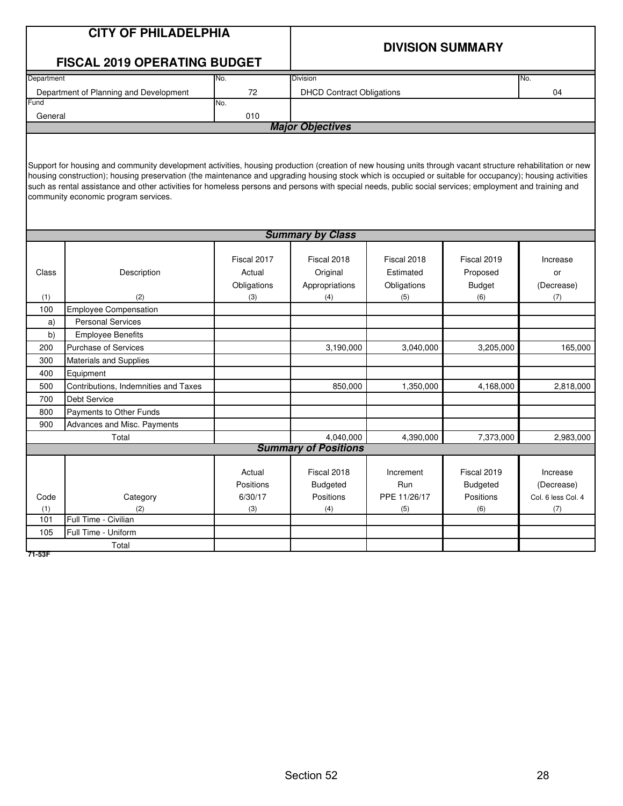|            | <b>CITY OF PHILADELPHIA</b>                                                                                                                                                                     |             |                                          |              |                         |                    |  |  |
|------------|-------------------------------------------------------------------------------------------------------------------------------------------------------------------------------------------------|-------------|------------------------------------------|--------------|-------------------------|--------------------|--|--|
|            |                                                                                                                                                                                                 |             |                                          |              | <b>DIVISION SUMMARY</b> |                    |  |  |
|            | <b>FISCAL 2019 OPERATING BUDGET</b>                                                                                                                                                             |             |                                          |              |                         |                    |  |  |
| Department |                                                                                                                                                                                                 | No.         | <b>Division</b>                          |              |                         | No.                |  |  |
|            | Department of Planning and Development                                                                                                                                                          | 72          | <b>DHCD Contract Obligations</b>         |              |                         | 04                 |  |  |
| Fund       |                                                                                                                                                                                                 | No.         |                                          |              |                         |                    |  |  |
| General    |                                                                                                                                                                                                 | 010         | <b>Major Objectives</b>                  |              |                         |                    |  |  |
|            |                                                                                                                                                                                                 |             |                                          |              |                         |                    |  |  |
|            |                                                                                                                                                                                                 |             |                                          |              |                         |                    |  |  |
|            | Support for housing and community development activities, housing production (creation of new housing units through vacant structure rehabilitation or new                                      |             |                                          |              |                         |                    |  |  |
|            | housing construction); housing preservation (the maintenance and upgrading housing stock which is occupied or suitable for occupancy); housing activities                                       |             |                                          |              |                         |                    |  |  |
|            | such as rental assistance and other activities for homeless persons and persons with special needs, public social services; employment and training and<br>community economic program services. |             |                                          |              |                         |                    |  |  |
|            |                                                                                                                                                                                                 |             |                                          |              |                         |                    |  |  |
|            |                                                                                                                                                                                                 |             |                                          |              |                         |                    |  |  |
|            | <b>Summary by Class</b>                                                                                                                                                                         |             |                                          |              |                         |                    |  |  |
|            |                                                                                                                                                                                                 |             |                                          |              |                         |                    |  |  |
|            |                                                                                                                                                                                                 | Fiscal 2017 | Fiscal 2018                              | Fiscal 2018  | Fiscal 2019             | Increase           |  |  |
| Class      | Description                                                                                                                                                                                     | Actual      | Original                                 | Estimated    | Proposed                | or                 |  |  |
|            |                                                                                                                                                                                                 | Obligations | Appropriations                           | Obligations  | <b>Budget</b>           | (Decrease)         |  |  |
| (1)        | (2)                                                                                                                                                                                             | (3)         | (4)                                      | (5)          | (6)                     | (7)                |  |  |
| 100        | <b>Employee Compensation</b>                                                                                                                                                                    |             |                                          |              |                         |                    |  |  |
| a)         | <b>Personal Services</b>                                                                                                                                                                        |             |                                          |              |                         |                    |  |  |
| b)         | <b>Employee Benefits</b>                                                                                                                                                                        |             |                                          |              |                         |                    |  |  |
| 200        | <b>Purchase of Services</b>                                                                                                                                                                     |             | 3,190,000                                | 3,040,000    | 3,205,000               | 165,000            |  |  |
| 300        | <b>Materials and Supplies</b>                                                                                                                                                                   |             |                                          |              |                         |                    |  |  |
| 400        | Equipment                                                                                                                                                                                       |             |                                          |              |                         |                    |  |  |
| 500        | Contributions, Indemnities and Taxes                                                                                                                                                            |             | 850,000                                  | 1,350,000    | 4,168,000               | 2,818,000          |  |  |
| 700        | <b>Debt Service</b>                                                                                                                                                                             |             |                                          |              |                         |                    |  |  |
| 800        | Payments to Other Funds                                                                                                                                                                         |             |                                          |              |                         |                    |  |  |
| 900        | Advances and Misc. Payments                                                                                                                                                                     |             |                                          |              |                         |                    |  |  |
|            | Total                                                                                                                                                                                           |             | 4,040,000<br><b>Summary of Positions</b> | 4.390.000    | 7,373,000               | 2,983,000          |  |  |
|            |                                                                                                                                                                                                 |             |                                          |              |                         |                    |  |  |
|            |                                                                                                                                                                                                 | Actual      | Fiscal 2018                              | Increment    | Fiscal 2019             | Increase           |  |  |
|            |                                                                                                                                                                                                 | Positions   | <b>Budgeted</b>                          | Run          | <b>Budgeted</b>         | (Decrease)         |  |  |
| Code       | Category                                                                                                                                                                                        | 6/30/17     | Positions                                | PPE 11/26/17 | Positions               | Col. 6 less Col. 4 |  |  |
| (1)        | (2)                                                                                                                                                                                             | (3)         | (4)                                      | (5)          | (6)                     | (7)                |  |  |
| 101        | Full Time - Civilian                                                                                                                                                                            |             |                                          |              |                         |                    |  |  |
| 105        | Full Time - Uniform                                                                                                                                                                             |             |                                          |              |                         |                    |  |  |
|            | Total                                                                                                                                                                                           |             |                                          |              |                         |                    |  |  |
| 71-53F     |                                                                                                                                                                                                 |             |                                          |              |                         |                    |  |  |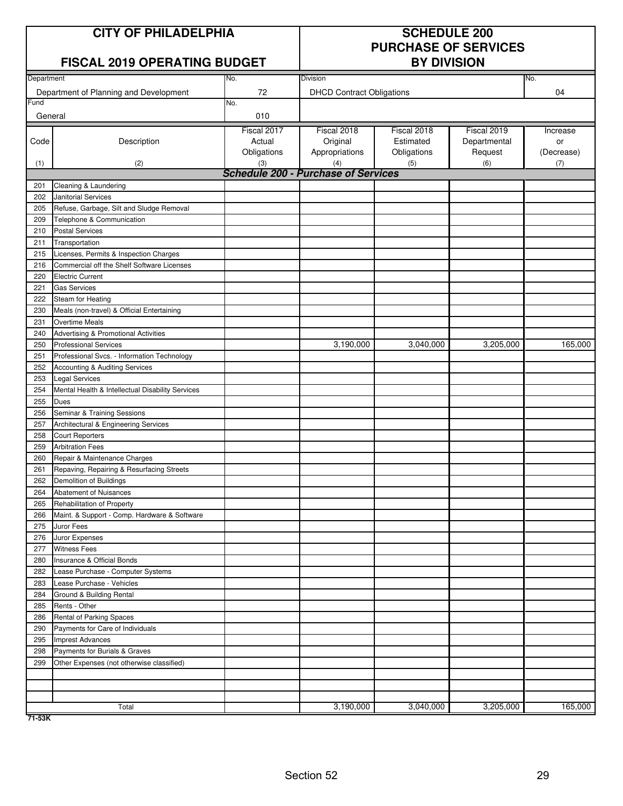| <b>CITY OF PHILADELPHIA</b> |  |  |  |  |
|-----------------------------|--|--|--|--|
|-----------------------------|--|--|--|--|

### **FISCAL 2019 OPERATING BUDGET**

# **SCHEDULE 200 PURCHASE OF SERVICES**

| Department |                                                                            | No.         | Division                                          |             |              | No.        |
|------------|----------------------------------------------------------------------------|-------------|---------------------------------------------------|-------------|--------------|------------|
|            | Department of Planning and Development                                     | 72          | <b>DHCD Contract Obligations</b>                  |             |              | 04         |
| Fund       |                                                                            | No.         |                                                   |             |              |            |
| General    |                                                                            | 010         |                                                   |             |              |            |
|            |                                                                            | Fiscal 2017 | Fiscal 2018                                       | Fiscal 2018 | Fiscal 2019  | Increase   |
| Code       | Description                                                                | Actual      | Original                                          | Estimated   | Departmental | or         |
|            |                                                                            | Obligations | Appropriations                                    | Obligations | Request      | (Decrease) |
| (1)        | (2)                                                                        | (3)         | (4)<br><b>Schedule 200 - Purchase of Services</b> | (5)         | (6)          | (7)        |
| 201        | Cleaning & Laundering                                                      |             |                                                   |             |              |            |
| 202        | Janitorial Services                                                        |             |                                                   |             |              |            |
| 205        | Refuse, Garbage, Silt and Sludge Removal                                   |             |                                                   |             |              |            |
| 209        | Telephone & Communication                                                  |             |                                                   |             |              |            |
| 210        | <b>Postal Services</b>                                                     |             |                                                   |             |              |            |
| 211        | Transportation                                                             |             |                                                   |             |              |            |
| 215        | Licenses, Permits & Inspection Charges                                     |             |                                                   |             |              |            |
| 216        | Commercial off the Shelf Software Licenses                                 |             |                                                   |             |              |            |
| 220        | <b>Electric Current</b>                                                    |             |                                                   |             |              |            |
| 221        | <b>Gas Services</b>                                                        |             |                                                   |             |              |            |
| 222        | Steam for Heating                                                          |             |                                                   |             |              |            |
| 230        | Meals (non-travel) & Official Entertaining                                 |             |                                                   |             |              |            |
| 231        | <b>Overtime Meals</b>                                                      |             |                                                   |             |              |            |
| 240        | Advertising & Promotional Activities                                       |             |                                                   |             |              |            |
| 250        | <b>Professional Services</b>                                               |             | 3,190,000                                         | 3,040,000   | 3,205,000    | 165,000    |
| 251        | Professional Svcs. - Information Technology                                |             |                                                   |             |              |            |
| 252        | Accounting & Auditing Services                                             |             |                                                   |             |              |            |
| 253        | <b>Legal Services</b>                                                      |             |                                                   |             |              |            |
| 254        | Mental Health & Intellectual Disability Services                           |             |                                                   |             |              |            |
| 255        | Dues                                                                       |             |                                                   |             |              |            |
| 256        | Seminar & Training Sessions                                                |             |                                                   |             |              |            |
| 257        | Architectural & Engineering Services                                       |             |                                                   |             |              |            |
| 258        | <b>Court Reporters</b>                                                     |             |                                                   |             |              |            |
| 259        | <b>Arbitration Fees</b>                                                    |             |                                                   |             |              |            |
| 260        | Repair & Maintenance Charges                                               |             |                                                   |             |              |            |
| 261        | Repaving, Repairing & Resurfacing Streets                                  |             |                                                   |             |              |            |
| 262        | Demolition of Buildings                                                    |             |                                                   |             |              |            |
| 264        | Abatement of Nuisances                                                     |             |                                                   |             |              |            |
| 265<br>266 | Rehabilitation of Property<br>Maint. & Support - Comp. Hardware & Software |             |                                                   |             |              |            |
| 275        | Juror Fees                                                                 |             |                                                   |             |              |            |
| 276        | Juror Expenses                                                             |             |                                                   |             |              |            |
| 277        | <b>Witness Fees</b>                                                        |             |                                                   |             |              |            |
| 280        | Insurance & Official Bonds                                                 |             |                                                   |             |              |            |
| 282        | Lease Purchase - Computer Systems                                          |             |                                                   |             |              |            |
| 283        | Lease Purchase - Vehicles                                                  |             |                                                   |             |              |            |
| 284        | Ground & Building Rental                                                   |             |                                                   |             |              |            |
| 285        | Rents - Other                                                              |             |                                                   |             |              |            |
| 286        | Rental of Parking Spaces                                                   |             |                                                   |             |              |            |
| 290        | Payments for Care of Individuals                                           |             |                                                   |             |              |            |
| 295        | <b>Imprest Advances</b>                                                    |             |                                                   |             |              |            |
| 298        | Payments for Burials & Graves                                              |             |                                                   |             |              |            |
| 299        | Other Expenses (not otherwise classified)                                  |             |                                                   |             |              |            |
|            |                                                                            |             |                                                   |             |              |            |
|            |                                                                            |             |                                                   |             |              |            |
|            |                                                                            |             |                                                   |             |              |            |
|            | Total                                                                      |             | 3,190,000                                         | 3,040,000   | 3,205,000    | 165,000    |

**71-53K**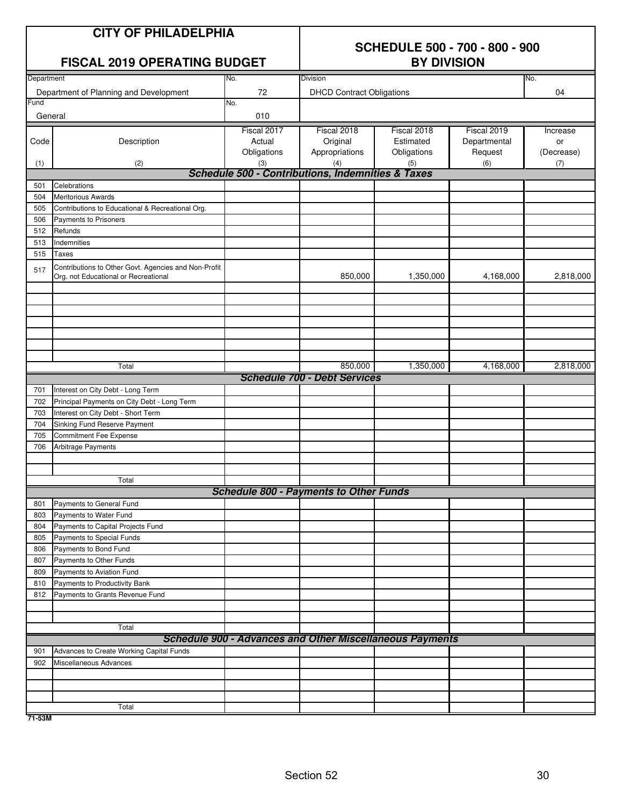| <b>CITY OF PHILADELPHIA</b><br><b>FISCAL 2019 OPERATING BUDGET</b><br>Department |                                                                                              |                                      | <b>SCHEDULE 500 - 700 - 800 - 900</b><br><b>BY DIVISION</b><br><b>Division</b><br>No. |                                         |                                        |                              |
|----------------------------------------------------------------------------------|----------------------------------------------------------------------------------------------|--------------------------------------|---------------------------------------------------------------------------------------|-----------------------------------------|----------------------------------------|------------------------------|
|                                                                                  |                                                                                              | No.                                  |                                                                                       |                                         |                                        |                              |
| Fund                                                                             | Department of Planning and Development                                                       | 72<br>No.                            | <b>DHCD Contract Obligations</b>                                                      |                                         |                                        | 04                           |
| General                                                                          |                                                                                              | 010                                  |                                                                                       |                                         |                                        |                              |
| Code                                                                             | Description                                                                                  | Fiscal 2017<br>Actual<br>Obligations | Fiscal 2018<br>Original<br>Appropriations                                             | Fiscal 2018<br>Estimated<br>Obligations | Fiscal 2019<br>Departmental<br>Request | Increase<br>or<br>(Decrease) |
| (1)                                                                              | (2)                                                                                          | (3)                                  | (4)                                                                                   | (5)                                     | (6)                                    | (7)                          |
|                                                                                  |                                                                                              |                                      | <b>Schedule 500 - Contributions, Indemnities &amp; Taxes</b>                          |                                         |                                        |                              |
| 501                                                                              | Celebrations                                                                                 |                                      |                                                                                       |                                         |                                        |                              |
| 504                                                                              | <b>Meritorious Awards</b>                                                                    |                                      |                                                                                       |                                         |                                        |                              |
| 505                                                                              | Contributions to Educational & Recreational Org.                                             |                                      |                                                                                       |                                         |                                        |                              |
| 506<br>512                                                                       | Payments to Prisoners<br>Refunds                                                             |                                      |                                                                                       |                                         |                                        |                              |
| 513                                                                              | Indemnities                                                                                  |                                      |                                                                                       |                                         |                                        |                              |
| 515                                                                              | Taxes                                                                                        |                                      |                                                                                       |                                         |                                        |                              |
| 517                                                                              | Contributions to Other Govt. Agencies and Non-Profit<br>Org. not Educational or Recreational |                                      | 850,000                                                                               | 1,350,000                               | 4,168,000                              | 2,818,000                    |
|                                                                                  |                                                                                              |                                      |                                                                                       |                                         |                                        |                              |
|                                                                                  |                                                                                              |                                      |                                                                                       |                                         |                                        |                              |
|                                                                                  | Total                                                                                        |                                      | 850,000                                                                               | 1,350,000                               | 4,168,000                              | 2,818,000                    |
|                                                                                  |                                                                                              |                                      | <b>Schedule 700 - Debt Services</b>                                                   |                                         |                                        |                              |
| 701                                                                              | Interest on City Debt - Long Term                                                            |                                      |                                                                                       |                                         |                                        |                              |
| 702                                                                              | Principal Payments on City Debt - Long Term                                                  |                                      |                                                                                       |                                         |                                        |                              |
| 703                                                                              | Interest on City Debt - Short Term                                                           |                                      |                                                                                       |                                         |                                        |                              |
| 704                                                                              | Sinking Fund Reserve Payment                                                                 |                                      |                                                                                       |                                         |                                        |                              |
| 705                                                                              | Commitment Fee Expense                                                                       |                                      |                                                                                       |                                         |                                        |                              |
| 706                                                                              | Arbitrage Payments                                                                           |                                      |                                                                                       |                                         |                                        |                              |
|                                                                                  | Total                                                                                        |                                      |                                                                                       |                                         |                                        |                              |
|                                                                                  |                                                                                              |                                      | <b>Schedule 800 - Payments to Other Funds</b>                                         |                                         |                                        |                              |
| 801                                                                              | Payments to General Fund                                                                     |                                      |                                                                                       |                                         |                                        |                              |
| 803                                                                              | Payments to Water Fund                                                                       |                                      |                                                                                       |                                         |                                        |                              |
| 804                                                                              | Payments to Capital Projects Fund                                                            |                                      |                                                                                       |                                         |                                        |                              |
| 805                                                                              | Payments to Special Funds                                                                    |                                      |                                                                                       |                                         |                                        |                              |
| 806                                                                              | Payments to Bond Fund                                                                        |                                      |                                                                                       |                                         |                                        |                              |
| 807                                                                              | Payments to Other Funds                                                                      |                                      |                                                                                       |                                         |                                        |                              |
| 809                                                                              | Payments to Aviation Fund                                                                    |                                      |                                                                                       |                                         |                                        |                              |
| 810                                                                              | Payments to Productivity Bank                                                                |                                      |                                                                                       |                                         |                                        |                              |
| 812                                                                              | Payments to Grants Revenue Fund                                                              |                                      |                                                                                       |                                         |                                        |                              |
|                                                                                  |                                                                                              |                                      |                                                                                       |                                         |                                        |                              |
|                                                                                  | Total                                                                                        |                                      |                                                                                       |                                         |                                        |                              |
|                                                                                  |                                                                                              |                                      | <b>Schedule 900 - Advances and Other Miscellaneous Payments</b>                       |                                         |                                        |                              |
| 901                                                                              | Advances to Create Working Capital Funds                                                     |                                      |                                                                                       |                                         |                                        |                              |
| 902                                                                              | Miscellaneous Advances                                                                       |                                      |                                                                                       |                                         |                                        |                              |
|                                                                                  |                                                                                              |                                      |                                                                                       |                                         |                                        |                              |
|                                                                                  |                                                                                              |                                      |                                                                                       |                                         |                                        |                              |
|                                                                                  |                                                                                              |                                      |                                                                                       |                                         |                                        |                              |
|                                                                                  | Total                                                                                        |                                      |                                                                                       |                                         |                                        |                              |

**71-53M**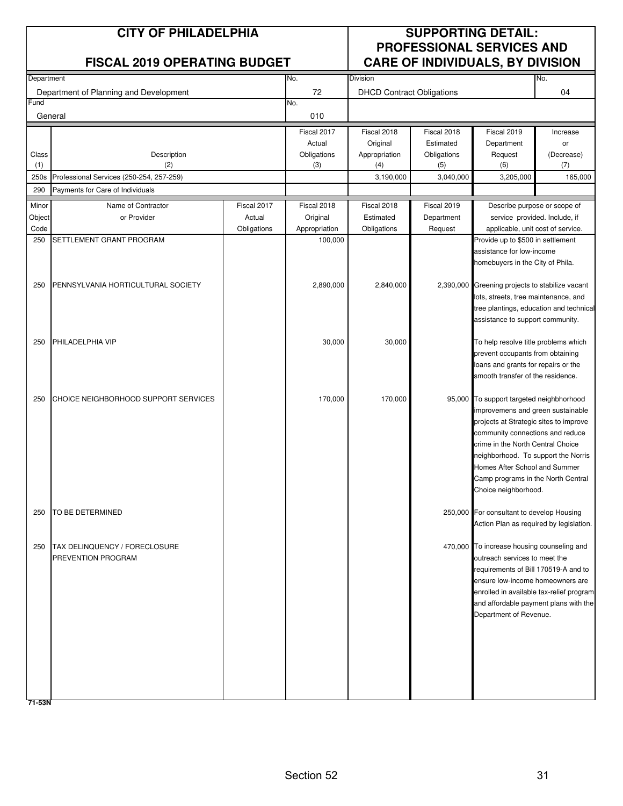| <b>CITY OF PHILADELPHIA</b><br><b>FISCAL 2019 OPERATING BUDGET</b> |                                          |             |                          | <b>SUPPORTING DETAIL:</b><br><b>PROFESSIONAL SERVICES AND</b><br><b>CARE OF INDIVIDUALS, BY DIVISION</b> |                    |                                                                             |                   |
|--------------------------------------------------------------------|------------------------------------------|-------------|--------------------------|----------------------------------------------------------------------------------------------------------|--------------------|-----------------------------------------------------------------------------|-------------------|
| Department                                                         |                                          |             | No.                      | <b>Division</b>                                                                                          |                    |                                                                             | No.               |
| Fund                                                               | Department of Planning and Development   |             | 72<br>No.                | <b>DHCD Contract Obligations</b>                                                                         |                    |                                                                             | 04                |
|                                                                    | General                                  |             | 010                      |                                                                                                          |                    |                                                                             |                   |
|                                                                    |                                          |             | Fiscal 2017              | Fiscal 2018                                                                                              | Fiscal 2018        | Fiscal 2019                                                                 | Increase          |
|                                                                    |                                          |             | Actual                   | Original                                                                                                 | Estimated          | Department                                                                  | or                |
| Class<br>(1)                                                       | Description<br>(2)                       |             | Obligations<br>(3)       | Appropriation<br>(4)                                                                                     | Obligations<br>(5) | Request<br>(6)                                                              | (Decrease)<br>(7) |
| 250s                                                               | Professional Services (250-254, 257-259) |             |                          | 3,190,000                                                                                                | 3,040,000          | 3,205,000                                                                   | 165,000           |
| 290                                                                | Payments for Care of Individuals         |             |                          |                                                                                                          |                    |                                                                             |                   |
| Minor                                                              | Name of Contractor                       | Fiscal 2017 | Fiscal 2018              | Fiscal 2018                                                                                              | Fiscal 2019        | Describe purpose or scope of                                                |                   |
| Object                                                             | or Provider                              | Actual      | Original                 | Estimated                                                                                                | Department         | service provided. Include, if                                               |                   |
| Code<br>250                                                        | SETTLEMENT GRANT PROGRAM                 | Obligations | Appropriation<br>100,000 | Obligations                                                                                              | Request            | applicable, unit cost of service.                                           |                   |
|                                                                    |                                          |             |                          |                                                                                                          |                    | Provide up to \$500 in settlement<br>assistance for low-income              |                   |
|                                                                    |                                          |             |                          |                                                                                                          |                    | homebuyers in the City of Phila.                                            |                   |
|                                                                    |                                          |             |                          |                                                                                                          |                    |                                                                             |                   |
| 250                                                                | PENNSYLVANIA HORTICULTURAL SOCIETY       |             | 2,890,000                | 2,840,000                                                                                                |                    | 2,390,000 Greening projects to stabilize vacant                             |                   |
|                                                                    |                                          |             |                          |                                                                                                          |                    | lots, streets, tree maintenance, and                                        |                   |
|                                                                    |                                          |             |                          |                                                                                                          |                    | tree plantings, education and technical<br>assistance to support community. |                   |
|                                                                    |                                          |             |                          |                                                                                                          |                    |                                                                             |                   |
| 250                                                                | PHILADELPHIA VIP                         |             | 30,000                   | 30,000                                                                                                   |                    | To help resolve title problems which                                        |                   |
|                                                                    |                                          |             |                          |                                                                                                          |                    | prevent occupants from obtaining                                            |                   |
|                                                                    |                                          |             |                          |                                                                                                          |                    | loans and grants for repairs or the                                         |                   |
|                                                                    |                                          |             |                          |                                                                                                          |                    | smooth transfer of the residence.                                           |                   |
| 250                                                                | CHOICE NEIGHBORHOOD SUPPORT SERVICES     |             | 170,000                  | 170,000                                                                                                  |                    | 95,000 To support targeted neighbhorhood                                    |                   |
|                                                                    |                                          |             |                          |                                                                                                          |                    | improvemens and green sustainable                                           |                   |
|                                                                    |                                          |             |                          |                                                                                                          |                    | projects at Strategic sites to improve                                      |                   |
|                                                                    |                                          |             |                          |                                                                                                          |                    | community connections and reduce                                            |                   |
|                                                                    |                                          |             |                          |                                                                                                          |                    | crime in the North Central Choice                                           |                   |
|                                                                    |                                          |             |                          |                                                                                                          |                    | neighborhood. To support the Norris<br>Homes After School and Summer        |                   |
|                                                                    |                                          |             |                          |                                                                                                          |                    | Camp programs in the North Central                                          |                   |
|                                                                    |                                          |             |                          |                                                                                                          |                    | Choice neighborhood.                                                        |                   |
| 250                                                                | TO BE DETERMINED                         |             |                          |                                                                                                          |                    | 250,000 For consultant to develop Housing                                   |                   |
|                                                                    |                                          |             |                          |                                                                                                          |                    | Action Plan as required by legislation.                                     |                   |
|                                                                    |                                          |             |                          |                                                                                                          |                    |                                                                             |                   |
| 250                                                                | <b>TAX DELINQUENCY / FORECLOSURE</b>     |             |                          |                                                                                                          |                    | 470,000 To increase housing counseling and                                  |                   |
|                                                                    | PREVENTION PROGRAM                       |             |                          |                                                                                                          |                    | outreach services to meet the<br>requirements of Bill 170519-A and to       |                   |
|                                                                    |                                          |             |                          |                                                                                                          |                    | ensure low-income homeowners are                                            |                   |
|                                                                    |                                          |             |                          |                                                                                                          |                    | enrolled in available tax-relief program                                    |                   |
|                                                                    |                                          |             |                          |                                                                                                          |                    | and affordable payment plans with the                                       |                   |
|                                                                    |                                          |             |                          |                                                                                                          |                    | Department of Revenue.                                                      |                   |
|                                                                    |                                          |             |                          |                                                                                                          |                    |                                                                             |                   |
|                                                                    |                                          |             |                          |                                                                                                          |                    |                                                                             |                   |
|                                                                    |                                          |             |                          |                                                                                                          |                    |                                                                             |                   |
|                                                                    |                                          |             |                          |                                                                                                          |                    |                                                                             |                   |
|                                                                    |                                          |             |                          |                                                                                                          |                    |                                                                             |                   |
| 71-53N                                                             |                                          |             |                          |                                                                                                          |                    |                                                                             |                   |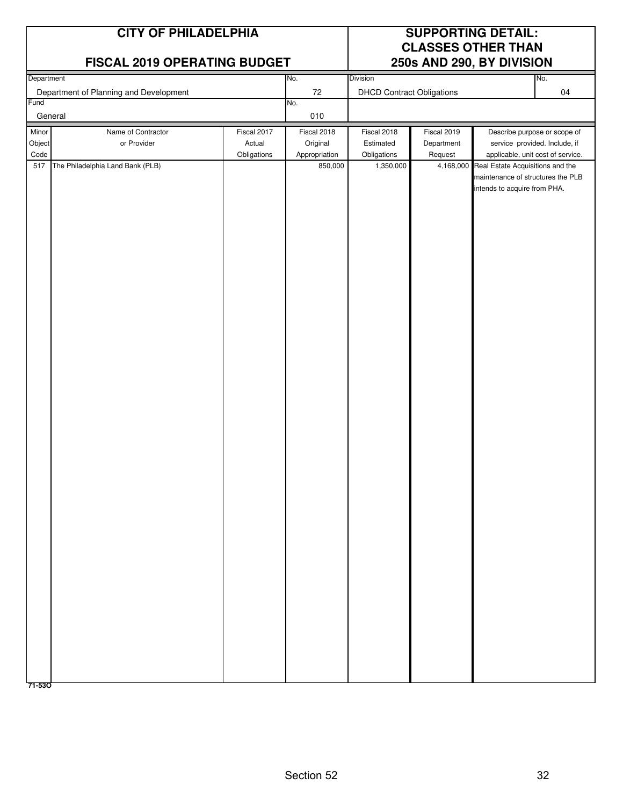|                                        | <b>CITY OF PHILADELPHIA</b><br>FISCAL 2019 OPERATING BUDGET                                                     |                                      | <b>SUPPORTING DETAIL:</b><br><b>CLASSES OTHER THAN</b><br>250s AND 290, BY DIVISION |                                                                                          |                                                   |                                                                                                                                                                                                             |     |
|----------------------------------------|-----------------------------------------------------------------------------------------------------------------|--------------------------------------|-------------------------------------------------------------------------------------|------------------------------------------------------------------------------------------|---------------------------------------------------|-------------------------------------------------------------------------------------------------------------------------------------------------------------------------------------------------------------|-----|
| Department                             |                                                                                                                 |                                      | No.                                                                                 | Division                                                                                 |                                                   |                                                                                                                                                                                                             | No. |
|                                        |                                                                                                                 |                                      |                                                                                     |                                                                                          |                                                   |                                                                                                                                                                                                             |     |
|                                        | General                                                                                                         |                                      | 010                                                                                 |                                                                                          |                                                   |                                                                                                                                                                                                             |     |
| Fund<br>Minor<br>Object<br>Code<br>517 | Department of Planning and Development<br>Name of Contractor<br>or Provider<br>The Philadelphia Land Bank (PLB) | Fiscal 2017<br>Actual<br>Obligations | 72<br>No.<br>Fiscal 2018<br>Original<br>Appropriation<br>850,000                    | <b>DHCD Contract Obligations</b><br>Fiscal 2018<br>Estimated<br>Obligations<br>1,350,000 | Fiscal 2019<br>Department<br>Request<br>4,168,000 | Describe purpose or scope of<br>service provided. Include, if<br>applicable, unit cost of service.<br>Real Estate Acquisitions and the<br>maintenance of structures the PLB<br>intends to acquire from PHA. | 04  |
|                                        |                                                                                                                 |                                      |                                                                                     |                                                                                          |                                                   |                                                                                                                                                                                                             |     |
| 71-530                                 |                                                                                                                 |                                      |                                                                                     |                                                                                          |                                                   |                                                                                                                                                                                                             |     |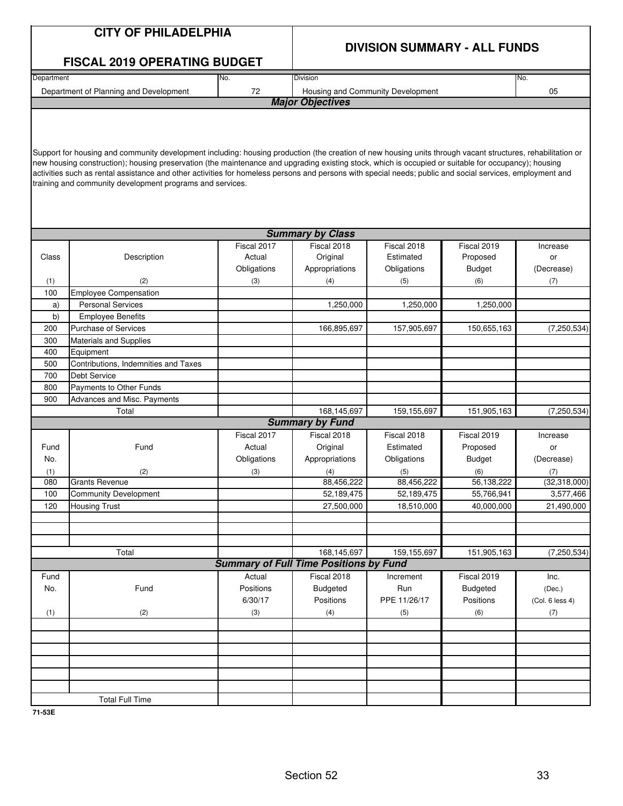|            | <b>CITY OF PHILADELPHIA</b>                                                                                                                                                                                                                                                                                                                                                                                                                                                                                                                   | <b>DIVISION SUMMARY - ALL FUNDS</b>           |                         |                                   |                 |                 |
|------------|-----------------------------------------------------------------------------------------------------------------------------------------------------------------------------------------------------------------------------------------------------------------------------------------------------------------------------------------------------------------------------------------------------------------------------------------------------------------------------------------------------------------------------------------------|-----------------------------------------------|-------------------------|-----------------------------------|-----------------|-----------------|
|            | <b>FISCAL 2019 OPERATING BUDGET</b>                                                                                                                                                                                                                                                                                                                                                                                                                                                                                                           |                                               |                         |                                   |                 |                 |
| Department |                                                                                                                                                                                                                                                                                                                                                                                                                                                                                                                                               | No.                                           | Division                |                                   |                 | No.             |
|            | Department of Planning and Development                                                                                                                                                                                                                                                                                                                                                                                                                                                                                                        | 72                                            |                         | Housing and Community Development |                 | 05              |
|            |                                                                                                                                                                                                                                                                                                                                                                                                                                                                                                                                               |                                               | <b>Major Objectives</b> |                                   |                 |                 |
|            |                                                                                                                                                                                                                                                                                                                                                                                                                                                                                                                                               |                                               |                         |                                   |                 |                 |
|            | Support for housing and community development including: housing production (the creation of new housing units through vacant structures, rehabilitation or<br>new housing construction); housing preservation (the maintenance and upgrading existing stock, which is occupied or suitable for occupancy); housing<br>activities such as rental assistance and other activities for homeless persons and persons with special needs; public and social services, employment and<br>training and community development programs and services. |                                               |                         |                                   |                 |                 |
|            |                                                                                                                                                                                                                                                                                                                                                                                                                                                                                                                                               |                                               | <b>Summary by Class</b> |                                   |                 |                 |
|            |                                                                                                                                                                                                                                                                                                                                                                                                                                                                                                                                               | Fiscal 2017                                   | Fiscal 2018             | Fiscal 2018                       | Fiscal 2019     | Increase        |
| Class      | Description                                                                                                                                                                                                                                                                                                                                                                                                                                                                                                                                   | Actual                                        | Original                | Estimated                         | Proposed        | or              |
|            |                                                                                                                                                                                                                                                                                                                                                                                                                                                                                                                                               | Obligations                                   | Appropriations          | Obligations                       | <b>Budget</b>   | (Decrease)      |
| (1)        | (2)                                                                                                                                                                                                                                                                                                                                                                                                                                                                                                                                           | (3)                                           | (4)                     | (5)                               | (6)             | (7)             |
| 100        | <b>Employee Compensation</b>                                                                                                                                                                                                                                                                                                                                                                                                                                                                                                                  |                                               |                         |                                   |                 |                 |
| a)         | <b>Personal Services</b>                                                                                                                                                                                                                                                                                                                                                                                                                                                                                                                      |                                               | 1,250,000               | 1,250,000                         | 1,250,000       |                 |
| b)         | <b>Employee Benefits</b>                                                                                                                                                                                                                                                                                                                                                                                                                                                                                                                      |                                               |                         |                                   |                 |                 |
| 200        | <b>Purchase of Services</b>                                                                                                                                                                                                                                                                                                                                                                                                                                                                                                                   |                                               | 166,895,697             | 157,905,697                       | 150,655,163     | (7, 250, 534)   |
| 300        | Materials and Supplies                                                                                                                                                                                                                                                                                                                                                                                                                                                                                                                        |                                               |                         |                                   |                 |                 |
| 400        | Equipment                                                                                                                                                                                                                                                                                                                                                                                                                                                                                                                                     |                                               |                         |                                   |                 |                 |
| 500        | Contributions, Indemnities and Taxes                                                                                                                                                                                                                                                                                                                                                                                                                                                                                                          |                                               |                         |                                   |                 |                 |
| 700        | <b>Debt Service</b>                                                                                                                                                                                                                                                                                                                                                                                                                                                                                                                           |                                               |                         |                                   |                 |                 |
| 800        | Payments to Other Funds                                                                                                                                                                                                                                                                                                                                                                                                                                                                                                                       |                                               |                         |                                   |                 |                 |
| 900        | Advances and Misc. Payments                                                                                                                                                                                                                                                                                                                                                                                                                                                                                                                   |                                               |                         |                                   |                 |                 |
|            | Total                                                                                                                                                                                                                                                                                                                                                                                                                                                                                                                                         |                                               | 168,145,697             | 159,155,697                       | 151,905,163     | (7, 250, 534)   |
|            |                                                                                                                                                                                                                                                                                                                                                                                                                                                                                                                                               |                                               | <b>Summary by Fund</b>  |                                   |                 |                 |
|            |                                                                                                                                                                                                                                                                                                                                                                                                                                                                                                                                               | Fiscal 2017                                   | Fiscal 2018             | Fiscal 2018                       | Fiscal 2019     | Increase        |
| Fund       | Fund                                                                                                                                                                                                                                                                                                                                                                                                                                                                                                                                          | Actual                                        | Original                | Estimated                         | Proposed        | or              |
| No.        |                                                                                                                                                                                                                                                                                                                                                                                                                                                                                                                                               | Obligations                                   | Appropriations          | Obligations                       | <b>Budget</b>   | (Decrease)      |
| (1)        | (2)                                                                                                                                                                                                                                                                                                                                                                                                                                                                                                                                           | (3)                                           | (4)                     | (5)                               | (6)             | (7)             |
| 080        | <b>Grants Revenue</b>                                                                                                                                                                                                                                                                                                                                                                                                                                                                                                                         |                                               | 88,456,222              | 88,456,222                        | 56,138,222      | (32,318,000)    |
| 100        | <b>Community Development</b>                                                                                                                                                                                                                                                                                                                                                                                                                                                                                                                  |                                               | 52,189,475              | 52,189,475                        | 55,766,941      | 3,577,466       |
| 120        | <b>Housing Trust</b>                                                                                                                                                                                                                                                                                                                                                                                                                                                                                                                          |                                               | 27,500,000              | 18,510,000                        | 40,000,000      | 21,490,000      |
|            |                                                                                                                                                                                                                                                                                                                                                                                                                                                                                                                                               |                                               |                         |                                   |                 |                 |
|            |                                                                                                                                                                                                                                                                                                                                                                                                                                                                                                                                               |                                               |                         |                                   |                 |                 |
|            |                                                                                                                                                                                                                                                                                                                                                                                                                                                                                                                                               |                                               |                         |                                   |                 |                 |
|            | Total                                                                                                                                                                                                                                                                                                                                                                                                                                                                                                                                         |                                               | 168,145,697             | 159,155,697                       | 151,905,163     | (7, 250, 534)   |
|            |                                                                                                                                                                                                                                                                                                                                                                                                                                                                                                                                               | <b>Summary of Full Time Positions by Fund</b> |                         |                                   |                 |                 |
| Fund       |                                                                                                                                                                                                                                                                                                                                                                                                                                                                                                                                               | Actual                                        | Fiscal 2018             | Increment                         | Fiscal 2019     | Inc.            |
| No.        | Fund                                                                                                                                                                                                                                                                                                                                                                                                                                                                                                                                          | Positions                                     | <b>Budgeted</b>         | Run                               | <b>Budgeted</b> | (Dec.)          |
|            |                                                                                                                                                                                                                                                                                                                                                                                                                                                                                                                                               | 6/30/17                                       | Positions               | PPE 11/26/17                      | Positions       | (Col. 6 less 4) |
| (1)        | (2)                                                                                                                                                                                                                                                                                                                                                                                                                                                                                                                                           | (3)                                           | (4)                     | (5)                               | (6)             | (7)             |
|            |                                                                                                                                                                                                                                                                                                                                                                                                                                                                                                                                               |                                               |                         |                                   |                 |                 |
|            |                                                                                                                                                                                                                                                                                                                                                                                                                                                                                                                                               |                                               |                         |                                   |                 |                 |
|            |                                                                                                                                                                                                                                                                                                                                                                                                                                                                                                                                               |                                               |                         |                                   |                 |                 |
|            |                                                                                                                                                                                                                                                                                                                                                                                                                                                                                                                                               |                                               |                         |                                   |                 |                 |
|            |                                                                                                                                                                                                                                                                                                                                                                                                                                                                                                                                               |                                               |                         |                                   |                 |                 |
|            |                                                                                                                                                                                                                                                                                                                                                                                                                                                                                                                                               |                                               |                         |                                   |                 |                 |
|            | <b>Total Full Time</b>                                                                                                                                                                                                                                                                                                                                                                                                                                                                                                                        |                                               |                         |                                   |                 |                 |

**71-53E**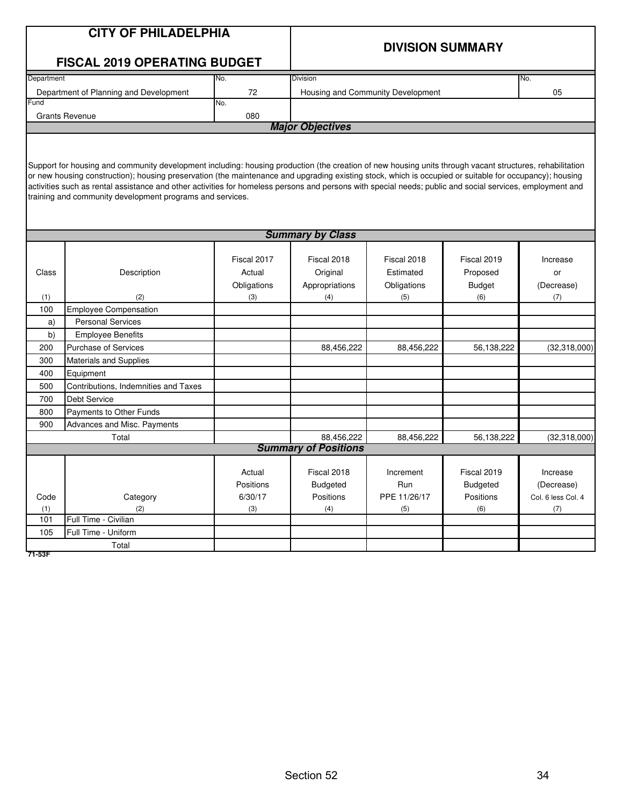|            | <b>CITY OF PHILADELPHIA</b>                                                                                                                                                                                                                                                                                          |             |                             |                                   |                         |                    |  |  |
|------------|----------------------------------------------------------------------------------------------------------------------------------------------------------------------------------------------------------------------------------------------------------------------------------------------------------------------|-------------|-----------------------------|-----------------------------------|-------------------------|--------------------|--|--|
|            |                                                                                                                                                                                                                                                                                                                      |             |                             |                                   | <b>DIVISION SUMMARY</b> |                    |  |  |
|            | <b>FISCAL 2019 OPERATING BUDGET</b>                                                                                                                                                                                                                                                                                  |             |                             |                                   |                         |                    |  |  |
| Department |                                                                                                                                                                                                                                                                                                                      | No.         | Division                    |                                   |                         | No.                |  |  |
|            | Department of Planning and Development                                                                                                                                                                                                                                                                               | 72          |                             | Housing and Community Development |                         | 05                 |  |  |
| Fund       |                                                                                                                                                                                                                                                                                                                      | No.         |                             |                                   |                         |                    |  |  |
|            | <b>Grants Revenue</b>                                                                                                                                                                                                                                                                                                | 080         |                             |                                   |                         |                    |  |  |
|            |                                                                                                                                                                                                                                                                                                                      |             | <b>Major Objectives</b>     |                                   |                         |                    |  |  |
|            |                                                                                                                                                                                                                                                                                                                      |             |                             |                                   |                         |                    |  |  |
|            |                                                                                                                                                                                                                                                                                                                      |             |                             |                                   |                         |                    |  |  |
|            | Support for housing and community development including: housing production (the creation of new housing units through vacant structures, rehabilitation                                                                                                                                                             |             |                             |                                   |                         |                    |  |  |
|            | or new housing construction); housing preservation (the maintenance and upgrading existing stock, which is occupied or suitable for occupancy); housing<br>activities such as rental assistance and other activities for homeless persons and persons with special needs; public and social services, employment and |             |                             |                                   |                         |                    |  |  |
|            | training and community development programs and services.                                                                                                                                                                                                                                                            |             |                             |                                   |                         |                    |  |  |
|            |                                                                                                                                                                                                                                                                                                                      |             |                             |                                   |                         |                    |  |  |
|            |                                                                                                                                                                                                                                                                                                                      |             |                             |                                   |                         |                    |  |  |
|            | <b>Summary by Class</b>                                                                                                                                                                                                                                                                                              |             |                             |                                   |                         |                    |  |  |
|            |                                                                                                                                                                                                                                                                                                                      |             |                             |                                   |                         |                    |  |  |
|            |                                                                                                                                                                                                                                                                                                                      | Fiscal 2017 | Fiscal 2018                 | Fiscal 2018                       | Fiscal 2019             | Increase           |  |  |
| Class      | Description                                                                                                                                                                                                                                                                                                          | Actual      | Original                    | Estimated                         | Proposed                | or                 |  |  |
|            |                                                                                                                                                                                                                                                                                                                      | Obligations | Appropriations              | Obligations                       | <b>Budget</b>           | (Decrease)         |  |  |
| (1)        | (2)                                                                                                                                                                                                                                                                                                                  | (3)         | (4)                         | (5)                               | (6)                     | (7)                |  |  |
| 100        | <b>Employee Compensation</b><br><b>Personal Services</b>                                                                                                                                                                                                                                                             |             |                             |                                   |                         |                    |  |  |
| a)<br>b)   | <b>Employee Benefits</b>                                                                                                                                                                                                                                                                                             |             |                             |                                   |                         |                    |  |  |
| 200        | <b>Purchase of Services</b>                                                                                                                                                                                                                                                                                          |             | 88,456,222                  | 88,456,222                        | 56,138,222              | (32,318,000)       |  |  |
| 300        | <b>Materials and Supplies</b>                                                                                                                                                                                                                                                                                        |             |                             |                                   |                         |                    |  |  |
| 400        | Equipment                                                                                                                                                                                                                                                                                                            |             |                             |                                   |                         |                    |  |  |
| 500        | Contributions, Indemnities and Taxes                                                                                                                                                                                                                                                                                 |             |                             |                                   |                         |                    |  |  |
| 700        | <b>Debt Service</b>                                                                                                                                                                                                                                                                                                  |             |                             |                                   |                         |                    |  |  |
| 800        | Payments to Other Funds                                                                                                                                                                                                                                                                                              |             |                             |                                   |                         |                    |  |  |
| 900        | Advances and Misc. Payments                                                                                                                                                                                                                                                                                          |             |                             |                                   |                         |                    |  |  |
|            | Total                                                                                                                                                                                                                                                                                                                |             | 88,456,222                  | 88,456,222                        | 56,138,222              | (32,318,000)       |  |  |
|            |                                                                                                                                                                                                                                                                                                                      |             | <b>Summary of Positions</b> |                                   |                         |                    |  |  |
|            |                                                                                                                                                                                                                                                                                                                      |             |                             |                                   |                         |                    |  |  |
|            |                                                                                                                                                                                                                                                                                                                      | Actual      | Fiscal 2018                 | Increment                         | Fiscal 2019             | Increase           |  |  |
|            |                                                                                                                                                                                                                                                                                                                      | Positions   | <b>Budgeted</b>             | Run                               | <b>Budgeted</b>         | (Decrease)         |  |  |
| Code       | Category                                                                                                                                                                                                                                                                                                             | 6/30/17     | Positions                   | PPE 11/26/17                      | Positions               | Col. 6 less Col. 4 |  |  |
| (1)        | (2)<br>Full Time - Civilian                                                                                                                                                                                                                                                                                          | (3)         | (4)                         | (5)                               | (6)                     | (7)                |  |  |
| 101        |                                                                                                                                                                                                                                                                                                                      |             |                             |                                   |                         |                    |  |  |
| 105        | Full Time - Uniform<br>Total                                                                                                                                                                                                                                                                                         |             |                             |                                   |                         |                    |  |  |
| 71-53F     |                                                                                                                                                                                                                                                                                                                      |             |                             |                                   |                         |                    |  |  |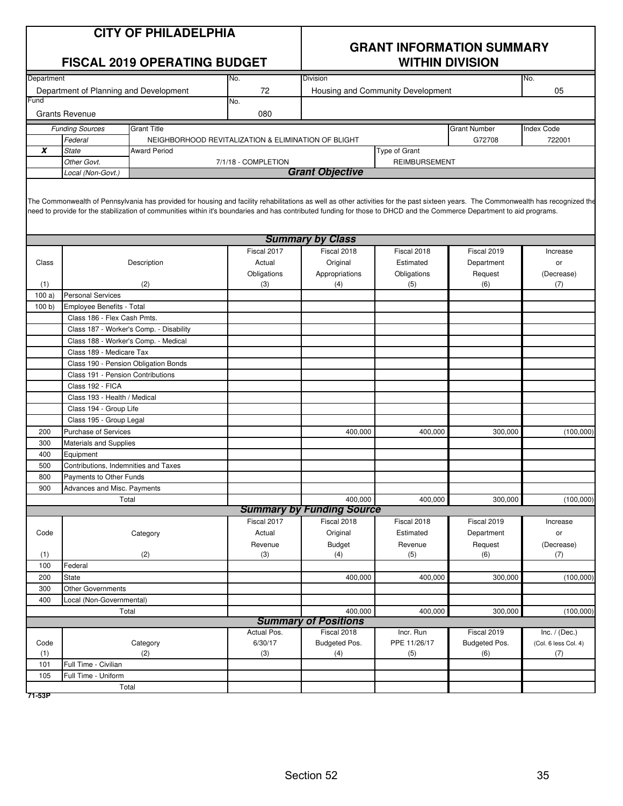| <b>CITY OF PHILADELPHIA</b> |  |  |  |  |  |
|-----------------------------|--|--|--|--|--|
|-----------------------------|--|--|--|--|--|

|            |                                         | <b>FISCAL 2019 OPERATING BUDGET</b>                                                                                                                                                                                                                                                                                                                          |                     | <b>WITHIN DIVISION</b>                      |                                   |                     |                      |
|------------|-----------------------------------------|--------------------------------------------------------------------------------------------------------------------------------------------------------------------------------------------------------------------------------------------------------------------------------------------------------------------------------------------------------------|---------------------|---------------------------------------------|-----------------------------------|---------------------|----------------------|
| Department |                                         |                                                                                                                                                                                                                                                                                                                                                              | No.                 | Division                                    |                                   |                     | No.                  |
|            | Department of Planning and Development  |                                                                                                                                                                                                                                                                                                                                                              | 72                  |                                             | Housing and Community Development |                     | 05                   |
| Fund       |                                         |                                                                                                                                                                                                                                                                                                                                                              | No.                 |                                             |                                   |                     |                      |
|            | <b>Grants Revenue</b>                   |                                                                                                                                                                                                                                                                                                                                                              | 080                 |                                             |                                   |                     |                      |
|            | <b>Funding Sources</b>                  | <b>Grant Title</b>                                                                                                                                                                                                                                                                                                                                           |                     |                                             |                                   | <b>Grant Number</b> | Index Code           |
|            | Federal                                 | NEIGHBORHOOD REVITALIZATION & ELIMINATION OF BLIGHT                                                                                                                                                                                                                                                                                                          |                     |                                             |                                   | G72708              | 722001               |
| X          | <b>State</b>                            | <b>Award Period</b>                                                                                                                                                                                                                                                                                                                                          |                     |                                             | Type of Grant                     |                     |                      |
|            | Other Govt.                             |                                                                                                                                                                                                                                                                                                                                                              | 7/1/18 - COMPLETION |                                             | <b>REIMBURSEMENT</b>              |                     |                      |
|            | Local (Non-Govt.)                       |                                                                                                                                                                                                                                                                                                                                                              |                     | <b>Grant Objective</b>                      |                                   |                     |                      |
|            |                                         | The Commonwealth of Pennsylvania has provided for housing and facility rehabilitations as well as other activities for the past sixteen years. The Commonwealth has recognized the<br>need to provide for the stabilization of communities within it's boundaries and has contributed funding for those to DHCD and the Commerce Department to aid programs. |                     |                                             |                                   |                     |                      |
|            |                                         |                                                                                                                                                                                                                                                                                                                                                              |                     | <b>Summary by Class</b>                     |                                   |                     |                      |
|            |                                         |                                                                                                                                                                                                                                                                                                                                                              | Fiscal 2017         | Fiscal 2018                                 | Fiscal 2018                       | Fiscal 2019         | Increase             |
| Class      |                                         | Description                                                                                                                                                                                                                                                                                                                                                  | Actual              | Original                                    | Estimated                         | Department          | or                   |
|            |                                         |                                                                                                                                                                                                                                                                                                                                                              | Obligations         | Appropriations                              | Obligations                       | Request             | (Decrease)           |
| (1)        |                                         | (2)                                                                                                                                                                                                                                                                                                                                                          | (3)                 | (4)                                         | (5)                               | (6)                 | (7)                  |
| 100a)      | <b>Personal Services</b>                |                                                                                                                                                                                                                                                                                                                                                              |                     |                                             |                                   |                     |                      |
| 100 b      | Employee Benefits - Total               |                                                                                                                                                                                                                                                                                                                                                              |                     |                                             |                                   |                     |                      |
|            | Class 186 - Flex Cash Pmts.             |                                                                                                                                                                                                                                                                                                                                                              |                     |                                             |                                   |                     |                      |
|            | Class 187 - Worker's Comp. - Disability |                                                                                                                                                                                                                                                                                                                                                              |                     |                                             |                                   |                     |                      |
|            | Class 188 - Worker's Comp. - Medical    |                                                                                                                                                                                                                                                                                                                                                              |                     |                                             |                                   |                     |                      |
|            | Class 189 - Medicare Tax                |                                                                                                                                                                                                                                                                                                                                                              |                     |                                             |                                   |                     |                      |
|            | Class 190 - Pension Obligation Bonds    |                                                                                                                                                                                                                                                                                                                                                              |                     |                                             |                                   |                     |                      |
|            | Class 191 - Pension Contributions       |                                                                                                                                                                                                                                                                                                                                                              |                     |                                             |                                   |                     |                      |
|            | Class 192 - FICA                        |                                                                                                                                                                                                                                                                                                                                                              |                     |                                             |                                   |                     |                      |
|            | Class 193 - Health / Medical            |                                                                                                                                                                                                                                                                                                                                                              |                     |                                             |                                   |                     |                      |
|            | Class 194 - Group Life                  |                                                                                                                                                                                                                                                                                                                                                              |                     |                                             |                                   |                     |                      |
|            | Class 195 - Group Legal                 |                                                                                                                                                                                                                                                                                                                                                              |                     |                                             |                                   |                     |                      |
| 200        | <b>Purchase of Services</b>             |                                                                                                                                                                                                                                                                                                                                                              |                     | 400,000                                     | 400,000                           | 300,000             | (100,000)            |
| 300        | Materials and Supplies                  |                                                                                                                                                                                                                                                                                                                                                              |                     |                                             |                                   |                     |                      |
| 400        | Equipment                               |                                                                                                                                                                                                                                                                                                                                                              |                     |                                             |                                   |                     |                      |
| 500        | Contributions, Indemnities and Taxes    |                                                                                                                                                                                                                                                                                                                                                              |                     |                                             |                                   |                     |                      |
| 800        | Payments to Other Funds                 |                                                                                                                                                                                                                                                                                                                                                              |                     |                                             |                                   |                     |                      |
| 900        | Advances and Misc. Payments             |                                                                                                                                                                                                                                                                                                                                                              |                     |                                             | 400.000                           |                     |                      |
|            | Total                                   |                                                                                                                                                                                                                                                                                                                                                              |                     | 400,000<br><b>Summary by Funding Source</b> |                                   | 300,000             | (100,000)            |
|            |                                         |                                                                                                                                                                                                                                                                                                                                                              | Fiscal 2017         | Fiscal 2018                                 | Fiscal 2018                       | Fiscal 2019         | Increase             |
| Code       |                                         | Category                                                                                                                                                                                                                                                                                                                                                     | Actual              | Original                                    | Estimated                         | Department          | or                   |
|            |                                         |                                                                                                                                                                                                                                                                                                                                                              | Revenue             | <b>Budget</b>                               | Revenue                           | Request             | (Decrease)           |
| (1)        |                                         | (2)                                                                                                                                                                                                                                                                                                                                                          | (3)                 | (4)                                         | (5)                               | (6)                 | (7)                  |
| 100        | Federal                                 |                                                                                                                                                                                                                                                                                                                                                              |                     |                                             |                                   |                     |                      |
| 200        | State                                   |                                                                                                                                                                                                                                                                                                                                                              |                     | 400,000                                     | 400,000                           | 300,000             | (100,000)            |
| 300        | <b>Other Governments</b>                |                                                                                                                                                                                                                                                                                                                                                              |                     |                                             |                                   |                     |                      |
| 400        | Local (Non-Governmental)                |                                                                                                                                                                                                                                                                                                                                                              |                     |                                             |                                   |                     |                      |
|            | Total                                   |                                                                                                                                                                                                                                                                                                                                                              |                     | 400,000                                     | 400,000                           | 300,000             | (100,000)            |
|            |                                         |                                                                                                                                                                                                                                                                                                                                                              | <b>Summary</b>      | of Positions                                |                                   |                     |                      |
|            |                                         |                                                                                                                                                                                                                                                                                                                                                              | Actual Pos.         | Fiscal 2018                                 | Incr. Run                         | Fiscal 2019         | Inc. $/$ (Dec.)      |
| Code       |                                         | Category                                                                                                                                                                                                                                                                                                                                                     | 6/30/17             | Budgeted Pos.                               | PPE 11/26/17                      | Budgeted Pos.       | (Col. 6 less Col. 4) |
| (1)        |                                         | (2)                                                                                                                                                                                                                                                                                                                                                          | (3)                 | (4)                                         | (5)                               | (6)                 | (7)                  |
| 101        | Full Time - Civilian                    |                                                                                                                                                                                                                                                                                                                                                              |                     |                                             |                                   |                     |                      |
| 105        | Full Time - Uniform                     |                                                                                                                                                                                                                                                                                                                                                              |                     |                                             |                                   |                     |                      |
| 71-53P     | Total                                   |                                                                                                                                                                                                                                                                                                                                                              |                     |                                             |                                   |                     |                      |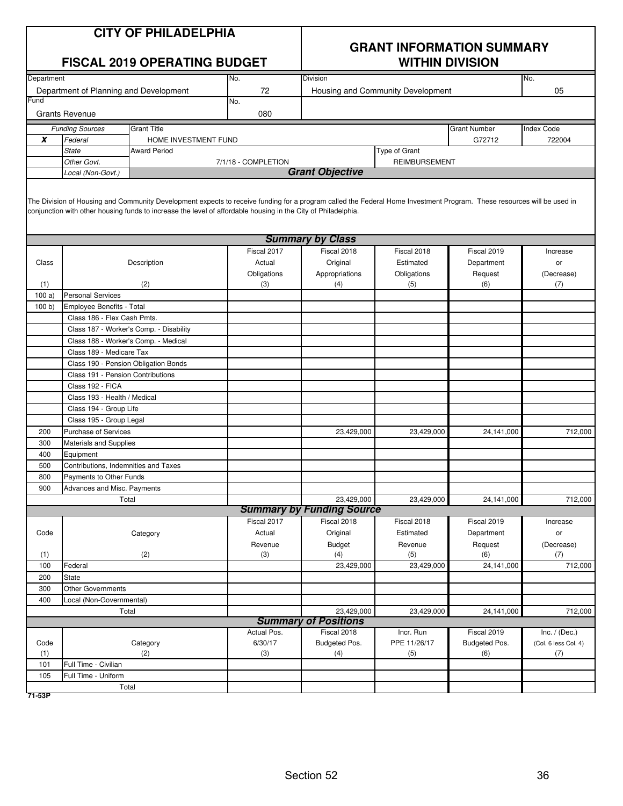| <b>CITY OF PHILADELPHIA</b> |
|-----------------------------|
|-----------------------------|

|            |                                        | <b>FISCAL 2019 OPERATING BUDGET</b>                                                                                                                                                                                                                                                     |                     |                                  | <b>WITHIN DIVISION</b>            |                     |                      |
|------------|----------------------------------------|-----------------------------------------------------------------------------------------------------------------------------------------------------------------------------------------------------------------------------------------------------------------------------------------|---------------------|----------------------------------|-----------------------------------|---------------------|----------------------|
| Department |                                        |                                                                                                                                                                                                                                                                                         | No.                 | <b>Division</b>                  |                                   |                     | No.                  |
|            | Department of Planning and Development |                                                                                                                                                                                                                                                                                         | 72                  |                                  | Housing and Community Development |                     | 05                   |
| Fund       |                                        |                                                                                                                                                                                                                                                                                         | No.                 |                                  |                                   |                     |                      |
|            | <b>Grants Revenue</b>                  |                                                                                                                                                                                                                                                                                         | 080                 |                                  |                                   |                     |                      |
|            | <b>Funding Sources</b>                 | <b>Grant Title</b>                                                                                                                                                                                                                                                                      |                     |                                  |                                   | <b>Grant Number</b> | Index Code           |
| X          | Federal                                | HOME INVESTMENT FUND                                                                                                                                                                                                                                                                    |                     |                                  |                                   | G72712              | 722004               |
|            | <b>State</b>                           | <b>Award Period</b>                                                                                                                                                                                                                                                                     |                     |                                  | Type of Grant                     |                     |                      |
|            | Other Govt.                            |                                                                                                                                                                                                                                                                                         | 7/1/18 - COMPLETION |                                  | <b>REIMBURSEMENT</b>              |                     |                      |
|            | Local (Non-Govt.)                      |                                                                                                                                                                                                                                                                                         |                     | <b>Grant Objective</b>           |                                   |                     |                      |
|            |                                        | The Division of Housing and Community Development expects to receive funding for a program called the Federal Home Investment Program. These resources will be used in<br>conjunction with other housing funds to increase the level of affordable housing in the City of Philadelphia. |                     |                                  |                                   |                     |                      |
|            |                                        |                                                                                                                                                                                                                                                                                         |                     | <b>Summary by Class</b>          |                                   |                     |                      |
|            |                                        |                                                                                                                                                                                                                                                                                         | Fiscal 2017         | Fiscal 2018                      | Fiscal 2018                       | Fiscal 2019         | Increase             |
| Class      |                                        | Description                                                                                                                                                                                                                                                                             | Actual              | Original                         | Estimated                         | Department          | or                   |
|            |                                        |                                                                                                                                                                                                                                                                                         | Obligations         | Appropriations                   | Obligations                       | Request             | (Decrease)           |
| (1)        |                                        | (2)                                                                                                                                                                                                                                                                                     | (3)                 | (4)                              | (5)                               | (6)                 | (7)                  |
| 100a       | <b>Personal Services</b>               |                                                                                                                                                                                                                                                                                         |                     |                                  |                                   |                     |                      |
| 100 b      | <b>Employee Benefits - Total</b>       |                                                                                                                                                                                                                                                                                         |                     |                                  |                                   |                     |                      |
|            | Class 186 - Flex Cash Pmts.            |                                                                                                                                                                                                                                                                                         |                     |                                  |                                   |                     |                      |
|            |                                        | Class 187 - Worker's Comp. - Disability                                                                                                                                                                                                                                                 |                     |                                  |                                   |                     |                      |
|            | Class 188 - Worker's Comp. - Medical   |                                                                                                                                                                                                                                                                                         |                     |                                  |                                   |                     |                      |
|            | Class 189 - Medicare Tax               |                                                                                                                                                                                                                                                                                         |                     |                                  |                                   |                     |                      |
|            | Class 190 - Pension Obligation Bonds   |                                                                                                                                                                                                                                                                                         |                     |                                  |                                   |                     |                      |
|            | Class 191 - Pension Contributions      |                                                                                                                                                                                                                                                                                         |                     |                                  |                                   |                     |                      |
|            | Class 192 - FICA                       |                                                                                                                                                                                                                                                                                         |                     |                                  |                                   |                     |                      |
|            | Class 193 - Health / Medical           |                                                                                                                                                                                                                                                                                         |                     |                                  |                                   |                     |                      |
|            | Class 194 - Group Life                 |                                                                                                                                                                                                                                                                                         |                     |                                  |                                   |                     |                      |
|            | Class 195 - Group Legal                |                                                                                                                                                                                                                                                                                         |                     |                                  |                                   |                     |                      |
| 200        | <b>Purchase of Services</b>            |                                                                                                                                                                                                                                                                                         |                     | 23,429,000                       | 23,429,000                        | 24,141,000          | 712,000              |
| 300        | Materials and Supplies                 |                                                                                                                                                                                                                                                                                         |                     |                                  |                                   |                     |                      |
| 400        | Equipment                              |                                                                                                                                                                                                                                                                                         |                     |                                  |                                   |                     |                      |
| 500        | Contributions, Indemnities and Taxes   |                                                                                                                                                                                                                                                                                         |                     |                                  |                                   |                     |                      |
| 800        | Payments to Other Funds                |                                                                                                                                                                                                                                                                                         |                     |                                  |                                   |                     |                      |
| 900        | Advances and Misc. Payments            |                                                                                                                                                                                                                                                                                         |                     |                                  |                                   |                     |                      |
|            | Total                                  |                                                                                                                                                                                                                                                                                         |                     | 23,429,000                       | 23,429,000                        | 24,141,000          | 712,000              |
|            |                                        |                                                                                                                                                                                                                                                                                         |                     | <b>Summary by Funding Source</b> |                                   |                     |                      |
|            |                                        |                                                                                                                                                                                                                                                                                         | Fiscal 2017         | Fiscal 2018                      | Fiscal 2018                       | Fiscal 2019         | Increase             |
| Code       |                                        | Category                                                                                                                                                                                                                                                                                | Actual              | Original                         | Estimated                         | Department          | or                   |
|            |                                        |                                                                                                                                                                                                                                                                                         | Revenue             | Budget                           | Revenue                           | Request             | (Decrease)           |
| (1)        |                                        | (2)                                                                                                                                                                                                                                                                                     | (3)                 | (4)                              | (5)                               | (6)                 | (7)                  |
| 100        | Federal                                |                                                                                                                                                                                                                                                                                         |                     | 23,429,000                       | 23,429,000                        | 24,141,000          | 712,000              |
| 200        | State                                  |                                                                                                                                                                                                                                                                                         |                     |                                  |                                   |                     |                      |
| 300        | <b>Other Governments</b>               |                                                                                                                                                                                                                                                                                         |                     |                                  |                                   |                     |                      |
| 400        | Local (Non-Governmental)               |                                                                                                                                                                                                                                                                                         |                     |                                  |                                   |                     |                      |
|            | Total                                  |                                                                                                                                                                                                                                                                                         |                     | 23,429,000                       | 23,429,000                        | 24,141,000          | 712,000              |
|            |                                        |                                                                                                                                                                                                                                                                                         |                     | <b>Summary of Positions</b>      |                                   |                     |                      |
|            |                                        |                                                                                                                                                                                                                                                                                         | Actual Pos.         | Fiscal 2018                      | Incr. Run                         | Fiscal 2019         | Inc. $/$ (Dec.)      |
| Code       |                                        | Category                                                                                                                                                                                                                                                                                | 6/30/17             | Budgeted Pos.                    | PPE 11/26/17                      | Budgeted Pos.       | (Col. 6 less Col. 4) |
| (1)        |                                        | (2)                                                                                                                                                                                                                                                                                     | (3)                 | (4)                              | (5)                               | (6)                 | (7)                  |
| 101        | Full Time - Civilian                   |                                                                                                                                                                                                                                                                                         |                     |                                  |                                   |                     |                      |
| 105        | Full Time - Uniform                    |                                                                                                                                                                                                                                                                                         |                     |                                  |                                   |                     |                      |
|            | Total                                  |                                                                                                                                                                                                                                                                                         |                     |                                  |                                   |                     |                      |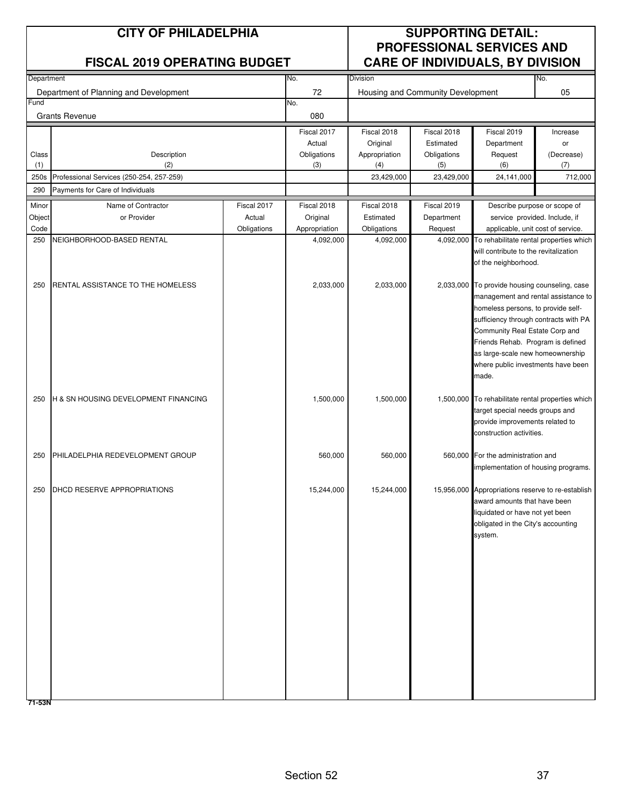| <b>CITY OF PHILADELPHIA</b><br><b>FISCAL 2019 OPERATING BUDGET</b> |                                                                                                                                                                                                                                                                         |             |                                                  |                                   | <b>PROFESSIONAL SERVICES AND</b><br><b>CARE OF INDIVIDUALS, BY DIVISION</b> |                                                                                                                                                                                                                                                                                                                                                                                                                                                                                                                                                                                                                                                                                                                                                                                                                                                                                                                                                               |
|--------------------------------------------------------------------|-------------------------------------------------------------------------------------------------------------------------------------------------------------------------------------------------------------------------------------------------------------------------|-------------|--------------------------------------------------|-----------------------------------|-----------------------------------------------------------------------------|---------------------------------------------------------------------------------------------------------------------------------------------------------------------------------------------------------------------------------------------------------------------------------------------------------------------------------------------------------------------------------------------------------------------------------------------------------------------------------------------------------------------------------------------------------------------------------------------------------------------------------------------------------------------------------------------------------------------------------------------------------------------------------------------------------------------------------------------------------------------------------------------------------------------------------------------------------------|
| Department                                                         |                                                                                                                                                                                                                                                                         | No.         | <b>Division</b>                                  |                                   |                                                                             |                                                                                                                                                                                                                                                                                                                                                                                                                                                                                                                                                                                                                                                                                                                                                                                                                                                                                                                                                               |
| Department of Planning and Development                             |                                                                                                                                                                                                                                                                         | 72          |                                                  | Housing and Community Development |                                                                             | No.<br>05                                                                                                                                                                                                                                                                                                                                                                                                                                                                                                                                                                                                                                                                                                                                                                                                                                                                                                                                                     |
|                                                                    |                                                                                                                                                                                                                                                                         | 080         |                                                  |                                   |                                                                             |                                                                                                                                                                                                                                                                                                                                                                                                                                                                                                                                                                                                                                                                                                                                                                                                                                                                                                                                                               |
|                                                                    |                                                                                                                                                                                                                                                                         | Fiscal 2017 | Fiscal 2018                                      | Fiscal 2018                       | Fiscal 2019                                                                 | Increase                                                                                                                                                                                                                                                                                                                                                                                                                                                                                                                                                                                                                                                                                                                                                                                                                                                                                                                                                      |
|                                                                    |                                                                                                                                                                                                                                                                         | Actual      | Original                                         | Estimated                         | Department                                                                  | or                                                                                                                                                                                                                                                                                                                                                                                                                                                                                                                                                                                                                                                                                                                                                                                                                                                                                                                                                            |
| (2)                                                                |                                                                                                                                                                                                                                                                         | (3)         | Appropriation<br>(4)                             | (5)                               | (6)                                                                         | (Decrease)<br>(7)                                                                                                                                                                                                                                                                                                                                                                                                                                                                                                                                                                                                                                                                                                                                                                                                                                                                                                                                             |
|                                                                    |                                                                                                                                                                                                                                                                         |             | 23,429,000                                       | 23,429,000                        | 24,141,000                                                                  | 712,000                                                                                                                                                                                                                                                                                                                                                                                                                                                                                                                                                                                                                                                                                                                                                                                                                                                                                                                                                       |
| Payments for Care of Individuals                                   |                                                                                                                                                                                                                                                                         |             |                                                  |                                   |                                                                             |                                                                                                                                                                                                                                                                                                                                                                                                                                                                                                                                                                                                                                                                                                                                                                                                                                                                                                                                                               |
| Name of Contractor                                                 | Fiscal 2017                                                                                                                                                                                                                                                             | Fiscal 2018 | Fiscal 2018                                      | Fiscal 2019                       |                                                                             |                                                                                                                                                                                                                                                                                                                                                                                                                                                                                                                                                                                                                                                                                                                                                                                                                                                                                                                                                               |
| or Provider                                                        | Actual                                                                                                                                                                                                                                                                  | Original    | Estimated                                        | Department                        |                                                                             |                                                                                                                                                                                                                                                                                                                                                                                                                                                                                                                                                                                                                                                                                                                                                                                                                                                                                                                                                               |
|                                                                    |                                                                                                                                                                                                                                                                         |             |                                                  |                                   |                                                                             |                                                                                                                                                                                                                                                                                                                                                                                                                                                                                                                                                                                                                                                                                                                                                                                                                                                                                                                                                               |
|                                                                    |                                                                                                                                                                                                                                                                         |             |                                                  |                                   |                                                                             |                                                                                                                                                                                                                                                                                                                                                                                                                                                                                                                                                                                                                                                                                                                                                                                                                                                                                                                                                               |
|                                                                    |                                                                                                                                                                                                                                                                         | 2,033,000   | 2,033,000                                        |                                   | made.                                                                       |                                                                                                                                                                                                                                                                                                                                                                                                                                                                                                                                                                                                                                                                                                                                                                                                                                                                                                                                                               |
|                                                                    |                                                                                                                                                                                                                                                                         | 1,500,000   | 1,500,000                                        |                                   |                                                                             |                                                                                                                                                                                                                                                                                                                                                                                                                                                                                                                                                                                                                                                                                                                                                                                                                                                                                                                                                               |
|                                                                    |                                                                                                                                                                                                                                                                         | 560,000     | 560,000                                          |                                   |                                                                             |                                                                                                                                                                                                                                                                                                                                                                                                                                                                                                                                                                                                                                                                                                                                                                                                                                                                                                                                                               |
|                                                                    |                                                                                                                                                                                                                                                                         | 15,244,000  | 15,244,000                                       |                                   | system.                                                                     |                                                                                                                                                                                                                                                                                                                                                                                                                                                                                                                                                                                                                                                                                                                                                                                                                                                                                                                                                               |
|                                                                    | <b>Grants Revenue</b><br>Description<br>Professional Services (250-254, 257-259)<br>NEIGHBORHOOD-BASED RENTAL<br>RENTAL ASSISTANCE TO THE HOMELESS<br>H & SN HOUSING DEVELOPMENT FINANCING<br>PHILADELPHIA REDEVELOPMENT GROUP<br>DHCD RESERVE APPROPRIATIONS<br>71-53N | Obligations | No.<br>Obligations<br>Appropriation<br>4,092,000 | Obligations<br>4,092,000          | Obligations<br>Request                                                      | Request<br>Describe purpose or scope of<br>service provided. Include, if<br>applicable, unit cost of service.<br>4,092,000 To rehabilitate rental properties which<br>will contribute to the revitalization<br>of the neighborhood.<br>2,033,000 To provide housing counseling, case<br>management and rental assistance to<br>homeless persons, to provide self-<br>sufficiency through contracts with PA<br>Community Real Estate Corp and<br>Friends Rehab. Program is defined<br>as large-scale new homeownership<br>where public investments have been<br>1,500,000 To rehabilitate rental properties which<br>target special needs groups and<br>provide improvements related to<br>construction activities.<br>560,000 For the administration and<br>implementation of housing programs.<br>15,956,000 Appropriations reserve to re-establish<br>award amounts that have been<br>liquidated or have not yet been<br>obligated in the City's accounting |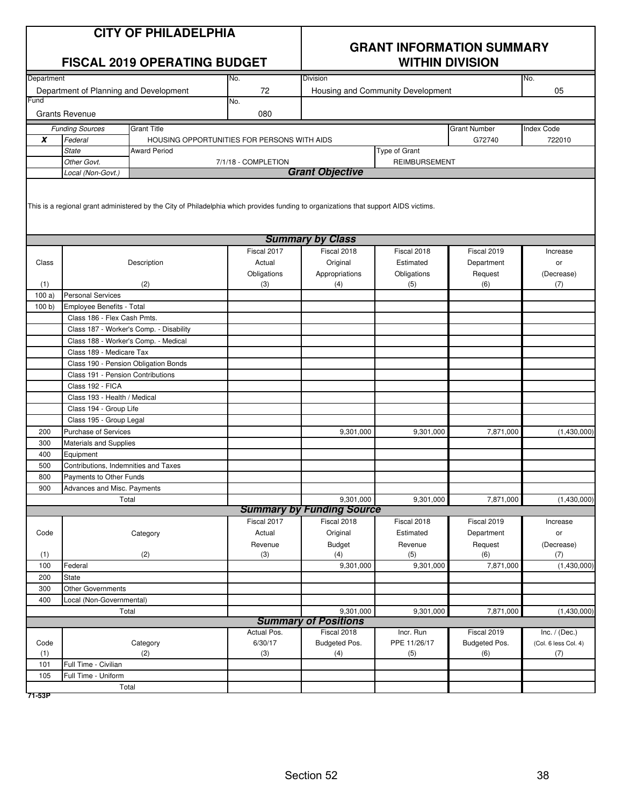|            | <b>CITY OF PHILADELPHIA</b><br><b>FISCAL 2019 OPERATING BUDGET</b><br>Department<br>No. |                                                                                                                                      |                       | <b>GRANT INFORMATION SUMMARY</b><br><b>WITHIN DIVISION</b><br>No. |                                   |                           |                      |
|------------|-----------------------------------------------------------------------------------------|--------------------------------------------------------------------------------------------------------------------------------------|-----------------------|-------------------------------------------------------------------|-----------------------------------|---------------------------|----------------------|
|            | Department of Planning and Development                                                  |                                                                                                                                      | 72                    |                                                                   | <b>Division</b>                   |                           | 05                   |
| Fund       |                                                                                         |                                                                                                                                      | No.                   |                                                                   | Housing and Community Development |                           |                      |
|            | <b>Grants Revenue</b>                                                                   |                                                                                                                                      | 080                   |                                                                   |                                   |                           |                      |
|            | <b>Funding Sources</b>                                                                  | <b>Grant Title</b>                                                                                                                   |                       |                                                                   |                                   | <b>Grant Number</b>       | Index Code           |
| X          | Federal                                                                                 | HOUSING OPPORTUNITIES FOR PERSONS WITH AIDS                                                                                          |                       |                                                                   |                                   | G72740                    | 722010               |
|            | <b>State</b>                                                                            | <b>Award Period</b>                                                                                                                  |                       |                                                                   | Type of Grant                     |                           |                      |
|            | Other Govt.                                                                             |                                                                                                                                      | 7/1/18 - COMPLETION   | <b>Grant Objective</b>                                            | <b>REIMBURSEMENT</b>              |                           |                      |
|            | Local (Non-Govt.)                                                                       | This is a regional grant administered by the City of Philadelphia which provides funding to organizations that support AIDS victims. |                       |                                                                   |                                   |                           |                      |
|            |                                                                                         |                                                                                                                                      |                       |                                                                   |                                   |                           |                      |
|            |                                                                                         |                                                                                                                                      |                       | <b>Summary by Class</b>                                           |                                   |                           |                      |
| Class      |                                                                                         |                                                                                                                                      | Fiscal 2017<br>Actual | Fiscal 2018<br>Original                                           | Fiscal 2018<br>Estimated          | Fiscal 2019<br>Department | Increase             |
|            |                                                                                         | Description                                                                                                                          | Obligations           | Appropriations                                                    | Obligations                       | Request                   | or<br>(Decrease)     |
| (1)        |                                                                                         | (2)                                                                                                                                  | (3)                   | (4)                                                               | (5)                               | (6)                       | (7)                  |
| 100a       | <b>Personal Services</b>                                                                |                                                                                                                                      |                       |                                                                   |                                   |                           |                      |
| 100 b      | Employee Benefits - Total                                                               |                                                                                                                                      |                       |                                                                   |                                   |                           |                      |
|            | Class 186 - Flex Cash Pmts.                                                             |                                                                                                                                      |                       |                                                                   |                                   |                           |                      |
|            |                                                                                         | Class 187 - Worker's Comp. - Disability                                                                                              |                       |                                                                   |                                   |                           |                      |
|            | Class 188 - Worker's Comp. - Medical                                                    |                                                                                                                                      |                       |                                                                   |                                   |                           |                      |
|            | Class 189 - Medicare Tax                                                                |                                                                                                                                      |                       |                                                                   |                                   |                           |                      |
|            | Class 190 - Pension Obligation Bonds                                                    |                                                                                                                                      |                       |                                                                   |                                   |                           |                      |
|            | Class 191 - Pension Contributions                                                       |                                                                                                                                      |                       |                                                                   |                                   |                           |                      |
|            | Class 192 - FICA                                                                        |                                                                                                                                      |                       |                                                                   |                                   |                           |                      |
|            | Class 193 - Health / Medical                                                            |                                                                                                                                      |                       |                                                                   |                                   |                           |                      |
|            | Class 194 - Group Life                                                                  |                                                                                                                                      |                       |                                                                   |                                   |                           |                      |
|            | Class 195 - Group Legal                                                                 |                                                                                                                                      |                       |                                                                   |                                   |                           |                      |
| 200        | Purchase of Services                                                                    |                                                                                                                                      |                       | 9,301,000                                                         | 9,301,000                         | 7,871,000                 | (1,430,000)          |
| 300        | Materials and Supplies                                                                  |                                                                                                                                      |                       |                                                                   |                                   |                           |                      |
| 400        | Equipment                                                                               |                                                                                                                                      |                       |                                                                   |                                   |                           |                      |
| 500<br>800 | Contributions, Indemnities and Taxes<br>Payments to Other Funds                         |                                                                                                                                      |                       |                                                                   |                                   |                           |                      |
| 900        | Advances and Misc. Payments                                                             |                                                                                                                                      |                       |                                                                   |                                   |                           |                      |
|            | Total                                                                                   |                                                                                                                                      |                       | 9,301,000                                                         | 9,301,000                         | 7,871,000                 | (1,430,000)          |
|            |                                                                                         |                                                                                                                                      |                       | <b>Summary by Funding Source</b>                                  |                                   |                           |                      |
|            |                                                                                         |                                                                                                                                      | Fiscal 2017           | Fiscal 2018                                                       | Fiscal 2018                       | Fiscal 2019               | Increase             |
| Code       |                                                                                         | Category                                                                                                                             | Actual                | Original                                                          | Estimated                         | Department                | or                   |
|            |                                                                                         |                                                                                                                                      | Revenue               | Budget                                                            | Revenue                           | Request                   | (Decrease)           |
| (1)        |                                                                                         | (2)                                                                                                                                  | (3)                   | (4)                                                               | (5)                               | (6)                       | (7)                  |
| 100        | Federal                                                                                 |                                                                                                                                      |                       | 9,301,000                                                         | 9,301,000                         | 7,871,000                 | (1,430,000)          |
| 200        | <b>State</b>                                                                            |                                                                                                                                      |                       |                                                                   |                                   |                           |                      |
| 300        | <b>Other Governments</b>                                                                |                                                                                                                                      |                       |                                                                   |                                   |                           |                      |
| 400        | Local (Non-Governmental)                                                                |                                                                                                                                      |                       |                                                                   |                                   |                           |                      |
|            | Total                                                                                   |                                                                                                                                      |                       | 9,301,000                                                         | 9,301,000                         | 7,871,000                 | (1,430,000)          |
|            |                                                                                         |                                                                                                                                      | Actual Pos.           | <b>Summary of Positions</b><br>Fiscal 2018                        | Incr. Run                         | Fiscal 2019               | Inc. $/$ (Dec.)      |
| Code       |                                                                                         | Category                                                                                                                             | 6/30/17               | Budgeted Pos.                                                     | PPE 11/26/17                      | Budgeted Pos.             | (Col. 6 less Col. 4) |
| (1)        |                                                                                         | (2)                                                                                                                                  | (3)                   | (4)                                                               | (5)                               | (6)                       | (7)                  |
| 101        | Full Time - Civilian                                                                    |                                                                                                                                      |                       |                                                                   |                                   |                           |                      |
| 105        | Full Time - Uniform                                                                     |                                                                                                                                      |                       |                                                                   |                                   |                           |                      |
|            | Total                                                                                   |                                                                                                                                      |                       |                                                                   |                                   |                           |                      |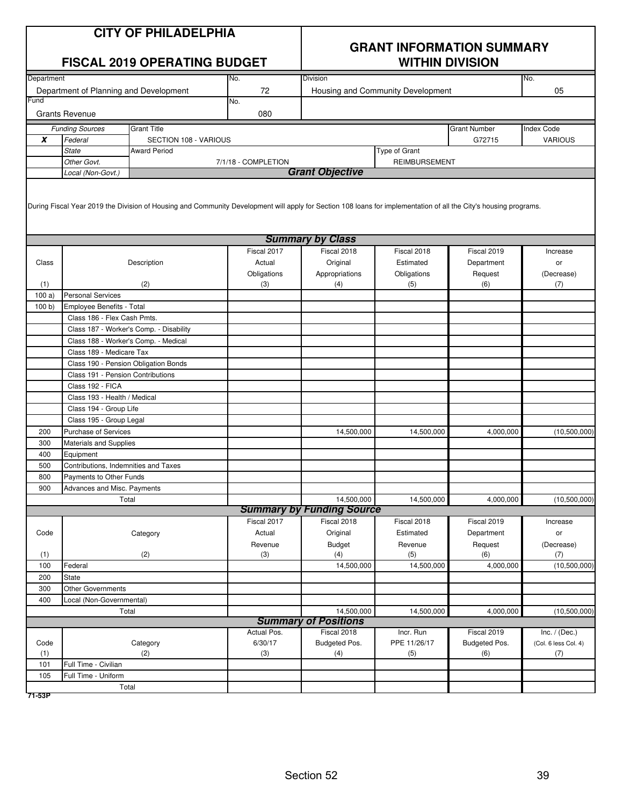|                  | <b>CITY OF PHILADELPHIA</b><br><b>FISCAL 2019 OPERATING BUDGET</b> |                                                                                                                                                                   |                        | <b>GRANT INFORMATION SUMMARY</b><br><b>WITHIN DIVISION</b> |                                   |                              |                                         |
|------------------|--------------------------------------------------------------------|-------------------------------------------------------------------------------------------------------------------------------------------------------------------|------------------------|------------------------------------------------------------|-----------------------------------|------------------------------|-----------------------------------------|
| Department       |                                                                    |                                                                                                                                                                   | No.                    | <b>Division</b>                                            |                                   |                              | No.                                     |
| Fund             | Department of Planning and Development                             |                                                                                                                                                                   | 72                     |                                                            | Housing and Community Development |                              | 05                                      |
|                  | <b>Grants Revenue</b>                                              |                                                                                                                                                                   | No.<br>080             |                                                            |                                   |                              |                                         |
|                  | <b>Funding Sources</b>                                             | <b>Grant Title</b>                                                                                                                                                |                        |                                                            |                                   | <b>Grant Number</b>          | <b>Index Code</b>                       |
| $\boldsymbol{x}$ | Federal                                                            | SECTION 108 - VARIOUS                                                                                                                                             |                        |                                                            |                                   | G72715                       | <b>VARIOUS</b>                          |
|                  | <b>State</b>                                                       | <b>Award Period</b>                                                                                                                                               |                        |                                                            | Type of Grant                     |                              |                                         |
|                  | Other Govt.                                                        |                                                                                                                                                                   | 7/1/18 - COMPLETION    |                                                            | <b>REIMBURSEMENT</b>              |                              |                                         |
|                  | Local (Non-Govt.)                                                  |                                                                                                                                                                   |                        | <b>Grant Objective</b>                                     |                                   |                              |                                         |
|                  |                                                                    | During Fiscal Year 2019 the Division of Housing and Community Development will apply for Section 108 loans for implementation of all the City's housing programs. |                        |                                                            |                                   |                              |                                         |
|                  |                                                                    |                                                                                                                                                                   |                        | <b>Summary by Class</b>                                    |                                   |                              |                                         |
|                  |                                                                    |                                                                                                                                                                   | Fiscal 2017            | Fiscal 2018                                                | Fiscal 2018                       | Fiscal 2019                  | Increase                                |
| Class            |                                                                    | Description                                                                                                                                                       | Actual                 | Original                                                   | Estimated                         | Department                   | or                                      |
| (1)              |                                                                    | (2)                                                                                                                                                               | Obligations<br>(3)     | Appropriations<br>(4)                                      | Obligations<br>(5)                | Request<br>(6)               | (Decrease)<br>(7)                       |
| 100a             | <b>Personal Services</b>                                           |                                                                                                                                                                   |                        |                                                            |                                   |                              |                                         |
| 100 b            | Employee Benefits - Total                                          |                                                                                                                                                                   |                        |                                                            |                                   |                              |                                         |
|                  | Class 186 - Flex Cash Pmts.                                        |                                                                                                                                                                   |                        |                                                            |                                   |                              |                                         |
|                  |                                                                    | Class 187 - Worker's Comp. - Disability                                                                                                                           |                        |                                                            |                                   |                              |                                         |
|                  | Class 188 - Worker's Comp. - Medical                               |                                                                                                                                                                   |                        |                                                            |                                   |                              |                                         |
|                  | Class 189 - Medicare Tax                                           |                                                                                                                                                                   |                        |                                                            |                                   |                              |                                         |
|                  | Class 190 - Pension Obligation Bonds                               |                                                                                                                                                                   |                        |                                                            |                                   |                              |                                         |
|                  | Class 191 - Pension Contributions                                  |                                                                                                                                                                   |                        |                                                            |                                   |                              |                                         |
|                  | Class 192 - FICA                                                   |                                                                                                                                                                   |                        |                                                            |                                   |                              |                                         |
|                  | Class 193 - Health / Medical                                       |                                                                                                                                                                   |                        |                                                            |                                   |                              |                                         |
|                  | Class 194 - Group Life                                             |                                                                                                                                                                   |                        |                                                            |                                   |                              |                                         |
|                  | Class 195 - Group Legal                                            |                                                                                                                                                                   |                        |                                                            |                                   |                              |                                         |
| 200              | <b>Purchase of Services</b>                                        |                                                                                                                                                                   |                        | 14,500,000                                                 | 14,500,000                        | 4,000,000                    | (10,500,000)                            |
| 300              | Materials and Supplies                                             |                                                                                                                                                                   |                        |                                                            |                                   |                              |                                         |
| 400              | Equipment                                                          |                                                                                                                                                                   |                        |                                                            |                                   |                              |                                         |
| 500              | Contributions, Indemnities and Taxes                               |                                                                                                                                                                   |                        |                                                            |                                   |                              |                                         |
| 800              | Payments to Other Funds                                            |                                                                                                                                                                   |                        |                                                            |                                   |                              |                                         |
| 900              | Advances and Misc. Payments<br>Total                               |                                                                                                                                                                   |                        | 14,500,000                                                 | 14,500,000                        | 4,000,000                    |                                         |
|                  |                                                                    |                                                                                                                                                                   |                        | <b>Summary by Funding Source</b>                           |                                   |                              | (10,500,000)                            |
|                  |                                                                    |                                                                                                                                                                   | Fiscal 2017            | Fiscal 2018                                                | Fiscal 2018                       | Fiscal 2019                  | Increase                                |
| Code             |                                                                    | Category                                                                                                                                                          | Actual                 | Original                                                   | Estimated                         | Department                   | or                                      |
|                  |                                                                    |                                                                                                                                                                   | Revenue                | <b>Budget</b>                                              | Revenue                           | Request                      | (Decrease)                              |
| (1)              |                                                                    | (2)                                                                                                                                                               | (3)                    | (4)                                                        | (5)                               | (6)                          | (7)                                     |
| 100              | Federal                                                            |                                                                                                                                                                   |                        | 14,500,000                                                 | 14,500,000                        | 4,000,000                    | (10,500,000)                            |
| 200              | <b>State</b>                                                       |                                                                                                                                                                   |                        |                                                            |                                   |                              |                                         |
| 300              | <b>Other Governments</b>                                           |                                                                                                                                                                   |                        |                                                            |                                   |                              |                                         |
| 400              | Local (Non-Governmental)                                           |                                                                                                                                                                   |                        |                                                            |                                   |                              |                                         |
|                  | Total                                                              |                                                                                                                                                                   |                        | 14,500,000                                                 | 14,500,000                        | 4,000,000                    | (10,500,000)                            |
|                  |                                                                    |                                                                                                                                                                   |                        | <b>Summary of Positions</b>                                |                                   |                              |                                         |
| Code             |                                                                    |                                                                                                                                                                   | Actual Pos.<br>6/30/17 | Fiscal 2018<br>Budgeted Pos.                               | Incr. Run<br>PPE 11/26/17         | Fiscal 2019<br>Budgeted Pos. | Inc. $/$ (Dec.)<br>(Col. 6 less Col. 4) |
| (1)              |                                                                    | Category<br>(2)                                                                                                                                                   | (3)                    | (4)                                                        | (5)                               | (6)                          | (7)                                     |
| 101              | Full Time - Civilian                                               |                                                                                                                                                                   |                        |                                                            |                                   |                              |                                         |
| 105              | Full Time - Uniform                                                |                                                                                                                                                                   |                        |                                                            |                                   |                              |                                         |
|                  | Total                                                              |                                                                                                                                                                   |                        |                                                            |                                   |                              |                                         |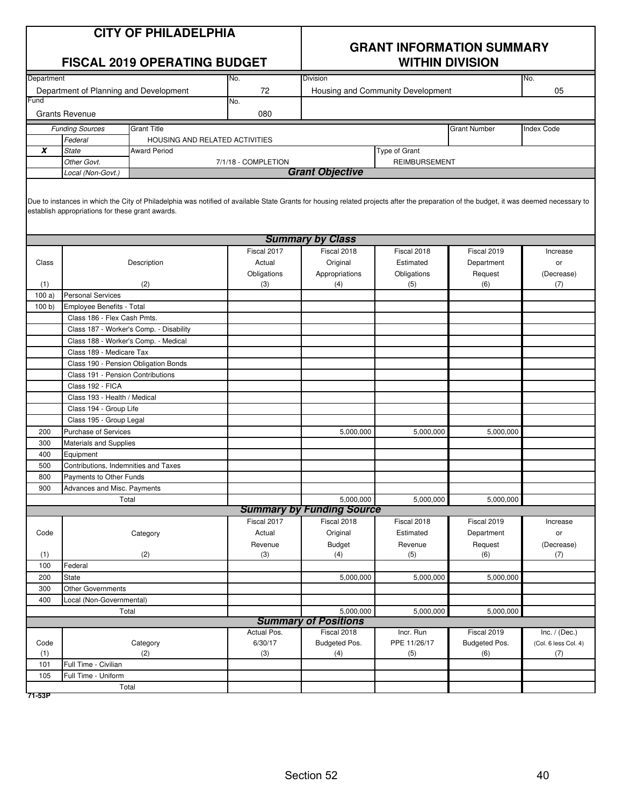| <b>CITY OF PHILADELPHIA</b> |  |  |  |  |
|-----------------------------|--|--|--|--|
|-----------------------------|--|--|--|--|

| <b>CITY OF PHILADELPHIA</b><br><b>FISCAL 2019 OPERATING BUDGET</b> |                                                  |                                                                                                                                                                                        | <b>GRANT INFORMATION SUMMARY</b><br><b>WITHIN DIVISION</b> |                                   |                      |                     |                   |
|--------------------------------------------------------------------|--------------------------------------------------|----------------------------------------------------------------------------------------------------------------------------------------------------------------------------------------|------------------------------------------------------------|-----------------------------------|----------------------|---------------------|-------------------|
| Department                                                         |                                                  |                                                                                                                                                                                        | No.                                                        | <b>Division</b>                   |                      |                     | No.               |
|                                                                    | Department of Planning and Development           |                                                                                                                                                                                        | 72                                                         | Housing and Community Development |                      |                     | 05                |
| Fund                                                               |                                                  |                                                                                                                                                                                        | No.                                                        |                                   |                      |                     |                   |
|                                                                    | <b>Grants Revenue</b>                            |                                                                                                                                                                                        | 080                                                        |                                   |                      |                     |                   |
|                                                                    | <b>Funding Sources</b>                           | <b>Grant Title</b>                                                                                                                                                                     |                                                            |                                   |                      | <b>Grant Number</b> | <b>Index Code</b> |
|                                                                    | Federal                                          | HOUSING AND RELATED ACTIVITIES                                                                                                                                                         |                                                            |                                   |                      |                     |                   |
| X                                                                  | <b>State</b>                                     | <b>Award Period</b>                                                                                                                                                                    |                                                            |                                   | Type of Grant        |                     |                   |
|                                                                    | Other Govt.                                      |                                                                                                                                                                                        | 7/1/18 - COMPLETION                                        |                                   | <b>REIMBURSEMENT</b> |                     |                   |
|                                                                    | Local (Non-Govt.)                                |                                                                                                                                                                                        |                                                            | <b>Grant Objective</b>            |                      |                     |                   |
|                                                                    | establish appropriations for these grant awards. | Due to instances in which the City of Philadelphia was notified of available State Grants for housing related projects after the preparation of the budget, it was deemed necessary to |                                                            | <b>Summary by Class</b>           |                      |                     |                   |
|                                                                    |                                                  |                                                                                                                                                                                        | Fiscal 2017                                                | Fiscal 2018                       | Fiscal 2018          | Fiscal 2019         | Increase          |
| Class                                                              |                                                  | Description                                                                                                                                                                            | Actual                                                     | Original                          | Estimated            | Department          | or                |
|                                                                    |                                                  |                                                                                                                                                                                        | Obligations                                                | Appropriations                    | Obligations          | Request             | (Decrease)        |
| (1)                                                                |                                                  | (2)                                                                                                                                                                                    | (3)                                                        | (4)                               | (5)                  | (6)                 | (7)               |
| 100a                                                               | <b>Personal Services</b>                         |                                                                                                                                                                                        |                                                            |                                   |                      |                     |                   |
| 100 b                                                              | <b>Employee Benefits - Total</b>                 |                                                                                                                                                                                        |                                                            |                                   |                      |                     |                   |
|                                                                    | Class 186 - Flex Cash Pmts.                      |                                                                                                                                                                                        |                                                            |                                   |                      |                     |                   |
|                                                                    |                                                  | Class 187 - Worker's Comp. - Disability                                                                                                                                                |                                                            |                                   |                      |                     |                   |
|                                                                    | Class 188 - Worker's Comp. - Medical             |                                                                                                                                                                                        |                                                            |                                   |                      |                     |                   |
|                                                                    | Class 189 - Medicare Tax                         |                                                                                                                                                                                        |                                                            |                                   |                      |                     |                   |
|                                                                    |                                                  | Class 190 - Pension Obligation Bonds                                                                                                                                                   |                                                            |                                   |                      |                     |                   |
|                                                                    | Class 191 - Pension Contributions                |                                                                                                                                                                                        |                                                            |                                   |                      |                     |                   |
|                                                                    | Class 192 - FICA                                 |                                                                                                                                                                                        |                                                            |                                   |                      |                     |                   |
|                                                                    | Class 193 - Health / Medical                     |                                                                                                                                                                                        |                                                            |                                   |                      |                     |                   |
|                                                                    | Class 194 - Group Life                           |                                                                                                                                                                                        |                                                            |                                   |                      |                     |                   |
|                                                                    | Class 195 - Group Legal                          |                                                                                                                                                                                        |                                                            |                                   |                      |                     |                   |
| 200                                                                | <b>Purchase of Services</b>                      |                                                                                                                                                                                        |                                                            | 5,000,000                         | 5,000,000            | 5,000,000           |                   |
| 300                                                                | <b>Materials and Supplies</b>                    |                                                                                                                                                                                        |                                                            |                                   |                      |                     |                   |
| 400                                                                | Equipment                                        |                                                                                                                                                                                        |                                                            |                                   |                      |                     |                   |
| 500                                                                | Contributions, Indemnities and Taxes             |                                                                                                                                                                                        |                                                            |                                   |                      |                     |                   |
| 800                                                                | <b>Payments to Other Funds</b>                   |                                                                                                                                                                                        |                                                            |                                   |                      |                     |                   |
| 900                                                                | Advances and Misc. Payments                      |                                                                                                                                                                                        |                                                            |                                   |                      |                     |                   |
|                                                                    |                                                  | Total                                                                                                                                                                                  |                                                            | 5,000,000                         | 5,000,000            | 5,000,000           |                   |
|                                                                    |                                                  |                                                                                                                                                                                        |                                                            | <b>Summary by Funding Source</b>  |                      |                     |                   |
|                                                                    |                                                  |                                                                                                                                                                                        | Fiscal 2017                                                | Fiscal 2018                       | Fiscal 2018          | Fiscal 2019         | Increase          |
| Code                                                               |                                                  | Category                                                                                                                                                                               | Actual                                                     | Original                          | Estimated            | Department          | or                |
|                                                                    |                                                  |                                                                                                                                                                                        | Revenue                                                    | <b>Budget</b>                     | Revenue              | Request             | (Decrease)        |
| (1)<br>100                                                         | Federal                                          | (2)                                                                                                                                                                                    | (3)                                                        | (4)                               | (5)                  | (6)                 | (7)               |
| 200                                                                | <b>State</b>                                     |                                                                                                                                                                                        |                                                            | 5,000,000                         | 5,000,000            | 5,000,000           |                   |
| 300                                                                | <b>Other Governments</b>                         |                                                                                                                                                                                        |                                                            |                                   |                      |                     |                   |
| 400                                                                | Local (Non-Governmental)                         |                                                                                                                                                                                        |                                                            |                                   |                      |                     |                   |
|                                                                    |                                                  | Total                                                                                                                                                                                  |                                                            | 5,000,000                         | 5,000,000            | 5,000,000           |                   |
|                                                                    |                                                  |                                                                                                                                                                                        |                                                            | <b>Summary of Positions</b>       |                      |                     |                   |
|                                                                    |                                                  |                                                                                                                                                                                        |                                                            |                                   |                      |                     |                   |

|      |                             |             |               | -.---.--     | -             |                      |  |  |
|------|-----------------------------|-------------|---------------|--------------|---------------|----------------------|--|--|
|      | <b>Summary of Positions</b> |             |               |              |               |                      |  |  |
|      |                             | Actual Pos. | Fiscal 2018   | Incr. Run    | Fiscal 2019   | Inc. $/$ (Dec.)      |  |  |
| Code | Category                    | 6/30/17     | Budgeted Pos. | PPE 11/26/17 | Budgeted Pos. | (Col. 6 less Col. 4) |  |  |
| (1)  | (2)                         | (3)         | (4)           | (5)          | (6)           | (7)                  |  |  |
| 101  | Full Time - Civilian        |             |               |              |               |                      |  |  |
| 105  | Full Time - Uniform         |             |               |              |               |                      |  |  |
|      | Total                       |             |               |              |               |                      |  |  |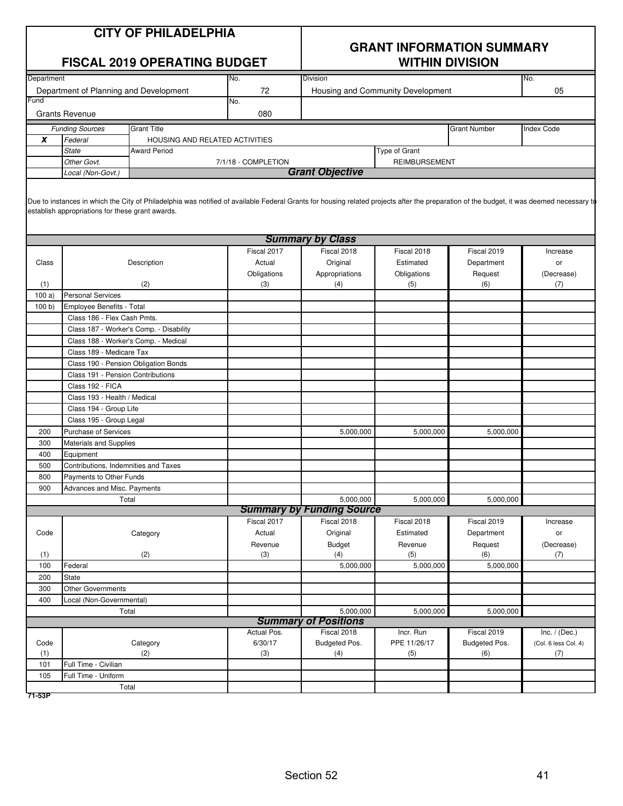| <b>CITY OF PHILADELPHIA</b> |  |  |  |  |  |
|-----------------------------|--|--|--|--|--|
|-----------------------------|--|--|--|--|--|

| <b>FISCAL 2019 OPERATING BUDGET</b>                        |                                        |                                         | <b>WITHIN DIVISION</b> |                         |                                   |                   |            |
|------------------------------------------------------------|----------------------------------------|-----------------------------------------|------------------------|-------------------------|-----------------------------------|-------------------|------------|
| Department                                                 |                                        |                                         | No.                    | <b>Division</b>         |                                   |                   | No.        |
|                                                            | Department of Planning and Development |                                         | 72                     |                         | Housing and Community Development |                   | 05         |
| Fund                                                       |                                        |                                         | No.                    |                         |                                   |                   |            |
|                                                            | <b>Grants Revenue</b>                  |                                         | 080                    |                         |                                   |                   |            |
| <b>Grant Title</b><br><b>Funding Sources</b>               |                                        |                                         |                        |                         | <b>Grant Number</b>               | <b>Index Code</b> |            |
| $\boldsymbol{x}$                                           | Federal                                | HOUSING AND RELATED ACTIVITIES          |                        |                         |                                   |                   |            |
|                                                            | <b>State</b>                           | <b>Award Period</b>                     |                        |                         | Type of Grant                     |                   |            |
| Other Govt.<br>7/1/18 - COMPLETION<br><b>REIMBURSEMENT</b> |                                        |                                         |                        |                         |                                   |                   |            |
| Local (Non-Govt.)                                          |                                        |                                         |                        | <b>Grant Objective</b>  |                                   |                   |            |
|                                                            |                                        |                                         |                        | <b>Summary by Class</b> |                                   |                   |            |
|                                                            |                                        |                                         | Fiscal 2017            | Fiscal 2018             | Fiscal 2018                       | Fiscal 2019       | Increase   |
| Class                                                      |                                        | Description                             | Actual                 | Original                | Estimated                         | Department        | <b>or</b>  |
|                                                            |                                        |                                         | Obligations            | Appropriations          | Obligations                       | Request           | (Decrease) |
| (1)                                                        |                                        | (2)                                     | (3)                    | (4)                     | (5)                               | (6)               | (7)        |
| 100a                                                       | <b>Personal Services</b>               |                                         |                        |                         |                                   |                   |            |
| 100 b                                                      | <b>Employee Benefits - Total</b>       |                                         |                        |                         |                                   |                   |            |
|                                                            | Class 186 - Flex Cash Pmts.            |                                         |                        |                         |                                   |                   |            |
|                                                            |                                        | Class 187 - Worker's Comp. - Disability |                        |                         |                                   |                   |            |
|                                                            |                                        | Class 188 - Worker's Comp. - Medical    |                        |                         |                                   |                   |            |
|                                                            | Class 189 - Medicare Tax               |                                         |                        |                         |                                   |                   |            |

|                                  |                                         | Obligations | Appropriations              | Obligations  | Request       | (Decrease)           |
|----------------------------------|-----------------------------------------|-------------|-----------------------------|--------------|---------------|----------------------|
| (1)                              | (2)                                     | (3)         | (4)                         | (5)          | (6)           | (7)                  |
| 100a                             | <b>Personal Services</b>                |             |                             |              |               |                      |
| 100 b)                           | Employee Benefits - Total               |             |                             |              |               |                      |
|                                  | Class 186 - Flex Cash Pmts.             |             |                             |              |               |                      |
|                                  | Class 187 - Worker's Comp. - Disability |             |                             |              |               |                      |
|                                  | Class 188 - Worker's Comp. - Medical    |             |                             |              |               |                      |
|                                  | Class 189 - Medicare Tax                |             |                             |              |               |                      |
|                                  | Class 190 - Pension Obligation Bonds    |             |                             |              |               |                      |
|                                  | Class 191 - Pension Contributions       |             |                             |              |               |                      |
|                                  | Class 192 - FICA                        |             |                             |              |               |                      |
|                                  | Class 193 - Health / Medical            |             |                             |              |               |                      |
|                                  | Class 194 - Group Life                  |             |                             |              |               |                      |
|                                  | Class 195 - Group Legal                 |             |                             |              |               |                      |
| 200                              | <b>Purchase of Services</b>             |             | 5,000,000                   | 5,000,000    | 5,000,000     |                      |
| 300                              | Materials and Supplies                  |             |                             |              |               |                      |
| 400                              | Equipment                               |             |                             |              |               |                      |
| 500                              | Contributions, Indemnities and Taxes    |             |                             |              |               |                      |
| 800                              | Payments to Other Funds                 |             |                             |              |               |                      |
| 900                              | Advances and Misc. Payments             |             |                             |              |               |                      |
|                                  | Total                                   |             | 5.000.000                   | 5,000,000    | 5,000,000     |                      |
| <b>Summary by Funding Source</b> |                                         |             |                             |              |               |                      |
|                                  |                                         | Fiscal 2017 | Fiscal 2018                 | Fiscal 2018  | Fiscal 2019   | Increase             |
| Code                             | Category                                | Actual      | Original                    | Estimated    | Department    | or                   |
|                                  |                                         | Revenue     | <b>Budget</b>               | Revenue      | Request       | (Decrease)           |
| (1)                              | (2)                                     | (3)         | (4)                         | (5)          | (6)           | (7)                  |
| 100                              | Federal                                 |             | 5,000,000                   | 5,000,000    | 5,000,000     |                      |
| 200                              | State                                   |             |                             |              |               |                      |
| 300                              | Other Governments                       |             |                             |              |               |                      |
| 400                              | Local (Non-Governmental)                |             |                             |              |               |                      |
|                                  | Total                                   |             | 5,000,000                   | 5,000,000    | 5,000,000     |                      |
|                                  |                                         |             | <b>Summary of Positions</b> |              |               |                      |
|                                  |                                         | Actual Pos. | Fiscal 2018                 | Incr. Run    | Fiscal 2019   | Inc. $/$ (Dec.)      |
| Code                             | Category                                | 6/30/17     | Budgeted Pos.               | PPE 11/26/17 | Budgeted Pos. | (Col. 6 less Col. 4) |
| (1)                              | (2)                                     | (3)         | (4)                         | (5)          | (6)           | (7)                  |
| 101                              | Full Time - Civilian                    |             |                             |              |               |                      |
| 105                              | Full Time - Uniform                     |             |                             |              |               |                      |
|                                  | Total                                   |             |                             |              |               |                      |
| 71-53P                           |                                         |             |                             |              |               |                      |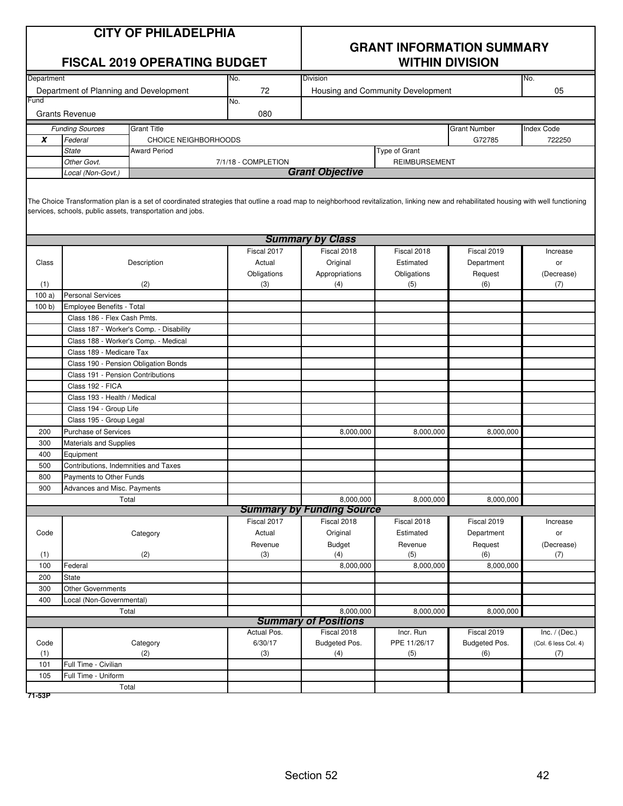|  |  |  |  |  | <b>CITY OF PHILADELPHIA</b> |
|--|--|--|--|--|-----------------------------|
|--|--|--|--|--|-----------------------------|

|            | <b>FISCAL 2019 OPERATING BUDGET</b>                                       |                                                                                                                                                                                                                                                     |                     |                                  | <b>WITHIN DIVISION</b>            |                     |                      |  |  |
|------------|---------------------------------------------------------------------------|-----------------------------------------------------------------------------------------------------------------------------------------------------------------------------------------------------------------------------------------------------|---------------------|----------------------------------|-----------------------------------|---------------------|----------------------|--|--|
| Department |                                                                           |                                                                                                                                                                                                                                                     | No.                 | Division                         |                                   |                     | No.                  |  |  |
|            | Department of Planning and Development                                    |                                                                                                                                                                                                                                                     | 72                  |                                  | Housing and Community Development |                     | 05                   |  |  |
| Fund       |                                                                           |                                                                                                                                                                                                                                                     | No.                 |                                  |                                   |                     |                      |  |  |
|            | <b>Grants Revenue</b>                                                     |                                                                                                                                                                                                                                                     | 080                 |                                  |                                   |                     |                      |  |  |
|            | <b>Funding Sources</b>                                                    | <b>Grant Title</b>                                                                                                                                                                                                                                  |                     |                                  |                                   | <b>Grant Number</b> | <b>Index Code</b>    |  |  |
| X          | Federal                                                                   | CHOICE NEIGHBORHOODS                                                                                                                                                                                                                                |                     |                                  |                                   | G72785              | 722250               |  |  |
|            | <b>State</b>                                                              | <b>Award Period</b>                                                                                                                                                                                                                                 |                     |                                  | Type of Grant                     |                     |                      |  |  |
|            | Other Govt.                                                               |                                                                                                                                                                                                                                                     | 7/1/18 - COMPLETION |                                  | REIMBURSEMENT                     |                     |                      |  |  |
|            | Local (Non-Govt.)                                                         |                                                                                                                                                                                                                                                     |                     | <b>Grant Objective</b>           |                                   |                     |                      |  |  |
|            |                                                                           | The Choice Transformation plan is a set of coordinated strategies that outline a road map to neighborhood revitalization, linking new and rehabilitated housing with well functioning<br>services, schools, public assets, transportation and jobs. |                     |                                  |                                   |                     |                      |  |  |
|            |                                                                           |                                                                                                                                                                                                                                                     |                     | <b>Summary by Class</b>          |                                   |                     |                      |  |  |
|            |                                                                           |                                                                                                                                                                                                                                                     | Fiscal 2017         | Fiscal 2018                      | Fiscal 2018                       | Fiscal 2019         | Increase             |  |  |
| Class      |                                                                           | Description                                                                                                                                                                                                                                         | Actual              | Original                         | Estimated                         | Department          | or                   |  |  |
|            |                                                                           |                                                                                                                                                                                                                                                     | Obligations         | Appropriations                   | Obligations                       | Request             | (Decrease)           |  |  |
| (1)        |                                                                           | (2)                                                                                                                                                                                                                                                 | (3)                 | (4)                              | (5)                               | (6)                 | (7)                  |  |  |
| 100a)      | <b>Personal Services</b>                                                  |                                                                                                                                                                                                                                                     |                     |                                  |                                   |                     |                      |  |  |
| 100 b      | Employee Benefits - Total                                                 |                                                                                                                                                                                                                                                     |                     |                                  |                                   |                     |                      |  |  |
|            | Class 186 - Flex Cash Pmts.                                               |                                                                                                                                                                                                                                                     |                     |                                  |                                   |                     |                      |  |  |
|            |                                                                           | Class 187 - Worker's Comp. - Disability<br>Class 188 - Worker's Comp. - Medical                                                                                                                                                                     |                     |                                  |                                   |                     |                      |  |  |
|            | Class 189 - Medicare Tax                                                  |                                                                                                                                                                                                                                                     |                     |                                  |                                   |                     |                      |  |  |
|            |                                                                           |                                                                                                                                                                                                                                                     |                     |                                  |                                   |                     |                      |  |  |
|            | Class 190 - Pension Obligation Bonds<br>Class 191 - Pension Contributions |                                                                                                                                                                                                                                                     |                     |                                  |                                   |                     |                      |  |  |
|            | Class 192 - FICA                                                          |                                                                                                                                                                                                                                                     |                     |                                  |                                   |                     |                      |  |  |
|            | Class 193 - Health / Medical                                              |                                                                                                                                                                                                                                                     |                     |                                  |                                   |                     |                      |  |  |
|            | Class 194 - Group Life                                                    |                                                                                                                                                                                                                                                     |                     |                                  |                                   |                     |                      |  |  |
|            | Class 195 - Group Legal                                                   |                                                                                                                                                                                                                                                     |                     |                                  |                                   |                     |                      |  |  |
| 200        | <b>Purchase of Services</b>                                               |                                                                                                                                                                                                                                                     |                     | 8,000,000                        | 8,000,000                         | 8,000,000           |                      |  |  |
| 300        | Materials and Supplies                                                    |                                                                                                                                                                                                                                                     |                     |                                  |                                   |                     |                      |  |  |
| 400        | Equipment                                                                 |                                                                                                                                                                                                                                                     |                     |                                  |                                   |                     |                      |  |  |
| 500        | Contributions, Indemnities and Taxes                                      |                                                                                                                                                                                                                                                     |                     |                                  |                                   |                     |                      |  |  |
| 800        | Payments to Other Funds                                                   |                                                                                                                                                                                                                                                     |                     |                                  |                                   |                     |                      |  |  |
| 900        | Advances and Misc. Payments                                               |                                                                                                                                                                                                                                                     |                     |                                  |                                   |                     |                      |  |  |
|            |                                                                           | Total                                                                                                                                                                                                                                               |                     | 8,000,000                        | 8,000,000                         | 8,000,000           |                      |  |  |
|            |                                                                           |                                                                                                                                                                                                                                                     |                     | <b>Summary by Funding Source</b> |                                   |                     |                      |  |  |
|            |                                                                           |                                                                                                                                                                                                                                                     | Fiscal 2017         | Fiscal 2018                      | Fiscal 2018                       | Fiscal 2019         | Increase             |  |  |
| Code       |                                                                           | Category                                                                                                                                                                                                                                            | Actual              | Original                         | Estimated                         | Department          | or                   |  |  |
|            |                                                                           |                                                                                                                                                                                                                                                     | Revenue             | <b>Budget</b>                    | Revenue                           | Request             | (Decrease)           |  |  |
| (1)        |                                                                           | (2)                                                                                                                                                                                                                                                 | (3)                 | (4)<br>8,000,000                 | (5)                               | (6)                 | (7)                  |  |  |
| 100<br>200 | Federal<br>State                                                          |                                                                                                                                                                                                                                                     |                     |                                  | 8,000,000                         | 8,000,000           |                      |  |  |
| 300        | <b>Other Governments</b>                                                  |                                                                                                                                                                                                                                                     |                     |                                  |                                   |                     |                      |  |  |
| 400        | Local (Non-Governmental)                                                  |                                                                                                                                                                                                                                                     |                     |                                  |                                   |                     |                      |  |  |
|            |                                                                           | Total                                                                                                                                                                                                                                               |                     | 8,000,000                        | 8,000,000                         | 8,000,000           |                      |  |  |
|            |                                                                           |                                                                                                                                                                                                                                                     |                     | <b>Summary of Positions</b>      |                                   |                     |                      |  |  |
|            |                                                                           |                                                                                                                                                                                                                                                     | Actual Pos.         | Fiscal 2018                      | Incr. Run                         | Fiscal 2019         | Inc. $/$ (Dec.)      |  |  |
| Code       |                                                                           | Category                                                                                                                                                                                                                                            | 6/30/17             | Budgeted Pos.                    | PPE 11/26/17                      | Budgeted Pos.       | (Col. 6 less Col. 4) |  |  |
| (1)        |                                                                           | (2)                                                                                                                                                                                                                                                 | (3)                 | (4)                              | (5)                               | (6)                 | (7)                  |  |  |
| 101        | Full Time - Civilian                                                      |                                                                                                                                                                                                                                                     |                     |                                  |                                   |                     |                      |  |  |
| 105        | Full Time - Uniform                                                       |                                                                                                                                                                                                                                                     |                     |                                  |                                   |                     |                      |  |  |
|            |                                                                           | Total                                                                                                                                                                                                                                               |                     |                                  |                                   |                     |                      |  |  |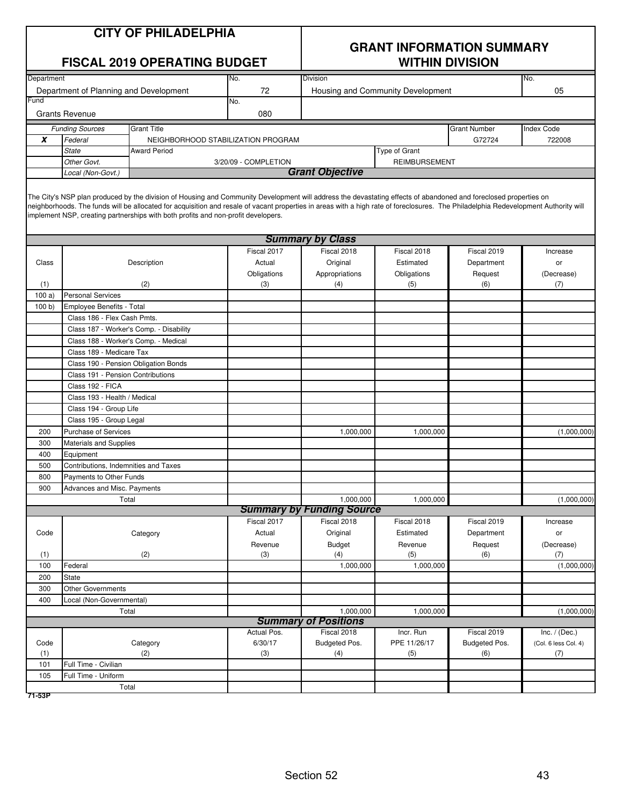| <b>CITY OF PHILADELPHIA</b> |  |
|-----------------------------|--|
|-----------------------------|--|

| Department<br><b>Division</b><br>No.<br>No.<br>Department of Planning and Development<br>72<br>05<br>Housing and Community Development<br>Fund<br>No.<br>080<br><b>Grants Revenue</b><br><b>Funding Sources</b><br><b>Grant Title</b><br><b>Grant Number</b><br><b>Index Code</b><br>x<br>Federal<br>G72724<br>722008<br>NEIGHBORHOOD STABILIZATION PROGRAM<br>Type of Grant<br><b>State</b><br><b>Award Period</b><br>Other Govt.<br>3/20/09 - COMPLETION<br>REIMBURSEMENT<br><b>Grant Objective</b><br>Local (Non-Govt.)<br>The City's NSP plan produced by the division of Housing and Community Development will address the devastating effects of abandoned and foreclosed properties on<br>neighborhoods. The funds will be allocated for acquisition and resale of vacant properties in areas with a high rate of foreclosures. The Philadelphia Redevelopment Authority will<br>implement NSP, creating partnerships with both profits and non-profit developers.<br><b>Summary by Class</b><br>Fiscal 2017<br>Fiscal 2018<br>Fiscal 2019<br>Fiscal 2018<br>Increase<br>Actual<br>Original<br>Estimated<br>Department<br>Class<br>Description<br>or<br>Obligations<br>Appropriations<br>Obligations<br>Request<br>(Decrease)<br>(6)<br>(1)<br>(2)<br>(3)<br>(4)<br>(5)<br>(7)<br>100a<br><b>Personal Services</b><br>100 b<br>Employee Benefits - Total<br>Class 186 - Flex Cash Pmts.<br>Class 187 - Worker's Comp. - Disability<br>Class 188 - Worker's Comp. - Medical<br>Class 189 - Medicare Tax<br>Class 190 - Pension Obligation Bonds<br>Class 191 - Pension Contributions<br>Class 192 - FICA<br>Class 193 - Health / Medical<br>Class 194 - Group Life<br>Class 195 - Group Legal<br>Purchase of Services<br>(1,000,000)<br>200<br>1,000,000<br>1,000,000<br>300<br><b>Materials and Supplies</b><br>400<br>Equipment<br>500<br>Contributions, Indemnities and Taxes<br>800<br>Payments to Other Funds<br>900<br>Advances and Misc. Payments<br>Total<br>1,000,000<br>1,000,000<br>(1,000,000)<br><b>Summary by Funding Source</b><br>Fiscal 2018<br>Fiscal 2019<br>Fiscal 2017<br>Fiscal 2018<br>Increase<br>Code<br>Actual<br>Original<br>Estimated<br>Category<br>Department<br>or<br>Revenue<br><b>Budget</b><br>Revenue<br>Request<br>(Decrease)<br>(2)<br>(1)<br>(3)<br>(5)<br>(7)<br>(4)<br>(6)<br>1,000,000<br>1,000,000<br>100<br>Federal<br>(1,000,000)<br><b>State</b><br>200<br>300<br><b>Other Governments</b><br>400<br>Local (Non-Governmental)<br>Total<br>1,000,000<br>1,000,000<br>(1,000,000)<br><b>Summary of Positions</b><br>Fiscal 2018<br>Fiscal 2019<br>Actual Pos.<br>Incr. Run<br>Inc. $/$ (Dec.)<br>6/30/17<br>Budgeted Pos.<br>PPE 11/26/17<br>Budgeted Pos.<br>Code<br>Category<br>(Col. 6 less Col. 4)<br>(1)<br>(2)<br>(3)<br>(5)<br>(4)<br>(6)<br>(7)<br>Full Time - Civilian<br>101<br>Full Time - Uniform<br>105<br>Total |  | <b>FISCAL 2019 OPERATING BUDGET</b> | <b>WITHIN DIVISION</b> |  |  |  |  |
|---------------------------------------------------------------------------------------------------------------------------------------------------------------------------------------------------------------------------------------------------------------------------------------------------------------------------------------------------------------------------------------------------------------------------------------------------------------------------------------------------------------------------------------------------------------------------------------------------------------------------------------------------------------------------------------------------------------------------------------------------------------------------------------------------------------------------------------------------------------------------------------------------------------------------------------------------------------------------------------------------------------------------------------------------------------------------------------------------------------------------------------------------------------------------------------------------------------------------------------------------------------------------------------------------------------------------------------------------------------------------------------------------------------------------------------------------------------------------------------------------------------------------------------------------------------------------------------------------------------------------------------------------------------------------------------------------------------------------------------------------------------------------------------------------------------------------------------------------------------------------------------------------------------------------------------------------------------------------------------------------------------------------------------------------------------------------------------------------------------------------------------------------------------------------------------------------------------------------------------------------------------------------------------------------------------------------------------------------------------------------------------------------------------------------------------------------------------------------------------------------------------------------------------------------------------------------------------------------------------------------------------------------------------------------------------------------------------------------------------------------------------------------------------------------------------------------------------------------------------------------------|--|-------------------------------------|------------------------|--|--|--|--|
|                                                                                                                                                                                                                                                                                                                                                                                                                                                                                                                                                                                                                                                                                                                                                                                                                                                                                                                                                                                                                                                                                                                                                                                                                                                                                                                                                                                                                                                                                                                                                                                                                                                                                                                                                                                                                                                                                                                                                                                                                                                                                                                                                                                                                                                                                                                                                                                                                                                                                                                                                                                                                                                                                                                                                                                                                                                                                 |  |                                     |                        |  |  |  |  |
|                                                                                                                                                                                                                                                                                                                                                                                                                                                                                                                                                                                                                                                                                                                                                                                                                                                                                                                                                                                                                                                                                                                                                                                                                                                                                                                                                                                                                                                                                                                                                                                                                                                                                                                                                                                                                                                                                                                                                                                                                                                                                                                                                                                                                                                                                                                                                                                                                                                                                                                                                                                                                                                                                                                                                                                                                                                                                 |  |                                     |                        |  |  |  |  |
|                                                                                                                                                                                                                                                                                                                                                                                                                                                                                                                                                                                                                                                                                                                                                                                                                                                                                                                                                                                                                                                                                                                                                                                                                                                                                                                                                                                                                                                                                                                                                                                                                                                                                                                                                                                                                                                                                                                                                                                                                                                                                                                                                                                                                                                                                                                                                                                                                                                                                                                                                                                                                                                                                                                                                                                                                                                                                 |  |                                     |                        |  |  |  |  |
|                                                                                                                                                                                                                                                                                                                                                                                                                                                                                                                                                                                                                                                                                                                                                                                                                                                                                                                                                                                                                                                                                                                                                                                                                                                                                                                                                                                                                                                                                                                                                                                                                                                                                                                                                                                                                                                                                                                                                                                                                                                                                                                                                                                                                                                                                                                                                                                                                                                                                                                                                                                                                                                                                                                                                                                                                                                                                 |  |                                     |                        |  |  |  |  |
|                                                                                                                                                                                                                                                                                                                                                                                                                                                                                                                                                                                                                                                                                                                                                                                                                                                                                                                                                                                                                                                                                                                                                                                                                                                                                                                                                                                                                                                                                                                                                                                                                                                                                                                                                                                                                                                                                                                                                                                                                                                                                                                                                                                                                                                                                                                                                                                                                                                                                                                                                                                                                                                                                                                                                                                                                                                                                 |  |                                     |                        |  |  |  |  |
|                                                                                                                                                                                                                                                                                                                                                                                                                                                                                                                                                                                                                                                                                                                                                                                                                                                                                                                                                                                                                                                                                                                                                                                                                                                                                                                                                                                                                                                                                                                                                                                                                                                                                                                                                                                                                                                                                                                                                                                                                                                                                                                                                                                                                                                                                                                                                                                                                                                                                                                                                                                                                                                                                                                                                                                                                                                                                 |  |                                     |                        |  |  |  |  |
|                                                                                                                                                                                                                                                                                                                                                                                                                                                                                                                                                                                                                                                                                                                                                                                                                                                                                                                                                                                                                                                                                                                                                                                                                                                                                                                                                                                                                                                                                                                                                                                                                                                                                                                                                                                                                                                                                                                                                                                                                                                                                                                                                                                                                                                                                                                                                                                                                                                                                                                                                                                                                                                                                                                                                                                                                                                                                 |  |                                     |                        |  |  |  |  |
|                                                                                                                                                                                                                                                                                                                                                                                                                                                                                                                                                                                                                                                                                                                                                                                                                                                                                                                                                                                                                                                                                                                                                                                                                                                                                                                                                                                                                                                                                                                                                                                                                                                                                                                                                                                                                                                                                                                                                                                                                                                                                                                                                                                                                                                                                                                                                                                                                                                                                                                                                                                                                                                                                                                                                                                                                                                                                 |  |                                     |                        |  |  |  |  |
|                                                                                                                                                                                                                                                                                                                                                                                                                                                                                                                                                                                                                                                                                                                                                                                                                                                                                                                                                                                                                                                                                                                                                                                                                                                                                                                                                                                                                                                                                                                                                                                                                                                                                                                                                                                                                                                                                                                                                                                                                                                                                                                                                                                                                                                                                                                                                                                                                                                                                                                                                                                                                                                                                                                                                                                                                                                                                 |  |                                     |                        |  |  |  |  |
|                                                                                                                                                                                                                                                                                                                                                                                                                                                                                                                                                                                                                                                                                                                                                                                                                                                                                                                                                                                                                                                                                                                                                                                                                                                                                                                                                                                                                                                                                                                                                                                                                                                                                                                                                                                                                                                                                                                                                                                                                                                                                                                                                                                                                                                                                                                                                                                                                                                                                                                                                                                                                                                                                                                                                                                                                                                                                 |  |                                     |                        |  |  |  |  |
|                                                                                                                                                                                                                                                                                                                                                                                                                                                                                                                                                                                                                                                                                                                                                                                                                                                                                                                                                                                                                                                                                                                                                                                                                                                                                                                                                                                                                                                                                                                                                                                                                                                                                                                                                                                                                                                                                                                                                                                                                                                                                                                                                                                                                                                                                                                                                                                                                                                                                                                                                                                                                                                                                                                                                                                                                                                                                 |  |                                     |                        |  |  |  |  |
|                                                                                                                                                                                                                                                                                                                                                                                                                                                                                                                                                                                                                                                                                                                                                                                                                                                                                                                                                                                                                                                                                                                                                                                                                                                                                                                                                                                                                                                                                                                                                                                                                                                                                                                                                                                                                                                                                                                                                                                                                                                                                                                                                                                                                                                                                                                                                                                                                                                                                                                                                                                                                                                                                                                                                                                                                                                                                 |  |                                     |                        |  |  |  |  |
|                                                                                                                                                                                                                                                                                                                                                                                                                                                                                                                                                                                                                                                                                                                                                                                                                                                                                                                                                                                                                                                                                                                                                                                                                                                                                                                                                                                                                                                                                                                                                                                                                                                                                                                                                                                                                                                                                                                                                                                                                                                                                                                                                                                                                                                                                                                                                                                                                                                                                                                                                                                                                                                                                                                                                                                                                                                                                 |  |                                     |                        |  |  |  |  |
|                                                                                                                                                                                                                                                                                                                                                                                                                                                                                                                                                                                                                                                                                                                                                                                                                                                                                                                                                                                                                                                                                                                                                                                                                                                                                                                                                                                                                                                                                                                                                                                                                                                                                                                                                                                                                                                                                                                                                                                                                                                                                                                                                                                                                                                                                                                                                                                                                                                                                                                                                                                                                                                                                                                                                                                                                                                                                 |  |                                     |                        |  |  |  |  |
|                                                                                                                                                                                                                                                                                                                                                                                                                                                                                                                                                                                                                                                                                                                                                                                                                                                                                                                                                                                                                                                                                                                                                                                                                                                                                                                                                                                                                                                                                                                                                                                                                                                                                                                                                                                                                                                                                                                                                                                                                                                                                                                                                                                                                                                                                                                                                                                                                                                                                                                                                                                                                                                                                                                                                                                                                                                                                 |  |                                     |                        |  |  |  |  |
|                                                                                                                                                                                                                                                                                                                                                                                                                                                                                                                                                                                                                                                                                                                                                                                                                                                                                                                                                                                                                                                                                                                                                                                                                                                                                                                                                                                                                                                                                                                                                                                                                                                                                                                                                                                                                                                                                                                                                                                                                                                                                                                                                                                                                                                                                                                                                                                                                                                                                                                                                                                                                                                                                                                                                                                                                                                                                 |  |                                     |                        |  |  |  |  |
|                                                                                                                                                                                                                                                                                                                                                                                                                                                                                                                                                                                                                                                                                                                                                                                                                                                                                                                                                                                                                                                                                                                                                                                                                                                                                                                                                                                                                                                                                                                                                                                                                                                                                                                                                                                                                                                                                                                                                                                                                                                                                                                                                                                                                                                                                                                                                                                                                                                                                                                                                                                                                                                                                                                                                                                                                                                                                 |  |                                     |                        |  |  |  |  |
|                                                                                                                                                                                                                                                                                                                                                                                                                                                                                                                                                                                                                                                                                                                                                                                                                                                                                                                                                                                                                                                                                                                                                                                                                                                                                                                                                                                                                                                                                                                                                                                                                                                                                                                                                                                                                                                                                                                                                                                                                                                                                                                                                                                                                                                                                                                                                                                                                                                                                                                                                                                                                                                                                                                                                                                                                                                                                 |  |                                     |                        |  |  |  |  |
|                                                                                                                                                                                                                                                                                                                                                                                                                                                                                                                                                                                                                                                                                                                                                                                                                                                                                                                                                                                                                                                                                                                                                                                                                                                                                                                                                                                                                                                                                                                                                                                                                                                                                                                                                                                                                                                                                                                                                                                                                                                                                                                                                                                                                                                                                                                                                                                                                                                                                                                                                                                                                                                                                                                                                                                                                                                                                 |  |                                     |                        |  |  |  |  |
|                                                                                                                                                                                                                                                                                                                                                                                                                                                                                                                                                                                                                                                                                                                                                                                                                                                                                                                                                                                                                                                                                                                                                                                                                                                                                                                                                                                                                                                                                                                                                                                                                                                                                                                                                                                                                                                                                                                                                                                                                                                                                                                                                                                                                                                                                                                                                                                                                                                                                                                                                                                                                                                                                                                                                                                                                                                                                 |  |                                     |                        |  |  |  |  |
|                                                                                                                                                                                                                                                                                                                                                                                                                                                                                                                                                                                                                                                                                                                                                                                                                                                                                                                                                                                                                                                                                                                                                                                                                                                                                                                                                                                                                                                                                                                                                                                                                                                                                                                                                                                                                                                                                                                                                                                                                                                                                                                                                                                                                                                                                                                                                                                                                                                                                                                                                                                                                                                                                                                                                                                                                                                                                 |  |                                     |                        |  |  |  |  |
|                                                                                                                                                                                                                                                                                                                                                                                                                                                                                                                                                                                                                                                                                                                                                                                                                                                                                                                                                                                                                                                                                                                                                                                                                                                                                                                                                                                                                                                                                                                                                                                                                                                                                                                                                                                                                                                                                                                                                                                                                                                                                                                                                                                                                                                                                                                                                                                                                                                                                                                                                                                                                                                                                                                                                                                                                                                                                 |  |                                     |                        |  |  |  |  |
|                                                                                                                                                                                                                                                                                                                                                                                                                                                                                                                                                                                                                                                                                                                                                                                                                                                                                                                                                                                                                                                                                                                                                                                                                                                                                                                                                                                                                                                                                                                                                                                                                                                                                                                                                                                                                                                                                                                                                                                                                                                                                                                                                                                                                                                                                                                                                                                                                                                                                                                                                                                                                                                                                                                                                                                                                                                                                 |  |                                     |                        |  |  |  |  |
|                                                                                                                                                                                                                                                                                                                                                                                                                                                                                                                                                                                                                                                                                                                                                                                                                                                                                                                                                                                                                                                                                                                                                                                                                                                                                                                                                                                                                                                                                                                                                                                                                                                                                                                                                                                                                                                                                                                                                                                                                                                                                                                                                                                                                                                                                                                                                                                                                                                                                                                                                                                                                                                                                                                                                                                                                                                                                 |  |                                     |                        |  |  |  |  |
|                                                                                                                                                                                                                                                                                                                                                                                                                                                                                                                                                                                                                                                                                                                                                                                                                                                                                                                                                                                                                                                                                                                                                                                                                                                                                                                                                                                                                                                                                                                                                                                                                                                                                                                                                                                                                                                                                                                                                                                                                                                                                                                                                                                                                                                                                                                                                                                                                                                                                                                                                                                                                                                                                                                                                                                                                                                                                 |  |                                     |                        |  |  |  |  |
|                                                                                                                                                                                                                                                                                                                                                                                                                                                                                                                                                                                                                                                                                                                                                                                                                                                                                                                                                                                                                                                                                                                                                                                                                                                                                                                                                                                                                                                                                                                                                                                                                                                                                                                                                                                                                                                                                                                                                                                                                                                                                                                                                                                                                                                                                                                                                                                                                                                                                                                                                                                                                                                                                                                                                                                                                                                                                 |  |                                     |                        |  |  |  |  |
|                                                                                                                                                                                                                                                                                                                                                                                                                                                                                                                                                                                                                                                                                                                                                                                                                                                                                                                                                                                                                                                                                                                                                                                                                                                                                                                                                                                                                                                                                                                                                                                                                                                                                                                                                                                                                                                                                                                                                                                                                                                                                                                                                                                                                                                                                                                                                                                                                                                                                                                                                                                                                                                                                                                                                                                                                                                                                 |  |                                     |                        |  |  |  |  |
|                                                                                                                                                                                                                                                                                                                                                                                                                                                                                                                                                                                                                                                                                                                                                                                                                                                                                                                                                                                                                                                                                                                                                                                                                                                                                                                                                                                                                                                                                                                                                                                                                                                                                                                                                                                                                                                                                                                                                                                                                                                                                                                                                                                                                                                                                                                                                                                                                                                                                                                                                                                                                                                                                                                                                                                                                                                                                 |  |                                     |                        |  |  |  |  |
|                                                                                                                                                                                                                                                                                                                                                                                                                                                                                                                                                                                                                                                                                                                                                                                                                                                                                                                                                                                                                                                                                                                                                                                                                                                                                                                                                                                                                                                                                                                                                                                                                                                                                                                                                                                                                                                                                                                                                                                                                                                                                                                                                                                                                                                                                                                                                                                                                                                                                                                                                                                                                                                                                                                                                                                                                                                                                 |  |                                     |                        |  |  |  |  |
|                                                                                                                                                                                                                                                                                                                                                                                                                                                                                                                                                                                                                                                                                                                                                                                                                                                                                                                                                                                                                                                                                                                                                                                                                                                                                                                                                                                                                                                                                                                                                                                                                                                                                                                                                                                                                                                                                                                                                                                                                                                                                                                                                                                                                                                                                                                                                                                                                                                                                                                                                                                                                                                                                                                                                                                                                                                                                 |  |                                     |                        |  |  |  |  |
|                                                                                                                                                                                                                                                                                                                                                                                                                                                                                                                                                                                                                                                                                                                                                                                                                                                                                                                                                                                                                                                                                                                                                                                                                                                                                                                                                                                                                                                                                                                                                                                                                                                                                                                                                                                                                                                                                                                                                                                                                                                                                                                                                                                                                                                                                                                                                                                                                                                                                                                                                                                                                                                                                                                                                                                                                                                                                 |  |                                     |                        |  |  |  |  |
|                                                                                                                                                                                                                                                                                                                                                                                                                                                                                                                                                                                                                                                                                                                                                                                                                                                                                                                                                                                                                                                                                                                                                                                                                                                                                                                                                                                                                                                                                                                                                                                                                                                                                                                                                                                                                                                                                                                                                                                                                                                                                                                                                                                                                                                                                                                                                                                                                                                                                                                                                                                                                                                                                                                                                                                                                                                                                 |  |                                     |                        |  |  |  |  |
|                                                                                                                                                                                                                                                                                                                                                                                                                                                                                                                                                                                                                                                                                                                                                                                                                                                                                                                                                                                                                                                                                                                                                                                                                                                                                                                                                                                                                                                                                                                                                                                                                                                                                                                                                                                                                                                                                                                                                                                                                                                                                                                                                                                                                                                                                                                                                                                                                                                                                                                                                                                                                                                                                                                                                                                                                                                                                 |  |                                     |                        |  |  |  |  |
|                                                                                                                                                                                                                                                                                                                                                                                                                                                                                                                                                                                                                                                                                                                                                                                                                                                                                                                                                                                                                                                                                                                                                                                                                                                                                                                                                                                                                                                                                                                                                                                                                                                                                                                                                                                                                                                                                                                                                                                                                                                                                                                                                                                                                                                                                                                                                                                                                                                                                                                                                                                                                                                                                                                                                                                                                                                                                 |  |                                     |                        |  |  |  |  |
|                                                                                                                                                                                                                                                                                                                                                                                                                                                                                                                                                                                                                                                                                                                                                                                                                                                                                                                                                                                                                                                                                                                                                                                                                                                                                                                                                                                                                                                                                                                                                                                                                                                                                                                                                                                                                                                                                                                                                                                                                                                                                                                                                                                                                                                                                                                                                                                                                                                                                                                                                                                                                                                                                                                                                                                                                                                                                 |  |                                     |                        |  |  |  |  |
|                                                                                                                                                                                                                                                                                                                                                                                                                                                                                                                                                                                                                                                                                                                                                                                                                                                                                                                                                                                                                                                                                                                                                                                                                                                                                                                                                                                                                                                                                                                                                                                                                                                                                                                                                                                                                                                                                                                                                                                                                                                                                                                                                                                                                                                                                                                                                                                                                                                                                                                                                                                                                                                                                                                                                                                                                                                                                 |  |                                     |                        |  |  |  |  |
|                                                                                                                                                                                                                                                                                                                                                                                                                                                                                                                                                                                                                                                                                                                                                                                                                                                                                                                                                                                                                                                                                                                                                                                                                                                                                                                                                                                                                                                                                                                                                                                                                                                                                                                                                                                                                                                                                                                                                                                                                                                                                                                                                                                                                                                                                                                                                                                                                                                                                                                                                                                                                                                                                                                                                                                                                                                                                 |  |                                     |                        |  |  |  |  |
|                                                                                                                                                                                                                                                                                                                                                                                                                                                                                                                                                                                                                                                                                                                                                                                                                                                                                                                                                                                                                                                                                                                                                                                                                                                                                                                                                                                                                                                                                                                                                                                                                                                                                                                                                                                                                                                                                                                                                                                                                                                                                                                                                                                                                                                                                                                                                                                                                                                                                                                                                                                                                                                                                                                                                                                                                                                                                 |  |                                     |                        |  |  |  |  |
|                                                                                                                                                                                                                                                                                                                                                                                                                                                                                                                                                                                                                                                                                                                                                                                                                                                                                                                                                                                                                                                                                                                                                                                                                                                                                                                                                                                                                                                                                                                                                                                                                                                                                                                                                                                                                                                                                                                                                                                                                                                                                                                                                                                                                                                                                                                                                                                                                                                                                                                                                                                                                                                                                                                                                                                                                                                                                 |  |                                     |                        |  |  |  |  |
|                                                                                                                                                                                                                                                                                                                                                                                                                                                                                                                                                                                                                                                                                                                                                                                                                                                                                                                                                                                                                                                                                                                                                                                                                                                                                                                                                                                                                                                                                                                                                                                                                                                                                                                                                                                                                                                                                                                                                                                                                                                                                                                                                                                                                                                                                                                                                                                                                                                                                                                                                                                                                                                                                                                                                                                                                                                                                 |  |                                     |                        |  |  |  |  |
|                                                                                                                                                                                                                                                                                                                                                                                                                                                                                                                                                                                                                                                                                                                                                                                                                                                                                                                                                                                                                                                                                                                                                                                                                                                                                                                                                                                                                                                                                                                                                                                                                                                                                                                                                                                                                                                                                                                                                                                                                                                                                                                                                                                                                                                                                                                                                                                                                                                                                                                                                                                                                                                                                                                                                                                                                                                                                 |  |                                     |                        |  |  |  |  |
|                                                                                                                                                                                                                                                                                                                                                                                                                                                                                                                                                                                                                                                                                                                                                                                                                                                                                                                                                                                                                                                                                                                                                                                                                                                                                                                                                                                                                                                                                                                                                                                                                                                                                                                                                                                                                                                                                                                                                                                                                                                                                                                                                                                                                                                                                                                                                                                                                                                                                                                                                                                                                                                                                                                                                                                                                                                                                 |  |                                     |                        |  |  |  |  |
|                                                                                                                                                                                                                                                                                                                                                                                                                                                                                                                                                                                                                                                                                                                                                                                                                                                                                                                                                                                                                                                                                                                                                                                                                                                                                                                                                                                                                                                                                                                                                                                                                                                                                                                                                                                                                                                                                                                                                                                                                                                                                                                                                                                                                                                                                                                                                                                                                                                                                                                                                                                                                                                                                                                                                                                                                                                                                 |  |                                     |                        |  |  |  |  |
|                                                                                                                                                                                                                                                                                                                                                                                                                                                                                                                                                                                                                                                                                                                                                                                                                                                                                                                                                                                                                                                                                                                                                                                                                                                                                                                                                                                                                                                                                                                                                                                                                                                                                                                                                                                                                                                                                                                                                                                                                                                                                                                                                                                                                                                                                                                                                                                                                                                                                                                                                                                                                                                                                                                                                                                                                                                                                 |  |                                     |                        |  |  |  |  |
|                                                                                                                                                                                                                                                                                                                                                                                                                                                                                                                                                                                                                                                                                                                                                                                                                                                                                                                                                                                                                                                                                                                                                                                                                                                                                                                                                                                                                                                                                                                                                                                                                                                                                                                                                                                                                                                                                                                                                                                                                                                                                                                                                                                                                                                                                                                                                                                                                                                                                                                                                                                                                                                                                                                                                                                                                                                                                 |  |                                     |                        |  |  |  |  |
|                                                                                                                                                                                                                                                                                                                                                                                                                                                                                                                                                                                                                                                                                                                                                                                                                                                                                                                                                                                                                                                                                                                                                                                                                                                                                                                                                                                                                                                                                                                                                                                                                                                                                                                                                                                                                                                                                                                                                                                                                                                                                                                                                                                                                                                                                                                                                                                                                                                                                                                                                                                                                                                                                                                                                                                                                                                                                 |  |                                     |                        |  |  |  |  |
|                                                                                                                                                                                                                                                                                                                                                                                                                                                                                                                                                                                                                                                                                                                                                                                                                                                                                                                                                                                                                                                                                                                                                                                                                                                                                                                                                                                                                                                                                                                                                                                                                                                                                                                                                                                                                                                                                                                                                                                                                                                                                                                                                                                                                                                                                                                                                                                                                                                                                                                                                                                                                                                                                                                                                                                                                                                                                 |  |                                     |                        |  |  |  |  |
|                                                                                                                                                                                                                                                                                                                                                                                                                                                                                                                                                                                                                                                                                                                                                                                                                                                                                                                                                                                                                                                                                                                                                                                                                                                                                                                                                                                                                                                                                                                                                                                                                                                                                                                                                                                                                                                                                                                                                                                                                                                                                                                                                                                                                                                                                                                                                                                                                                                                                                                                                                                                                                                                                                                                                                                                                                                                                 |  |                                     |                        |  |  |  |  |
|                                                                                                                                                                                                                                                                                                                                                                                                                                                                                                                                                                                                                                                                                                                                                                                                                                                                                                                                                                                                                                                                                                                                                                                                                                                                                                                                                                                                                                                                                                                                                                                                                                                                                                                                                                                                                                                                                                                                                                                                                                                                                                                                                                                                                                                                                                                                                                                                                                                                                                                                                                                                                                                                                                                                                                                                                                                                                 |  |                                     |                        |  |  |  |  |
|                                                                                                                                                                                                                                                                                                                                                                                                                                                                                                                                                                                                                                                                                                                                                                                                                                                                                                                                                                                                                                                                                                                                                                                                                                                                                                                                                                                                                                                                                                                                                                                                                                                                                                                                                                                                                                                                                                                                                                                                                                                                                                                                                                                                                                                                                                                                                                                                                                                                                                                                                                                                                                                                                                                                                                                                                                                                                 |  |                                     |                        |  |  |  |  |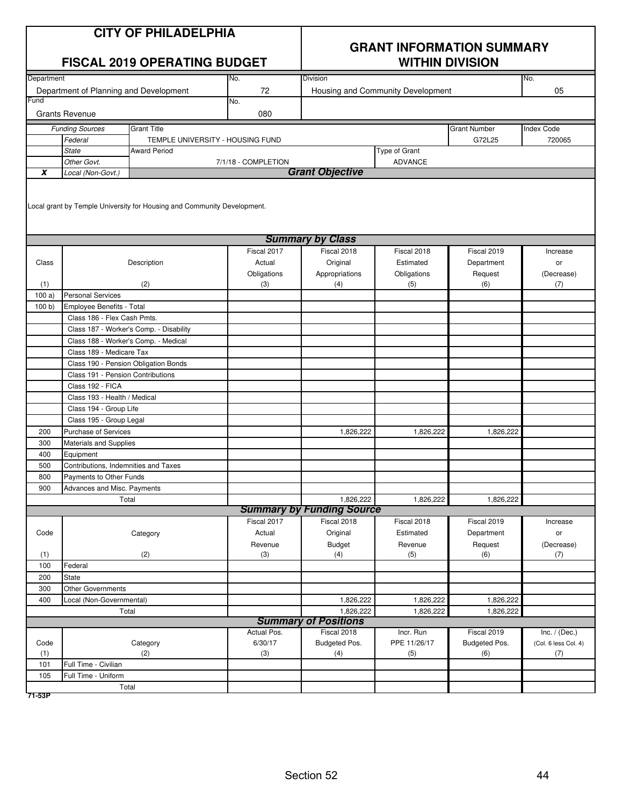|            |                                                                         | <b>CITY OF PHILADELPHIA</b><br><b>FISCAL 2019 OPERATING BUDGET</b> |                       | <b>GRANT INFORMATION SUMMARY</b><br><b>WITHIN DIVISION</b> |                                   |                           |                      |  |  |
|------------|-------------------------------------------------------------------------|--------------------------------------------------------------------|-----------------------|------------------------------------------------------------|-----------------------------------|---------------------------|----------------------|--|--|
| Department |                                                                         |                                                                    | No.                   | Division                                                   |                                   |                           | No.                  |  |  |
| Fund       | Department of Planning and Development                                  |                                                                    | 72<br>No.             |                                                            | Housing and Community Development |                           | 05                   |  |  |
|            | <b>Grants Revenue</b>                                                   |                                                                    | 080                   |                                                            |                                   |                           |                      |  |  |
|            | <b>Funding Sources</b>                                                  | <b>Grant Title</b>                                                 |                       |                                                            |                                   | <b>Grant Number</b>       | <b>Index Code</b>    |  |  |
|            | Federal                                                                 | TEMPLE UNIVERSITY - HOUSING FUND                                   |                       |                                                            |                                   | G72L25                    | 720065               |  |  |
|            | <b>State</b>                                                            | <b>Award Period</b>                                                |                       |                                                            | Type of Grant                     |                           |                      |  |  |
|            | Other Govt.                                                             |                                                                    | 7/1/18 - COMPLETION   |                                                            | <b>ADVANCE</b>                    |                           |                      |  |  |
| X          | Local (Non-Govt.)                                                       |                                                                    |                       | <b>Grant Objective</b>                                     |                                   |                           |                      |  |  |
|            | Local grant by Temple University for Housing and Community Development. |                                                                    |                       |                                                            |                                   |                           |                      |  |  |
|            |                                                                         |                                                                    |                       | <b>Summary by Class</b>                                    |                                   |                           |                      |  |  |
| Class      |                                                                         | Description                                                        | Fiscal 2017<br>Actual | Fiscal 2018<br>Original                                    | Fiscal 2018<br>Estimated          | Fiscal 2019<br>Department | Increase<br>or       |  |  |
|            |                                                                         |                                                                    | Obligations           | Appropriations                                             | Obligations                       | Request                   | (Decrease)           |  |  |
| (1)        |                                                                         | (2)                                                                | (3)                   | (4)                                                        | (5)                               | (6)                       | (7)                  |  |  |
| 100a       | <b>Personal Services</b>                                                |                                                                    |                       |                                                            |                                   |                           |                      |  |  |
| 100 b      | Employee Benefits - Total                                               |                                                                    |                       |                                                            |                                   |                           |                      |  |  |
|            | Class 186 - Flex Cash Pmts.                                             |                                                                    |                       |                                                            |                                   |                           |                      |  |  |
|            |                                                                         | Class 187 - Worker's Comp. - Disability                            |                       |                                                            |                                   |                           |                      |  |  |
|            | Class 188 - Worker's Comp. - Medical                                    |                                                                    |                       |                                                            |                                   |                           |                      |  |  |
|            | Class 189 - Medicare Tax                                                |                                                                    |                       |                                                            |                                   |                           |                      |  |  |
|            | Class 190 - Pension Obligation Bonds                                    |                                                                    |                       |                                                            |                                   |                           |                      |  |  |
|            | Class 191 - Pension Contributions                                       |                                                                    |                       |                                                            |                                   |                           |                      |  |  |
|            | Class 192 - FICA                                                        |                                                                    |                       |                                                            |                                   |                           |                      |  |  |
|            | Class 193 - Health / Medical                                            |                                                                    |                       |                                                            |                                   |                           |                      |  |  |
|            | Class 194 - Group Life                                                  |                                                                    |                       |                                                            |                                   |                           |                      |  |  |
|            | Class 195 - Group Legal                                                 |                                                                    |                       |                                                            |                                   |                           |                      |  |  |
| 200        | <b>Purchase of Services</b>                                             |                                                                    |                       | 1,826,222                                                  | 1,826,222                         | 1,826,222                 |                      |  |  |
| 300        | Materials and Supplies                                                  |                                                                    |                       |                                                            |                                   |                           |                      |  |  |
| 400        | Equipment                                                               |                                                                    |                       |                                                            |                                   |                           |                      |  |  |
| 500<br>800 | Contributions, Indemnities and Taxes<br>Payments to Other Funds         |                                                                    |                       |                                                            |                                   |                           |                      |  |  |
| 900        | Advances and Misc. Payments                                             |                                                                    |                       |                                                            |                                   |                           |                      |  |  |
|            | Total                                                                   |                                                                    |                       | 1,826,222                                                  | 1,826,222                         | 1,826,222                 |                      |  |  |
|            |                                                                         |                                                                    |                       | <b>Summary by Funding Source</b>                           |                                   |                           |                      |  |  |
|            |                                                                         |                                                                    | Fiscal 2017           | Fiscal 2018                                                | Fiscal 2018                       | Fiscal 2019               | Increase             |  |  |
| Code       |                                                                         | Category                                                           | Actual                | Original                                                   | Estimated                         | Department                | or                   |  |  |
|            |                                                                         |                                                                    | Revenue               | <b>Budget</b>                                              | Revenue                           | Request                   | (Decrease)           |  |  |
| (1)        |                                                                         | (2)                                                                | (3)                   | (4)                                                        | (5)                               | (6)                       | (7)                  |  |  |
| 100        | Federal                                                                 |                                                                    |                       |                                                            |                                   |                           |                      |  |  |
| 200        | <b>State</b>                                                            |                                                                    |                       |                                                            |                                   |                           |                      |  |  |
| 300        | <b>Other Governments</b>                                                |                                                                    |                       |                                                            |                                   |                           |                      |  |  |
| 400        | Local (Non-Governmental)                                                |                                                                    |                       | 1,826,222                                                  | 1,826,222                         | 1,826,222                 |                      |  |  |
|            | Total                                                                   |                                                                    |                       | 1,826,222<br><b>Summary of Positions</b>                   | 1,826,222                         | 1,826,222                 |                      |  |  |
|            |                                                                         |                                                                    | Actual Pos.           | Fiscal 2018                                                | Incr. Run                         | Fiscal 2019               | Inc. $/$ (Dec.)      |  |  |
| Code       |                                                                         | Category                                                           | 6/30/17               | Budgeted Pos.                                              | PPE 11/26/17                      | Budgeted Pos.             | (Col. 6 less Col. 4) |  |  |
| (1)        |                                                                         | (2)                                                                | (3)                   | (4)                                                        | (5)                               | (6)                       | (7)                  |  |  |
| 101        | Full Time - Civilian                                                    |                                                                    |                       |                                                            |                                   |                           |                      |  |  |
| 105        | Full Time - Uniform                                                     |                                                                    |                       |                                                            |                                   |                           |                      |  |  |
|            | Total                                                                   |                                                                    |                       |                                                            |                                   |                           |                      |  |  |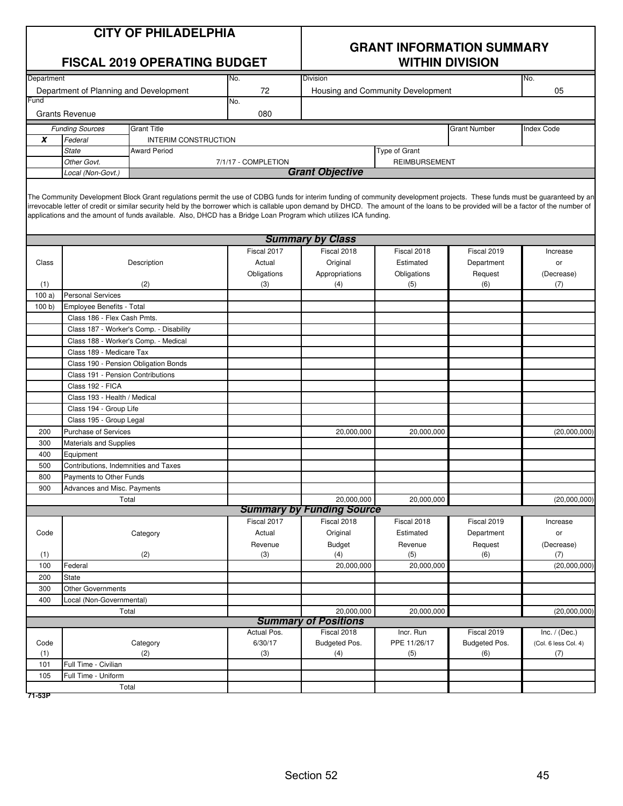| <b>FISCAL 2019 OPERATING BUDGET</b> |                                                                  |                                                                                                                                                                                                                                                                                                                                                                                                                                                                                         |                     | <b>WITHIN DIVISION</b>                    |                                   |                     |                      |  |
|-------------------------------------|------------------------------------------------------------------|-----------------------------------------------------------------------------------------------------------------------------------------------------------------------------------------------------------------------------------------------------------------------------------------------------------------------------------------------------------------------------------------------------------------------------------------------------------------------------------------|---------------------|-------------------------------------------|-----------------------------------|---------------------|----------------------|--|
| Department                          |                                                                  |                                                                                                                                                                                                                                                                                                                                                                                                                                                                                         | No.                 | Division                                  |                                   |                     | No.                  |  |
|                                     | Department of Planning and Development                           |                                                                                                                                                                                                                                                                                                                                                                                                                                                                                         | 72                  |                                           | Housing and Community Development |                     | 05                   |  |
| Fund                                |                                                                  |                                                                                                                                                                                                                                                                                                                                                                                                                                                                                         | No.                 |                                           |                                   |                     |                      |  |
|                                     | <b>Grants Revenue</b>                                            |                                                                                                                                                                                                                                                                                                                                                                                                                                                                                         | 080                 |                                           |                                   |                     |                      |  |
|                                     | <b>Funding Sources</b>                                           | <b>Grant Title</b>                                                                                                                                                                                                                                                                                                                                                                                                                                                                      |                     |                                           |                                   | <b>Grant Number</b> | Index Code           |  |
| X                                   | Federal                                                          | INTERIM CONSTRUCTION                                                                                                                                                                                                                                                                                                                                                                                                                                                                    |                     |                                           |                                   |                     |                      |  |
|                                     | State                                                            | Award Period                                                                                                                                                                                                                                                                                                                                                                                                                                                                            |                     |                                           | Type of Grant                     |                     |                      |  |
|                                     | Other Govt.                                                      |                                                                                                                                                                                                                                                                                                                                                                                                                                                                                         | 7/1/17 - COMPLETION |                                           | <b>REIMBURSEMENT</b>              |                     |                      |  |
|                                     | Local (Non-Govt.)                                                |                                                                                                                                                                                                                                                                                                                                                                                                                                                                                         |                     | <b>Grant Objective</b>                    |                                   |                     |                      |  |
|                                     |                                                                  | The Community Development Block Grant regulations permit the use of CDBG funds for interim funding of community development projects. These funds must be guaranteed by an<br>irrevocable letter of credit or similar security held by the borrower which is callable upon demand by DHCD. The amount of the loans to be provided will be a factor of the number of<br>applications and the amount of funds available. Also, DHCD has a Bridge Loan Program which utilizes ICA funding. |                     |                                           |                                   |                     |                      |  |
|                                     |                                                                  |                                                                                                                                                                                                                                                                                                                                                                                                                                                                                         |                     | <b>Summary by Class</b>                   |                                   |                     |                      |  |
|                                     |                                                                  |                                                                                                                                                                                                                                                                                                                                                                                                                                                                                         | Fiscal 2017         | Fiscal 2018                               | Fiscal 2018                       | Fiscal 2019         | Increase             |  |
| Class                               |                                                                  | Description                                                                                                                                                                                                                                                                                                                                                                                                                                                                             | Actual              | Original                                  | Estimated                         | Department          | or                   |  |
|                                     |                                                                  |                                                                                                                                                                                                                                                                                                                                                                                                                                                                                         | Obligations         | Appropriations                            | Obligations                       | Request             | (Decrease)           |  |
| (1)                                 |                                                                  | (2)                                                                                                                                                                                                                                                                                                                                                                                                                                                                                     | (3)                 | (4)                                       | (5)                               | (6)                 | (7)                  |  |
| 100a)                               | <b>Personal Services</b>                                         |                                                                                                                                                                                                                                                                                                                                                                                                                                                                                         |                     |                                           |                                   |                     |                      |  |
| 100 b                               | Employee Benefits - Total                                        |                                                                                                                                                                                                                                                                                                                                                                                                                                                                                         |                     |                                           |                                   |                     |                      |  |
|                                     | Class 186 - Flex Cash Pmts.                                      |                                                                                                                                                                                                                                                                                                                                                                                                                                                                                         |                     |                                           |                                   |                     |                      |  |
|                                     |                                                                  | Class 187 - Worker's Comp. - Disability                                                                                                                                                                                                                                                                                                                                                                                                                                                 |                     |                                           |                                   |                     |                      |  |
|                                     | Class 188 - Worker's Comp. - Medical                             |                                                                                                                                                                                                                                                                                                                                                                                                                                                                                         |                     |                                           |                                   |                     |                      |  |
|                                     | Class 189 - Medicare Tax<br>Class 190 - Pension Obligation Bonds |                                                                                                                                                                                                                                                                                                                                                                                                                                                                                         |                     |                                           |                                   |                     |                      |  |
|                                     | Class 191 - Pension Contributions                                |                                                                                                                                                                                                                                                                                                                                                                                                                                                                                         |                     |                                           |                                   |                     |                      |  |
|                                     | Class 192 - FICA                                                 |                                                                                                                                                                                                                                                                                                                                                                                                                                                                                         |                     |                                           |                                   |                     |                      |  |
|                                     | Class 193 - Health / Medical                                     |                                                                                                                                                                                                                                                                                                                                                                                                                                                                                         |                     |                                           |                                   |                     |                      |  |
|                                     | Class 194 - Group Life                                           |                                                                                                                                                                                                                                                                                                                                                                                                                                                                                         |                     |                                           |                                   |                     |                      |  |
|                                     | Class 195 - Group Legal                                          |                                                                                                                                                                                                                                                                                                                                                                                                                                                                                         |                     |                                           |                                   |                     |                      |  |
| 200                                 | <b>Purchase of Services</b>                                      |                                                                                                                                                                                                                                                                                                                                                                                                                                                                                         |                     | 20,000,000                                | 20,000,000                        |                     | (20,000,000)         |  |
| 300                                 | Materials and Supplies                                           |                                                                                                                                                                                                                                                                                                                                                                                                                                                                                         |                     |                                           |                                   |                     |                      |  |
| 400                                 | Equipment                                                        |                                                                                                                                                                                                                                                                                                                                                                                                                                                                                         |                     |                                           |                                   |                     |                      |  |
| 500                                 | Contributions, Indemnities and Taxes                             |                                                                                                                                                                                                                                                                                                                                                                                                                                                                                         |                     |                                           |                                   |                     |                      |  |
| 800                                 | Payments to Other Funds                                          |                                                                                                                                                                                                                                                                                                                                                                                                                                                                                         |                     |                                           |                                   |                     |                      |  |
| 900                                 | Advances and Misc. Payments                                      |                                                                                                                                                                                                                                                                                                                                                                                                                                                                                         |                     |                                           |                                   |                     |                      |  |
|                                     |                                                                  | Total                                                                                                                                                                                                                                                                                                                                                                                                                                                                                   |                     | 20,000,000                                | 20,000,000                        |                     | (20,000,000)         |  |
|                                     |                                                                  |                                                                                                                                                                                                                                                                                                                                                                                                                                                                                         |                     | <b>Summary by Funding Source</b>          |                                   |                     |                      |  |
|                                     |                                                                  |                                                                                                                                                                                                                                                                                                                                                                                                                                                                                         | Fiscal 2017         | Fiscal 2018                               | Fiscal 2018                       | Fiscal 2019         | Increase             |  |
| Code                                |                                                                  | Category                                                                                                                                                                                                                                                                                                                                                                                                                                                                                | Actual              | Original                                  | Estimated                         | Department          | or                   |  |
|                                     |                                                                  |                                                                                                                                                                                                                                                                                                                                                                                                                                                                                         | Revenue             | Budget                                    | Revenue                           | Request             | (Decrease)           |  |
| (1)                                 |                                                                  | (2)                                                                                                                                                                                                                                                                                                                                                                                                                                                                                     | (3)                 | (4)                                       | (5)                               | (6)                 | (7)                  |  |
| 100                                 | Federal                                                          |                                                                                                                                                                                                                                                                                                                                                                                                                                                                                         |                     | 20,000,000                                | 20,000,000                        |                     | (20,000,000)         |  |
| 200                                 | State                                                            |                                                                                                                                                                                                                                                                                                                                                                                                                                                                                         |                     |                                           |                                   |                     |                      |  |
| 300                                 | Other Governments                                                |                                                                                                                                                                                                                                                                                                                                                                                                                                                                                         |                     |                                           |                                   |                     |                      |  |
| 400                                 | Local (Non-Governmental)                                         |                                                                                                                                                                                                                                                                                                                                                                                                                                                                                         |                     |                                           |                                   |                     |                      |  |
|                                     |                                                                  | Total                                                                                                                                                                                                                                                                                                                                                                                                                                                                                   |                     | 20,000,000<br><b>Summary of Positions</b> | 20,000,000                        |                     | (20,000,000)         |  |
|                                     |                                                                  |                                                                                                                                                                                                                                                                                                                                                                                                                                                                                         | Actual Pos.         | Fiscal 2018                               | Incr. Run                         | Fiscal 2019         | Inc. $/$ (Dec.)      |  |
| Code                                |                                                                  | Category                                                                                                                                                                                                                                                                                                                                                                                                                                                                                | 6/30/17             | Budgeted Pos.                             | PPE 11/26/17                      | Budgeted Pos.       | (Col. 6 less Col. 4) |  |
| (1)                                 |                                                                  | (2)                                                                                                                                                                                                                                                                                                                                                                                                                                                                                     | (3)                 | (4)                                       | (5)                               | (6)                 | (7)                  |  |
| 101                                 | Full Time - Civilian                                             |                                                                                                                                                                                                                                                                                                                                                                                                                                                                                         |                     |                                           |                                   |                     |                      |  |
| 105                                 | Full Time - Uniform                                              |                                                                                                                                                                                                                                                                                                                                                                                                                                                                                         |                     |                                           |                                   |                     |                      |  |
|                                     |                                                                  | Total                                                                                                                                                                                                                                                                                                                                                                                                                                                                                   |                     |                                           |                                   |                     |                      |  |
|                                     |                                                                  |                                                                                                                                                                                                                                                                                                                                                                                                                                                                                         |                     |                                           |                                   |                     |                      |  |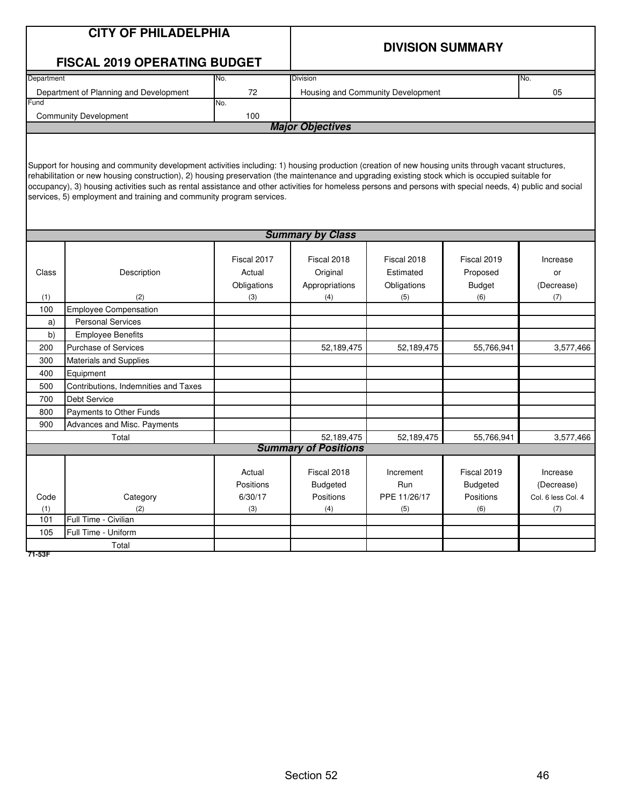|                         | <b>CITY OF PHILADELPHIA</b>                                                                                                                                |             |                             |                                   |                         |                    |  |  |  |
|-------------------------|------------------------------------------------------------------------------------------------------------------------------------------------------------|-------------|-----------------------------|-----------------------------------|-------------------------|--------------------|--|--|--|
|                         |                                                                                                                                                            |             |                             |                                   | <b>DIVISION SUMMARY</b> |                    |  |  |  |
|                         | <b>FISCAL 2019 OPERATING BUDGET</b>                                                                                                                        |             |                             |                                   |                         |                    |  |  |  |
| Department              |                                                                                                                                                            | No.         | <b>Division</b>             |                                   |                         | No.                |  |  |  |
|                         | Department of Planning and Development                                                                                                                     | 72          |                             | Housing and Community Development |                         | 05                 |  |  |  |
| Fund                    |                                                                                                                                                            | No.         |                             |                                   |                         |                    |  |  |  |
|                         | <b>Community Development</b>                                                                                                                               | 100         | <b>Major Objectives</b>     |                                   |                         |                    |  |  |  |
|                         |                                                                                                                                                            |             |                             |                                   |                         |                    |  |  |  |
|                         |                                                                                                                                                            |             |                             |                                   |                         |                    |  |  |  |
|                         | Support for housing and community development activities including: 1) housing production (creation of new housing units through vacant structures,        |             |                             |                                   |                         |                    |  |  |  |
|                         | rehabilitation or new housing construction), 2) housing preservation (the maintenance and upgrading existing stock which is occupied suitable for          |             |                             |                                   |                         |                    |  |  |  |
|                         | occupancy), 3) housing activities such as rental assistance and other activities for homeless persons and persons with special needs, 4) public and social |             |                             |                                   |                         |                    |  |  |  |
|                         | services, 5) employment and training and community program services.                                                                                       |             |                             |                                   |                         |                    |  |  |  |
|                         |                                                                                                                                                            |             |                             |                                   |                         |                    |  |  |  |
| <b>Summary by Class</b> |                                                                                                                                                            |             |                             |                                   |                         |                    |  |  |  |
|                         |                                                                                                                                                            |             |                             |                                   |                         |                    |  |  |  |
|                         |                                                                                                                                                            | Fiscal 2017 | Fiscal 2018                 | Fiscal 2018                       | Fiscal 2019             | Increase           |  |  |  |
| Class                   | Description                                                                                                                                                | Actual      | Original                    | Estimated                         | Proposed                | or                 |  |  |  |
|                         |                                                                                                                                                            | Obligations | Appropriations              | Obligations                       | <b>Budget</b>           | (Decrease)         |  |  |  |
| (1)                     | (2)                                                                                                                                                        | (3)         | (4)                         | (5)                               | (6)                     | (7)                |  |  |  |
| 100                     | <b>Employee Compensation</b>                                                                                                                               |             |                             |                                   |                         |                    |  |  |  |
| a)                      | <b>Personal Services</b>                                                                                                                                   |             |                             |                                   |                         |                    |  |  |  |
| b)                      | <b>Employee Benefits</b>                                                                                                                                   |             |                             |                                   |                         |                    |  |  |  |
| 200                     | <b>Purchase of Services</b>                                                                                                                                |             | 52,189,475                  | 52,189,475                        | 55,766,941              | 3,577,466          |  |  |  |
| 300<br>400              | <b>Materials and Supplies</b><br>Equipment                                                                                                                 |             |                             |                                   |                         |                    |  |  |  |
| 500                     | Contributions, Indemnities and Taxes                                                                                                                       |             |                             |                                   |                         |                    |  |  |  |
| 700                     | <b>Debt Service</b>                                                                                                                                        |             |                             |                                   |                         |                    |  |  |  |
| 800                     | Payments to Other Funds                                                                                                                                    |             |                             |                                   |                         |                    |  |  |  |
| 900                     | Advances and Misc. Payments                                                                                                                                |             |                             |                                   |                         |                    |  |  |  |
|                         | Total                                                                                                                                                      |             | 52,189,475                  | 52,189,475                        | 55,766,941              | 3,577,466          |  |  |  |
|                         |                                                                                                                                                            |             | <b>Summary of Positions</b> |                                   |                         |                    |  |  |  |
|                         |                                                                                                                                                            |             |                             |                                   |                         |                    |  |  |  |
|                         |                                                                                                                                                            | Actual      | Fiscal 2018                 | Increment                         | Fiscal 2019             | Increase           |  |  |  |
|                         |                                                                                                                                                            | Positions   | <b>Budgeted</b>             | Run                               | <b>Budgeted</b>         | (Decrease)         |  |  |  |
| Code                    | Category                                                                                                                                                   | 6/30/17     | Positions                   | PPE 11/26/17                      | Positions               | Col. 6 less Col. 4 |  |  |  |
| (1)                     | (2)<br>Full Time - Civilian                                                                                                                                | (3)         | (4)                         | (5)                               | (6)                     | (7)                |  |  |  |
| 101                     |                                                                                                                                                            |             |                             |                                   |                         |                    |  |  |  |
| 105                     | Full Time - Uniform<br>Total                                                                                                                               |             |                             |                                   |                         |                    |  |  |  |
| 71-53F                  |                                                                                                                                                            |             |                             |                                   |                         |                    |  |  |  |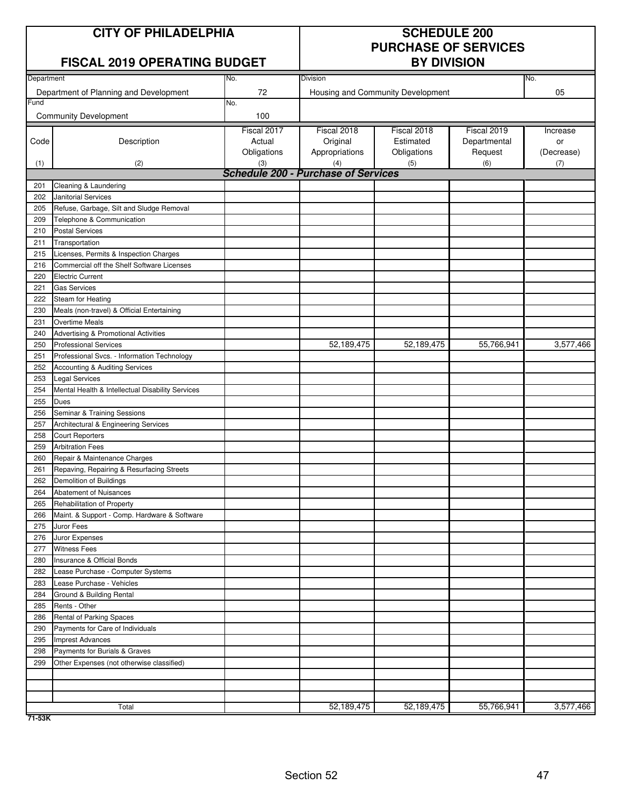# **CITY OF PHILADELPHIA SCHEDULE 200**

### **FISCAL 2019 OPERATING BUDGET**

# **PURCHASE OF SERVICES**

|            |                                                   |             | וטוטוזוש ו                                        |                                   |              |            |  |  |
|------------|---------------------------------------------------|-------------|---------------------------------------------------|-----------------------------------|--------------|------------|--|--|
| Department |                                                   | No.         | Division                                          |                                   |              | No.        |  |  |
|            | Department of Planning and Development            | 72          |                                                   | Housing and Community Development |              | 05         |  |  |
| Fund       |                                                   | No.         |                                                   |                                   |              |            |  |  |
|            | <b>Community Development</b>                      | 100         |                                                   |                                   |              |            |  |  |
|            |                                                   | Fiscal 2017 | Fiscal 2018                                       | Fiscal 2018                       | Fiscal 2019  | Increase   |  |  |
| Code       | Description                                       | Actual      | Original                                          | Estimated                         | Departmental | or         |  |  |
|            |                                                   | Obligations | Appropriations                                    | Obligations                       | Request      | (Decrease) |  |  |
| (1)        | (2)                                               | (3)         | (4)<br><b>Schedule 200 - Purchase of Services</b> | (5)                               | (6)          | (7)        |  |  |
| 201        | Cleaning & Laundering                             |             |                                                   |                                   |              |            |  |  |
| 202        | <b>Janitorial Services</b>                        |             |                                                   |                                   |              |            |  |  |
| 205        | Refuse, Garbage, Silt and Sludge Removal          |             |                                                   |                                   |              |            |  |  |
| 209        | Telephone & Communication                         |             |                                                   |                                   |              |            |  |  |
| 210        | <b>Postal Services</b>                            |             |                                                   |                                   |              |            |  |  |
| 211        | Transportation                                    |             |                                                   |                                   |              |            |  |  |
| 215        | Licenses, Permits & Inspection Charges            |             |                                                   |                                   |              |            |  |  |
| 216        | Commercial off the Shelf Software Licenses        |             |                                                   |                                   |              |            |  |  |
| 220        | <b>Electric Current</b>                           |             |                                                   |                                   |              |            |  |  |
| 221        | <b>Gas Services</b>                               |             |                                                   |                                   |              |            |  |  |
| 222        | Steam for Heating                                 |             |                                                   |                                   |              |            |  |  |
| 230        | Meals (non-travel) & Official Entertaining        |             |                                                   |                                   |              |            |  |  |
| 231        | <b>Overtime Meals</b>                             |             |                                                   |                                   |              |            |  |  |
| 240        | Advertising & Promotional Activities              |             |                                                   |                                   |              |            |  |  |
| 250        | <b>Professional Services</b>                      |             | 52,189,475                                        | 52,189,475                        | 55,766,941   | 3,577,466  |  |  |
| 251        | Professional Svcs. - Information Technology       |             |                                                   |                                   |              |            |  |  |
| 252        | Accounting & Auditing Services                    |             |                                                   |                                   |              |            |  |  |
| 253        | <b>Legal Services</b>                             |             |                                                   |                                   |              |            |  |  |
| 254        | Mental Health & Intellectual Disability Services  |             |                                                   |                                   |              |            |  |  |
| 255        | Dues                                              |             |                                                   |                                   |              |            |  |  |
| 256        | Seminar & Training Sessions                       |             |                                                   |                                   |              |            |  |  |
| 257        | Architectural & Engineering Services              |             |                                                   |                                   |              |            |  |  |
| 258        | <b>Court Reporters</b>                            |             |                                                   |                                   |              |            |  |  |
| 259        | <b>Arbitration Fees</b>                           |             |                                                   |                                   |              |            |  |  |
| 260        | Repair & Maintenance Charges                      |             |                                                   |                                   |              |            |  |  |
| 261        | Repaving, Repairing & Resurfacing Streets         |             |                                                   |                                   |              |            |  |  |
| 262        | Demolition of Buildings                           |             |                                                   |                                   |              |            |  |  |
| 264        | Abatement of Nuisances                            |             |                                                   |                                   |              |            |  |  |
| 265        | Rehabilitation of Property                        |             |                                                   |                                   |              |            |  |  |
| 266        | Maint. & Support - Comp. Hardware & Software      |             |                                                   |                                   |              |            |  |  |
| 275        | Juror Fees                                        |             |                                                   |                                   |              |            |  |  |
| 276        | Juror Expenses                                    |             |                                                   |                                   |              |            |  |  |
| 277<br>280 | <b>Witness Fees</b><br>Insurance & Official Bonds |             |                                                   |                                   |              |            |  |  |
| 282        | Lease Purchase - Computer Systems                 |             |                                                   |                                   |              |            |  |  |
| 283        | Lease Purchase - Vehicles                         |             |                                                   |                                   |              |            |  |  |
| 284        | Ground & Building Rental                          |             |                                                   |                                   |              |            |  |  |
| 285        | Rents - Other                                     |             |                                                   |                                   |              |            |  |  |
| 286        | Rental of Parking Spaces                          |             |                                                   |                                   |              |            |  |  |
| 290        | Payments for Care of Individuals                  |             |                                                   |                                   |              |            |  |  |
| 295        | <b>Imprest Advances</b>                           |             |                                                   |                                   |              |            |  |  |
| 298        | Payments for Burials & Graves                     |             |                                                   |                                   |              |            |  |  |
| 299        | Other Expenses (not otherwise classified)         |             |                                                   |                                   |              |            |  |  |
|            |                                                   |             |                                                   |                                   |              |            |  |  |
|            |                                                   |             |                                                   |                                   |              |            |  |  |
|            |                                                   |             |                                                   |                                   |              |            |  |  |
|            | Total                                             |             | 52,189,475                                        | 52,189,475                        | 55,766,941   | 3,577,466  |  |  |

**71-53K**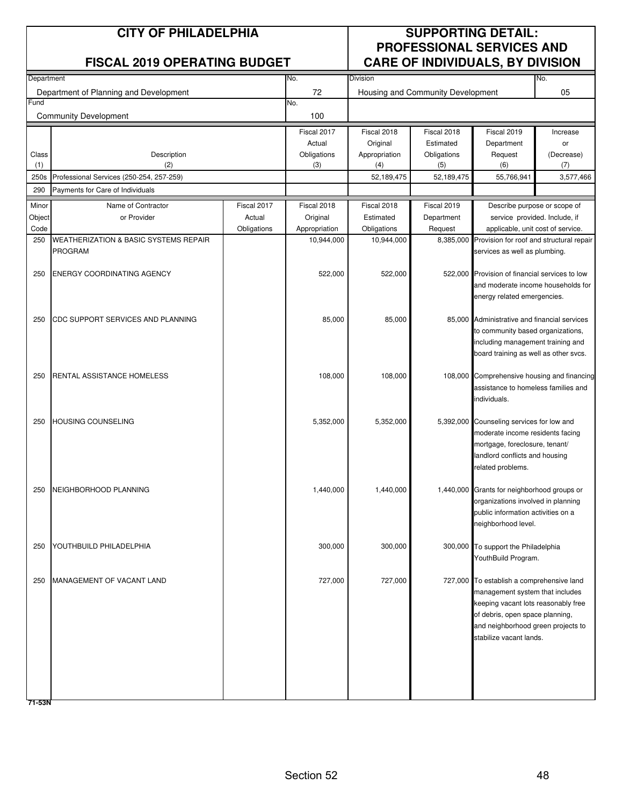| <b>FISCAL 2019 OPERATING BUDGET</b><br>Department of Planning and Development<br><b>Community Development</b><br>Description<br>(2)<br>Professional Services (250-254, 257-259)<br>Payments for Care of Individuals<br>Name of Contractor<br>or Provider<br><b>WEATHERIZATION &amp; BASIC SYSTEMS REPAIR</b><br><b>PROGRAM</b> | Fiscal 2017 | No.<br>72<br>No.<br>100<br>Fiscal 2017<br>Actual<br>Obligations<br>(3) | Division<br>Fiscal 2018<br>Original<br>Appropriation<br>(4) | Housing and Community Development<br>Fiscal 2018<br>Estimated<br>Obligations<br>(5) | <b>CARE OF INDIVIDUALS, BY DIVISION</b><br>Fiscal 2019<br>Department<br>Request                                                                                            | No.<br>05<br>Increase<br>or                                                      |
|--------------------------------------------------------------------------------------------------------------------------------------------------------------------------------------------------------------------------------------------------------------------------------------------------------------------------------|-------------|------------------------------------------------------------------------|-------------------------------------------------------------|-------------------------------------------------------------------------------------|----------------------------------------------------------------------------------------------------------------------------------------------------------------------------|----------------------------------------------------------------------------------|
|                                                                                                                                                                                                                                                                                                                                |             |                                                                        |                                                             |                                                                                     |                                                                                                                                                                            |                                                                                  |
|                                                                                                                                                                                                                                                                                                                                |             |                                                                        |                                                             |                                                                                     |                                                                                                                                                                            |                                                                                  |
|                                                                                                                                                                                                                                                                                                                                |             |                                                                        |                                                             |                                                                                     |                                                                                                                                                                            |                                                                                  |
|                                                                                                                                                                                                                                                                                                                                |             |                                                                        |                                                             |                                                                                     |                                                                                                                                                                            |                                                                                  |
|                                                                                                                                                                                                                                                                                                                                |             |                                                                        |                                                             |                                                                                     |                                                                                                                                                                            |                                                                                  |
|                                                                                                                                                                                                                                                                                                                                |             |                                                                        |                                                             |                                                                                     | (6)                                                                                                                                                                        | (Decrease)<br>(7)                                                                |
|                                                                                                                                                                                                                                                                                                                                |             |                                                                        | 52,189,475                                                  | 52,189,475                                                                          | 55,766,941                                                                                                                                                                 | 3,577,466                                                                        |
|                                                                                                                                                                                                                                                                                                                                |             |                                                                        |                                                             |                                                                                     |                                                                                                                                                                            |                                                                                  |
|                                                                                                                                                                                                                                                                                                                                |             | Fiscal 2018                                                            | Fiscal 2018                                                 | Fiscal 2019                                                                         | Describe purpose or scope of                                                                                                                                               |                                                                                  |
|                                                                                                                                                                                                                                                                                                                                | Actual      | Original                                                               | Estimated<br>Obligations                                    | Department<br>Request                                                               | service provided. Include, if                                                                                                                                              |                                                                                  |
|                                                                                                                                                                                                                                                                                                                                | Obligations | Appropriation<br>10,944,000                                            | 10,944,000                                                  |                                                                                     | applicable, unit cost of service.<br>8,385,000 Provision for roof and structural repair                                                                                    |                                                                                  |
|                                                                                                                                                                                                                                                                                                                                |             |                                                                        |                                                             |                                                                                     | services as well as plumbing.                                                                                                                                              |                                                                                  |
| ENERGY COORDINATING AGENCY                                                                                                                                                                                                                                                                                                     |             | 522,000                                                                | 522,000                                                     |                                                                                     | 522,000 Provision of financial services to low<br>and moderate income households for<br>energy related emergencies.                                                        |                                                                                  |
| CDC SUPPORT SERVICES AND PLANNING                                                                                                                                                                                                                                                                                              |             | 85,000                                                                 | 85,000                                                      |                                                                                     | 85,000 Administrative and financial services<br>to community based organizations,<br>including management training and<br>board training as well as other svcs.            |                                                                                  |
| RENTAL ASSISTANCE HOMELESS                                                                                                                                                                                                                                                                                                     |             | 108,000                                                                | 108,000                                                     |                                                                                     | 108,000 Comprehensive housing and financing<br>assistance to homeless families and<br>ndividuals.                                                                          |                                                                                  |
| <b>HOUSING COUNSELING</b>                                                                                                                                                                                                                                                                                                      |             | 5,352,000                                                              | 5,352,000                                                   |                                                                                     | 5,392,000 Counseling services for low and<br>moderate income residents facing<br>mortgage, foreclosure, tenant/<br>landlord conflicts and housing<br>related problems.     |                                                                                  |
| NEIGHBORHOOD PLANNING                                                                                                                                                                                                                                                                                                          |             | 1,440,000                                                              | 1,440,000                                                   |                                                                                     | 1,440,000 Grants for neighborhood groups or<br>organizations involved in planning<br>public information activities on a<br>neighborhood level.                             |                                                                                  |
| YOUTHBUILD PHILADELPHIA                                                                                                                                                                                                                                                                                                        |             | 300,000                                                                | 300,000                                                     |                                                                                     | YouthBuild Program.                                                                                                                                                        |                                                                                  |
| MANAGEMENT OF VACANT LAND                                                                                                                                                                                                                                                                                                      |             | 727,000                                                                | 727,000                                                     |                                                                                     | management system that includes<br>keeping vacant lots reasonably free<br>of debris, open space planning,<br>and neighborhood green projects to<br>stabilize vacant lands. |                                                                                  |
|                                                                                                                                                                                                                                                                                                                                |             |                                                                        |                                                             |                                                                                     |                                                                                                                                                                            | 300,000 To support the Philadelphia<br>727,000 To establish a comprehensive land |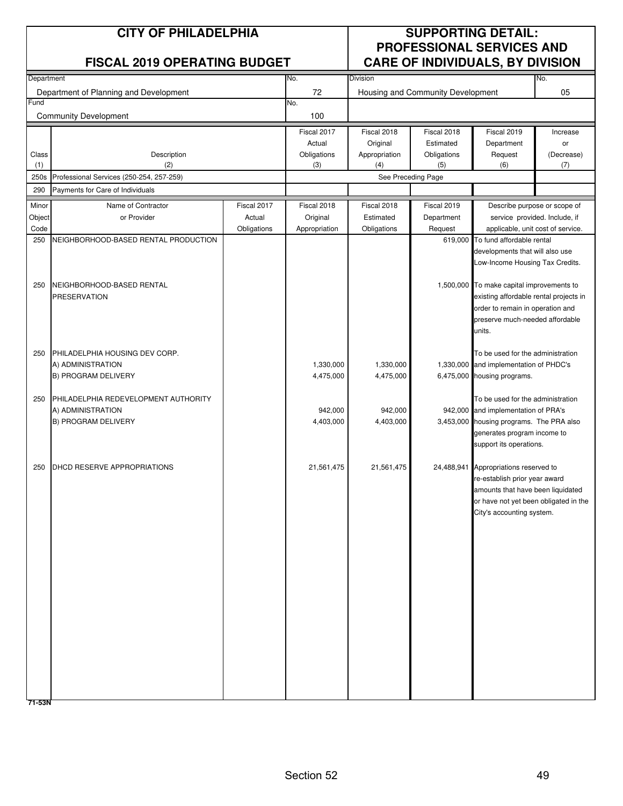|                | <b>CITY OF PHILADELPHIA</b><br><b>FISCAL 2019 OPERATING BUDGET</b> |                       | <b>SUPPORTING DETAIL:</b><br><b>PROFESSIONAL SERVICES AND</b><br><b>CARE OF INDIVIDUALS, BY DIVISION</b> |                           |                                   |                                                                    |                  |
|----------------|--------------------------------------------------------------------|-----------------------|----------------------------------------------------------------------------------------------------------|---------------------------|-----------------------------------|--------------------------------------------------------------------|------------------|
| Department     |                                                                    |                       | No.                                                                                                      | <b>Division</b>           |                                   |                                                                    | No.              |
|                | Department of Planning and Development                             |                       | 72                                                                                                       |                           | Housing and Community Development |                                                                    | 05               |
| Fund           | <b>Community Development</b>                                       |                       | No.<br>100                                                                                               |                           |                                   |                                                                    |                  |
|                |                                                                    |                       | Fiscal 2017                                                                                              | Fiscal 2018               | Fiscal 2018                       | Fiscal 2019                                                        | Increase         |
| Class          | Description                                                        |                       | Actual<br>Obligations                                                                                    | Original<br>Appropriation | Estimated<br>Obligations          | Department<br>Request                                              | or<br>(Decrease) |
| (1)            | (2)                                                                |                       | (3)                                                                                                      | (4)                       | (5)                               | (6)                                                                | (7)              |
| 250s           | Professional Services (250-254, 257-259)                           |                       |                                                                                                          | See Preceding Page        |                                   |                                                                    |                  |
| 290            | Payments for Care of Individuals                                   |                       |                                                                                                          |                           |                                   |                                                                    |                  |
| Minor          | Name of Contractor                                                 | Fiscal 2017           | Fiscal 2018                                                                                              | Fiscal 2018               | Fiscal 2019                       | Describe purpose or scope of                                       |                  |
| Object<br>Code | or Provider                                                        | Actual<br>Obligations | Original<br>Appropriation                                                                                | Estimated<br>Obligations  | Department<br>Request             | service provided. Include, if<br>applicable, unit cost of service. |                  |
| 250            | NEIGHBORHOOD-BASED RENTAL PRODUCTION                               |                       |                                                                                                          |                           | 619,000                           | To fund affordable rental                                          |                  |
|                |                                                                    |                       |                                                                                                          |                           |                                   | developments that will also use                                    |                  |
|                |                                                                    |                       |                                                                                                          |                           |                                   | Low-Income Housing Tax Credits.                                    |                  |
| 250            | NEIGHBORHOOD-BASED RENTAL                                          |                       |                                                                                                          |                           |                                   | 1,500,000 To make capital improvements to                          |                  |
|                | <b>PRESERVATION</b>                                                |                       |                                                                                                          |                           |                                   | existing affordable rental projects in                             |                  |
|                |                                                                    |                       |                                                                                                          |                           |                                   | order to remain in operation and                                   |                  |
|                |                                                                    |                       |                                                                                                          |                           |                                   | preserve much-needed affordable<br>units.                          |                  |
|                |                                                                    |                       |                                                                                                          |                           |                                   |                                                                    |                  |
| 250            | PHILADELPHIA HOUSING DEV CORP.                                     |                       |                                                                                                          |                           |                                   | To be used for the administration                                  |                  |
|                | A) ADMINISTRATION                                                  |                       | 1,330,000                                                                                                | 1,330,000                 |                                   | 1,330,000 and implementation of PHDC's                             |                  |
|                | <b>B) PROGRAM DELIVERY</b>                                         |                       | 4,475,000                                                                                                | 4,475,000                 |                                   | 6,475,000 housing programs.                                        |                  |
| 250            | PHILADELPHIA REDEVELOPMENT AUTHORITY                               |                       |                                                                                                          |                           |                                   | To be used for the administration                                  |                  |
|                | A) ADMINISTRATION                                                  |                       | 942,000                                                                                                  | 942,000                   |                                   | 942,000 and implementation of PRA's                                |                  |
|                | B) PROGRAM DELIVERY                                                |                       | 4,403,000                                                                                                | 4,403,000                 |                                   | 3,453,000 housing programs. The PRA also                           |                  |
|                |                                                                    |                       |                                                                                                          |                           |                                   | generates program income to<br>support its operations.             |                  |
|                |                                                                    |                       |                                                                                                          |                           |                                   |                                                                    |                  |
| 250            | DHCD RESERVE APPROPRIATIONS                                        |                       | 21,561,475                                                                                               | 21,561,475                |                                   | 24,488,941 Appropriations reserved to                              |                  |
|                |                                                                    |                       |                                                                                                          |                           |                                   | re-establish prior year award<br>amounts that have been liquidated |                  |
|                |                                                                    |                       |                                                                                                          |                           |                                   | or have not yet been obligated in the                              |                  |
|                |                                                                    |                       |                                                                                                          |                           |                                   | City's accounting system.                                          |                  |
|                |                                                                    |                       |                                                                                                          |                           |                                   |                                                                    |                  |
|                |                                                                    |                       |                                                                                                          |                           |                                   |                                                                    |                  |
|                |                                                                    |                       |                                                                                                          |                           |                                   |                                                                    |                  |
|                |                                                                    |                       |                                                                                                          |                           |                                   |                                                                    |                  |
|                |                                                                    |                       |                                                                                                          |                           |                                   |                                                                    |                  |
|                |                                                                    |                       |                                                                                                          |                           |                                   |                                                                    |                  |
|                |                                                                    |                       |                                                                                                          |                           |                                   |                                                                    |                  |
|                |                                                                    |                       |                                                                                                          |                           |                                   |                                                                    |                  |
|                |                                                                    |                       |                                                                                                          |                           |                                   |                                                                    |                  |
|                |                                                                    |                       |                                                                                                          |                           |                                   |                                                                    |                  |
|                |                                                                    |                       |                                                                                                          |                           |                                   |                                                                    |                  |
|                |                                                                    |                       |                                                                                                          |                           |                                   |                                                                    |                  |
| 71-53N         |                                                                    |                       |                                                                                                          |                           |                                   |                                                                    |                  |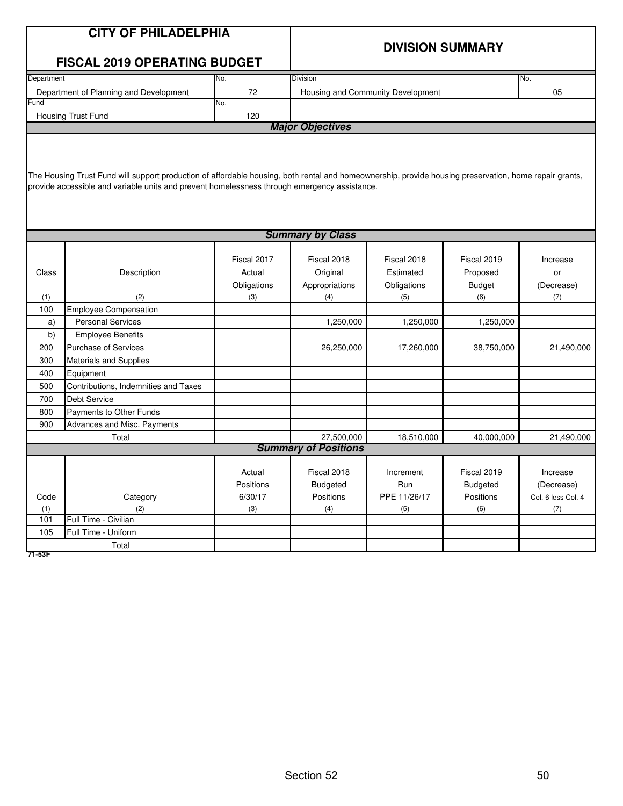|                         | <b>CITY OF PHILADELPHIA</b>                                                                                                                            |             |                             |                                   |                 |                    |  |  |  |  |
|-------------------------|--------------------------------------------------------------------------------------------------------------------------------------------------------|-------------|-----------------------------|-----------------------------------|-----------------|--------------------|--|--|--|--|
|                         |                                                                                                                                                        |             |                             | <b>DIVISION SUMMARY</b>           |                 |                    |  |  |  |  |
|                         | <b>FISCAL 2019 OPERATING BUDGET</b>                                                                                                                    |             |                             |                                   |                 |                    |  |  |  |  |
| Department              |                                                                                                                                                        | No.         | Division                    |                                   |                 | No.                |  |  |  |  |
|                         | Department of Planning and Development                                                                                                                 | 72          |                             | Housing and Community Development |                 | 05                 |  |  |  |  |
| Fund                    |                                                                                                                                                        | No.         |                             |                                   |                 |                    |  |  |  |  |
|                         | Housing Trust Fund                                                                                                                                     | 120         |                             |                                   |                 |                    |  |  |  |  |
|                         |                                                                                                                                                        |             | <b>Major Objectives</b>     |                                   |                 |                    |  |  |  |  |
|                         |                                                                                                                                                        |             |                             |                                   |                 |                    |  |  |  |  |
|                         |                                                                                                                                                        |             |                             |                                   |                 |                    |  |  |  |  |
|                         | The Housing Trust Fund will support production of affordable housing, both rental and homeownership, provide housing preservation, home repair grants, |             |                             |                                   |                 |                    |  |  |  |  |
|                         | provide accessible and variable units and prevent homelessness through emergency assistance.                                                           |             |                             |                                   |                 |                    |  |  |  |  |
|                         |                                                                                                                                                        |             |                             |                                   |                 |                    |  |  |  |  |
|                         |                                                                                                                                                        |             |                             |                                   |                 |                    |  |  |  |  |
|                         |                                                                                                                                                        |             |                             |                                   |                 |                    |  |  |  |  |
| <b>Summary by Class</b> |                                                                                                                                                        |             |                             |                                   |                 |                    |  |  |  |  |
|                         |                                                                                                                                                        |             |                             |                                   |                 |                    |  |  |  |  |
|                         |                                                                                                                                                        | Fiscal 2017 | Fiscal 2018                 | Fiscal 2018                       | Fiscal 2019     | Increase           |  |  |  |  |
| Class                   | Description                                                                                                                                            | Actual      | Original                    | Estimated                         | Proposed        | or                 |  |  |  |  |
|                         |                                                                                                                                                        | Obligations | Appropriations              | Obligations                       | <b>Budget</b>   | (Decrease)         |  |  |  |  |
| (1)<br>100              | (2)<br><b>Employee Compensation</b>                                                                                                                    | (3)         | (4)                         | (5)                               | (6)             | (7)                |  |  |  |  |
|                         | <b>Personal Services</b>                                                                                                                               |             |                             |                                   |                 |                    |  |  |  |  |
| a)<br>b)                | <b>Employee Benefits</b>                                                                                                                               |             | 1,250,000                   | 1,250,000                         | 1,250,000       |                    |  |  |  |  |
| 200                     | <b>Purchase of Services</b>                                                                                                                            |             | 26,250,000                  | 17,260,000                        | 38,750,000      | 21,490,000         |  |  |  |  |
| 300                     | <b>Materials and Supplies</b>                                                                                                                          |             |                             |                                   |                 |                    |  |  |  |  |
| 400                     | Equipment                                                                                                                                              |             |                             |                                   |                 |                    |  |  |  |  |
| 500                     | Contributions, Indemnities and Taxes                                                                                                                   |             |                             |                                   |                 |                    |  |  |  |  |
| 700                     | <b>Debt Service</b>                                                                                                                                    |             |                             |                                   |                 |                    |  |  |  |  |
| 800                     | Payments to Other Funds                                                                                                                                |             |                             |                                   |                 |                    |  |  |  |  |
| 900                     | Advances and Misc. Payments                                                                                                                            |             |                             |                                   |                 |                    |  |  |  |  |
|                         | Total                                                                                                                                                  |             | 27,500,000                  | 18,510,000                        | 40,000,000      | 21,490,000         |  |  |  |  |
|                         |                                                                                                                                                        |             | <b>Summary of Positions</b> |                                   |                 |                    |  |  |  |  |
|                         |                                                                                                                                                        |             |                             |                                   |                 |                    |  |  |  |  |
|                         |                                                                                                                                                        | Actual      | Fiscal 2018                 | Increment                         | Fiscal 2019     | Increase           |  |  |  |  |
|                         |                                                                                                                                                        | Positions   | <b>Budgeted</b>             | Run                               | <b>Budgeted</b> | (Decrease)         |  |  |  |  |
| Code                    | Category                                                                                                                                               | 6/30/17     | Positions                   | PPE 11/26/17                      | Positions       | Col. 6 less Col. 4 |  |  |  |  |
| (1)                     | (2)                                                                                                                                                    | (3)         | (4)                         | (5)                               | (6)             | (7)                |  |  |  |  |
| 101                     | Full Time - Civilian                                                                                                                                   |             |                             |                                   |                 |                    |  |  |  |  |
| 105                     | Full Time - Uniform                                                                                                                                    |             |                             |                                   |                 |                    |  |  |  |  |
| 71-53F                  | Total                                                                                                                                                  |             |                             |                                   |                 |                    |  |  |  |  |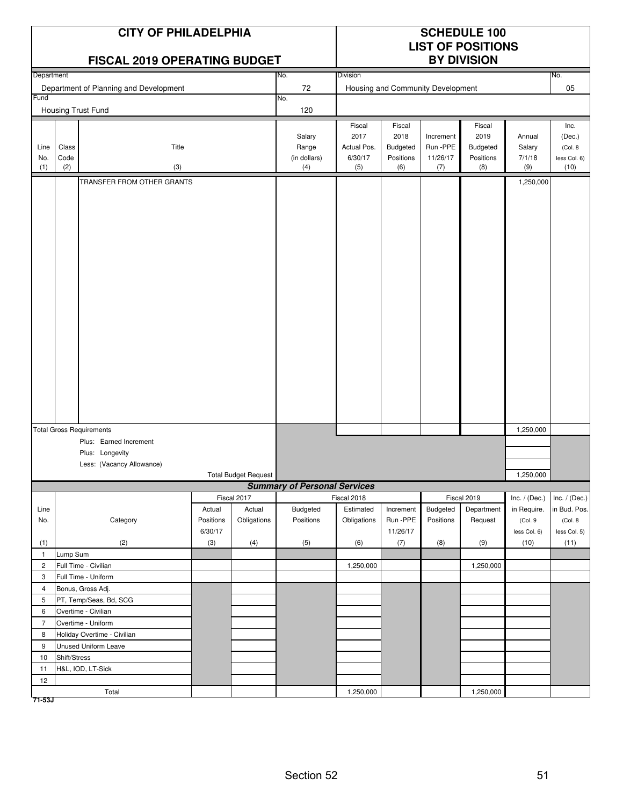|                |               | <b>CITY OF PHILADELPHIA</b><br>FISCAL 2019 OPERATING BUDGET |           |                             |                                     |                        |                       |                                   | <b>SCHEDULE 100</b><br><b>LIST OF POSITIONS</b><br><b>BY DIVISION</b> |                 |                      |
|----------------|---------------|-------------------------------------------------------------|-----------|-----------------------------|-------------------------------------|------------------------|-----------------------|-----------------------------------|-----------------------------------------------------------------------|-----------------|----------------------|
| Department     |               |                                                             |           |                             | No.                                 | <b>Division</b>        |                       |                                   |                                                                       |                 | No.                  |
|                |               | Department of Planning and Development                      |           |                             | 72                                  |                        |                       | Housing and Community Development |                                                                       |                 | 05                   |
| Fund           |               |                                                             |           |                             | No.                                 |                        |                       |                                   |                                                                       |                 |                      |
|                |               | Housing Trust Fund                                          |           |                             | 120                                 |                        |                       |                                   |                                                                       |                 |                      |
|                |               |                                                             |           |                             |                                     | Fiscal                 | Fiscal                |                                   | Fiscal                                                                |                 | Inc.                 |
|                |               |                                                             |           |                             | Salary                              | 2017                   | 2018                  | Increment                         | 2019                                                                  | Annual          | (Dec.)               |
| Line           | Class<br>Code | Title                                                       |           |                             | Range                               | Actual Pos.<br>6/30/17 | Budgeted<br>Positions | Run -PPE                          | Budgeted                                                              | Salary          | (Col. 8              |
| No.<br>(1)     | (2)           | (3)                                                         |           |                             | (in dollars)<br>(4)                 | (5)                    | (6)                   | 11/26/17<br>(7)                   | Positions<br>(8)                                                      | 7/1/18<br>(9)   | less Col. 6)<br>(10) |
|                |               | TRANSFER FROM OTHER GRANTS                                  |           |                             |                                     |                        |                       |                                   |                                                                       | 1,250,000       |                      |
|                |               |                                                             |           |                             |                                     |                        |                       |                                   |                                                                       |                 |                      |
|                |               |                                                             |           |                             |                                     |                        |                       |                                   |                                                                       |                 |                      |
|                |               | <b>Total Gross Requirements</b>                             |           |                             |                                     |                        |                       |                                   |                                                                       | 1,250,000       |                      |
|                |               | Plus: Earned Increment<br>Plus: Longevity                   |           |                             |                                     |                        |                       |                                   |                                                                       |                 |                      |
|                |               | Less: (Vacancy Allowance)                                   |           |                             |                                     |                        |                       |                                   |                                                                       |                 |                      |
|                |               |                                                             |           | <b>Total Budget Request</b> |                                     |                        |                       |                                   |                                                                       | 1,250,000       |                      |
|                |               |                                                             |           |                             | <b>Summary of Personal Services</b> |                        |                       |                                   |                                                                       |                 |                      |
|                |               |                                                             |           | Fiscal 2017                 |                                     | Fiscal 2018            |                       |                                   | Fiscal 2019                                                           | Inc. $/$ (Dec.) | Inc. $/$ (Dec.)      |
| Line           |               |                                                             | Actual    | Actual                      | Budgeted                            | Estimated              | Increment             | Budgeted                          | Department                                                            | in Require.     | in Bud. Pos.         |
| No.            |               | Category                                                    | Positions | Obligations                 | Positions                           | Obligations            | Run -PPE              | Positions                         | Request                                                               | (Col.9          | (Col. 8)             |
|                |               |                                                             | 6/30/17   |                             |                                     |                        | 11/26/17              |                                   |                                                                       | less Col. 6)    | less Col. 5)         |
| (1)<br>1       | Lump Sum      | (2)                                                         | (3)       | (4)                         | (5)                                 | (6)                    | (7)                   | (8)                               | (9)                                                                   | (10)            | (11)                 |
| $\overline{c}$ |               | Full Time - Civilian                                        |           |                             |                                     | 1,250,000              |                       |                                   | 1,250,000                                                             |                 |                      |
| 3              |               | Full Time - Uniform                                         |           |                             |                                     |                        |                       |                                   |                                                                       |                 |                      |
| 4              |               | Bonus, Gross Adj.                                           |           |                             |                                     |                        |                       |                                   |                                                                       |                 |                      |
| 5              |               | PT, Temp/Seas, Bd, SCG                                      |           |                             |                                     |                        |                       |                                   |                                                                       |                 |                      |
| 6              |               | Overtime - Civilian                                         |           |                             |                                     |                        |                       |                                   |                                                                       |                 |                      |
| $\overline{7}$ |               | Overtime - Uniform                                          |           |                             |                                     |                        |                       |                                   |                                                                       |                 |                      |
| 8              |               | Holiday Overtime - Civilian                                 |           |                             |                                     |                        |                       |                                   |                                                                       |                 |                      |
| 9              |               | Unused Uniform Leave                                        |           |                             |                                     |                        |                       |                                   |                                                                       |                 |                      |
| 10             | Shift/Stress  |                                                             |           |                             |                                     |                        |                       |                                   |                                                                       |                 |                      |
| 11             |               | H&L, IOD, LT-Sick                                           |           |                             |                                     |                        |                       |                                   |                                                                       |                 |                      |
| 12             |               |                                                             |           |                             |                                     |                        |                       |                                   |                                                                       |                 |                      |
| 71-53J         |               | Total                                                       |           |                             |                                     | 1,250,000              |                       |                                   | 1,250,000                                                             |                 |                      |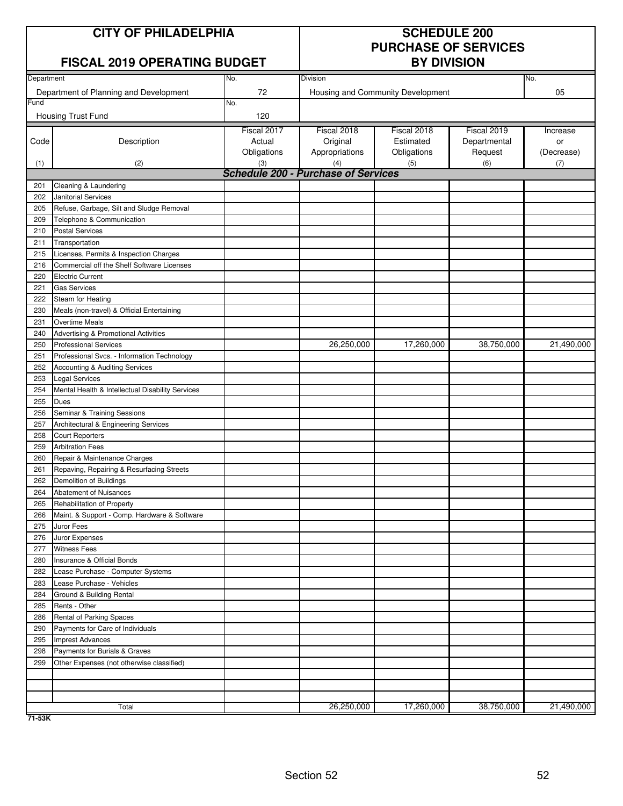# **CITY OF PHILADELPHIA SCHEDULE 200**

## **FISCAL 2019 OPFRATING BUDGET**

# **PURCHASE OF SERVICES**

|            | ו וטטאב בטוט טו בונאוווע טטטא                                         |             |                                            |                                   |              |            |
|------------|-----------------------------------------------------------------------|-------------|--------------------------------------------|-----------------------------------|--------------|------------|
| Department |                                                                       | No.         | Division                                   |                                   |              | No.        |
|            | Department of Planning and Development                                | 72          |                                            | Housing and Community Development |              | 05         |
| Fund       |                                                                       | No.         |                                            |                                   |              |            |
|            | Housing Trust Fund                                                    | 120         |                                            |                                   |              |            |
|            |                                                                       | Fiscal 2017 | Fiscal 2018                                | Fiscal 2018                       | Fiscal 2019  | Increase   |
| Code       | Description                                                           | Actual      | Original                                   | Estimated                         | Departmental | or         |
|            |                                                                       | Obligations | Appropriations                             | Obligations                       | Request      | (Decrease) |
| (1)        | (2)                                                                   | (3)         | (4)                                        | (5)                               | (6)          | (7)        |
|            |                                                                       |             | <b>Schedule 200 - Purchase of Services</b> |                                   |              |            |
| 201        | Cleaning & Laundering                                                 |             |                                            |                                   |              |            |
| 202        | Janitorial Services                                                   |             |                                            |                                   |              |            |
| 205<br>209 | Refuse, Garbage, Silt and Sludge Removal<br>Telephone & Communication |             |                                            |                                   |              |            |
| 210        | <b>Postal Services</b>                                                |             |                                            |                                   |              |            |
| 211        | Transportation                                                        |             |                                            |                                   |              |            |
| 215        | Licenses, Permits & Inspection Charges                                |             |                                            |                                   |              |            |
| 216        | Commercial off the Shelf Software Licenses                            |             |                                            |                                   |              |            |
| 220        | <b>Electric Current</b>                                               |             |                                            |                                   |              |            |
| 221        | <b>Gas Services</b>                                                   |             |                                            |                                   |              |            |
| 222        | Steam for Heating                                                     |             |                                            |                                   |              |            |
| 230        | Meals (non-travel) & Official Entertaining                            |             |                                            |                                   |              |            |
| 231        | <b>Overtime Meals</b>                                                 |             |                                            |                                   |              |            |
| 240        | Advertising & Promotional Activities                                  |             |                                            |                                   |              |            |
| 250        | <b>Professional Services</b>                                          |             | 26,250,000                                 | 17,260,000                        | 38,750,000   | 21,490,000 |
| 251        | Professional Svcs. - Information Technology                           |             |                                            |                                   |              |            |
| 252        | Accounting & Auditing Services                                        |             |                                            |                                   |              |            |
| 253        | <b>Legal Services</b>                                                 |             |                                            |                                   |              |            |
| 254        | Mental Health & Intellectual Disability Services                      |             |                                            |                                   |              |            |
| 255        | Dues                                                                  |             |                                            |                                   |              |            |
| 256        | Seminar & Training Sessions                                           |             |                                            |                                   |              |            |
| 257        | Architectural & Engineering Services                                  |             |                                            |                                   |              |            |
| 258        | <b>Court Reporters</b>                                                |             |                                            |                                   |              |            |
| 259        | <b>Arbitration Fees</b>                                               |             |                                            |                                   |              |            |
| 260        | Repair & Maintenance Charges                                          |             |                                            |                                   |              |            |
| 261        | Repaving, Repairing & Resurfacing Streets                             |             |                                            |                                   |              |            |
| 262        | Demolition of Buildings                                               |             |                                            |                                   |              |            |
| 264        | Abatement of Nuisances                                                |             |                                            |                                   |              |            |
| 265        | Rehabilitation of Property                                            |             |                                            |                                   |              |            |
| 266        | Maint. & Support - Comp. Hardware & Software                          |             |                                            |                                   |              |            |
| 275        | Juror Fees                                                            |             |                                            |                                   |              |            |
| 276        | Juror Expenses                                                        |             |                                            |                                   |              |            |
| 277        | <b>Witness Fees</b>                                                   |             |                                            |                                   |              |            |
| 280        | Insurance & Official Bonds                                            |             |                                            |                                   |              |            |
| 282        | Lease Purchase - Computer Systems                                     |             |                                            |                                   |              |            |
| 283        | Lease Purchase - Vehicles                                             |             |                                            |                                   |              |            |
| 284        | Ground & Building Rental                                              |             |                                            |                                   |              |            |
| 285        | Rents - Other                                                         |             |                                            |                                   |              |            |
| 286        | Rental of Parking Spaces                                              |             |                                            |                                   |              |            |
| 290        | Payments for Care of Individuals                                      |             |                                            |                                   |              |            |
| 295        | <b>Imprest Advances</b>                                               |             |                                            |                                   |              |            |
| 298        | Payments for Burials & Graves                                         |             |                                            |                                   |              |            |
| 299        | Other Expenses (not otherwise classified)                             |             |                                            |                                   |              |            |
|            |                                                                       |             |                                            |                                   |              |            |
|            |                                                                       |             |                                            |                                   |              |            |
|            | Total                                                                 |             | 26,250,000                                 | 17,260,000                        | 38,750,000   | 21,490,000 |
|            |                                                                       |             |                                            |                                   |              |            |

**71-53K**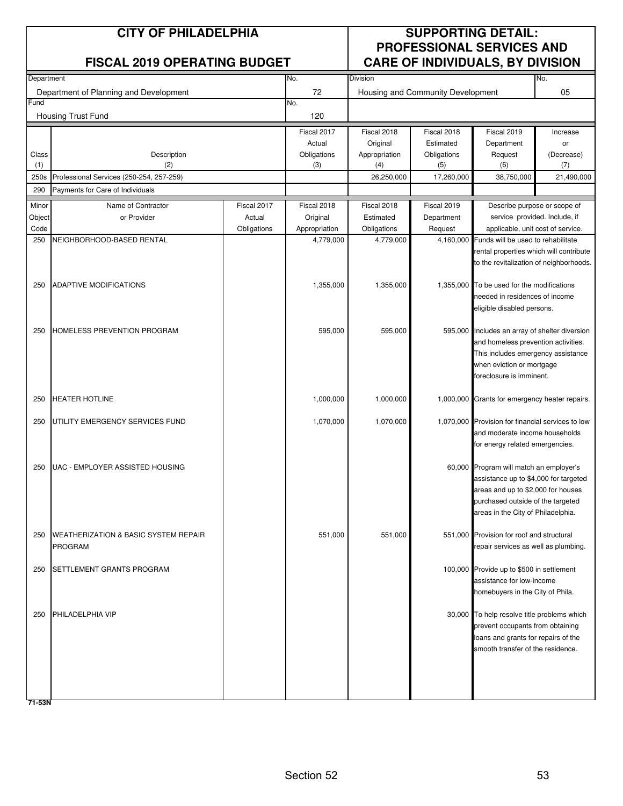|              | <b>CITY OF PHILADELPHIA</b><br><b>FISCAL 2019 OPERATING BUDGET</b> |             | <b>SUPPORTING DETAIL:</b><br><b>PROFESSIONAL SERVICES AND</b><br><b>CARE OF INDIVIDUALS, BY DIVISION</b> |                      |                                   |                                                                                    |                   |  |
|--------------|--------------------------------------------------------------------|-------------|----------------------------------------------------------------------------------------------------------|----------------------|-----------------------------------|------------------------------------------------------------------------------------|-------------------|--|
| Department   |                                                                    |             | No.                                                                                                      | Division             |                                   |                                                                                    | No.               |  |
|              | Department of Planning and Development                             |             | 72                                                                                                       |                      | Housing and Community Development |                                                                                    | 05                |  |
| Fund         | Housing Trust Fund                                                 |             | No.<br>120                                                                                               |                      |                                   |                                                                                    |                   |  |
|              |                                                                    |             | Fiscal 2017                                                                                              | Fiscal 2018          | Fiscal 2018                       | Fiscal 2019                                                                        | Increase          |  |
|              |                                                                    |             | Actual                                                                                                   | Original             | Estimated                         | Department                                                                         | or                |  |
| Class<br>(1) | Description<br>(2)                                                 |             | Obligations<br>(3)                                                                                       | Appropriation<br>(4) | Obligations<br>(5)                | Request<br>(6)                                                                     | (Decrease)<br>(7) |  |
| 250s         | Professional Services (250-254, 257-259)                           |             |                                                                                                          | 26,250,000           | 17,260,000                        | 38,750,000                                                                         | 21,490,000        |  |
| 290          | Payments for Care of Individuals                                   |             |                                                                                                          |                      |                                   |                                                                                    |                   |  |
| Minor        | Name of Contractor                                                 | Fiscal 2017 | Fiscal 2018                                                                                              | Fiscal 2018          | Fiscal 2019                       | Describe purpose or scope of                                                       |                   |  |
| Object       | or Provider                                                        | Actual      | Original                                                                                                 | Estimated            | Department                        | service provided. Include, if                                                      |                   |  |
| Code         |                                                                    | Obligations | Appropriation                                                                                            | Obligations          | Request                           | applicable, unit cost of service.                                                  |                   |  |
| 250          | NEIGHBORHOOD-BASED RENTAL                                          |             | 4,779,000                                                                                                | 4,779,000            | 4,160,000                         | Funds will be used to rehabilitate                                                 |                   |  |
|              |                                                                    |             |                                                                                                          |                      |                                   | rental properties which will contribute<br>to the revitalization of neighborhoods. |                   |  |
|              |                                                                    |             |                                                                                                          |                      |                                   |                                                                                    |                   |  |
| 250          | <b>ADAPTIVE MODIFICATIONS</b>                                      |             | 1,355,000                                                                                                | 1,355,000            |                                   | 1,355,000 To be used for the modifications                                         |                   |  |
|              |                                                                    |             |                                                                                                          |                      |                                   | needed in residences of income                                                     |                   |  |
|              |                                                                    |             |                                                                                                          |                      |                                   | eligible disabled persons.                                                         |                   |  |
|              |                                                                    |             |                                                                                                          |                      |                                   |                                                                                    |                   |  |
| 250          | <b>HOMELESS PREVENTION PROGRAM</b>                                 |             | 595,000                                                                                                  | 595,000              |                                   | 595,000 Includes an array of shelter diversion                                     |                   |  |
|              |                                                                    |             |                                                                                                          |                      |                                   | and homeless prevention activities.                                                |                   |  |
|              |                                                                    |             |                                                                                                          |                      |                                   | This includes emergency assistance<br>when eviction or mortgage                    |                   |  |
|              |                                                                    |             |                                                                                                          |                      |                                   | foreclosure is imminent.                                                           |                   |  |
|              |                                                                    |             |                                                                                                          |                      |                                   |                                                                                    |                   |  |
| 250          | <b>HEATER HOTLINE</b>                                              |             | 1,000,000                                                                                                | 1,000,000            |                                   | 1,000,000 Grants for emergency heater repairs.                                     |                   |  |
| 250          | UTILITY EMERGENCY SERVICES FUND                                    |             | 1,070,000                                                                                                | 1,070,000            |                                   | 1,070,000 Provision for financial services to low                                  |                   |  |
|              |                                                                    |             |                                                                                                          |                      |                                   | and moderate income households                                                     |                   |  |
|              |                                                                    |             |                                                                                                          |                      |                                   | for energy related emergencies.                                                    |                   |  |
|              |                                                                    |             |                                                                                                          |                      |                                   |                                                                                    |                   |  |
| 250          | UAC - EMPLOYER ASSISTED HOUSING                                    |             |                                                                                                          |                      |                                   | 60,000 Program will match an employer's                                            |                   |  |
|              |                                                                    |             |                                                                                                          |                      |                                   | assistance up to \$4,000 for targeted                                              |                   |  |
|              |                                                                    |             |                                                                                                          |                      |                                   | areas and up to \$2,000 for houses                                                 |                   |  |
|              |                                                                    |             |                                                                                                          |                      |                                   | purchased outside of the targeted                                                  |                   |  |
|              |                                                                    |             |                                                                                                          |                      |                                   | areas in the City of Philadelphia.                                                 |                   |  |
| 250          | <b>WEATHERIZATION &amp; BASIC SYSTEM REPAIR</b>                    |             | 551,000                                                                                                  | 551,000              |                                   | 551,000 Provision for roof and structural                                          |                   |  |
|              | <b>PROGRAM</b>                                                     |             |                                                                                                          |                      |                                   | repair services as well as plumbing.                                               |                   |  |
|              |                                                                    |             |                                                                                                          |                      |                                   |                                                                                    |                   |  |
| 250          | SETTLEMENT GRANTS PROGRAM                                          |             |                                                                                                          |                      |                                   | 100,000 Provide up to \$500 in settlement                                          |                   |  |
|              |                                                                    |             |                                                                                                          |                      |                                   | assistance for low-income                                                          |                   |  |
|              |                                                                    |             |                                                                                                          |                      |                                   | homebuyers in the City of Phila.                                                   |                   |  |
| 250          | PHILADELPHIA VIP                                                   |             |                                                                                                          |                      |                                   | 30,000 To help resolve title problems which                                        |                   |  |
|              |                                                                    |             |                                                                                                          |                      |                                   | prevent occupants from obtaining                                                   |                   |  |
|              |                                                                    |             |                                                                                                          |                      |                                   | loans and grants for repairs of the                                                |                   |  |
|              |                                                                    |             |                                                                                                          |                      |                                   | smooth transfer of the residence.                                                  |                   |  |
|              |                                                                    |             |                                                                                                          |                      |                                   |                                                                                    |                   |  |
|              |                                                                    |             |                                                                                                          |                      |                                   |                                                                                    |                   |  |
|              |                                                                    |             |                                                                                                          |                      |                                   |                                                                                    |                   |  |
| 71-53N       |                                                                    |             |                                                                                                          |                      |                                   |                                                                                    |                   |  |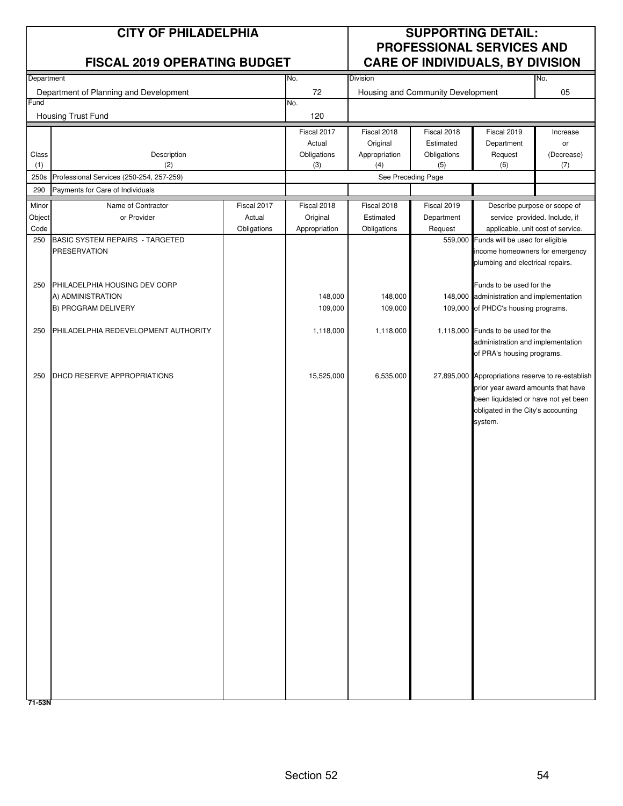|                         | <b>CITY OF PHILADELPHIA</b><br><b>FISCAL 2019 OPERATING BUDGET</b> |                                      |                                          |                                         | <b>SUPPORTING DETAIL:</b><br><b>PROFESSIONAL SERVICES AND</b><br><b>CARE OF INDIVIDUALS, BY DIVISION</b> |                                                                                                                                                                                  |                         |
|-------------------------|--------------------------------------------------------------------|--------------------------------------|------------------------------------------|-----------------------------------------|----------------------------------------------------------------------------------------------------------|----------------------------------------------------------------------------------------------------------------------------------------------------------------------------------|-------------------------|
| Department              |                                                                    |                                      | No.                                      | <b>Division</b>                         |                                                                                                          |                                                                                                                                                                                  | No.                     |
| Fund                    | Department of Planning and Development                             |                                      | 72<br>No.                                |                                         | Housing and Community Development                                                                        |                                                                                                                                                                                  | 05                      |
|                         | Housing Trust Fund                                                 |                                      | 120                                      |                                         |                                                                                                          |                                                                                                                                                                                  |                         |
|                         |                                                                    |                                      | Fiscal 2017                              | Fiscal 2018                             | Fiscal 2018                                                                                              | Fiscal 2019                                                                                                                                                                      | Increase                |
| Class<br>(1)            | Description<br>(2)                                                 |                                      | Actual<br>Obligations<br>(3)             | Original<br>Appropriation<br>(4)        | Estimated<br>Obligations<br>(5)                                                                          | Department<br>Request<br>(6)                                                                                                                                                     | or<br>(Decrease)<br>(7) |
| 250s                    | Professional Services (250-254, 257-259)                           |                                      |                                          | See Preceding Page                      |                                                                                                          |                                                                                                                                                                                  |                         |
| 290                     | Payments for Care of Individuals                                   |                                      |                                          |                                         |                                                                                                          |                                                                                                                                                                                  |                         |
| Minor<br>Object<br>Code | Name of Contractor<br>or Provider                                  | Fiscal 2017<br>Actual<br>Obligations | Fiscal 2018<br>Original<br>Appropriation | Fiscal 2018<br>Estimated<br>Obligations | Fiscal 2019<br>Department<br>Request                                                                     | Describe purpose or scope of<br>service provided. Include, if<br>applicable, unit cost of service.                                                                               |                         |
| 250                     | <b>BASIC SYSTEM REPAIRS - TARGETED</b>                             |                                      |                                          |                                         |                                                                                                          | 559,000 Funds will be used for eligible                                                                                                                                          |                         |
|                         | <b>PRESERVATION</b>                                                |                                      |                                          |                                         |                                                                                                          | income homeowners for emergency<br>plumbing and electrical repairs.                                                                                                              |                         |
| 250                     | PHILADELPHIA HOUSING DEV CORP                                      |                                      |                                          |                                         |                                                                                                          | Funds to be used for the                                                                                                                                                         |                         |
|                         | A) ADMINISTRATION                                                  |                                      | 148,000                                  | 148,000                                 |                                                                                                          | 148,000 administration and implementation                                                                                                                                        |                         |
|                         | B) PROGRAM DELIVERY                                                |                                      | 109,000                                  | 109,000                                 |                                                                                                          | 109,000 of PHDC's housing programs.                                                                                                                                              |                         |
| 250                     | PHILADELPHIA REDEVELOPMENT AUTHORITY                               |                                      | 1,118,000                                | 1,118,000                               |                                                                                                          | 1,118,000 Funds to be used for the<br>administration and implementation<br>of PRA's housing programs.                                                                            |                         |
| 250                     | DHCD RESERVE APPROPRIATIONS                                        |                                      | 15,525,000                               | 6,535,000                               |                                                                                                          | 27,895,000 Appropriations reserve to re-establish<br>prior year award amounts that have<br>been liquidated or have not yet been<br>obligated in the City's accounting<br>system. |                         |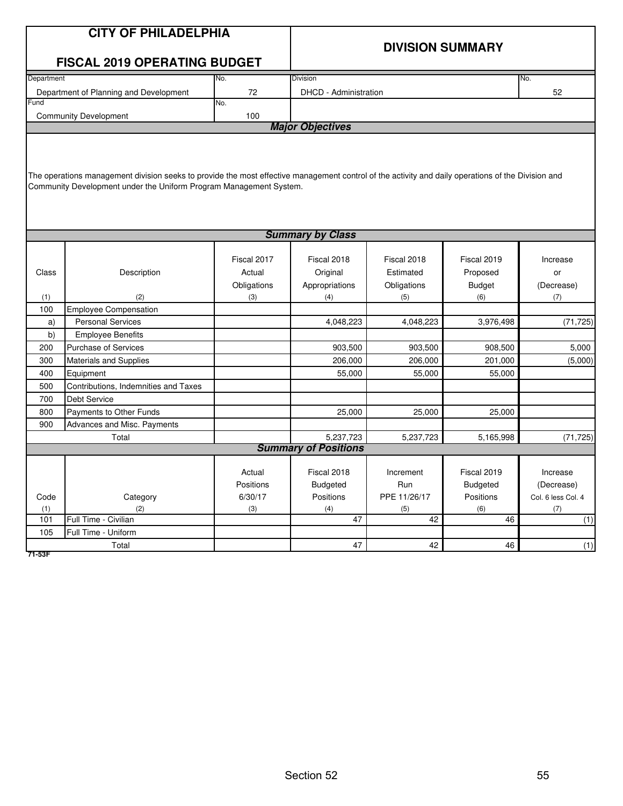|                                 | <b>CITY OF PHILADELPHIA</b>                                                                                                                                                                                              |                                             | <b>DIVISION SUMMARY</b>                                       |                                                             |                                                              |                                                            |  |  |  |  |  |  |
|---------------------------------|--------------------------------------------------------------------------------------------------------------------------------------------------------------------------------------------------------------------------|---------------------------------------------|---------------------------------------------------------------|-------------------------------------------------------------|--------------------------------------------------------------|------------------------------------------------------------|--|--|--|--|--|--|
|                                 | <b>FISCAL 2019 OPERATING BUDGET</b>                                                                                                                                                                                      |                                             |                                                               |                                                             |                                                              |                                                            |  |  |  |  |  |  |
| Department                      |                                                                                                                                                                                                                          | No.                                         | Division                                                      |                                                             |                                                              | No.                                                        |  |  |  |  |  |  |
|                                 | Department of Planning and Development                                                                                                                                                                                   | 72                                          | DHCD - Administration<br>52                                   |                                                             |                                                              |                                                            |  |  |  |  |  |  |
| Fund                            |                                                                                                                                                                                                                          | No.                                         |                                                               |                                                             |                                                              |                                                            |  |  |  |  |  |  |
|                                 | <b>Community Development</b>                                                                                                                                                                                             | 100                                         | <b>Major Objectives</b>                                       |                                                             |                                                              |                                                            |  |  |  |  |  |  |
|                                 |                                                                                                                                                                                                                          |                                             |                                                               |                                                             |                                                              |                                                            |  |  |  |  |  |  |
|                                 | The operations management division seeks to provide the most effective management control of the activity and daily operations of the Division and<br>Community Development under the Uniform Program Management System. |                                             |                                                               |                                                             |                                                              |                                                            |  |  |  |  |  |  |
|                                 |                                                                                                                                                                                                                          |                                             | <b>Summary by Class</b>                                       |                                                             |                                                              |                                                            |  |  |  |  |  |  |
| Class<br>(1)<br>100<br>a)<br>b) | Description<br>(2)<br><b>Employee Compensation</b><br><b>Personal Services</b><br><b>Employee Benefits</b>                                                                                                               | Fiscal 2017<br>Actual<br>Obligations<br>(3) | Fiscal 2018<br>Original<br>Appropriations<br>(4)<br>4,048,223 | Fiscal 2018<br>Estimated<br>Obligations<br>(5)<br>4,048,223 | Fiscal 2019<br>Proposed<br><b>Budget</b><br>(6)<br>3,976,498 | Increase<br>or<br>(Decrease)<br>(7)<br>(71, 725)           |  |  |  |  |  |  |
| 200                             | <b>Purchase of Services</b>                                                                                                                                                                                              |                                             | 903,500                                                       | 903,500                                                     | 908,500                                                      | 5,000                                                      |  |  |  |  |  |  |
| 300                             | <b>Materials and Supplies</b>                                                                                                                                                                                            |                                             | 206,000                                                       | 206,000                                                     | 201,000                                                      | (5,000)                                                    |  |  |  |  |  |  |
| 400                             | Equipment                                                                                                                                                                                                                |                                             | 55,000                                                        | 55,000                                                      | 55,000                                                       |                                                            |  |  |  |  |  |  |
| 500                             | Contributions, Indemnities and Taxes                                                                                                                                                                                     |                                             |                                                               |                                                             |                                                              |                                                            |  |  |  |  |  |  |
| 700                             | <b>Debt Service</b>                                                                                                                                                                                                      |                                             |                                                               |                                                             |                                                              |                                                            |  |  |  |  |  |  |
| 800                             | Payments to Other Funds                                                                                                                                                                                                  |                                             | 25,000                                                        | 25,000                                                      | 25,000                                                       |                                                            |  |  |  |  |  |  |
| 900                             | Advances and Misc. Payments                                                                                                                                                                                              |                                             |                                                               |                                                             |                                                              |                                                            |  |  |  |  |  |  |
|                                 | Total                                                                                                                                                                                                                    |                                             | 5,237,723                                                     | 5,237,723                                                   | 5,165,998                                                    | (71, 725)                                                  |  |  |  |  |  |  |
|                                 |                                                                                                                                                                                                                          |                                             | <b>Summary of Positions</b>                                   |                                                             |                                                              |                                                            |  |  |  |  |  |  |
| Code<br>(1)<br>101              | Category<br>(2)<br>Full Time - Civilian                                                                                                                                                                                  | Actual<br>Positions<br>6/30/17<br>(3)       | Fiscal 2018<br><b>Budgeted</b><br>Positions<br>(4)<br>47      | Increment<br>Run<br>PPE 11/26/17<br>(5)<br>42               | Fiscal 2019<br><b>Budgeted</b><br>Positions<br>(6)<br>46     | Increase<br>(Decrease)<br>Col. 6 less Col. 4<br>(7)<br>(1) |  |  |  |  |  |  |
| 105                             | Full Time - Uniform                                                                                                                                                                                                      |                                             |                                                               |                                                             |                                                              |                                                            |  |  |  |  |  |  |
|                                 | Total                                                                                                                                                                                                                    |                                             | 47                                                            | 42                                                          | 46                                                           | (1)                                                        |  |  |  |  |  |  |
| 71-53F                          |                                                                                                                                                                                                                          |                                             |                                                               |                                                             |                                                              |                                                            |  |  |  |  |  |  |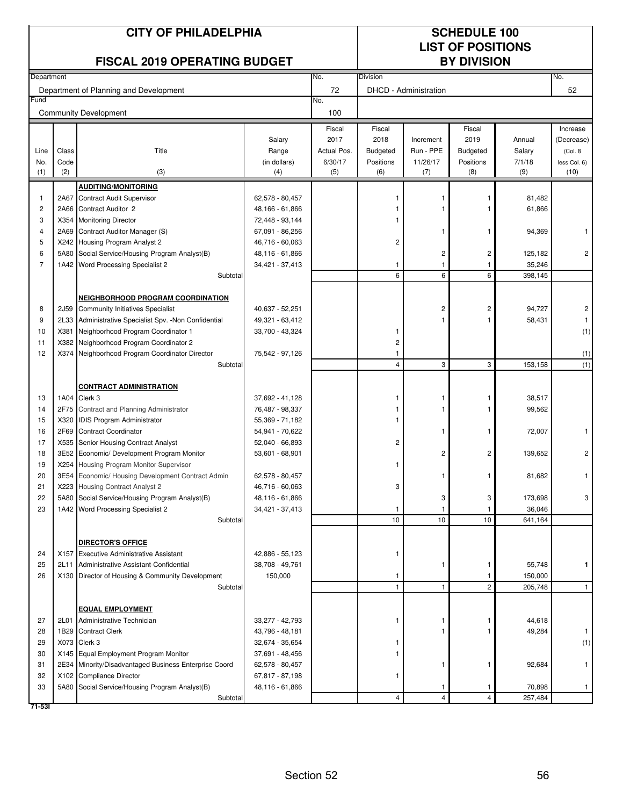|                |       | <b>CITY OF PHILADELPHIA</b><br><b>FISCAL 2019 OPERATING BUDGET</b>                  |                                    | <b>SCHEDULE 100</b><br><b>LIST OF POSITIONS</b><br><b>BY DIVISION</b> |                 |                       |                |                   |                        |
|----------------|-------|-------------------------------------------------------------------------------------|------------------------------------|-----------------------------------------------------------------------|-----------------|-----------------------|----------------|-------------------|------------------------|
| Department     |       |                                                                                     |                                    | No.                                                                   | Division        |                       |                |                   | No.                    |
|                |       | Department of Planning and Development                                              |                                    | 72                                                                    |                 | DHCD - Administration |                |                   | 52                     |
| Fund           |       |                                                                                     |                                    | No.                                                                   |                 |                       |                |                   |                        |
|                |       | <b>Community Development</b>                                                        |                                    | 100                                                                   |                 |                       |                |                   |                        |
|                |       |                                                                                     | Salary                             | Fiscal<br>2017                                                        | Fiscal<br>2018  | Increment             | Fiscal<br>2019 | Annual            | Increase<br>(Decrease) |
| Line           | Class | Title                                                                               | Range                              | Actual Pos.                                                           | <b>Budgeted</b> | Run - PPE             | Budgeted       | Salary            | (Col. 8)               |
| No.            | Code  |                                                                                     | (in dollars)                       | 6/30/17                                                               | Positions       | 11/26/17              | Positions      | 7/1/18            | less Col. 6)           |
| (1)            | (2)   | (3)                                                                                 | (4)                                | (5)                                                                   | (6)             | (7)                   | (8)            | (9)               | (10)                   |
|                |       | <b>AUDITING/MONITORING</b>                                                          |                                    |                                                                       |                 |                       |                |                   |                        |
| $\mathbf{1}$   |       | 2A67 Contract Audit Supervisor                                                      | 62,578 - 80,457                    |                                                                       |                 |                       |                | 81,482            |                        |
| 2              |       | 2A66 Contract Auditor 2                                                             | 48,166 - 61,866                    |                                                                       |                 |                       |                | 61,866            |                        |
| 3              |       | X354 Monitoring Director                                                            | 72,448 - 93,144                    |                                                                       |                 |                       |                |                   |                        |
| 4              |       | 2A69 Contract Auditor Manager (S)                                                   | 67,091 - 86,256                    |                                                                       |                 |                       |                | 94,369            |                        |
| 5              |       | X242 Housing Program Analyst 2                                                      | 46,716 - 60,063                    |                                                                       | 2               |                       |                |                   |                        |
| 6              |       | 5A80 Social Service/Housing Program Analyst(B)                                      | 48,116 - 61,866                    |                                                                       |                 | 2                     | 2              | 125,182           | 2                      |
| $\overline{7}$ |       | 1A42 Word Processing Specialist 2<br>Subtotal                                       | 34,421 - 37,413                    |                                                                       | 1<br>6          | 6                     | 6              | 35,246<br>398,145 |                        |
|                |       |                                                                                     |                                    |                                                                       |                 |                       |                |                   |                        |
|                |       | NEIGHBORHOOD PROGRAM COORDINATION                                                   |                                    |                                                                       |                 |                       |                |                   |                        |
| 8              | 2J59  | <b>Community Initiatives Specialist</b>                                             | 40,637 - 52,251                    |                                                                       |                 | $\overline{c}$        | 2              | 94,727            | 2                      |
| 9              |       | 2L33 Administrative Specialist Spv. - Non Confidential                              | 49,321 - 63,412                    |                                                                       |                 |                       |                | 58,431            |                        |
| 10             | X381  | Neighborhood Program Coordinator 1                                                  | 33,700 - 43,324                    |                                                                       |                 |                       |                |                   | (1)                    |
| 11             |       | X382 Neighborhood Program Coordinator 2                                             |                                    |                                                                       | 2               |                       |                |                   |                        |
| 12             |       | X374 Neighborhood Program Coordinator Director                                      | 75,542 - 97,126                    |                                                                       | 1               |                       |                |                   | (1)                    |
|                |       | Subtotal                                                                            |                                    |                                                                       | 4               | 3                     | 3              | 153,158           | (1)                    |
|                |       |                                                                                     |                                    |                                                                       |                 |                       |                |                   |                        |
|                |       | <b>CONTRACT ADMINISTRATION</b>                                                      |                                    |                                                                       |                 |                       |                |                   |                        |
| 13             |       | 1A04 Clerk 3                                                                        | 37,692 - 41,128                    |                                                                       |                 |                       |                | 38,517            |                        |
| 14             |       | 2F75 Contract and Planning Administrator                                            | 76,487 - 98,337                    |                                                                       |                 |                       |                | 99,562            |                        |
| 15             |       | X320 IDIS Program Administrator                                                     | 55,369 - 71,182                    |                                                                       |                 |                       |                |                   |                        |
| 16             | 2F69  | <b>Contract Coordinator</b>                                                         | 54,941 - 70,622                    |                                                                       |                 |                       |                | 72,007            |                        |
| 17             |       | X535 Senior Housing Contract Analyst                                                | 52,040 - 66,893                    |                                                                       | 2               |                       |                |                   |                        |
| 18             |       | 3E52 Economic/ Development Program Monitor                                          | 53,601 - 68,901                    |                                                                       |                 | 2                     | 2              | 139,652           | 2                      |
| 19             |       | X254 Housing Program Monitor Supervisor                                             |                                    |                                                                       |                 |                       |                |                   |                        |
| 20             |       | 3E54 Economic/ Housing Development Contract Admin                                   | 62,578 - 80,457                    |                                                                       |                 |                       |                | 81,682            | 1                      |
| 21             |       | X223 Housing Contract Analyst 2                                                     | 46,716 - 60,063                    |                                                                       | 3               |                       |                |                   |                        |
| 22<br>23       |       | 5A80 Social Service/Housing Program Analyst(B)<br>1A42 Word Processing Specialist 2 | 48,116 - 61,866<br>34,421 - 37,413 |                                                                       | 1               | 3                     | 3              | 173,698<br>36,046 | 3                      |
|                |       | Subtotal                                                                            |                                    |                                                                       | 10              | $10$                  | 10             | 641,164           |                        |
|                |       |                                                                                     |                                    |                                                                       |                 |                       |                |                   |                        |
|                |       | DIRECTOR'S OFFICE                                                                   |                                    |                                                                       |                 |                       |                |                   |                        |
| 24             |       | X157 Executive Administrative Assistant                                             | 42,886 - 55,123                    |                                                                       |                 |                       |                |                   |                        |
| 25             | 2L11  | Administrative Assistant-Confidential                                               | 38,708 - 49,761                    |                                                                       |                 | -1                    |                | 55,748            | 1                      |
| 26             |       | X130 Director of Housing & Community Development                                    | 150,000                            |                                                                       | 1               |                       |                | 150,000           |                        |
|                |       | Subtotal                                                                            |                                    |                                                                       | 1               | $\mathbf{1}$          | 2              | 205,748           | $\mathbf{1}$           |
|                |       |                                                                                     |                                    |                                                                       |                 |                       |                |                   |                        |
|                |       | <b>EQUAL EMPLOYMENT</b>                                                             |                                    |                                                                       |                 |                       |                |                   |                        |
| 27             | 2L01  | Administrative Technician                                                           | 33,277 - 42,793                    |                                                                       |                 |                       |                | 44,618            |                        |
| 28             |       | 1B29 Contract Clerk                                                                 | 43,796 - 48,181                    |                                                                       |                 |                       |                | 49,284            |                        |
| 29             |       | X073 Clerk 3                                                                        | 32,674 - 35,654                    |                                                                       |                 |                       |                |                   | (1)                    |
| 30             |       | X145 Equal Employment Program Monitor                                               | 37,691 - 48,456                    |                                                                       |                 |                       |                |                   |                        |
| 31             |       | 2E34 Minority/Disadvantaged Business Enterprise Coord                               | 62,578 - 80,457                    |                                                                       |                 |                       |                | 92,684            |                        |
| 32<br>33       |       | X102 Compliance Director<br>5A80 Social Service/Housing Program Analyst(B)          | 67,817 - 87,198<br>48,116 - 61,866 |                                                                       |                 |                       |                | 70,898            | $\mathbf{1}$           |
|                |       | Subtotal                                                                            |                                    |                                                                       | 4               | 4                     | 4              | 257,484           |                        |

**71-53I**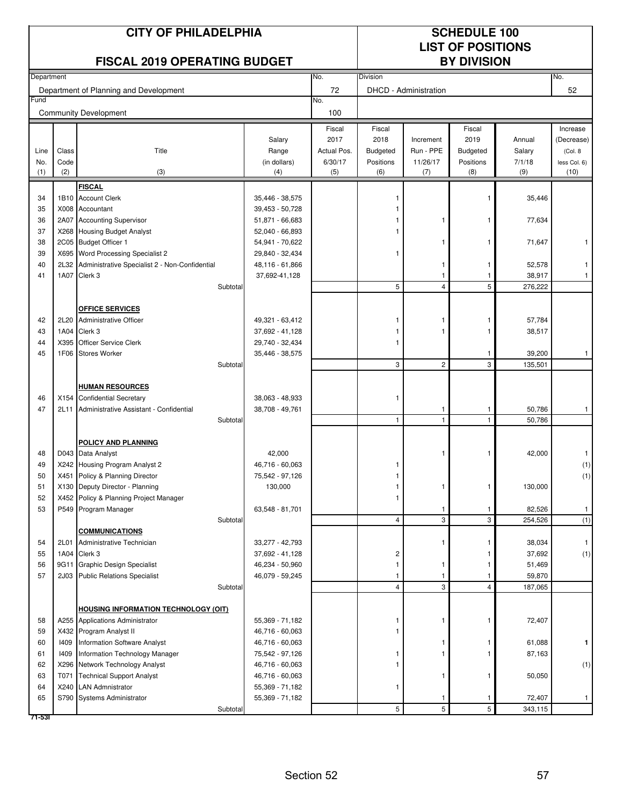|            |             | <b>CITY OF PHILADELPHIA</b><br><b>FISCAL 2019 OPERATING BUDGET</b>             |                                    | <b>SCHEDULE 100</b><br><b>LIST OF POSITIONS</b><br><b>BY DIVISION</b> |                  |                       |                  |                   |                      |
|------------|-------------|--------------------------------------------------------------------------------|------------------------------------|-----------------------------------------------------------------------|------------------|-----------------------|------------------|-------------------|----------------------|
| Department |             |                                                                                |                                    | No.                                                                   | Division         |                       |                  |                   | No.                  |
|            |             | Department of Planning and Development                                         |                                    | 72                                                                    |                  | DHCD - Administration |                  |                   | 52                   |
| Fund       |             | <b>Community Development</b>                                                   |                                    | No.<br>100                                                            |                  |                       |                  |                   |                      |
|            |             |                                                                                |                                    | Fiscal                                                                | Fiscal           |                       | Fiscal           |                   | Increase             |
|            |             |                                                                                | Salary                             | 2017                                                                  | 2018             | Increment             | 2019             | Annual            | (Decrease)           |
| Line       | Class       | Title                                                                          | Range                              | Actual Pos.                                                           | <b>Budgeted</b>  | Run - PPE             | <b>Budgeted</b>  | Salary            | (Col. 8)             |
| No.<br>(1) | Code<br>(2) | (3)                                                                            | (in dollars)<br>(4)                | 6/30/17<br>(5)                                                        | Positions<br>(6) | 11/26/17<br>(7)       | Positions<br>(8) | 7/1/18<br>(9)     | less Col. 6)<br>(10) |
|            |             |                                                                                |                                    |                                                                       |                  |                       |                  |                   |                      |
| 34         |             | <b>FISCAL</b><br>1B10 Account Clerk                                            | 35,446 - 38,575                    |                                                                       |                  |                       |                  | 35,446            |                      |
| 35         |             | X008 Accountant                                                                | 39,453 - 50,728                    |                                                                       |                  |                       |                  |                   |                      |
| 36         |             | 2A07 Accounting Supervisor                                                     | 51,871 - 66,683                    |                                                                       |                  | 1                     |                  | 77,634            |                      |
| 37         |             | X268 Housing Budget Analyst                                                    | 52,040 - 66,893                    |                                                                       |                  |                       |                  |                   |                      |
| 38         |             | 2C05 Budget Officer 1                                                          | 54,941 - 70,622                    |                                                                       |                  |                       |                  | 71,647            |                      |
| 39         |             | X695 Word Processing Specialist 2                                              | 29,840 - 32,434                    |                                                                       |                  |                       |                  |                   |                      |
| 40         |             | 2L32 Administrative Specialist 2 - Non-Confidential                            | 48,116 - 61,866                    |                                                                       |                  | -1                    | 1                | 52,578            |                      |
| 41         |             | 1A07 Clerk 3<br>Subtotal                                                       | 37,692-41,128                      |                                                                       | 5                | $\overline{4}$        | 5                | 38,917<br>276,222 | $\mathbf{1}$         |
|            |             |                                                                                |                                    |                                                                       |                  |                       |                  |                   |                      |
|            |             | <b>OFFICE SERVICES</b>                                                         |                                    |                                                                       |                  |                       |                  |                   |                      |
| 42         |             | 2L20 Administrative Officer                                                    | 49,321 - 63,412                    |                                                                       | 1                |                       | 1                | 57,784            |                      |
| 43         |             | 1A04 Clerk 3                                                                   | 37,692 - 41,128                    |                                                                       |                  |                       | 1                | 38,517            |                      |
| 44         | X395        | <b>Officer Service Clerk</b>                                                   | 29,740 - 32,434                    |                                                                       |                  |                       |                  |                   |                      |
| 45         | 1F06        | <b>Stores Worker</b><br>Subtotal                                               | 35,446 - 38,575                    |                                                                       | 3                | $\overline{c}$        | 1<br>3           | 39,200<br>135,501 | $\overline{1}$       |
|            |             |                                                                                |                                    |                                                                       |                  |                       |                  |                   |                      |
|            |             | <b>HUMAN RESOURCES</b>                                                         |                                    |                                                                       |                  |                       |                  |                   |                      |
| 46         |             | X154 Confidential Secretary                                                    | 38,063 - 48,933                    |                                                                       | 1                |                       |                  |                   |                      |
| 47         | 2L11        | Administrative Assistant - Confidential                                        | 38,708 - 49,761                    |                                                                       |                  | 1                     | 1                | 50,786            | $\mathbf{1}$         |
|            |             | Subtotal                                                                       |                                    |                                                                       | 1                | $\mathbf{1}$          | $\mathbf{1}$     | 50,786            |                      |
|            |             |                                                                                |                                    |                                                                       |                  |                       |                  |                   |                      |
| 48         |             | <b>POLICY AND PLANNING</b><br>D043 Data Analyst                                | 42,000                             |                                                                       |                  | 1                     | 1                | 42,000            |                      |
| 49         |             | X242 Housing Program Analyst 2                                                 | 46,716 - 60,063                    |                                                                       |                  |                       |                  |                   | (1)                  |
| 50         |             | X451 Policy & Planning Director                                                | 75,542 - 97,126                    |                                                                       |                  |                       |                  |                   | (1)                  |
| 51         |             | X130 Deputy Director - Planning                                                | 130,000                            |                                                                       |                  |                       |                  | 130,000           |                      |
| 52         |             | X452 Policy & Planning Project Manager                                         |                                    |                                                                       |                  |                       |                  |                   |                      |
| 53         |             | P549 Program Manager                                                           | 63,548 - 81,701                    |                                                                       |                  | 1                     | 1                | 82,526            | $\mathbf{1}$         |
|            |             | Subtotal<br><b>COMMUNICATIONS</b>                                              |                                    |                                                                       | 4                | 3                     | 3                | 254,526           | (1)                  |
| 54         | 2L01        | Administrative Technician                                                      | 33,277 - 42,793                    |                                                                       |                  |                       |                  | 38,034            |                      |
| 55         | 1A04        | Clerk 3                                                                        | 37,692 - 41,128                    |                                                                       | 2                |                       |                  | 37,692            | (1)                  |
| 56         | 9G11        | <b>Graphic Design Specialist</b>                                               | 46,234 - 50,960                    |                                                                       | 1                |                       |                  | 51,469            |                      |
| 57         |             | 2J03 Public Relations Specialist                                               | 46,079 - 59,245                    |                                                                       |                  |                       |                  | 59,870            |                      |
|            |             | Subtotal                                                                       |                                    |                                                                       | $\overline{4}$   | 3                     | 4                | 187,065           |                      |
|            |             |                                                                                |                                    |                                                                       |                  |                       |                  |                   |                      |
| 58         |             | <b>HOUSING INFORMATION TECHNOLOGY (OIT)</b><br>A255 Applications Administrator | 55,369 - 71,182                    |                                                                       |                  |                       |                  | 72,407            |                      |
| 59         |             | X432 Program Analyst II                                                        | 46,716 - 60,063                    |                                                                       |                  |                       |                  |                   |                      |
| 60         | 1409        | <b>Information Software Analyst</b>                                            | 46,716 - 60,063                    |                                                                       |                  |                       |                  | 61,088            | 1                    |
| 61         | 1409        | Information Technology Manager                                                 | 75,542 - 97,126                    |                                                                       |                  |                       |                  | 87,163            |                      |
| 62         |             | X296 Network Technology Analyst                                                | 46,716 - 60,063                    |                                                                       |                  |                       |                  |                   | (1)                  |
| 63         | T071        | <b>Technical Support Analyst</b>                                               | 46,716 - 60,063                    |                                                                       |                  |                       |                  | 50,050            |                      |
| 64<br>65   |             | X240 LAN Admnistrator<br>S790 Systems Administrator                            | 55,369 - 71,182<br>55,369 - 71,182 |                                                                       | 1                |                       |                  | 72,407            | $\mathbf{1}$         |
|            |             | Subtotal                                                                       |                                    |                                                                       | 5                | 5                     | 5                | 343,115           |                      |
| 71-531     |             |                                                                                |                                    |                                                                       |                  |                       |                  |                   |                      |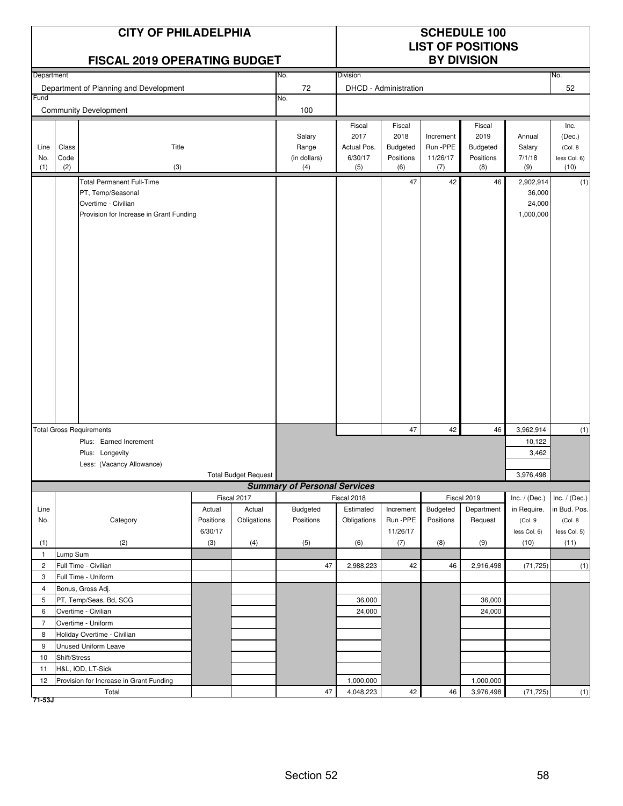|                    |                      | <b>CITY OF PHILADELPHIA</b><br><b>FISCAL 2019 OPERATING BUDGET</b>                  |           |                             |                                        |                                                 |                                                | <b>SCHEDULE 100</b><br><b>LIST OF POSITIONS</b><br><b>BY DIVISION</b> |                                                |                                   |                                                   |
|--------------------|----------------------|-------------------------------------------------------------------------------------|-----------|-----------------------------|----------------------------------------|-------------------------------------------------|------------------------------------------------|-----------------------------------------------------------------------|------------------------------------------------|-----------------------------------|---------------------------------------------------|
| Department         |                      |                                                                                     |           |                             | No.                                    | <b>Division</b>                                 |                                                |                                                                       |                                                |                                   | No.                                               |
|                    |                      | Department of Planning and Development                                              |           |                             | 72                                     |                                                 | DHCD - Administration                          |                                                                       |                                                |                                   | 52                                                |
| Fund               |                      |                                                                                     |           |                             | No.                                    |                                                 |                                                |                                                                       |                                                |                                   |                                                   |
|                    |                      | <b>Community Development</b>                                                        |           |                             | 100                                    |                                                 |                                                |                                                                       |                                                |                                   |                                                   |
| Line<br>No.<br>(1) | Class<br>Code<br>(2) | Title<br>(3)                                                                        |           |                             | Salary<br>Range<br>(in dollars)<br>(4) | Fiscal<br>2017<br>Actual Pos.<br>6/30/17<br>(5) | Fiscal<br>2018<br>Budgeted<br>Positions<br>(6) | Increment<br>Run -PPE<br>11/26/17<br>(7)                              | Fiscal<br>2019<br>Budgeted<br>Positions<br>(8) | Annual<br>Salary<br>7/1/18<br>(9) | Inc.<br>(Dec.)<br>(Col. 8<br>less Col. 6)<br>(10) |
|                    |                      | <b>Total Permanent Full-Time</b>                                                    |           |                             |                                        |                                                 | 47                                             | 42                                                                    | 46                                             | 2,902,914                         | (1)                                               |
|                    |                      | PT, Temp/Seasonal<br>Overtime - Civilian<br>Provision for Increase in Grant Funding |           |                             |                                        |                                                 |                                                |                                                                       |                                                | 36,000<br>24,000<br>1,000,000     |                                                   |
|                    |                      |                                                                                     |           |                             |                                        |                                                 |                                                |                                                                       |                                                |                                   |                                                   |
|                    |                      | <b>Total Gross Requirements</b>                                                     |           |                             |                                        |                                                 | 47                                             | 42                                                                    | 46                                             | 3,962,914                         | (1)                                               |
|                    |                      | Plus: Earned Increment                                                              |           |                             |                                        |                                                 |                                                |                                                                       |                                                | 10,122                            |                                                   |
|                    |                      | Plus: Longevity                                                                     |           |                             |                                        |                                                 |                                                |                                                                       |                                                | 3,462                             |                                                   |
|                    |                      | Less: (Vacancy Allowance)                                                           |           |                             |                                        |                                                 |                                                |                                                                       |                                                |                                   |                                                   |
|                    |                      |                                                                                     |           | <b>Total Budget Request</b> |                                        |                                                 |                                                |                                                                       |                                                | 3,976,498                         |                                                   |
|                    |                      |                                                                                     |           | Fiscal 2017                 | <b>Summary of Personal Services</b>    |                                                 |                                                |                                                                       | Fiscal 2019                                    |                                   | Inc. $/$ (Dec.)                                   |
| Line               |                      |                                                                                     | Actual    | Actual                      | Budgeted                               | Fiscal 2018<br>Estimated                        | Increment                                      | Budgeted                                                              | Department                                     | Inc. $/$ (Dec.)<br>in Require.    | in Bud. Pos.                                      |
| No.                |                      | Category                                                                            | Positions | Obligations                 | Positions                              | Obligations                                     | Run -PPE                                       | Positions                                                             | Request                                        | (Col.9                            | (Col. 8)                                          |
|                    |                      |                                                                                     | 6/30/17   |                             |                                        |                                                 | 11/26/17                                       |                                                                       |                                                | less Col. 6)                      | less Col. 5)                                      |
| (1)                |                      | (2)                                                                                 | (3)       | (4)                         | (5)                                    | (6)                                             | (7)                                            | (8)                                                                   | (9)                                            | (10)                              | (11)                                              |
| $\mathbf{1}$       | Lump Sum             |                                                                                     |           |                             |                                        |                                                 |                                                |                                                                       |                                                |                                   |                                                   |
| $\overline{c}$     |                      | Full Time - Civilian                                                                |           |                             | 47                                     | 2,988,223                                       | 42                                             | 46                                                                    | 2,916,498                                      | (71, 725)                         | (1)                                               |
| 3                  |                      | Full Time - Uniform                                                                 |           |                             |                                        |                                                 |                                                |                                                                       |                                                |                                   |                                                   |
| 4                  |                      | Bonus, Gross Adj.                                                                   |           |                             |                                        |                                                 |                                                |                                                                       |                                                |                                   |                                                   |
| 5                  |                      | PT, Temp/Seas, Bd, SCG                                                              |           |                             |                                        | 36,000                                          |                                                |                                                                       | 36,000                                         |                                   |                                                   |
| 6                  |                      | Overtime - Civilian                                                                 |           |                             |                                        | 24,000                                          |                                                |                                                                       | 24,000                                         |                                   |                                                   |
| $\overline{7}$     |                      | Overtime - Uniform                                                                  |           |                             |                                        |                                                 |                                                |                                                                       |                                                |                                   |                                                   |
| 8                  |                      | Holiday Overtime - Civilian                                                         |           |                             |                                        |                                                 |                                                |                                                                       |                                                |                                   |                                                   |
| 9                  |                      | Unused Uniform Leave                                                                |           |                             |                                        |                                                 |                                                |                                                                       |                                                |                                   |                                                   |
| 10<br>11           | Shift/Stress         | H&L, IOD, LT-Sick                                                                   |           |                             |                                        |                                                 |                                                |                                                                       |                                                |                                   |                                                   |
| 12                 |                      | Provision for Increase in Grant Funding                                             |           |                             |                                        | 1,000,000                                       |                                                |                                                                       | 1,000,000                                      |                                   |                                                   |
|                    |                      | Total                                                                               |           |                             | 47                                     | 4,048,223                                       | 42                                             | 46                                                                    | 3,976,498                                      | (71, 725)                         | (1)                                               |
| 71-53J             |                      |                                                                                     |           |                             |                                        |                                                 |                                                |                                                                       |                                                |                                   |                                                   |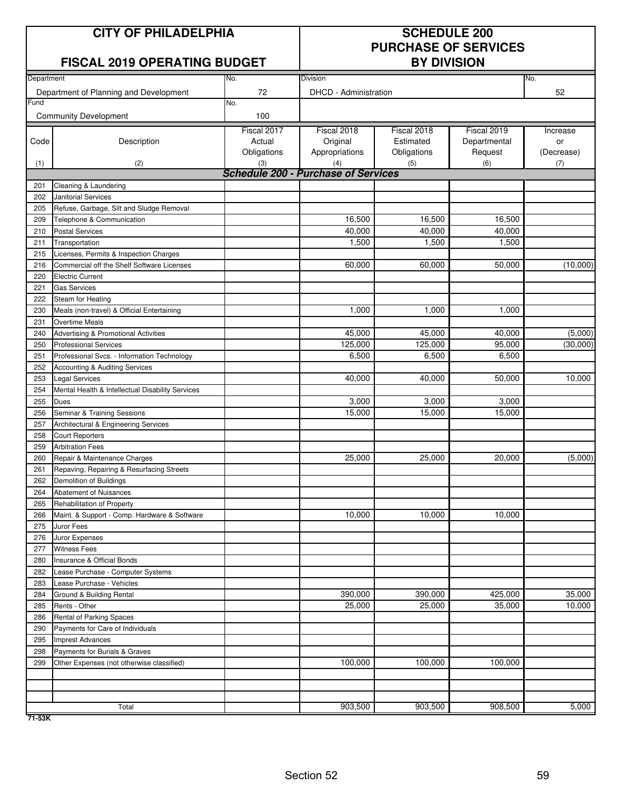# **CITY OF PHILADELPHIA SCHEDULE 200**

### **FISCAL 2019 OPERATING BUDGET BY DIVISION**

# **PURCHASE OF SERVICES**

| Department |                                                  | No.         | Division                                   |             |              | No.        |  |  |  |
|------------|--------------------------------------------------|-------------|--------------------------------------------|-------------|--------------|------------|--|--|--|
|            | Department of Planning and Development           | 72          | DHCD - Administration                      |             |              | 52         |  |  |  |
| Fund       |                                                  | No.         |                                            |             |              |            |  |  |  |
|            | <b>Community Development</b>                     | 100         |                                            |             |              |            |  |  |  |
|            |                                                  | Fiscal 2017 | Fiscal 2018                                | Fiscal 2018 | Fiscal 2019  | Increase   |  |  |  |
| Code       | Description                                      | Actual      | Original                                   | Estimated   | Departmental | or         |  |  |  |
|            |                                                  | Obligations | Appropriations                             | Obligations | Request      | (Decrease) |  |  |  |
| (1)        | (2)                                              | (3)         | (4)                                        | (5)         | (6)          | (7)        |  |  |  |
|            |                                                  |             | <b>Schedule 200 - Purchase of Services</b> |             |              |            |  |  |  |
| 201        | Cleaning & Laundering                            |             |                                            |             |              |            |  |  |  |
| 202        | <b>Janitorial Services</b>                       |             |                                            |             |              |            |  |  |  |
| 205        | Refuse, Garbage, Silt and Sludge Removal         |             |                                            |             |              |            |  |  |  |
| 209        | Telephone & Communication                        |             | 16,500                                     | 16,500      | 16,500       |            |  |  |  |
| 210        | <b>Postal Services</b>                           |             | 40,000                                     | 40,000      | 40,000       |            |  |  |  |
| 211        | Transportation                                   |             | 1,500                                      | 1,500       | 1,500        |            |  |  |  |
| 215        | Licenses, Permits & Inspection Charges           |             |                                            |             |              |            |  |  |  |
| 216        | Commercial off the Shelf Software Licenses       |             | 60,000                                     | 60,000      | 50,000       | (10,000)   |  |  |  |
| 220        | <b>Electric Current</b>                          |             |                                            |             |              |            |  |  |  |
| 221        | <b>Gas Services</b>                              |             |                                            |             |              |            |  |  |  |
| 222        | Steam for Heating                                |             |                                            |             |              |            |  |  |  |
| 230        | Meals (non-travel) & Official Entertaining       |             | 1,000                                      | 1,000       | 1,000        |            |  |  |  |
| 231        | <b>Overtime Meals</b>                            |             |                                            |             |              |            |  |  |  |
| 240        | Advertising & Promotional Activities             |             | 45,000                                     | 45,000      | 40,000       | (5,000)    |  |  |  |
| 250        | <b>Professional Services</b>                     |             | 125,000                                    | 125,000     | 95,000       | (30,000)   |  |  |  |
| 251        | Professional Svcs. - Information Technology      |             | 6,500                                      | 6,500       | 6,500        |            |  |  |  |
| 252        | Accounting & Auditing Services                   |             |                                            |             |              |            |  |  |  |
| 253        | <b>Legal Services</b>                            |             | 40,000                                     | 40,000      | 50,000       | 10,000     |  |  |  |
| 254        | Mental Health & Intellectual Disability Services |             |                                            |             |              |            |  |  |  |
| 255        | <b>Dues</b>                                      |             | 3,000                                      | 3,000       | 3,000        |            |  |  |  |
| 256        | Seminar & Training Sessions                      |             | 15,000                                     | 15,000      | 15,000       |            |  |  |  |
| 257        | Architectural & Engineering Services             |             |                                            |             |              |            |  |  |  |
| 258        | <b>Court Reporters</b>                           |             |                                            |             |              |            |  |  |  |
| 259        | <b>Arbitration Fees</b>                          |             |                                            |             |              |            |  |  |  |
| 260        | Repair & Maintenance Charges                     |             | 25,000                                     | 25,000      | 20,000       | (5,000)    |  |  |  |
| 261        | Repaving, Repairing & Resurfacing Streets        |             |                                            |             |              |            |  |  |  |
| 262        | Demolition of Buildings                          |             |                                            |             |              |            |  |  |  |
| 264        | Abatement of Nuisances                           |             |                                            |             |              |            |  |  |  |
| 265        | Rehabilitation of Property                       |             |                                            |             |              |            |  |  |  |
| 266        | Maint. & Support - Comp. Hardware & Software     |             | 10,000                                     | 10,000      | 10,000       |            |  |  |  |
| 275        | Juror Fees                                       |             |                                            |             |              |            |  |  |  |
| 276        | Juror Expenses                                   |             |                                            |             |              |            |  |  |  |
| 277        | <b>Witness Fees</b>                              |             |                                            |             |              |            |  |  |  |
| 280        | Insurance & Official Bonds                       |             |                                            |             |              |            |  |  |  |
| 282        | Lease Purchase - Computer Systems                |             |                                            |             |              |            |  |  |  |
| 283        | Lease Purchase - Vehicles                        |             |                                            |             |              |            |  |  |  |
| 284        | Ground & Building Rental                         |             | 390,000                                    | 390,000     | 425,000      | 35,000     |  |  |  |
| 285        | Rents - Other                                    |             | 25,000                                     | 25,000      | 35,000       | 10,000     |  |  |  |
| 286        | Rental of Parking Spaces                         |             |                                            |             |              |            |  |  |  |
| 290        | Payments for Care of Individuals                 |             |                                            |             |              |            |  |  |  |
| 295        | <b>Imprest Advances</b>                          |             |                                            |             |              |            |  |  |  |
| 298        | Payments for Burials & Graves                    |             |                                            |             |              |            |  |  |  |
| 299        | Other Expenses (not otherwise classified)        |             | 100,000                                    | 100,000     | 100,000      |            |  |  |  |
|            |                                                  |             |                                            |             |              |            |  |  |  |
|            |                                                  |             |                                            |             |              |            |  |  |  |
|            |                                                  |             |                                            |             |              |            |  |  |  |
|            | Total                                            |             | 903,500                                    | 903,500     | 908,500      | 5,000      |  |  |  |

**71-53K**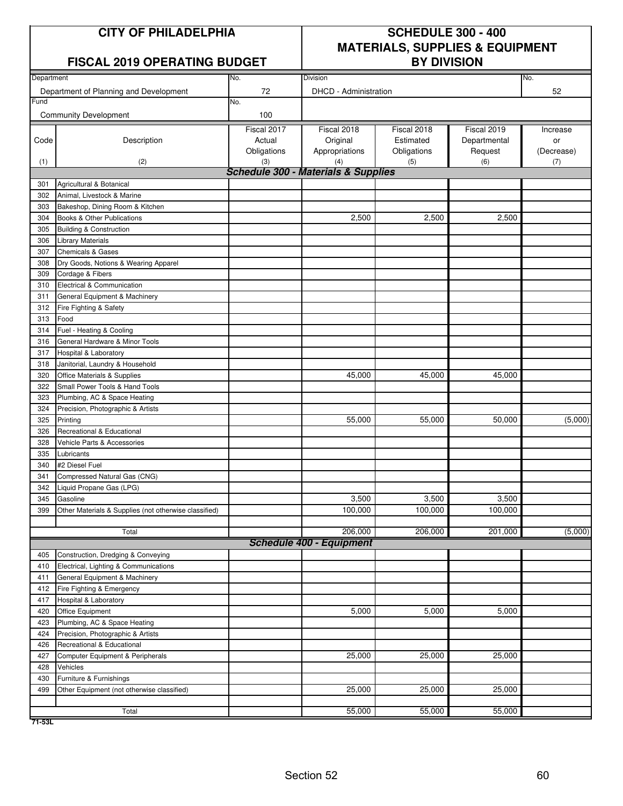|  |  | <b>CITY OF PHILADELPHIA</b> |  |
|--|--|-----------------------------|--|
|  |  |                             |  |

## **FISCAL 2019 OPFRATING BUDGET**

# **SCHEDULE 300 - 400 MATERIALS, SUPPLIES & EQUIPMENT**

|            | י יש באריטי<br>$V1$ Literature DVD                    |             | -------                                               |                  |                  |            |  |  |
|------------|-------------------------------------------------------|-------------|-------------------------------------------------------|------------------|------------------|------------|--|--|
| Department |                                                       | No.         | Division                                              |                  |                  | No.        |  |  |
|            | Department of Planning and Development                | 72          | DHCD - Administration                                 |                  |                  | 52         |  |  |
| Fund       |                                                       | No.         |                                                       |                  |                  |            |  |  |
|            | <b>Community Development</b>                          | 100         |                                                       |                  |                  |            |  |  |
|            |                                                       | Fiscal 2017 | Fiscal 2018                                           | Fiscal 2018      | Fiscal 2019      | Increase   |  |  |
| Code       | Description                                           | Actual      | Original                                              | Estimated        | Departmental     | or         |  |  |
|            |                                                       | Obligations | Appropriations                                        | Obligations      | Request          | (Decrease) |  |  |
| (1)        | (2)                                                   | (3)         | (4)<br><b>Schedule 300 - Materials &amp; Supplies</b> | (5)              | (6)              | (7)        |  |  |
| 301        | Agricultural & Botanical                              |             |                                                       |                  |                  |            |  |  |
| 302        | Animal, Livestock & Marine                            |             |                                                       |                  |                  |            |  |  |
| 303        | Bakeshop, Dining Room & Kitchen                       |             |                                                       |                  |                  |            |  |  |
| 304        | Books & Other Publications                            |             | 2,500                                                 | 2,500            | 2,500            |            |  |  |
| 305        | <b>Building &amp; Construction</b>                    |             |                                                       |                  |                  |            |  |  |
| 306        | Library Materials                                     |             |                                                       |                  |                  |            |  |  |
| 307        | <b>Chemicals &amp; Gases</b>                          |             |                                                       |                  |                  |            |  |  |
| 308        | Dry Goods, Notions & Wearing Apparel                  |             |                                                       |                  |                  |            |  |  |
| 309        | Cordage & Fibers                                      |             |                                                       |                  |                  |            |  |  |
| 310        | Electrical & Communication                            |             |                                                       |                  |                  |            |  |  |
| 311        | General Equipment & Machinery                         |             |                                                       |                  |                  |            |  |  |
| 312        | Fire Fighting & Safety                                |             |                                                       |                  |                  |            |  |  |
| 313        | Food                                                  |             |                                                       |                  |                  |            |  |  |
| 314        | Fuel - Heating & Cooling                              |             |                                                       |                  |                  |            |  |  |
| 316        | General Hardware & Minor Tools                        |             |                                                       |                  |                  |            |  |  |
| 317        | Hospital & Laboratory                                 |             |                                                       |                  |                  |            |  |  |
| 318        | Janitorial, Laundry & Household                       |             |                                                       |                  |                  |            |  |  |
| 320        | Office Materials & Supplies                           |             | 45,000                                                | 45,000           | 45,000           |            |  |  |
| 322        | Small Power Tools & Hand Tools                        |             |                                                       |                  |                  |            |  |  |
| 323        | Plumbing, AC & Space Heating                          |             |                                                       |                  |                  |            |  |  |
| 324        | Precision, Photographic & Artists                     |             |                                                       |                  |                  |            |  |  |
| 325        | Printing                                              |             | 55,000                                                | 55,000           | 50,000           | (5,000)    |  |  |
| 326        | Recreational & Educational                            |             |                                                       |                  |                  |            |  |  |
| 328        | Vehicle Parts & Accessories                           |             |                                                       |                  |                  |            |  |  |
| 335        | Lubricants                                            |             |                                                       |                  |                  |            |  |  |
| 340        | #2 Diesel Fuel                                        |             |                                                       |                  |                  |            |  |  |
| 341        | Compressed Natural Gas (CNG)                          |             |                                                       |                  |                  |            |  |  |
| 342        | Liquid Propane Gas (LPG)                              |             |                                                       |                  |                  |            |  |  |
| 345<br>399 | Gasoline                                              |             | 3,500<br>100,000                                      | 3,500<br>100,000 | 3,500<br>100,000 |            |  |  |
|            | Other Materials & Supplies (not otherwise classified) |             |                                                       |                  |                  |            |  |  |
|            | Total                                                 |             | 206,000                                               | 206,000          | 201,000          | (5,000)    |  |  |
|            |                                                       |             | <b>Schedule 400 - Equipment</b>                       |                  |                  |            |  |  |
| 405        | Construction, Dredging & Conveying                    |             |                                                       |                  |                  |            |  |  |
| 410        | Electrical, Lighting & Communications                 |             |                                                       |                  |                  |            |  |  |
| 411        | General Equipment & Machinery                         |             |                                                       |                  |                  |            |  |  |
| 412        | Fire Fighting & Emergency                             |             |                                                       |                  |                  |            |  |  |
| 417        | Hospital & Laboratory                                 |             |                                                       |                  |                  |            |  |  |
| 420        | Office Equipment                                      |             | 5,000                                                 | 5,000            | 5,000            |            |  |  |
| 423        | Plumbing, AC & Space Heating                          |             |                                                       |                  |                  |            |  |  |
| 424        | Precision, Photographic & Artists                     |             |                                                       |                  |                  |            |  |  |
| 426        | Recreational & Educational                            |             |                                                       |                  |                  |            |  |  |
| 427        | Computer Equipment & Peripherals                      |             | 25,000                                                | 25,000           | 25,000           |            |  |  |
| 428        | Vehicles                                              |             |                                                       |                  |                  |            |  |  |
| 430        | Furniture & Furnishings                               |             |                                                       |                  |                  |            |  |  |
| 499        | Other Equipment (not otherwise classified)            |             | 25,000                                                | 25,000           | 25,000           |            |  |  |
|            |                                                       |             |                                                       |                  |                  |            |  |  |
|            | Total                                                 |             | 55,000                                                | 55,000           | 55,000           |            |  |  |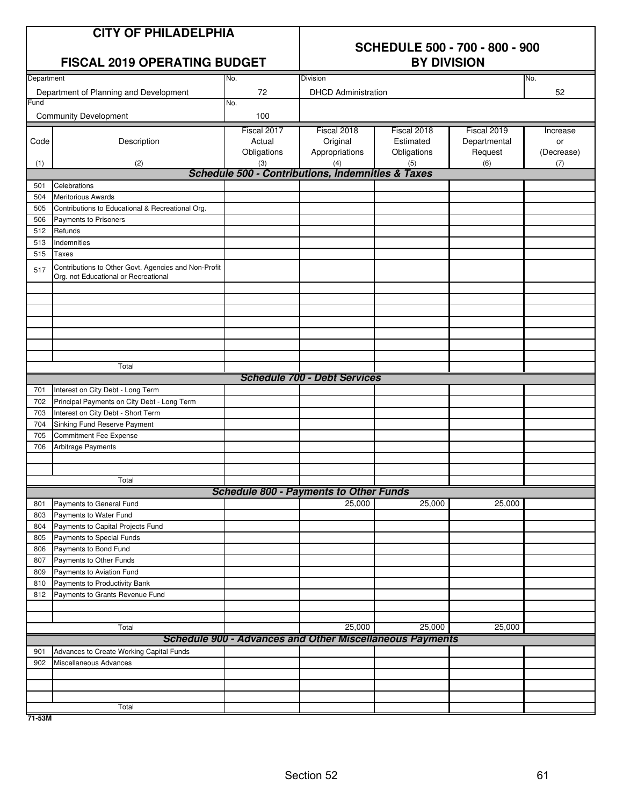|            | <b>CITY OF PHILADELPHIA</b>                                                                  | <b>SCHEDULE 500 - 700 - 800 - 900</b><br><b>BY DIVISION</b> |                                                                           |             |              |            |  |
|------------|----------------------------------------------------------------------------------------------|-------------------------------------------------------------|---------------------------------------------------------------------------|-------------|--------------|------------|--|
|            | <b>FISCAL 2019 OPERATING BUDGET</b>                                                          |                                                             |                                                                           |             |              |            |  |
| Department |                                                                                              | No.                                                         | <b>Division</b>                                                           |             |              | No.        |  |
| Fund       | Department of Planning and Development                                                       | 72<br>No.                                                   | <b>DHCD Administration</b>                                                |             |              | 52         |  |
|            | <b>Community Development</b>                                                                 | 100                                                         |                                                                           |             |              |            |  |
|            |                                                                                              | Fiscal 2017                                                 | Fiscal 2018                                                               | Fiscal 2018 | Fiscal 2019  | Increase   |  |
| Code       | Description                                                                                  | Actual                                                      | Original                                                                  | Estimated   | Departmental | or         |  |
|            |                                                                                              | Obligations                                                 | Appropriations                                                            | Obligations | Request      | (Decrease) |  |
| (1)        | (2)                                                                                          | (3)                                                         | (4)<br><b>Schedule 500 - Contributions, Indemnities &amp; Taxes</b>       | (5)         | (6)          | (7)        |  |
| 501        | Celebrations                                                                                 |                                                             |                                                                           |             |              |            |  |
| 504        | <b>Meritorious Awards</b>                                                                    |                                                             |                                                                           |             |              |            |  |
| 505        | Contributions to Educational & Recreational Org.                                             |                                                             |                                                                           |             |              |            |  |
| 506        | Payments to Prisoners                                                                        |                                                             |                                                                           |             |              |            |  |
| 512        | Refunds                                                                                      |                                                             |                                                                           |             |              |            |  |
| 513        | Indemnities                                                                                  |                                                             |                                                                           |             |              |            |  |
| 515        | Taxes                                                                                        |                                                             |                                                                           |             |              |            |  |
| 517        | Contributions to Other Govt. Agencies and Non-Profit<br>Org. not Educational or Recreational |                                                             |                                                                           |             |              |            |  |
|            |                                                                                              |                                                             |                                                                           |             |              |            |  |
|            |                                                                                              |                                                             |                                                                           |             |              |            |  |
|            |                                                                                              |                                                             |                                                                           |             |              |            |  |
|            | Total                                                                                        |                                                             |                                                                           |             |              |            |  |
|            |                                                                                              |                                                             | <b>Schedule 700 - Debt Services</b>                                       |             |              |            |  |
| 701        | Interest on City Debt - Long Term                                                            |                                                             |                                                                           |             |              |            |  |
| 702        | Principal Payments on City Debt - Long Term                                                  |                                                             |                                                                           |             |              |            |  |
| 703        | Interest on City Debt - Short Term                                                           |                                                             |                                                                           |             |              |            |  |
| 704        | Sinking Fund Reserve Payment                                                                 |                                                             |                                                                           |             |              |            |  |
| 705        | <b>Commitment Fee Expense</b>                                                                |                                                             |                                                                           |             |              |            |  |
| 706        | <b>Arbitrage Payments</b>                                                                    |                                                             |                                                                           |             |              |            |  |
|            |                                                                                              |                                                             |                                                                           |             |              |            |  |
|            | Total                                                                                        |                                                             | <b>Schedule 800 - Payments to Other Funds</b>                             |             |              |            |  |
| 801        | Payments to General Fund                                                                     |                                                             | 25.000                                                                    | 25,000      | 25,000       |            |  |
| 803        | Payments to Water Fund                                                                       |                                                             |                                                                           |             |              |            |  |
| 804        | Payments to Capital Projects Fund                                                            |                                                             |                                                                           |             |              |            |  |
| 805        | Payments to Special Funds                                                                    |                                                             |                                                                           |             |              |            |  |
| 806        | Payments to Bond Fund                                                                        |                                                             |                                                                           |             |              |            |  |
| 807        | Payments to Other Funds                                                                      |                                                             |                                                                           |             |              |            |  |
| 809        | Payments to Aviation Fund                                                                    |                                                             |                                                                           |             |              |            |  |
| 810        | Payments to Productivity Bank                                                                |                                                             |                                                                           |             |              |            |  |
| 812        | Payments to Grants Revenue Fund                                                              |                                                             |                                                                           |             |              |            |  |
|            |                                                                                              |                                                             |                                                                           |             |              |            |  |
|            |                                                                                              |                                                             |                                                                           |             |              |            |  |
|            | Total                                                                                        |                                                             | 25,000<br><b>Schedule 900 - Advances and Other Miscellaneous Payments</b> | 25,000      | 25,000       |            |  |
|            |                                                                                              |                                                             |                                                                           |             |              |            |  |
| 901<br>902 | Advances to Create Working Capital Funds<br>Miscellaneous Advances                           |                                                             |                                                                           |             |              |            |  |
|            |                                                                                              |                                                             |                                                                           |             |              |            |  |
|            |                                                                                              |                                                             |                                                                           |             |              |            |  |
|            |                                                                                              |                                                             |                                                                           |             |              |            |  |
|            | Total                                                                                        |                                                             |                                                                           |             |              |            |  |

**71-53M**